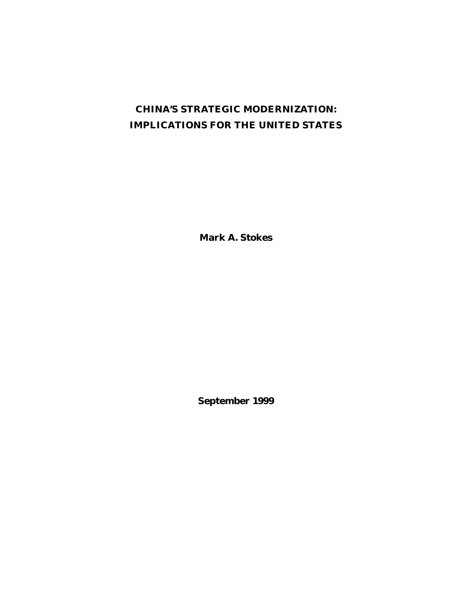# **CHINA'S STRATEGIC MODERNIZATION: IMPLICATIONS FOR THE UNITED STATES**

**Mark A. Stokes**

**September 1999**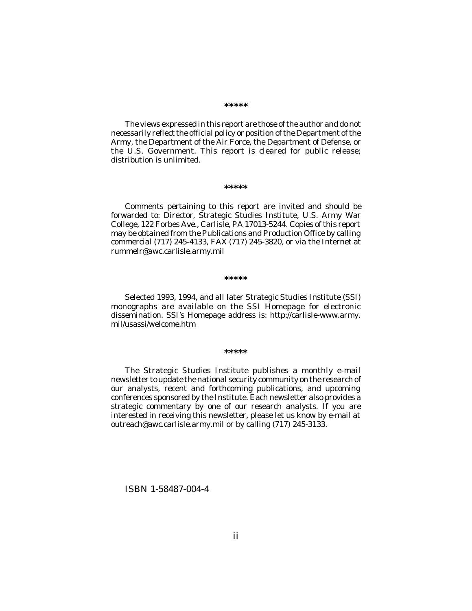**\*\*\*\*\***

The views expressed in this report are those of the author and do not necessarily reflect the official policy or position of the Department of the Army, the Department of the Air Force, the Department of Defense, or the U.S. Government. This report is cleared for public release; distribution is unlimited.

#### **\*\*\*\*\***

Comments pertaining to this report are invited and should be forwarded to: Director, Strategic Studies Institute, U.S. Army War College, 122 Forbes Ave., Carlisle, PA 17013-5244. Copies of this report may be obtained from the Publications and Production Office by calling commercial (717) 245-4133, FAX (717) 245-3820, or via the Internet at rummelr@awc.carlisle.army.mil

#### **\*\*\*\*\***

Selected 1993, 1994, and all later Strategic Studies Institute (SSI) monographs are available on the SSI Homepage for electronic dissemination. SSI's Homepage address is: http://carlisle-www.army. mil/usassi/welcome.htm

#### **\*\*\*\*\***

The Strategic Studies Institute publishes a monthly e-mail newsletter to update the national security community on the research of our analysts, recent and forthcoming publications, and upcoming conferences sponsored by the Institute. Each newsletter also provides a strategic commentary by one of our research analysts. If you are interested in receiving this newsletter, please let us know by e-mail at outreach@awc.carlisle.army.mil or by calling (717) 245-3133.

#### ISBN 1-58487-004-4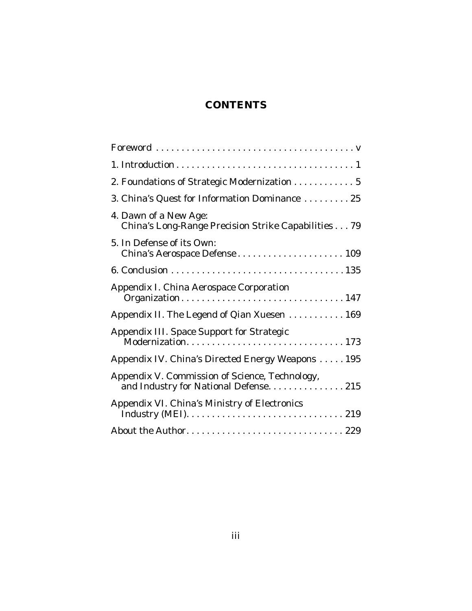# **CONTENTS**

| 2. Foundations of Strategic Modernization 5                                              |
|------------------------------------------------------------------------------------------|
| 3. China's Quest for Information Dominance  25                                           |
| 4. Dawn of a New Age:<br>China's Long-Range Precision Strike Capabilities 79             |
| 5. In Defense of its Own:                                                                |
|                                                                                          |
| Appendix I. China Aerospace Corporation<br>Organization147                               |
| Appendix II. The Legend of Qian Xuesen 169                                               |
| Appendix III. Space Support for Strategic                                                |
| Appendix IV. China's Directed Energy Weapons  195                                        |
| Appendix V. Commission of Science, Technology,<br>and Industry for National Defense. 215 |
| Appendix VI. China's Ministry of Electronics                                             |
|                                                                                          |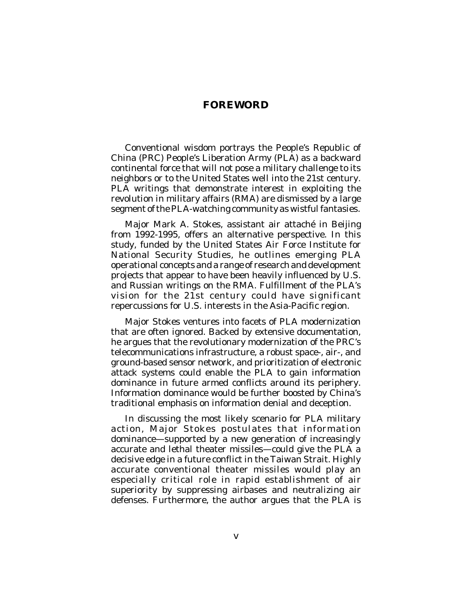# **FOREWORD**

Conventional wisdom portrays the People's Republic of China (PRC) People's Liberation Army (PLA) as a backward continental force that will not pose a military challenge to its neighbors or to the United States well into the 21st century. PLA writings that demonstrate interest in exploiting the revolution in military affairs (RMA) are dismissed by a large segment of the PLA-watching community as wistful fantasies.

Major Mark A. Stokes, assistant air attaché in Beijing from 1992-1995, offers an alternative perspective. In this study, funded by the United States Air Force Institute for National Security Studies, he outlines emerging PLA operational concepts and a range of research and development projects that appear to have been heavily influenced by U.S. and Russian writings on the RMA. Fulfillment of the PLA's vision for the 21st century could have significant repercussions for U.S. interests in the Asia-Pacific region.

Major Stokes ventures into facets of PLA modernization that are often ignored. Backed by extensive documentation, he argues that the revolutionary modernization of the PRC's telecommunications infrastructure, a robust space-, air-, and ground-based sensor network, and prioritization of electronic attack systems could enable the PLA to gain information dominance in future armed conflicts around its periphery. Information dominance would be further boosted by China's traditional emphasis on information denial and deception.

In discussing the most likely scenario for PLA military action, Major Stokes postulates that information dominance—supported by a new generation of increasingly accurate and lethal theater missiles—could give the PLA a decisive edge in a future conflict in the Taiwan Strait. Highly accurate conventional theater missiles would play an especially critical role in rapid establishment of air superiority by suppressing airbases and neutralizing air defenses. Furthermore, the author argues that the PLA is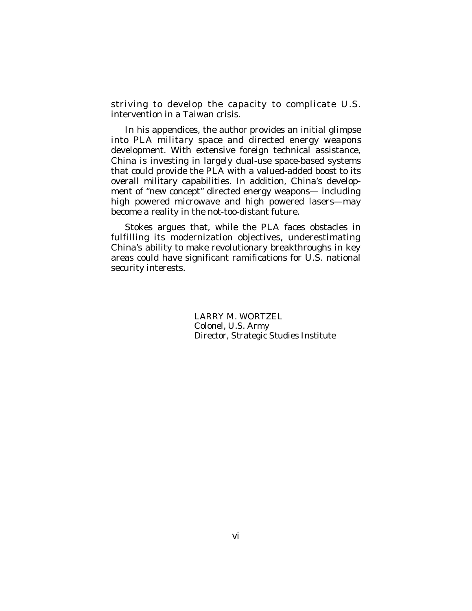striving to develop the capacity to complicate U.S. intervention in a Taiwan crisis.

In his appendices, the author provides an initial glimpse into PLA military space and directed energy weapons development. With extensive foreign technical assistance, China is investing in largely dual-use space-based systems that could provide the PLA with a valued-added boost to its overall military capabilities. In addition, China's development of "new concept" directed energy weapons— including high powered microwave and high powered lasers—may become a reality in the not-too-distant future.

Stokes argues that, while the PLA faces obstacles in fulfilling its modernization objectives, underestimating China's ability to make revolutionary breakthroughs in key areas could have significant ramifications for U.S. national security interests.

> LARRY M. WORTZEL Colonel, U.S. Army Director, Strategic Studies Institute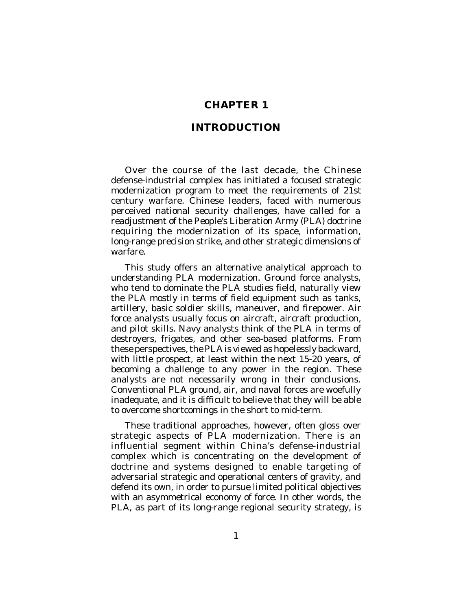## **CHAPTER 1**

#### **INTRODUCTION**

Over the course of the last decade, the Chinese defense-industrial complex has initiated a focused strategic modernization program to meet the requirements of 21st century warfare. Chinese leaders, faced with numerous perceived national security challenges, have called for a readjustment of the People's Liberation Army (PLA) doctrine requiring the modernization of its space, information, long-range precision strike, and other strategic dimensions of warfare.

This study offers an alternative analytical approach to understanding PLA modernization. Ground force analysts, who tend to dominate the PLA studies field, naturally view the PLA mostly in terms of field equipment such as tanks, artillery, basic soldier skills, maneuver, and firepower. Air force analysts usually focus on aircraft, aircraft production, and pilot skills. Navy analysts think of the PLA in terms of destroyers, frigates, and other sea-based platforms. From these perspectives, the PLA is viewed as hopelessly backward, with little prospect, at least within the next 15-20 years, of becoming a challenge to any power in the region. These analysts are not necessarily wrong in their conclusions. Conventional PLA ground, air, and naval forces are woefully inadequate, and it is difficult to believe that they will be able to overcome shortcomings in the short to mid-term.

These traditional approaches, however, often gloss over strategic aspects of PLA modernization. There is an influential segment within China's defense-industrial complex which is concentrating on the development of doctrine and systems designed to enable targeting of adversarial strategic and operational centers of gravity, and defend its own, in order to pursue limited political objectives with an asymmetrical economy of force. In other words, the PLA, as part of its long-range regional security strategy, is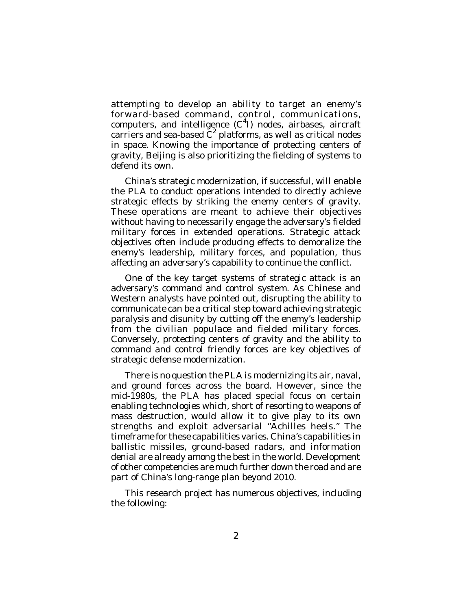attempting to develop an ability to target an enemy's forward-based command, control, communications, computers, and intelligence  $(C<sup>4</sup>I)$  nodes, airbases, aircraft carriers and sea-based  $C^2$  platforms, as well as critical nodes in space. Knowing the importance of protecting centers of gravity, Beijing is also prioritizing the fielding of systems to defend its own.

China's strategic modernization, if successful, will enable the PLA to conduct operations intended to directly achieve strategic effects by striking the enemy centers of gravity. These operations are meant to achieve their objectives without having to necessarily engage the adversary's fielded military forces in extended operations. Strategic attack objectives often include producing effects to demoralize the enemy's leadership, military forces, and population, thus affecting an adversary's capability to continue the conflict.

One of the key target systems of strategic attack is an adversary's command and control system. As Chinese and Western analysts have pointed out, disrupting the ability to communicate can be a critical step toward achieving strategic paralysis and disunity by cutting off the enemy's leadership from the civilian populace and fielded military forces. Conversely, protecting centers of gravity and the ability to command and control friendly forces are key objectives of strategic defense modernization.

There is no question the PLA is modernizing its air, naval, and ground forces across the board. However, since the mid-1980s, the PLA has placed special focus on certain enabling technologies which, short of resorting to weapons of mass destruction, would allow it to give play to its own strengths and exploit adversarial "Achilles heels." The timeframe for these capabilities varies. China's capabilities in ballistic missiles, ground-based radars, and information denial are already among the best in the world. Development of other competencies are much further down the road and are part of China's long-range plan beyond 2010.

This research project has numerous objectives, including the following: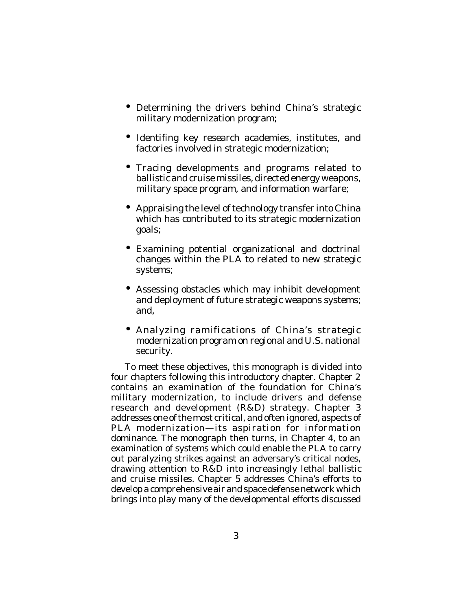- Determining the drivers behind China's strategic military modernization program;
- Identifing key research academies, institutes, and factories involved in strategic modernization;
- Tracing developments and programs related to ballistic and cruise missiles, directed energy weapons, military space program, and information warfare;
- Appraising the level of technology transfer into China which has contributed to its strategic modernization goals;
- Examining potential organizational and doctrinal changes within the PLA to related to new strategic systems;
- Assessing obstacles which may inhibit development and deployment of future strategic weapons systems; and,
- Analyzing ramifications of China's strategic modernization program on regional and U.S. national security.

To meet these objectives, this monograph is divided into four chapters following this introductory chapter. Chapter 2 contains an examination of the foundation for China's military modernization, to include drivers and defense research and development (R&D) strategy. Chapter 3 addresses one of the most critical, and often ignored, aspects of PLA modernization—its aspiration for information dominance. The monograph then turns, in Chapter 4, to an examination of systems which could enable the PLA to carry out paralyzing strikes against an adversary's critical nodes, drawing attention to R&D into increasingly lethal ballistic and cruise missiles. Chapter 5 addresses China's efforts to develop a comprehensive air and space defense network which brings into play many of the developmental efforts discussed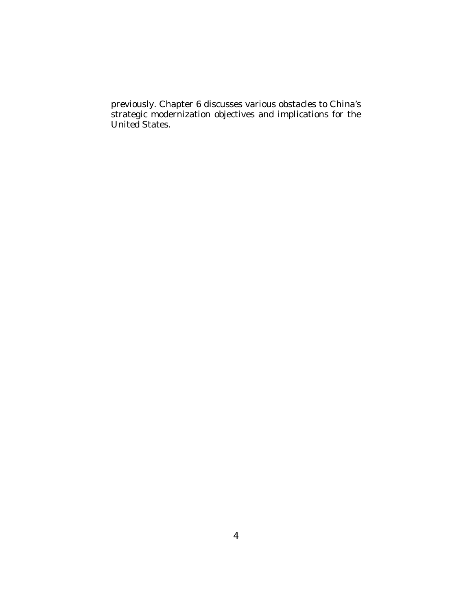previously. Chapter 6 discusses various obstacles to China's strategic modernization objectives and implications for the United States.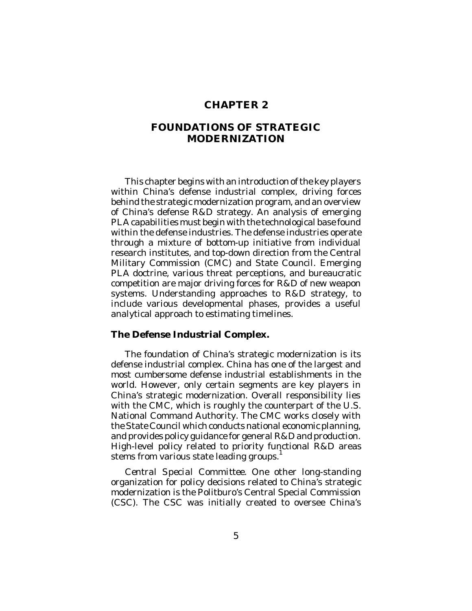# **CHAPTER 2**

# **FOUNDATIONS OF STRATEGIC MODERNIZATION**

This chapter begins with an introduction of the key players within China's defense industrial complex, driving forces behind the strategic modernization program, and an overview of China's defense R&D strategy. An analysis of emerging PLA capabilities must begin with the technological base found within the defense industries. The defense industries operate through a mixture of bottom-up initiative from individual research institutes, and top-down direction from the Central Military Commission (CMC) and State Council. Emerging PLA doctrine, various threat perceptions, and bureaucratic competition are major driving forces for R&D of new weapon systems. Understanding approaches to R&D strategy, to include various developmental phases, provides a useful analytical approach to estimating timelines.

#### **The Defense Industrial Complex.**

The foundation of China's strategic modernization is its defense industrial complex. China has one of the largest and most cumbersome defense industrial establishments in the world. However, only certain segments are key players in China's strategic modernization. Overall responsibility lies with the CMC, which is roughly the counterpart of the U.S. National Command Authority. The CMC works closely with the State Council which conducts national economic planning, and provides policy guidance for general R&D and production. High-level policy related to priority functional R&D areas stems from various state leading groups.<sup>1</sup>

*Central Special Committee*. One other long-standing organization for policy decisions related to China's strategic modernization is the Politburo's Central Special Commission (CSC). The CSC was initially created to oversee China's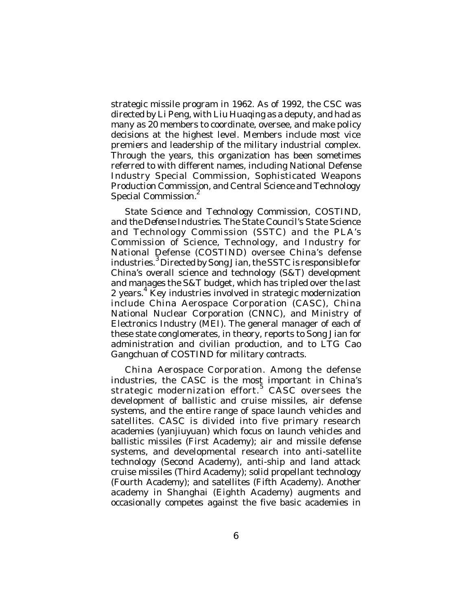strategic missile program in 1962. As of 1992, the CSC was directed by Li Peng, with Liu Huaqing as a deputy, and had as many as 20 members to coordinate, oversee, and make policy decisions at the highest level. Members include most vice premiers and leadership of the military industrial complex. Through the years, this organization has been sometimes referred to with different names, including National Defense Industry Special Commission, Sophisticated Weapons Production Commission, and Central Science and Technology Special Commission.<sup>2</sup>

*State Science and Technology Commission, COSTIND, and the Defense Industries*. The State Council's State Science and Technology Commission (SSTC) and the PLA's Commission of Science, Technology, and Industry for National Defense (COSTIND) oversee China's defense industries. 3 Directed by Song Jian, the SSTC is responsible for China's overall science and technology (S&T) development and manages the S&T budget, which has tripled over the last 2 years.<sup>4</sup> Key industries involved in strategic modernization include China Aerospace Corporation (CASC), China National Nuclear Corporation (CNNC), and Ministry of Electronics Industry (MEI). The general manager of each of these state conglomerates, in theory, reports to Song Jian for administration and civilian production, and to LTG Cao Gangchuan of COSTIND for military contracts.

*China Aerospace Corporation*. Among the defense industries, the CASC is the most important in China's strategic modernization effort. $^5$  CASC oversees the development of ballistic and cruise missiles, air defense systems, and the entire range of space launch vehicles and satellites. CASC is divided into five primary research academies (*yanjiuyuan*) which focus on launch vehicles and ballistic missiles (First Academy); air and missile defense systems, and developmental research into anti-satellite technology (Second Academy), anti-ship and land attack cruise missiles (Third Academy); solid propellant technology (Fourth Academy); and satellites (Fifth Academy). Another academy in Shanghai (Eighth Academy) augments and occasionally competes against the five basic academies in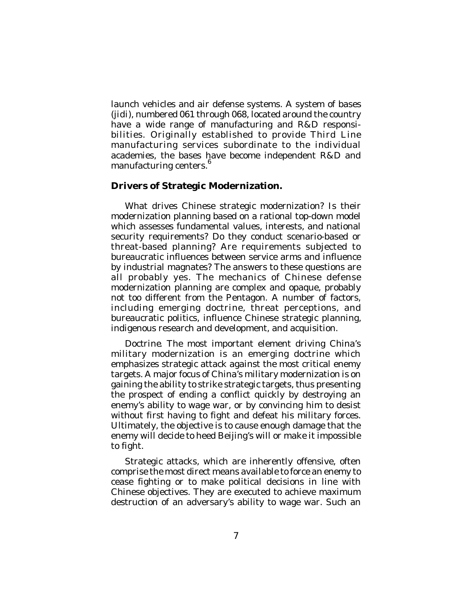launch vehicles and air defense systems. A system of bases (*jidi*), numbered 061 through 068, located around the country have a wide range of manufacturing and R&D responsibilities. Originally established to provide Third Line manufacturing services subordinate to the individual academies, the bases have become independent R&D and manufacturing centers.<sup>6</sup>

### **Drivers of Strategic Modernization.**

What drives Chinese strategic modernization? Is their modernization planning based on a rational top-down model which assesses fundamental values, interests, and national security requirements? Do they conduct scenario-based or threat-based planning? Are requirements subjected to bureaucratic influences between service arms and influence by industrial magnates? The answers to these questions are all probably yes. The mechanics of Chinese defense modernization planning are complex and opaque, probably not too different from the Pentagon. A number of factors, including emerging doctrine, threat perceptions, and bureaucratic politics, influence Chinese strategic planning, indigenous research and development, and acquisition.

*Doctrine*. The most important element driving China's military modernization is an emerging doctrine which emphasizes strategic attack against the most critical enemy targets. A major focus of China's military modernization is on gaining the ability to strike strategic targets, thus presenting the prospect of ending a conflict quickly by destroying an enemy's ability to wage war, or by convincing him to desist without first having to fight and defeat his military forces. Ultimately, the objective is to cause enough damage that the enemy will decide to heed Beijing's will or make it impossible to fight.

Strategic attacks, which are inherently offensive, often comprise the most direct means available to force an enemy to cease fighting or to make political decisions in line with Chinese objectives. They are executed to achieve maximum destruction of an adversary's ability to wage war. Such an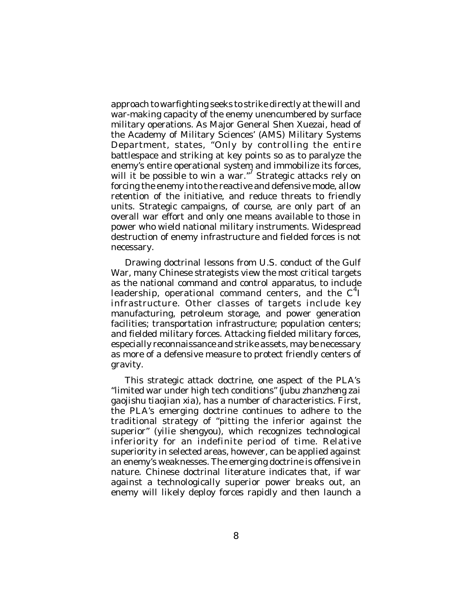approach to warfighting seeks to strike directly at the will and war-making capacity of the enemy unencumbered by surface military operations. As Major General Shen Xuezai, head of the Academy of Military Sciences' (AMS) Military Systems Department, states, "Only by controlling the entire battlespace and striking at key points so as to paralyze the enemy's entire operational system and immobilize its forces, will it be possible to win a war."<sup>7</sup> Strategic attacks rely on forcing the enemy into the reactive and defensive mode, allow retention of the initiative, and reduce threats to friendly units. Strategic campaigns, of course, are only part of an overall war effort and only one means available to those in power who wield national military instruments. Widespread destruction of enemy infrastructure and fielded forces is not necessary.

Drawing doctrinal lessons from U.S. conduct of the Gulf War, many Chinese strategists view the most critical targets as the national command and control apparatus, to include leadership, operational command centers, and the  $C^4$ I infrastructure. Other classes of targets include key manufacturing, petroleum storage, and power generation facilities; transportation infrastructure; population centers; and fielded military forces. Attacking fielded military forces, especially reconnaissance and strike assets, may be necessary as more of a defensive measure to protect friendly centers of gravity.

This strategic attack doctrine, one aspect of the PLA's "limited war under high tech conditions" (*jubu zhanzheng zai gaojishu tiaojian xia*), has a number of characteristics. First, the PLA's emerging doctrine continues to adhere to the traditional strategy of "pitting the inferior against the superior" (*yilie shengyou*), which recognizes technological inferiority for an indefinite period of time. Relative superiority in selected areas, however, can be applied against an enemy's weaknesses. The emerging doctrine is offensive in nature. Chinese doctrinal literature indicates that, if war against a technologically superior power breaks out, an enemy will likely deploy forces rapidly and then launch a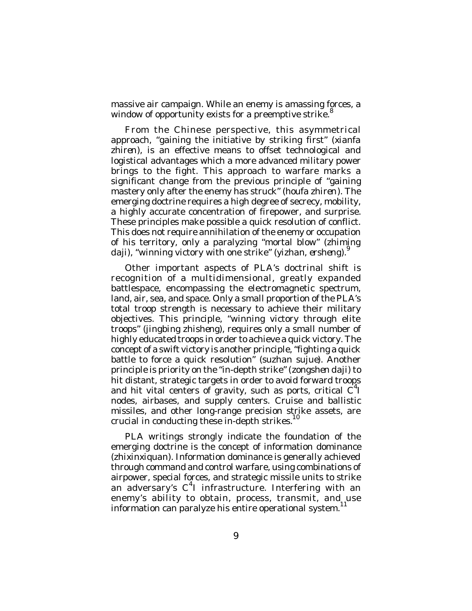massive air campaign. While an enemy is amassing forces, a window of opportunity exists for a preemptive strike.<sup>8</sup>

From the Chinese perspective, this asymmetrical approach, "gaining the initiative by striking first" (*xianfa* zhiren), is an effective means to offset technological and logistical advantages which a more advanced military power brings to the fight. This approach to warfare marks a significant change from the previous principle of "gaining" mastery only after the enemy has struck" (*houfa zhiren*). The emerging doctrine requires a high degree of secrecy, mobility, a highly accurate concentration of firepower, and surprise. These principles make possible a quick resolution of conflict. This does not require annihilation of the enemy or occupation of his territory, only a paralyzing "mortal blow" (*zhiming daji*), "winning victory with one strike" (*yizhan*, *ershen*g). 9

Other important aspects of PLA's doctrinal shift is recognition of a multidimensional, greatly expanded battlespace, encompassing the electromagnetic spectrum, land, air, sea, and space. Only a small proportion of the PLA's total troop strength is necessary to achieve their military objectives. This principle, "winning victory through elite troops" (*jingbing zhisheng*), requires only a small number of highly educated troops in order to achieve a quick victory. The concept of a swift victory is another principle, "fighting a quick battle to force a quick resolution" (*suzhan sujue*). Another principle is priority on the "in-depth strike" (*zongshen daji*) to hit distant, strategic targets in order to avoid forward troops and hit vital centers of gravity, such as ports, critical  $C^4$ I nodes, airbases, and supply centers. Cruise and ballistic missiles, and other long-range precision strike assets, are crucial in conducting these in-depth strikes.<sup>10</sup>

PLA writings strongly indicate the foundation of the emerging doctrine is the concept of information dominance (*zhixinxiquan*). Information dominance is generally achieved through command and control warfare, using combinations of airpower, special forces, and strategic missile units to strike an adversary's C<sup>4</sup>I infrastructure. Interfering with an enemy's ability to obtain, process, transmit, and use information can paralyze his entire operational system. 11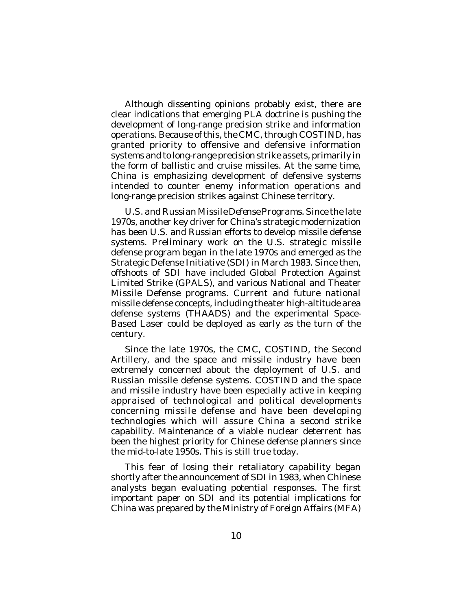Although dissenting opinions probably exist, there are clear indications that emerging PLA doctrine is pushing the development of long-range precision strike and information operations. Because of this, the CMC, through COSTIND, has granted priority to offensive and defensive information systems and to long-range precision strike assets, primarily in the form of ballistic and cruise missiles. At the same time, China is emphasizing development of defensive systems intended to counter enemy information operations and long-range precision strikes against Chinese territory.

*U.S. and Russian Missile Defense Programs*. Since the late 1970s, another key driver for China's strategic modernization has been U.S. and Russian efforts to develop missile defense systems. Preliminary work on the U.S. strategic missile defense program began in the late 1970s and emerged as the Strategic Defense Initiative (SDI) in March 1983. Since then, offshoots of SDI have included Global Protection Against Limited Strike (GPALS), and various National and Theater Missile Defense programs. Current and future national missile defense concepts, including theater high-altitude area defense systems (THAADS) and the experimental Space-Based Laser could be deployed as early as the turn of the century.

Since the late 1970s, the CMC, COSTIND, the Second Artillery, and the space and missile industry have been extremely concerned about the deployment of U.S. and Russian missile defense systems. COSTIND and the space and missile industry have been especially active in keeping appraised of technological and political developments concerning missile defense and have been developing technologies which will assure China a second strike capability. Maintenance of a viable nuclear deterrent has been the highest priority for Chinese defense planners since the mid-to-late 1950s. This is still true today.

This fear of losing their retaliatory capability began shortly after the announcement of SDI in 1983, when Chinese analysts began evaluating potential responses. The first important paper on SDI and its potential implications for China was prepared by the Ministry of Foreign Affairs (MFA)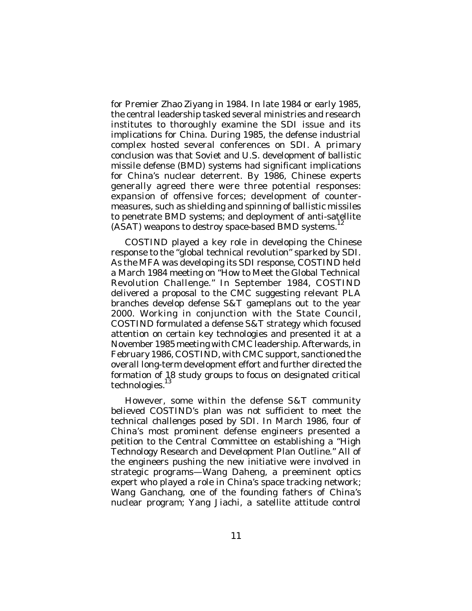for Premier Zhao Ziyang in 1984. In late 1984 or early 1985, the central leadership tasked several ministries and research institutes to thoroughly examine the SDI issue and its implications for China. During 1985, the defense industrial complex hosted several conferences on SDI. A primary conclusion was that Soviet and U.S. development of ballistic missile defense (BMD) systems had significant implications for China's nuclear deterrent. By 1986, Chinese experts generally agreed there were three potential responses: expansion of offensive forces; development of countermeasures, such as shielding and spinning of ballistic missiles to penetrate BMD systems; and deployment of anti-satellite (ASAT) weapons to destroy space-based BMD systems.<sup>12</sup>

COSTIND played a key role in developing the Chinese response to the "global technical revolution" sparked by SDI. As the MFA was developing its SDI response, COSTIND held a March 1984 meeting on "How to Meet the Global Technical Revolution Challenge." In September 1984, COSTIND delivered a proposal to the CMC suggesting relevant PLA branches develop defense S&T gameplans out to the year 2000. Working in conjunction with the State Council, COSTIND formulated a defense S&T strategy which focused attention on certain key technologies and presented it at a November 1985 meeting with CMC leadership. Afterwards, in February 1986, COSTIND, with CMC support, sanctioned the overall long-term development effort and further directed the formation of 18 study groups to focus on designated critical technologies.<sup>13</sup>

However, some within the defense S&T community believed COSTIND's plan was not sufficient to meet the technical challenges posed by SDI. In March 1986, four of China's most prominent defense engineers presented a petition to the Central Committee on establishing a "High Technology Research and Development Plan Outline." All of the engineers pushing the new initiative were involved in strategic programs—Wang Daheng, a preeminent optics expert who played a role in China's space tracking network; Wang Ganchang, one of the founding fathers of China's nuclear program; Yang Jiachi, a satellite attitude control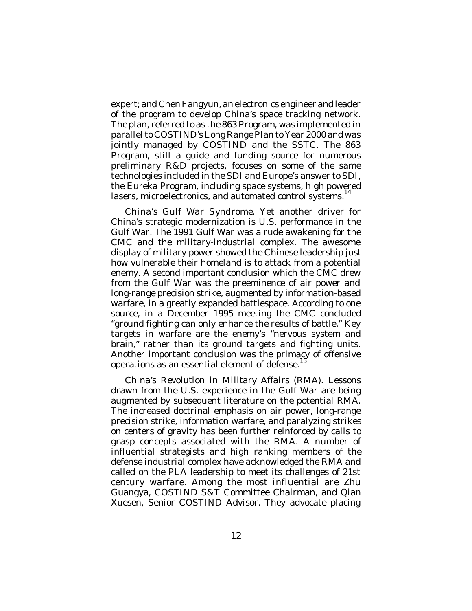expert; and Chen Fangyun, an electronics engineer and leader of the program to develop China's space tracking network. The plan, referred to as the 863 Program, was implemented in parallel to COSTIND's Long Range Plan to Year 2000 and was jointly managed by COSTIND and the SSTC. The 863 Program, still a guide and funding source for numerous preliminary R&D projects, focuses on some of the same technologies included in the SDI and Europe's answer to SDI, the Eureka Program, including space systems, high powered lasers, microelectronics, and automated control systems.<sup>14</sup>

*China's Gulf War Syndrome*. Yet another driver for China's strategic modernization is U.S. performance in the Gulf War. The 1991 Gulf War was a rude awakening for the CMC and the military-industrial complex. The awesome display of military power showed the Chinese leadership just how vulnerable their homeland is to attack from a potential enemy. A second important conclusion which the CMC drew from the Gulf War was the preeminence of air power and long-range precision strike, augmented by information-based warfare, in a greatly expanded battlespace. According to one source, in a December 1995 meeting the CMC concluded "ground fighting can only enhance the results of battle." Key targets in warfare are the enemy's "nervous system and brain," rather than its ground targets and fighting units. Another important conclusion was the primacy of offensive operations as an essential element of defense.<sup>15</sup>

*China's Revolution in Military Affairs (RMA)*. Lessons drawn from the U.S. experience in the Gulf War are being augmented by subsequent literature on the potential RMA. The increased doctrinal emphasis on air power, long-range precision strike, information warfare, and paralyzing strikes on centers of gravity has been further reinforced by calls to grasp concepts associated with the RMA. A number of influential strategists and high ranking members of the defense industrial complex have acknowledged the RMA and called on the PLA leadership to meet its challenges of 21st century warfare. Among the most influential are Zhu Guangya, COSTIND S&T Committee Chairman, and Qian Xuesen, Senior COSTIND Advisor. They advocate placing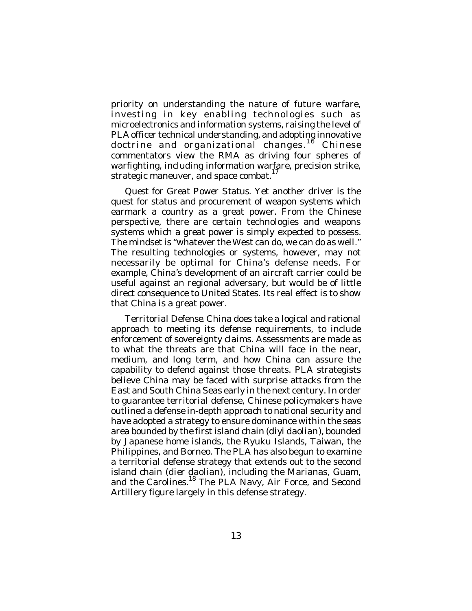priority on understanding the nature of future warfare, investing in key enabling technologies such as microelectronics and information systems, raising the level of PLA officer technical understanding, and adopting innovative doctrine and organizational changes.<sup>18</sup> Chinese commentators view the RMA as driving four spheres of warfighting, including information warfare, precision strike, strategic maneuver, and space combat.<sup>17</sup>

*Quest for Great Power Status*. Yet another driver is the quest for status and procurement of weapon systems which earmark a country as a great power. From the Chinese perspective, there are certain technologies and weapons systems which a great power is simply expected to possess. The mindset is "whatever the West can do, we can do as well." The resulting technologies or systems, however, may not necessarily be optimal for China's defense needs. For example, China's development of an aircraft carrier could be useful against an regional adversary, but would be of little direct consequence to United States. Its real effect is to show that China is a great power.

*Territorial Defense*. China does take a logical and rational approach to meeting its defense requirements, to include enforcement of sovereignty claims. Assessments are made as to what the threats are that China will face in the near, medium, and long term, and how China can assure the capability to defend against those threats. PLA strategists believe China may be faced with surprise attacks from the East and South China Seas early in the next century. In order to guarantee territorial defense, Chinese policymakers have outlined a defense in-depth approach to national security and have adopted a strategy to ensure dominance within the seas area bounded by the first island chain (*diyi daolian*), bounded by Japanese home islands, the Ryuku Islands, Taiwan, the Philippines, and Borneo. The PLA has also begun to examine a territorial defense strategy that extends out to the second island chain (*dier daolian*), including the Marianas, Guam, and the Carolines.<sup>18</sup> The PLA Navy, Air Force, and Second Artillery figure largely in this defense strategy.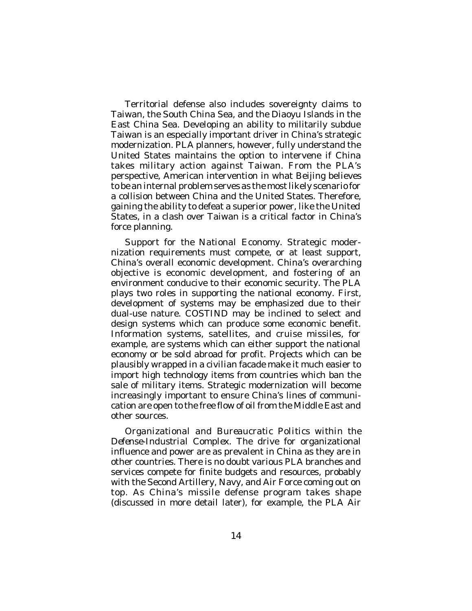Territorial defense also includes sovereignty claims to Taiwan, the South China Sea, and the Diaoyu Islands in the East China Sea. Developing an ability to militarily subdue Taiwan is an especially important driver in China's strategic modernization. PLA planners, however, fully understand the United States maintains the option to intervene if China takes military action against Taiwan. From the PLA's perspective, American intervention in what Beijing believes to be an internal problem serves as the most likely scenario for a collision between China and the United States. Therefore, gaining the ability to defeat a superior power, like the United States, in a clash over Taiwan is a critical factor in China's force planning.

*Support for the National Economy*. Strategic modernization requirements must compete, or at least support, China's overall economic development. China's overarching objective is economic development, and fostering of an environment conducive to their economic security. The PLA plays two roles in supporting the national economy. First, development of systems may be emphasized due to their dual-use nature. COSTIND may be inclined to select and design systems which can produce some economic benefit. Information systems, satellites, and cruise missiles, for example, are systems which can either support the national economy or be sold abroad for profit. Projects which can be plausibly wrapped in a civilian facade make it much easier to import high technology items from countries which ban the sale of military items. Strategic modernization will become increasingly important to ensure China's lines of communication are open to the free flow of oil from the Middle East and other sources.

*Organizational and Bureaucratic Politics within the Defense-Industrial Complex*. The drive for organizational influence and power are as prevalent in China as they are in other countries. There is no doubt various PLA branches and services compete for finite budgets and resources, probably with the Second Artillery, Navy, and Air Force coming out on top. As China's missile defense program takes shape (discussed in more detail later), for example, the PLA Air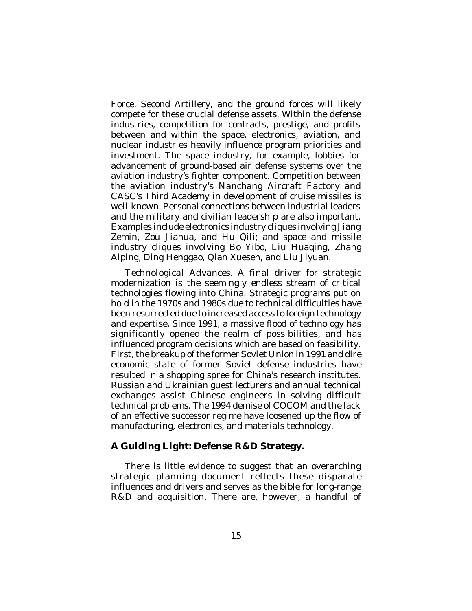Force, Second Artillery, and the ground forces will likely compete for these crucial defense assets. Within the defense industries, competition for contracts, prestige, and profits between and within the space, electronics, aviation, and nuclear industries heavily influence program priorities and investment. The space industry, for example, lobbies for advancement of ground-based air defense systems over the aviation industry's fighter component. Competition between the aviation industry's Nanchang Aircraft Factory and CASC's Third Academy in development of cruise missiles is well-known. Personal connections between industrial leaders and the military and civilian leadership are also important. Examples include electronics industry cliques involving Jiang Zemin, Zou Jiahua, and Hu Qili; and space and missile industry cliques involving Bo Yibo, Liu Huaqing, Zhang Aiping, Ding Henggao, Qian Xuesen, and Liu Jiyuan.

*Technological Advances*. A final driver for strategic modernization is the seemingly endless stream of critical technologies flowing into China. Strategic programs put on hold in the 1970s and 1980s due to technical difficulties have been resurrected due to increased access to foreign technology and expertise. Since 1991, a massive flood of technology has significantly opened the realm of possibilities, and has influenced program decisions which are based on feasibility. First, the breakup of the former Soviet Union in 1991 and dire economic state of former Soviet defense industries have resulted in a shopping spree for China's research institutes. Russian and Ukrainian guest lecturers and annual technical exchanges assist Chinese engineers in solving difficult technical problems. The 1994 demise of COCOM and the lack of an effective successor regime have loosened up the flow of manufacturing, electronics, and materials technology.

## **A Guiding Light: Defense R&D Strategy.**

There is little evidence to suggest that an overarching strategic planning document reflects these disparate influences and drivers and serves as the bible for long-range R&D and acquisition. There are, however, a handful of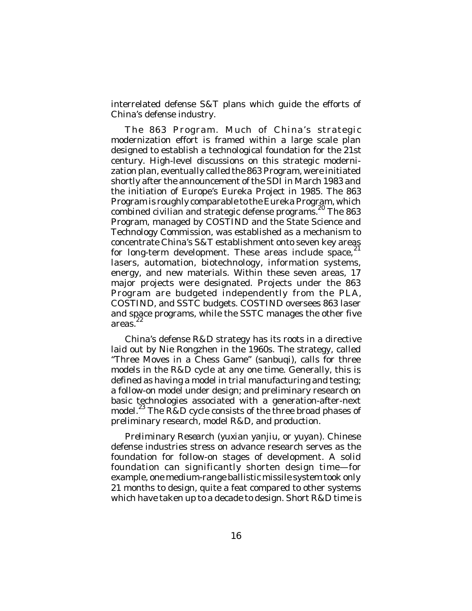interrelated defense S&T plans which guide the efforts of China's defense industry.

*The 863 Program*. Much of China's strategic modernization effort is framed within a large scale plan designed to establish a technological foundation for the 21st century. High-level discussions on this strategic modernization plan, eventually called the 863 Program, were initiated shortly after the announcement of the SDI in March 1983 and the initiation of Europe's Eureka Project in 1985. The 863 Program is roughly comparable to the Eureka Program, which combined civilian and strategic defense programs.<sup>20</sup> The 863 Program, managed by COSTIND and the State Science and Technology Commission, was established as a mechanism to concentrate China's S&T establishment onto seven key areas for long-term development. These areas include space, $^{21}$ lasers, automation, biotechnology, information systems, energy, and new materials. Within these seven areas, 17 major projects were designated. Projects under the 863 Program are budgeted independently from the PLA, COSTIND, and SSTC budgets. COSTIND oversees 863 laser and space programs, while the SSTC manages the other five areas. 22

China's defense R&D strategy has its roots in a directive laid out by Nie Rongzhen in the 1960s. The strategy, called "Three Moves in a Chess Game" (*sanbuqi*), calls for three models in the R&D cycle at any one time. Generally, this is defined as having a model in trial manufacturing and testing; a follow-on model under design; and preliminary research on basic technologies associated with a generation-after-next model.<sup>23</sup> The R&D cycle consists of the three broad phases of preliminary research, model R&D, and production.

*Preliminary Research* (*yuxian yanjiu*, or *yuyan*). Chinese defense industries stress on advance research serves as the foundation for follow-on stages of development. A solid foundation can significantly shorten design time—for example, one medium-range ballistic missile system took only 21 months to design, quite a feat compared to other systems which have taken up to a decade to design. Short R&D time is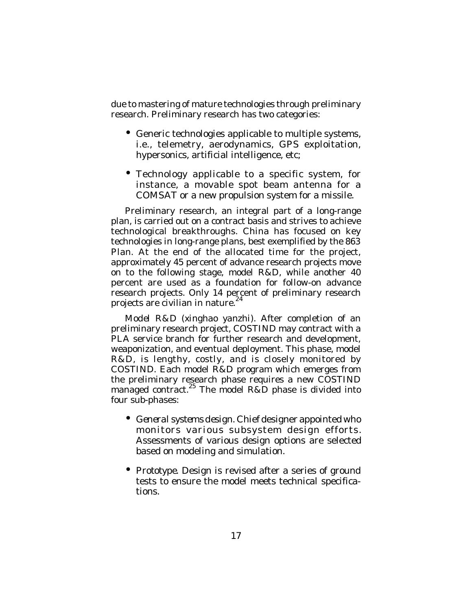due to mastering of mature technologies through preliminary research. Preliminary research has two categories:

- Generic technologies applicable to multiple systems, i.e., telemetry, aerodynamics, GPS exploitation, hypersonics, artificial intelligence, etc;
- Technology applicable to a specific system, for instance, a movable spot beam antenna for a COMSAT or a new propulsion system for a missile.

Preliminary research, an integral part of a long-range plan, is carried out on a contract basis and strives to achieve technological breakthroughs. China has focused on key technologies in long-range plans, best exemplified by the 863 Plan. At the end of the allocated time for the project, approximately 45 percent of advance research projects move on to the following stage, model R&D, while another 40 percent are used as a foundation for follow-on advance research projects. Only 14 percent of preliminary research projects are civilian in nature.<sup>24</sup>

*Model R&D* (*xinghao yanzhi*). After completion of an preliminary research project, COSTIND may contract with a PLA service branch for further research and development, weaponization, and eventual deployment. This phase, model R&D, is lengthy, costly, and is closely monitored by COSTIND. Each model R&D program which emerges from the preliminary research phase requires a new COSTIND managed contract.<sup>25</sup> The model R&D phase is divided into four sub-phases:

- *General systems design.* Chief designer appointed who monitors various subsystem design efforts. Assessments of various design options are selected based on modeling and simulation.
- *Prototype.* Design is revised after a series of ground tests to ensure the model meets technical specifications.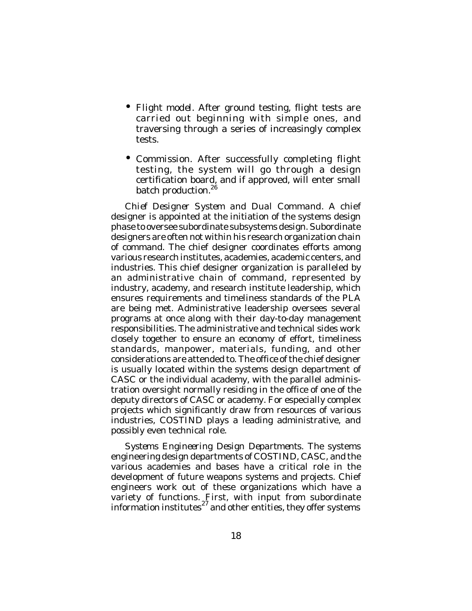- *Flight model.* After ground testing, flight tests are carried out beginning with simple ones, and traversing through a series of increasingly complex tests.
- *Commission.* After successfully completing flight testing, the system will go through a design certification board, and if approved, will enter small batch production.<sup>26</sup>

*Chief Designer System and Dual Command*. A chief designer is appointed at the initiation of the systems design phase to oversee subordinate subsystems design. Subordinate designers are often not within his research organization chain of command. The chief designer coordinates efforts among various research institutes, academies, academic centers, and industries. This chief designer organization is paralleled by an administrative chain of command, represented by industry, academy, and research institute leadership, which ensures requirements and timeliness standards of the PLA are being met. Administrative leadership oversees several programs at once along with their day-to-day management responsibilities. The administrative and technical sides work closely together to ensure an economy of effort, timeliness standards, manpower, materials, funding, and other considerations are attended to. The office of the chief designer is usually located within the systems design department of CASC or the individual academy, with the parallel administration oversight normally residing in the office of one of the deputy directors of CASC or academy. For especially complex projects which significantly draw from resources of various industries, COSTIND plays a leading administrative, and possibly even technical role.

*Systems Engineering Design Departments*. The systems engineering design departments of COSTIND, CASC, and the various academies and bases have a critical role in the development of future weapons systems and projects. Chief engineers work out of these organizations which have a variety of functions. First, with input from subordinate information institutes $^{27}$  and other entities, they offer systems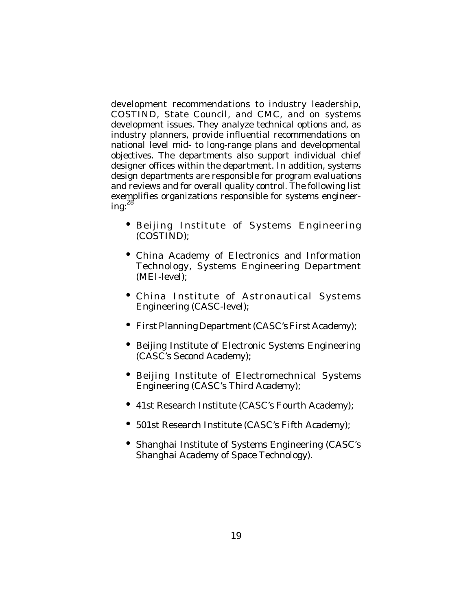development recommendations to industry leadership, COSTIND, State Council, and CMC, and on systems development issues. They analyze technical options and, as industry planners, provide influential recommendations on national level mid- to long-range plans and developmental objectives. The departments also support individual chief designer offices within the department. In addition, systems design departments are responsible for program evaluations and reviews and for overall quality control. The following list exemplifies organizations responsible for systems engineer $ing: <sup>28</sup>$ 

- Beijing Institute of Systems Engineering (COSTIND);
- China Academy of Electronics and Information Technology, Systems Engineering Department (MEI-level);
- China Institute of Astronautical Systems Engineering (CASC-level);
- First Planning Department (CASC's First Academy);
- Beijing Institute of Electronic Systems Engineering (CASC's Second Academy);
- Beijing Institute of Electromechnical Systems Engineering (CASC's Third Academy);
- 41st Research Institute (CASC's Fourth Academy);
- 501st Research Institute (CASC's Fifth Academy);
- Shanghai Institute of Systems Engineering (CASC's Shanghai Academy of Space Technology).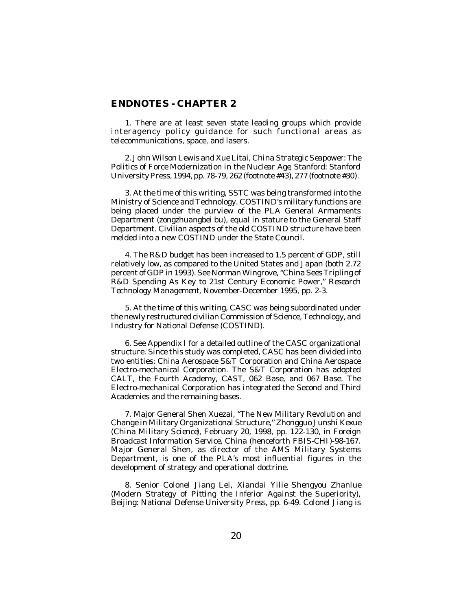#### **ENDNOTES - CHAPTER 2**

1. There are at least seven state leading groups which provide interagency policy guidance for such functional areas as telecommunications, space, and lasers.

2. John Wilson Lewis and Xue Litai, *China Strategic Seapower: The Politics of Force Modernization in the Nuclear Age*, Stanford: Stanford University Press, 1994, pp. 78-79, 262 (footnote #43), 277 (footnote #30).

3. At the time of this writing, SSTC was being transformed into the Ministry of Science and Technology. COSTIND's military functions are being placed under the purview of the PLA General Armaments Department (*zongzhuangbei bu*), equal in stature to the General Staff Department. Civilian aspects of the old COSTIND structure have been melded into a new COSTIND under the State Council.

4. The R&D budget has been increased to 1.5 percent of GDP, still relatively low, as compared to the United States and Japan (both 2.72 percent of GDP in 1993). See Norman Wingrove, "China Sees Tripling of R&D Spending As Key to 21st Century Economic Power," *Research Technology Management*, November-December 1995, pp. 2-3.

5. At the time of this writing, CASC was being subordinated under the newly restructured civilian Commission of Science, Technology, and Industry for National Defense (COSTIND).

6. See Appendix I for a detailed outline of the CASC organizational structure. Since this study was completed, CASC has been divided into two entities: China Aerospace S&T Corporation and China Aerospace Electro-mechanical Corporation. The S&T Corporation has adopted CALT, the Fourth Academy, CAST, 062 Base, and 067 Base. The Electro-mechanical Corporation has integrated the Second and Third Academies and the remaining bases.

7. Major General Shen Xuezai, "The New Military Revolution and Change in Military Organizational Structure," *Zhongguo Junshi Kexue* (*China Military Science*), February 20, 1998, pp. 122-130, in *Foreign Broadcast Information Service, China* (henceforth *FBIS-CHI*)-98-167. Major General Shen, as director of the AMS Military Systems Department, is one of the PLA's most influential figures in the development of strategy and operational doctrine.

8. Senior Colonel Jiang Lei, *Xiandai Yilie Shengyou Zhanlue* (*Modern Strategy of Pitting the Inferior Against the Superiority*), Beijing: National Defense University Press, pp. 6-49. Colonel Jiang is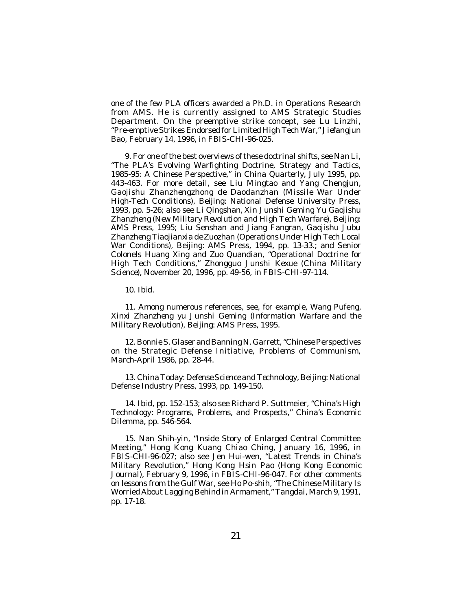one of the few PLA officers awarded a Ph.D. in Operations Research from AMS. He is currently assigned to AMS Strategic Studies Department. On the preemptive strike concept, see Lu Linzhi, "Pre-emptive Strikes Endorsed for Limited High Tech War," *Jiefangjun Bao*, February 14, 1996, in *FBIS-CHI*-96-025.

9. For one of the best overviews of these doctrinal shifts, see Nan Li, "The PLA's Evolving Warfighting Doctrine, Strategy and Tactics, 1985-95: A Chinese Perspective," in *China Quarterly*, July 1995, pp. 443-463. For more detail, see Liu Mingtao and Yang Chengjun, *Gaojishu Zhanzhengzhong de Daodanzhan* (*Missile War Under High-Tech Conditions*), Beijing: National Defense University Press, 1993, pp. 5-26; also see Li Qingshan, *Xin Junshi Geming Yu Gaojishu Zhanzheng* (*New Military Revolution and High Tech Warfare*), Beijing: AMS Press, 1995; Liu Senshan and Jiang Fangran, *Gaojishu Jubu Zhanzheng Tiaojianxia de Zuozhan* (*Operations Under High Tech Local War Conditions*), Beijing: AMS Press, 1994, pp. 13-33.; and Senior Colonels Huang Xing and Zuo Quandian, "Operational Doctrine for High Tech Conditions," *Zhongguo Junshi Kexue* (*China Military Science*), November 20, 1996, pp. 49-56, in *FBIS-CHI*-97-114.

10. *Ibid*.

11. Among numerous references, see, for example, Wang Pufeng, *Xinxi Zhanzheng yu Junshi Geming* (*Information Warfare and the Military Revolution*), Beijing: AMS Press, 1995.

12. Bonnie S. Glaser and Banning N. Garrett, "Chinese Perspectives on the Strategic Defense Initiative, *Problems of Communism*, March-April 1986, pp. 28-44.

13. *China Today: Defense Science and Technology*, Beijing: National Defense Industry Press, 1993, pp. 149-150.

14. *Ibid*, pp. 152-153; also see Richard P. Suttmeier, "China's High Technology: Programs, Problems, and Prospects," *China's Economic Dilemma*, pp. 546-564.

15. Nan Shih-yin, "Inside Story of Enlarged Central Committee Meeting," Hong Kong *Kuang Chiao Ching*, January 16, 1996, in *FBIS-CHI*-96-027; also see Jen Hui-wen, "Latest Trends in China's Military Revolution," Hong Kong *Hsin Pao* (*Hong Kong Economic Journal*), February 9, 1996, in *FBIS-CHI*-96-047. For other comments on lessons from the Gulf War, see Ho Po-shih, "The Chinese Military Is Worried About Lagging Behind in Armament," *Tangdai*, March 9, 1991, pp. 17-18.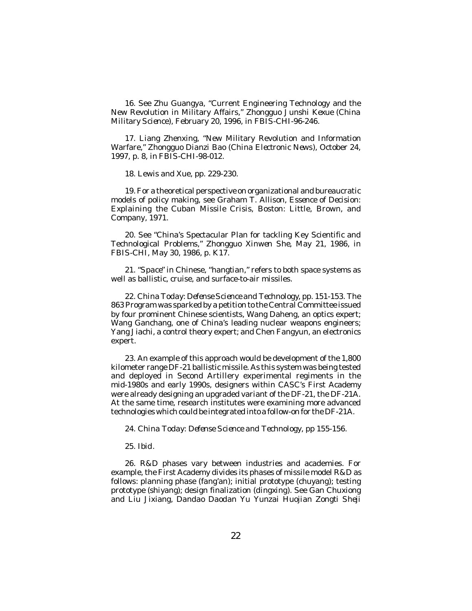16. See Zhu Guangya, "Current Engineering Technology and the New Revolution in Military Affairs," *Zhongguo Junshi Kexue* (*China Military Science*), February 20, 1996, in *FBIS-CHI*-96-246.

17. Liang Zhenxing, "New Military Revolution and Information Warfare," *Zhongguo Dianzi Bao* (*China Electronic News*), October 24, 1997, p. 8, in *FBIS-CHI*-98-012.

18. Lewis and Xue, pp. 229-230.

19. For a theoretical perspective on organizational and bureaucratic models of policy making, see Graham T. Allison, *Essence of Decision: Explaining the Cuban Missile Crisis*, Boston: Little, Brown, and Company, 1971.

20. See "China's Spectacular Plan for tackling Key Scientific and Technological Problems," *Zhongguo Xinwen She*, May 21, 1986, in *FBIS-CHI*, May 30, 1986, p. K17.

21. "*Space*" in Chinese, "*hangtian*," refers to both space systems as well as ballistic, cruise, and surface-to-air missiles.

22. *China Today: Defense Science and Technology*, pp. 151-153. The 863 Program was sparked by a petition to the Central Committee issued by four prominent Chinese scientists, Wang Daheng, an optics expert; Wang Ganchang, one of China's leading nuclear weapons engineers; Yang Jiachi, a control theory expert; and Chen Fangyun, an electronics expert.

23. An example of this approach would be development of the 1,800 kilometer range DF-21 ballistic missile. As this system was being tested and deployed in Second Artillery experimental regiments in the mid-1980s and early 1990s, designers within CASC's First Academy were already designing an upgraded variant of the DF-21, the DF-21A. At the same time, research institutes were examining more advanced technologies which could be integrated into a follow-on for the DF-21A.

24. *China Today: Defense Science and Technology*, pp 155-156.

25. *Ibid*.

26. R&D phases vary between industries and academies. For example, the First Academy divides its phases of missile model R&D as follows: planning phase (*fang'an*); initial prototype (*chuyang*); testing prototype (*shiyang*); design finalization (*dingxing*). See Gan Chuxiong and Liu Jixiang, *Dandao Daodan Yu Yunzai Huojian Zongti Sheji*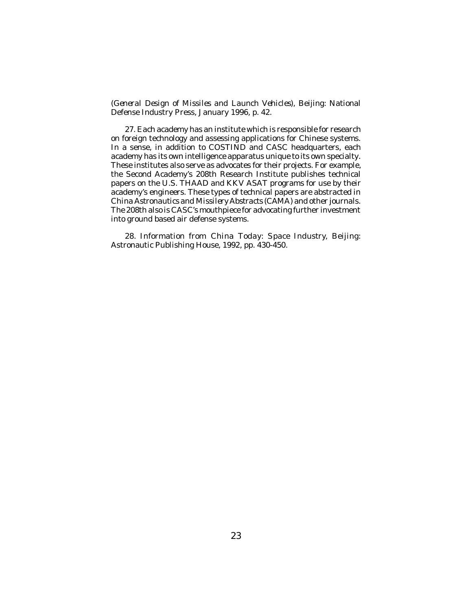*(General Design of Missiles and Launch Vehicles*)*,* Beijing: National Defense Industry Press, January 1996, p. 42.

27. Each academy has an institute which is responsible for research on foreign technology and assessing applications for Chinese systems. In a sense, in addition to COSTIND and CASC headquarters, each academy has its own intelligence apparatus unique to its own specialty. These institutes also serve as advocates for their projects. For example, the Second Academy's 208th Research Institute publishes technical papers on the U.S. THAAD and KKV ASAT programs for use by their academy's engineers. These types of technical papers are abstracted in *China Astronautics and Missilery Abstracts* (*CAMA*) and other journals. The 208th also is CASC's mouthpiece for advocating further investment into ground based air defense systems.

28. Information from *China Today: Space Industry*, Beijing: Astronautic Publishing House, 1992, pp. 430-450.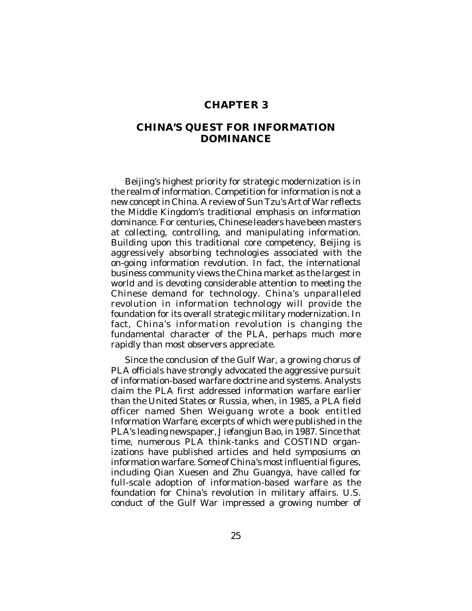## **CHAPTER 3**

# **CHINA'S QUEST FOR INFORMATION DOMINANCE**

Beijing's highest priority for strategic modernization is in the realm of information. Competition for information is not a new concept in China. A review of Sun Tzu's *Art of War* reflects the Middle Kingdom's traditional emphasis on information dominance. For centuries, Chinese leaders have been masters at collecting, controlling, and manipulating information. Building upon this traditional core competency, Beijing is aggressively absorbing technologies associated with the on-going information revolution. In fact, the international business community views the China market as the largest in world and is devoting considerable attention to meeting the Chinese demand for technology. China's unparalleled revolution in information technology will provide the foundation for its overall strategic military modernization. In fact, China's information revolution is changing the fundamental character of the PLA, perhaps much more rapidly than most observers appreciate.

Since the conclusion of the Gulf War, a growing chorus of PLA officials have strongly advocated the aggressive pursuit of information-based warfare doctrine and systems. Analysts claim the PLA first addressed information warfare earlier than the United States or Russia, when, in 1985, a PLA field officer named Shen Weiguang wrote a book entitled *Information Warfare*, excerpts of which were published in the PLA's leading newspaper, *Jiefangjun Bao*, in 1987. Since that time, numerous PLA think-tanks and COSTIND organizations have published articles and held symposiums on information warfare. Some of China's most influential figures, including Qian Xuesen and Zhu Guangya, have called for full-scale adoption of information-based warfare as the foundation for China's revolution in military affairs. U.S. conduct of the Gulf War impressed a growing number of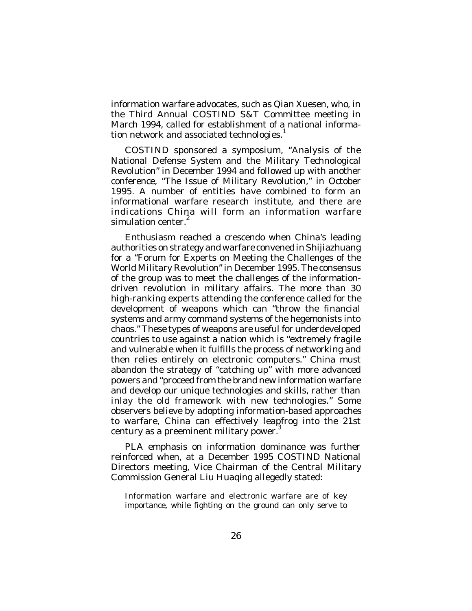information warfare advocates, such as Qian Xuesen, who, in the Third Annual COSTIND S&T Committee meeting in March 1994, called for establishment of a national information network and associated technologies.<sup>1</sup>

COSTIND sponsored a symposium, "Analysis of the National Defense System and the Military Technological Revolution" in December 1994 and followed up with another conference, "The Issue of Military Revolution," in October 1995. A number of entities have combined to form an informational warfare research institute, and there are indications China will form an information warfare simulation center.<sup>2</sup>

Enthusiasm reached a crescendo when China's leading authorities on strategy and warfare convened in Shijiazhuang for a "Forum for Experts on Meeting the Challenges of the World Military Revolution" in December 1995. The consensus of the group was to meet the challenges of the informationdriven revolution in military affairs. The more than 30 high-ranking experts attending the conference called for the development of weapons which can "throw the financial systems and army command systems of the hegemonists into chaos." These types of weapons are useful for underdeveloped countries to use against a nation which is "extremely fragile and vulnerable when it fulfills the process of networking and then relies entirely on electronic computers." China must abandon the strategy of "catching up" with more advanced powers and "proceed from the brand new information warfare and develop our unique technologies and skills, rather than inlay the old framework with new technologies." Some observers believe by adopting information-based approaches to warfare, China can effectively leapfrog into the 21st century as a preeminent military power.<sup>3</sup>

PLA emphasis on information dominance was further reinforced when, at a December 1995 COSTIND National Directors meeting, Vice Chairman of the Central Military Commission General Liu Huaqing allegedly stated:

Information warfare and electronic warfare are of key importance, while fighting on the ground can only serve to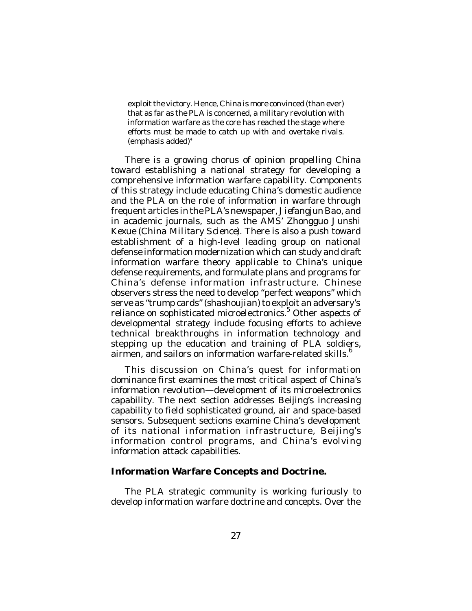exploit the victory. Hence, China is more convinced (than ever) that as far as the PLA is concerned, a military revolution with information warfare as the core has reached the stage where efforts must be made to *catch up with and overtake rivals*. (emphasis added) 4

There is a growing chorus of opinion propelling China toward establishing a national strategy for developing a comprehensive information warfare capability. Components of this strategy include educating China's domestic audience and the PLA on the role of information in warfare through frequent articles in the PLA's newspaper, *Jiefangjun Bao*, and in academic journals, such as the AMS' *Zhongguo Junshi Kexue* (*China Military Science*). There is also a push toward establishment of a high-level leading group on national defense information modernization which can study and draft information warfare theory applicable to China's unique defense requirements, and formulate plans and programs for China's defense information infrastructure. Chinese observers stress the need to develop "perfect weapons" which serve as "trump cards" (*shashoujian*) to exploit an adversary's reliance on sophisticated microelectronics.<sup>5</sup> Other aspects of developmental strategy include focusing efforts to achieve technical breakthroughs in information technology and stepping up the education and training of PLA soldiers, airmen, and sailors on information warfare-related skills.<sup>6</sup>

This discussion on China's quest for information dominance first examines the most critical aspect of China's information revolution—development of its microelectronics capability. The next section addresses Beijing's increasing capability to field sophisticated ground, air and space-based sensors. Subsequent sections examine China's development of its national information infrastructure, Beijing's information control programs, and China's evolving information attack capabilities.

#### **Information Warfare Concepts and Doctrine.**

The PLA strategic community is working furiously to develop information warfare doctrine and concepts. Over the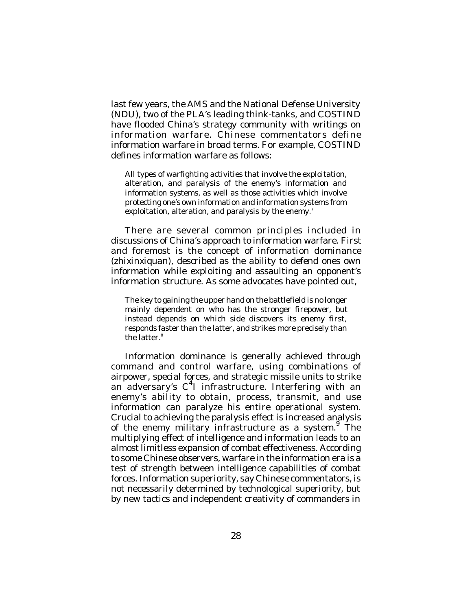last few years, the AMS and the National Defense University (NDU), two of the PLA's leading think-tanks, and COSTIND have flooded China's strategy community with writings on information warfare. Chinese commentators define information warfare in broad terms. For example, COSTIND defines information warfare as follows:

All types of warfighting activities that involve the exploitation, alteration, and paralysis of the enemy's information and information systems, as well as those activities which involve protecting one's own information and information systems from exploitation, alteration, and paralysis by the enemy. $^{\prime}$ 

There are several common principles included in discussions of China's approach to information warfare. First and foremost is the concept of information dominance (*zhixinxiquan*), described as the ability to defend ones own information while exploiting and assaulting an opponent's information structure. As some advocates have pointed out,

The key to gaining the upper hand on the battlefield is no longer mainly dependent on who has the stronger firepower, but instead depends on which side discovers its enemy first, responds faster than the latter, and strikes more precisely than the latter. 8

Information dominance is generally achieved through command and control warfare, using combinations of airpower, special forces, and strategic missile units to strike an adversary's C<sup>4</sup>I infrastructure. Interfering with an enemy's ability to obtain, process, transmit, and use information can paralyze his entire operational system. Crucial to achieving the paralysis effect is increased analysis of the enemy military infrastructure as a system.<sup>9</sup> The multiplying effect of intelligence and information leads to an almost limitless expansion of combat effectiveness. According to some Chinese observers, warfare in the information era is a test of strength between intelligence capabilities of combat forces. Information superiority, say Chinese commentators, is not necessarily determined by technological superiority, but by new tactics and independent creativity of commanders in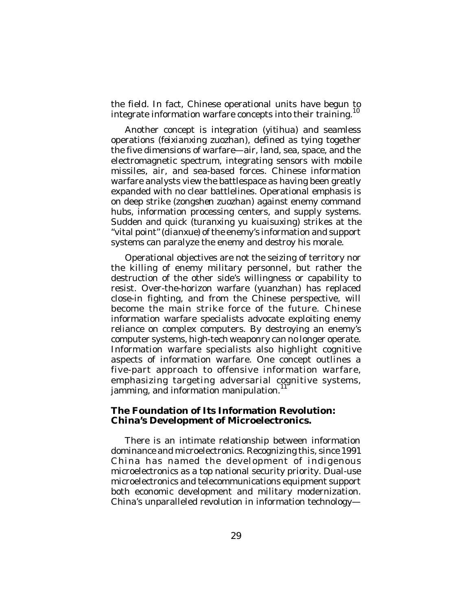the field. In fact, Chinese operational units have begun to integrate information warfare concepts into their training.<sup>10</sup>

Another concept is integration (*yitihua*) and seamless operations (*feixianxing zuozhan*), defined as tying together the five dimensions of warfare—air, land, sea, space, and the electromagnetic spectrum, integrating sensors with mobile missiles, air, and sea-based forces. Chinese information warfare analysts view the battlespace as having been greatly expanded with no clear battlelines. Operational emphasis is on deep strike (*zongshen zuozhan*) against enemy command hubs, information processing centers, and supply systems. Sudden and quick (*turanxing yu kuaisuxing*) strikes at the "vital point" (*dianxue*) of the enemy's information and support systems can paralyze the enemy and destroy his morale.

Operational objectives are not the seizing of territory nor the killing of enemy military personnel, but rather the destruction of the other side's willingness or capability to resist. Over-the-horizon warfare (*yuanzhan*) has replaced close-in fighting, and from the Chinese perspective, will become the main strike force of the future. Chinese information warfare specialists advocate exploiting enemy reliance on complex computers. By destroying an enemy's computer systems, high-tech weaponry can no longer operate. Information warfare specialists also highlight cognitive aspects of information warfare. One concept outlines a five-part approach to offensive information warfare, emphasizing targeting adversarial cognitive systems, jamming, and information manipulation.<sup>11</sup>

#### **The Foundation of Its Information Revolution: China's Development of Microelectronics.**

There is an intimate relationship between information dominance and microelectronics. Recognizing this, since 1991 China has named the development of indigenous microelectronics as a top national security priority. Dual-use microelectronics and telecommunications equipment support both economic development and military modernization. China's unparalleled revolution in information technology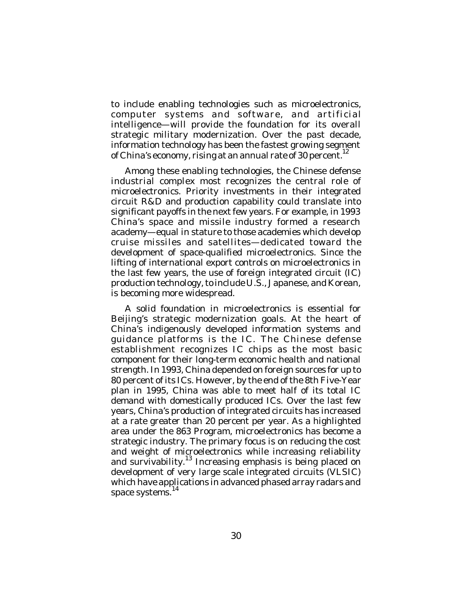to include enabling technologies such as microelectronics, computer systems and software, and artificial intelligence—will provide the foundation for its overall strategic military modernization. Over the past decade, information technology has been the fastest growing segment of China's economy, rising at an annual rate of 30 percent.<sup>12</sup>

Among these enabling technologies, the Chinese defense industrial complex most recognizes the central role of microelectronics. Priority investments in their integrated circuit R&D and production capability could translate into significant payoffs in the next few years. For example, in 1993 China's space and missile industry formed a research academy—equal in stature to those academies which develop cruise missiles and satellites—dedicated toward the development of space-qualified microelectronics. Since the lifting of international export controls on microelectronics in the last few years, the use of foreign integrated circuit (IC) production technology, to include U.S., Japanese, and Korean, is becoming more widespread.

A solid foundation in microelectronics is essential for Beijing's strategic modernization goals. At the heart of China's indigenously developed information systems and guidance platforms is the IC. The Chinese defense establishment recognizes IC chips as the most basic component for their long-term economic health and national strength. In 1993, China depended on foreign sources for up to 80 percent of its ICs. However, by the end of the 8th Five-Year plan in 1995, China was able to meet half of its total IC demand with domestically produced ICs. Over the last few years, China's production of integrated circuits has increased at a rate greater than 20 percent per year. As a highlighted area under the 863 Program, microelectronics has become a strategic industry. The primary focus is on reducing the cost and weight of microelectronics while increasing reliability and survivability.<sup>13</sup> Increasing emphasis is being placed on development of very large scale integrated circuits (VLSIC) which have applications in advanced phased array radars and space systems.<sup>14</sup>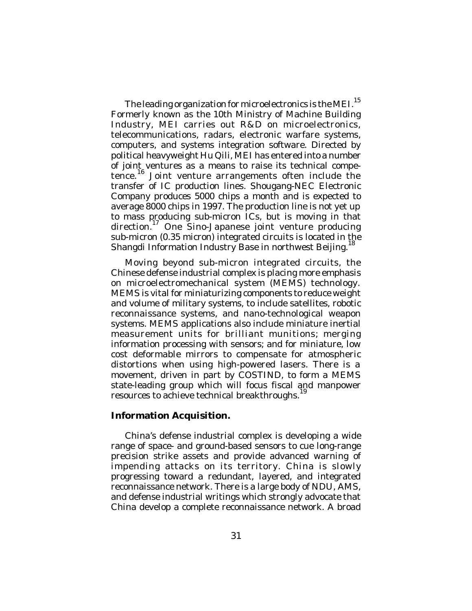The leading organization for microelectronics is the MEI.  $^{15}$ Formerly known as the 10th Ministry of Machine Building Industry, MEI carries out R&D on microelectronics, telecommunications, radars, electronic warfare systems, computers, and systems integration software. Directed by political heavyweight Hu Qili, MEI has entered into a number of joint ventures as a means to raise its technical competence.<sup>16</sup> Joint venture arrangements often include the transfer of IC production lines. Shougang-NEC Electronic Company produces 5000 chips a month and is expected to average 8000 chips in 1997. The production line is not yet up to mass producing sub-micron ICs, but is moving in that direction.<sup>17</sup> One Sino-Japanese joint venture producing sub-micron (0.35 micron) integrated circuits is located in the Shangdi Information Industry Base in northwest Beijing.<sup>18</sup>

Moving beyond sub-micron integrated circuits, the Chinese defense industrial complex is placing more emphasis on microelectromechanical system (MEMS) technology. MEMS is vital for miniaturizing components to reduce weight and volume of military systems, to include satellites, robotic reconnaissance systems, and nano-technological weapon systems. MEMS applications also include miniature inertial measurement units for brilliant munitions; merging information processing with sensors; and for miniature, low cost deformable mirrors to compensate for atmospheric distortions when using high-powered lasers. There is a movement, driven in part by COSTIND, to form a MEMS state-leading group which will focus fiscal and manpower resources to achieve technical breakthroughs.<sup>19</sup>

## **Information Acquisition.**

China's defense industrial complex is developing a wide range of space- and ground-based sensors to cue long-range precision strike assets and provide advanced warning of impending attacks on its territory. China is slowly progressing toward a redundant, layered, and integrated reconnaissance network. There is a large body of NDU, AMS, and defense industrial writings which strongly advocate that China develop a complete reconnaissance network. A broad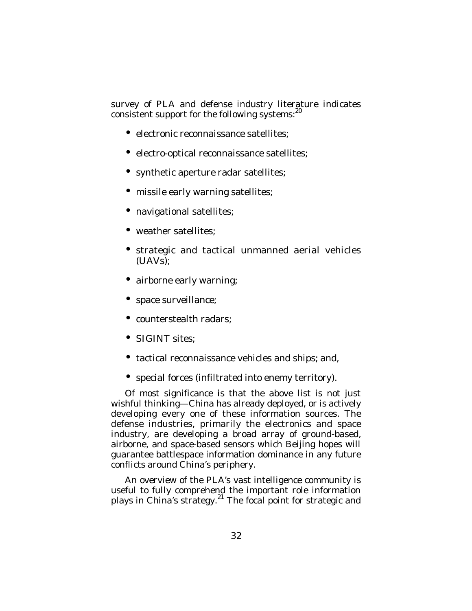survey of PLA and defense industry literature indicates consistent support for the following systems: $^{20}$ 

- electronic reconnaissance satellites;
- electro-optical reconnaissance satellites;
- synthetic aperture radar satellites;
- missile early warning satellites;
- navigational satellites;
- weather satellites;
- strategic and tactical unmanned aerial vehicles (UAVs);
- airborne early warning;
- space surveillance;
- counterstealth radars;
- SIGINT sites:
- tactical reconnaissance vehicles and ships; and,
- special forces (infiltrated into enemy territory).

Of most significance is that the above list is not just wishful thinking—China has already deployed, or is actively developing every one of these information sources. The defense industries, primarily the electronics and space industry, are developing a broad array of ground-based, airborne, and space-based sensors which Beijing hopes will guarantee battlespace information dominance in any future conflicts around China's periphery.

An overview of the PLA's vast intelligence community is useful to fully comprehend the important role information plays in China's strategy.<sup>21</sup> The focal point for strategic and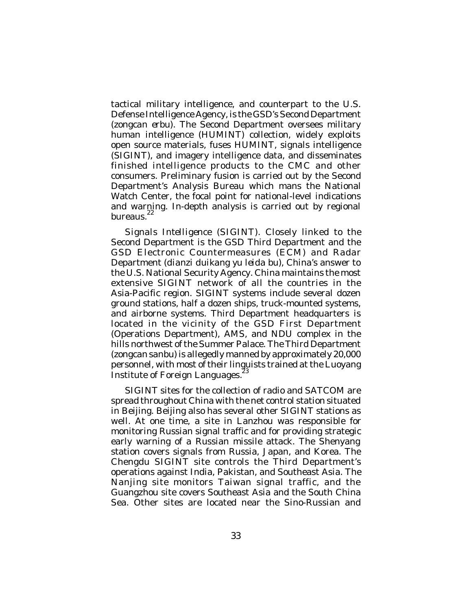tactical military intelligence, and counterpart to the U.S. Defense Intelligence Agency, is the GSD's Second Department (*zongcan erbu*). The Second Department oversees military human intelligence (HUMINT) collection, widely exploits open source materials, fuses HUMINT, signals intelligence (SIGINT), and imagery intelligence data, and disseminates finished intelligence products to the CMC and other consumers. Preliminary fusion is carried out by the Second Department's Analysis Bureau which mans the National Watch Center, the focal point for national-level indications and warning. In-depth analysis is carried out by regional bureaus.<sup>22</sup>

*Signals Intelligence (SIGINT)*. Closely linked to the Second Department is the GSD Third Department and the GSD Electronic Countermeasures (ECM) and Radar Department (*dianzi duikang yu leida bu*), China's answer to the U.S. National Security Agency. China maintains the most extensive SIGINT network of all the countries in the Asia-Pacific region. SIGINT systems include several dozen ground stations, half a dozen ships, truck-mounted systems, and airborne systems. Third Department headquarters is located in the vicinity of the GSD First Department (Operations Department), AMS, and NDU complex in the hills northwest of the Summer Palace. The Third Department (*zongcan sanbu*) is allegedly manned by approximately 20,000 personnel, with most of their linguists trained at the Luoyang Institute of Foreign Languages.

SIGINT sites for the collection of radio and SATCOM are spread throughout China with the net control station situated in Beijing. Beijing also has several other SIGINT stations as well. At one time, a site in Lanzhou was responsible for monitoring Russian signal traffic and for providing strategic early warning of a Russian missile attack. The Shenyang station covers signals from Russia, Japan, and Korea. The Chengdu SIGINT site controls the Third Department's operations against India, Pakistan, and Southeast Asia. The Nanjing site monitors Taiwan signal traffic, and the Guangzhou site covers Southeast Asia and the South China Sea. Other sites are located near the Sino-Russian and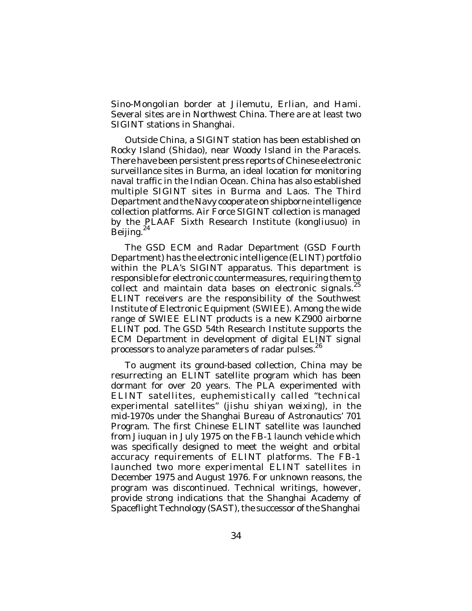Sino-Mongolian border at Jilemutu, Erlian, and Hami. Several sites are in Northwest China. There are at least two SIGINT stations in Shanghai.

Outside China, a SIGINT station has been established on Rocky Island (*Shidao*), near Woody Island in the Paracels. There have been persistent press reports of Chinese electronic surveillance sites in Burma, an ideal location for monitoring naval traffic in the Indian Ocean. China has also established multiple SIGINT sites in Burma and Laos. The Third Department and the Navy cooperate on shipborne intelligence collection platforms. Air Force SIGINT collection is managed by the PLAAF Sixth Research Institute (*kongliusuo*) in Beijing.<sup>24</sup>

The GSD ECM and Radar Department (GSD Fourth Department) has the electronic intelligence (ELINT) portfolio within the PLA's SIGINT apparatus. This department is responsible for electronic countermeasures, requiring them to collect and maintain data bases on electronic signals.<sup>25</sup> ELINT receivers are the responsibility of the Southwest Institute of Electronic Equipment (SWIEE). Among the wide range of SWIEE ELINT products is a new KZ900 airborne ELINT pod. The GSD 54th Research Institute supports the ECM Department in development of digital ELINT signal processors to analyze parameters of radar pulses.<sup>26</sup>

To augment its ground-based collection, China may be resurrecting an ELINT satellite program which has been dormant for over 20 years. The PLA experimented with ELINT satellites, euphemistically called "technical experimental satellites" (*jishu shiyan weixing*), in the mid-1970s under the Shanghai Bureau of Astronautics' 701 Program. The first Chinese ELINT satellite was launched from Jiuquan in July 1975 on the FB-1 launch vehicle which was specifically designed to meet the weight and orbital accuracy requirements of ELINT platforms. The FB-1 launched two more experimental ELINT satellites in December 1975 and August 1976. For unknown reasons, the program was discontinued. Technical writings, however, provide strong indications that the Shanghai Academy of Spaceflight Technology (SAST), the successor of the Shanghai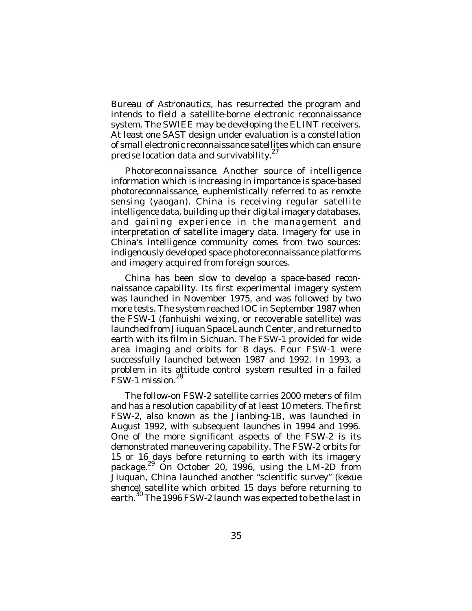Bureau of Astronautics, has resurrected the program and intends to field a satellite-borne electronic reconnaissance system. The SWIEE may be developing the ELINT receivers. At least one SAST design under evaluation is a constellation of small electronic reconnaissance satellites which can ensure precise location data and survivability.<sup>27</sup>

*Photoreconnaissance*. Another source of intelligence information which is increasing in importance is space-based photoreconnaissance, euphemistically referred to as remote sensing (*yaogan*). China is receiving regular satellite intelligence data, building up their digital imagery databases, and gaining experience in the management and interpretation of satellite imagery data. Imagery for use in China's intelligence community comes from two sources: indigenously developed space photoreconnaissance platforms and imagery acquired from foreign sources.

China has been slow to develop a space-based reconnaissance capability. Its first experimental imagery system was launched in November 1975, and was followed by two more tests. The system reached IOC in September 1987 when the FSW-1 (*fanhuishi weixing*, or recoverable satellite) was launched from Jiuquan Space Launch Center, and returned to earth with its film in Sichuan. The FSW-1 provided for wide area imaging and orbits for 8 days. Four FSW-1 were successfully launched between 1987 and 1992. In 1993, a problem in its attitude control system resulted in a failed<br>ESW 1 mission 28 FSW-1 mission.

The follow-on FSW-2 satellite carries 2000 meters of film and has a resolution capability of at least 10 meters. The first FSW-2, also known as the Jianbing-1B, was launched in August 1992, with subsequent launches in 1994 and 1996. One of the more significant aspects of the FSW-2 is its demonstrated maneuvering capability. The FSW-2 orbits for 15 or 16 days before returning to earth with its imagery package.<sup>29</sup> On October 20, 1996, using the LM-2D from Jiuquan, China launched another "scientific survey" (*kexue shence*) satellite which orbited 15 days before returning to earth.<sup>30</sup> The 1996 FSW-2 launch was expected to be the last in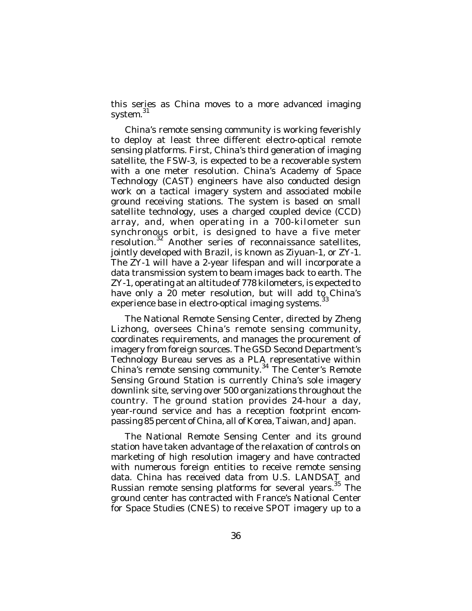this series as China moves to a more advanced imaging system.<sup>31</sup>

China's remote sensing community is working feverishly to deploy at least three different electro-optical remote sensing platforms. First, China's third generation of imaging satellite, the FSW-3, is expected to be a recoverable system with a one meter resolution. China's Academy of Space Technology (CAST) engineers have also conducted design work on a tactical imagery system and associated mobile ground receiving stations. The system is based on small satellite technology, uses a charged coupled device (CCD) array, and, when operating in a 700-kilometer sun synchronous orbit, is designed to have a five meter resolution.<sup>32</sup> Another series of reconnaissance satellites, jointly developed with Brazil, is known as Ziyuan-1, or ZY-1. The ZY-1 will have a 2-year lifespan and will incorporate a data transmission system to beam images back to earth. The ZY-1, operating at an altitude of 778 kilometers, is expected to have only a 20 meter resolution, but will add to China's experience base in electro-optical imaging systems.<sup>33</sup>

The National Remote Sensing Center, directed by Zheng Lizhong, oversees China's remote sensing community, coordinates requirements, and manages the procurement of imagery from foreign sources. The GSD Second Department's Technology Bureau serves as a PLA representative within China's remote sensing community. 34 The Center's Remote Sensing Ground Station is currently China's sole imagery downlink site, serving over 500 organizations throughout the country. The ground station provides 24-hour a day, year-round service and has a reception footprint encompassing 85 percent of China, all of Korea, Taiwan, and Japan.

The National Remote Sensing Center and its ground station have taken advantage of the relaxation of controls on marketing of high resolution imagery and have contracted with numerous foreign entities to receive remote sensing data. China has received data from U.S. LANDSAT and Russian remote sensing platforms for several years.<sup>35</sup> The ground center has contracted with France's National Center for Space Studies (CNES) to receive SPOT imagery up to a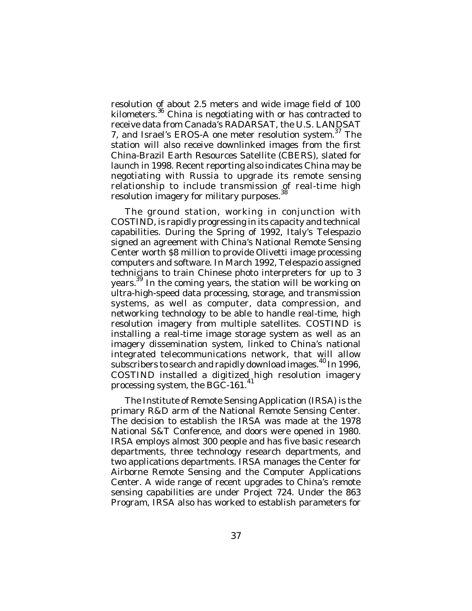resolution of about 2.5 meters and wide image field of 100 kilometers. <sup>36</sup> China is negotiating with or has contracted to receive data from Canada's RADARSAT, the U.S. LANDSAT 7, and Israel's EROS-A one meter resolution system.<sup>37</sup> The station will also receive downlinked images from the first China-Brazil Earth Resources Satellite (CBERS), slated for launch in 1998. Recent reporting also indicates China may be negotiating with Russia to upgrade its remote sensing relationship to include transmission of real-time high resolution imagery for military purposes.<sup>38</sup>

The ground station, working in conjunction with COSTIND, is rapidly progressing in its capacity and technical capabilities. During the Spring of 1992, Italy's Telespazio signed an agreement with China's National Remote Sensing Center worth \$8 million to provide Olivetti image processing computers and software. In March 1992, Telespazio assigned technicians to train Chinese photo interpreters for up to 3 years.<sup>39</sup> In the coming years, the station will be working on ultra-high-speed data processing, storage, and transmission systems, as well as computer, data compression, and networking technology to be able to handle real-time, high resolution imagery from multiple satellites. COSTIND is installing a real-time image storage system as well as an imagery dissemination system, linked to China's national integrated telecommunications network, that will allow subscribers to search and rapidly download images.<sup>40</sup> In 1996, COSTIND installed a digitized high resolution imagery processing system, the BGC-161.<sup>41</sup>

The Institute of Remote Sensing Application (IRSA) is the primary R&D arm of the National Remote Sensing Center. The decision to establish the IRSA was made at the 1978 National S&T Conference, and doors were opened in 1980. IRSA employs almost 300 people and has five basic research departments, three technology research departments, and two applications departments. IRSA manages the Center for Airborne Remote Sensing and the Computer Applications Center. A wide range of recent upgrades to China's remote sensing capabilities are under Project 724. Under the 863 Program, IRSA also has worked to establish parameters for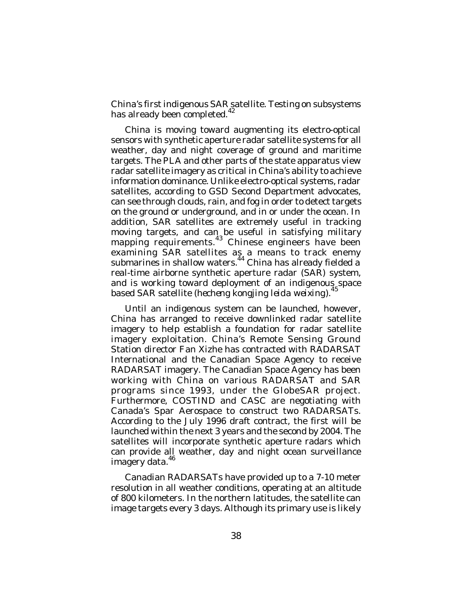China's first indigenous SAR satellite. Testing on subsystems has already been completed.<sup>42</sup>

China is moving toward augmenting its electro-optical sensors with synthetic aperture radar satellite systems for all weather, day and night coverage of ground and maritime targets. The PLA and other parts of the state apparatus view radar satellite imagery as critical in China's ability to achieve information dominance. Unlike electro-optical systems, radar satellites, according to GSD Second Department advocates, can see through clouds, rain, and fog in order to detect targets on the ground or underground, and in or under the ocean. In addition, SAR satellites are extremely useful in tracking moving targets, and can be useful in satisfying military mapping requirements.<sup>43</sup> Chinese engineers have been examining SAR satellites as a means to track enemy submarines in shallow waters.<sup>44</sup> China has already fielded a real-time airborne synthetic aperture radar (SAR) system, and is working toward deployment of an indigenous space based SAR satellite (*hecheng kongjing leida weixing*). 45

Until an indigenous system can be launched, however, China has arranged to receive downlinked radar satellite imagery to help establish a foundation for radar satellite imagery exploitation. China's Remote Sensing Ground Station director Fan Xizhe has contracted with RADARSAT International and the Canadian Space Agency to receive RADARSAT imagery. The Canadian Space Agency has been working with China on various RADARSAT and SAR programs since 1993, under the GlobeSAR project. Furthermore, COSTIND and CASC are negotiating with Canada's Spar Aerospace to construct two RADARSATs. According to the July 1996 draft contract, the first will be launched within the next 3 years and the second by 2004. The satellites will incorporate synthetic aperture radars which can provide all weather, day and night ocean surveillance imagery data. 46

Canadian RADARSATs have provided up to a 7-10 meter resolution in all weather conditions, operating at an altitude of 800 kilometers. In the northern latitudes, the satellite can image targets every 3 days. Although its primary use is likely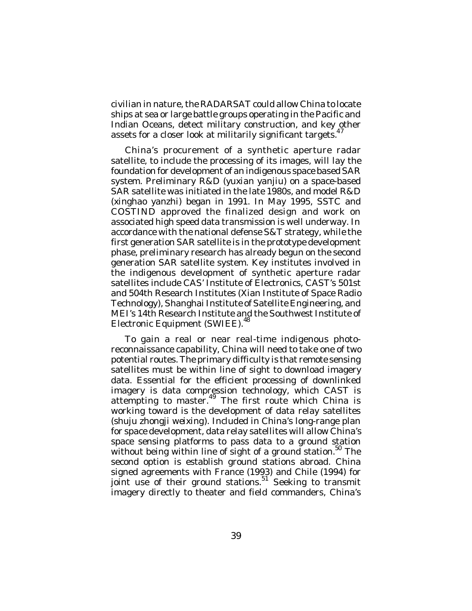civilian in nature, the RADARSAT could allow China to locate ships at sea or large battle groups operating in the Pacific and Indian Oceans, detect military construction, and key other assets for a closer look at militarily significant targets.<sup>4</sup>

China's procurement of a synthetic aperture radar satellite, to include the processing of its images, will lay the foundation for development of an indigenous space based SAR system. Preliminary R&D (*yuxian yanjiu*) on a space-based SAR satellite was initiated in the late 1980s, and model R&D (*xinghao yanzhi*) began in 1991. In May 1995, SSTC and COSTIND approved the finalized design and work on associated high speed data transmission is well underway. In accordance with the national defense S&T strategy, while the first generation SAR satellite is in the prototype development phase, preliminary research has already begun on the second generation SAR satellite system. Key institutes involved in the indigenous development of synthetic aperture radar satellites include CAS' Institute of Electronics, CAST's 501st and 504th Research Institutes (Xian Institute of Space Radio Technology), Shanghai Institute of Satellite Engineering, and MEI's 14th Research Institute and the Southwest Institute of Electronic Equipment (SWIEE). 48

To gain a real or near real-time indigenous photoreconnaissance capability, China will need to take one of two potential routes. The primary difficulty is that remote sensing satellites must be within line of sight to download imagery data. Essential for the efficient processing of downlinked imagery is data compression technology, which CAST is attempting to master.<sup>49</sup> The first route which China is working toward is the development of data relay satellites (*shuju zhongji weixing*). Included in China's long-range plan for space development, data relay satellites will allow China's space sensing platforms to pass data to a ground station without being within line of sight of a ground station.<sup>50</sup> The second option is establish ground stations abroad. China signed agreements with France (1993) and Chile (1994) for joint use of their ground stations.<sup>51'</sup> Seeking to transmit imagery directly to theater and field commanders, China's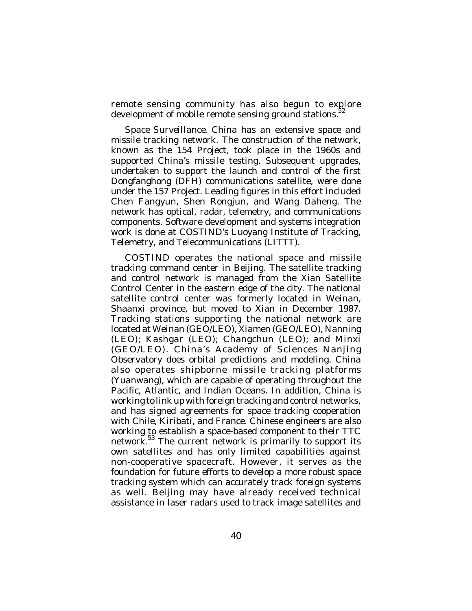remote sensing community has also begun to explore development of mobile remote sensing ground stations.<sup>52</sup>

*Space Surveillance*. China has an extensive space and missile tracking network. The construction of the network, known as the 154 Project, took place in the 1960s and supported China's missile testing. Subsequent upgrades, undertaken to support the launch and control of the first Dongfanghong (DFH) communications satellite, were done under the 157 Project. Leading figures in this effort included Chen Fangyun, Shen Rongjun, and Wang Daheng. The network has optical, radar, telemetry, and communications components. Software development and systems integration work is done at COSTIND's Luoyang Institute of Tracking, Telemetry, and Telecommunications (LITTT).

COSTIND operates the national space and missile tracking command center in Beijing. The satellite tracking and control network is managed from the Xian Satellite Control Center in the eastern edge of the city. The national satellite control center was formerly located in Weinan, Shaanxi province, but moved to Xian in December 1987. Tracking stations supporting the national network are located at Weinan (GEO/LEO), Xiamen (GEO/LEO), Nanning (LEO); Kashgar (LEO); Changchun (LEO); and Minxi (GEO/LEO). China's Academy of Sciences Nanjing Observatory does orbital predictions and modeling. China also operates shipborne missile tracking platforms (*Yuanwang*), which are capable of operating throughout the Pacific, Atlantic, and Indian Oceans. In addition, China is working to link up with foreign tracking and control networks, and has signed agreements for space tracking cooperation with Chile, Kiribati, and France. Chinese engineers are also working to establish a space-based component to their TTC network.<sup>53</sup> The current network is primarily to support its own satellites and has only limited capabilities against non-cooperative spacecraft. However, it serves as the foundation for future efforts to develop a more robust space tracking system which can accurately track foreign systems as well. Beijing may have already received technical assistance in laser radars used to track image satellites and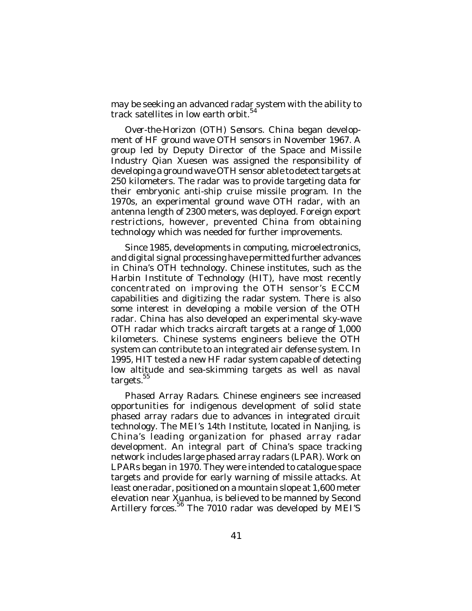may be seeking an advanced radar system with the ability to track satellites in low earth orbit. 54

*Over-the-Horizon (OTH) Sensors*. China began development of HF ground wave OTH sensors in November 1967. A group led by Deputy Director of the Space and Missile Industry Qian Xuesen was assigned the responsibility of developing a ground wave OTH sensor able to detect targets at 250 kilometers. The radar was to provide targeting data for their embryonic anti-ship cruise missile program. In the 1970s, an experimental ground wave OTH radar, with an antenna length of 2300 meters, was deployed. Foreign export restrictions, however, prevented China from obtaining technology which was needed for further improvements.

Since 1985, developments in computing, microelectronics, and digital signal processing have permitted further advances in China's OTH technology. Chinese institutes, such as the Harbin Institute of Technology (HIT), have most recently concentrated on improving the OTH sensor's ECCM capabilities and digitizing the radar system. There is also some interest in developing a mobile version of the OTH radar. China has also developed an experimental sky-wave OTH radar which tracks aircraft targets at a range of 1,000 kilometers. Chinese systems engineers believe the OTH system can contribute to an integrated air defense system. In 1995, HIT tested a new HF radar system capable of detecting low altitude and sea-skimming targets as well as naval targets.<sup>55</sup>

*Phased Array Radars*. Chinese engineers see increased opportunities for indigenous development of solid state phased array radars due to advances in integrated circuit technology. The MEI's 14th Institute, located in Nanjing, is China's leading organization for phased array radar development. An integral part of China's space tracking network includes large phased array radars (LPAR). Work on LPARs began in 1970. They were intended to catalogue space targets and provide for early warning of missile attacks. At least one radar, positioned on a mountain slope at 1,600 meter elevation near Xuanhua, is believed to be manned by Second Artillery forces.<sup>56</sup> The 7010 radar was developed by MEI'S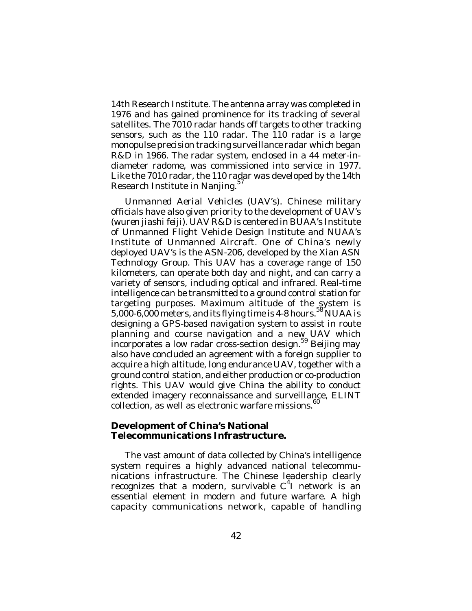14th Research Institute. The antenna array was completed in 1976 and has gained prominence for its tracking of several satellites. The 7010 radar hands off targets to other tracking sensors, such as the 110 radar. The 110 radar is a large monopulse precision tracking surveillance radar which began R&D in 1966. The radar system, enclosed in a 44 meter-indiameter radome, was commissioned into service in 1977. Like the 7010 radar, the 110 radar was developed by the 14th Research Institute in Nanjing.<sup>57</sup>

*Unmanned Aerial Vehicles (UAV's)*. Chinese military officials have also given priority to the development of UAV's (*wuren jiashi feiji*). UAV R&D is centered in BUAA's Institute of Unmanned Flight Vehicle Design Institute and NUAA's Institute of Unmanned Aircraft. One of China's newly deployed UAV's is the ASN-206, developed by the Xian ASN Technology Group. This UAV has a coverage range of 150 kilometers, can operate both day and night, and can carry a variety of sensors, including optical and infrared. Real-time intelligence can be transmitted to a ground control station for targeting purposes. Maximum altitude of the system is 5,000-6,000 meters, and its flying time is 4-8 hours.<sup>58</sup> NUAA is designing a GPS-based navigation system to assist in route planning and course navigation and a new UAV which .<br>incorporates a low radar cross-section design.<sup>59</sup> Beijing may also have concluded an agreement with a foreign supplier to acquire a high altitude, long endurance UAV, together with a ground control station, and either production or co-production rights. This UAV would give China the ability to conduct extended imagery reconnaissance and surveillance, ELINT collection, as well as electronic warfare missions. 60

## **Development of China's National Telecommunications Infrastructure.**

The vast amount of data collected by China's intelligence system requires a highly advanced national telecommunications infrastructure. The Chinese leadership clearly recognizes that a modern, survivable  $C^4$ I network is an essential element in modern and future warfare. A high capacity communications network, capable of handling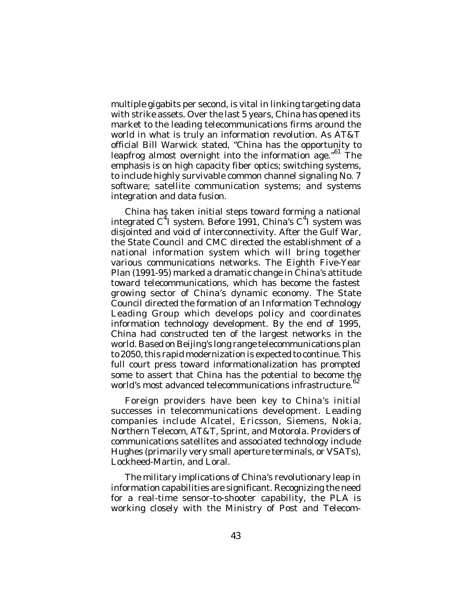multiple gigabits per second, is vital in linking targeting data with strike assets. Over the last 5 years, China has opened its market to the leading telecommunications firms around the world in what is truly an information revolution. As AT&T official Bill Warwick stated, "China has the opportunity to leapfrog almost overnight into the information age."<sup>61</sup> The emphasis is on high capacity fiber optics; switching systems, to include highly survivable common channel signaling No. 7 software; satellite communication systems; and systems integration and data fusion.

China has taken initial steps toward forming a national integrated C<sup>4</sup>I system. Before 1991, China's C<sup>4</sup>I system was disjointed and void of interconnectivity. After the Gulf War, the State Council and CMC directed the establishment of a national information system which will bring together various communications networks. The Eighth Five-Year Plan (1991-95) marked a dramatic change in China's attitude toward telecommunications, which has become the fastest growing sector of China's dynamic economy. The State Council directed the formation of an Information Technology Leading Group which develops policy and coordinates information technology development. By the end of 1995, China had constructed ten of the largest networks in the world. Based on Beijing's long range telecommunications plan to 2050, this rapid modernization is expected to continue. This full court press toward informationalization has prompted some to assert that China has the potential to become the world's most advanced telecommunications infrastructure.<sup>62</sup>

Foreign providers have been key to China's initial successes in telecommunications development. Leading companies include Alcatel, Ericsson, Siemens, Nokia, Northern Telecom, AT&T, Sprint, and Motorola. Providers of communications satellites and associated technology include Hughes (primarily very small aperture terminals, or VSATs), Lockheed-Martin, and Loral.

The military implications of China's revolutionary leap in information capabilities are significant. Recognizing the need for a real-time sensor-to-shooter capability, the PLA is working closely with the Ministry of Post and Telecom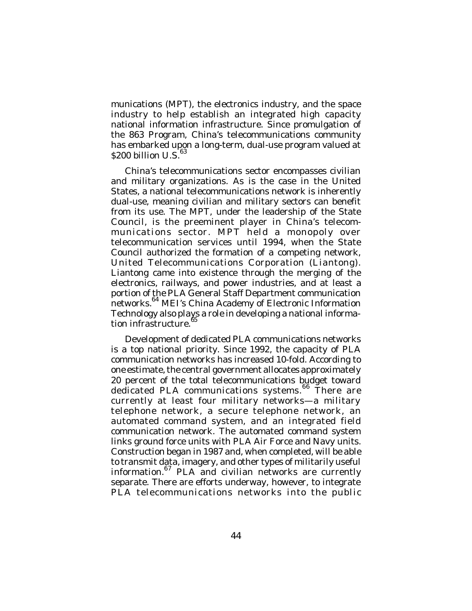munications (MPT), the electronics industry, and the space industry to help establish an integrated high capacity national information infrastructure. Since promulgation of the 863 Program, China's telecommunications community has embarked upon a long-term, dual-use program valued at  $$200$  billion U.S. $^{63}$ 

China's telecommunications sector encompasses civilian and military organizations. As is the case in the United States, a national telecommunications network is inherently dual-use, meaning civilian and military sectors can benefit from its use. The MPT, under the leadership of the State Council, is the preeminent player in China's telecommunications sector. MPT held a monopoly over telecommunication services until 1994, when the State Council authorized the formation of a competing network, United Telecommunications Corporation (Liantong). Liantong came into existence through the merging of the electronics, railways, and power industries, and at least a portion of the PLA General Staff Department communication networks. 64 MEI's China Academy of Electronic Information Technology also plays a role in developing a national information infrastructure.<sup>65</sup>

Development of dedicated PLA communications networks is a top national priority. Since 1992, the capacity of PLA communication networks has increased 10-fold. According to one estimate, the central government allocates approximately 20 percent of the total telecommunications budget toward dedicated PLA communications systems.<sup>66</sup> There are currently at least four military networks—a military telephone network, a secure telephone network, an automated command system, and an integrated field communication network. The automated command system links ground force units with PLA Air Force and Navy units. Construction began in 1987 and, when completed, will be able to transmit data, imagery, and other types of militarily useful information.<sup>67</sup> PLA and civilian networks are currently separate. There are efforts underway, however, to integrate PLA telecommunications networks into the public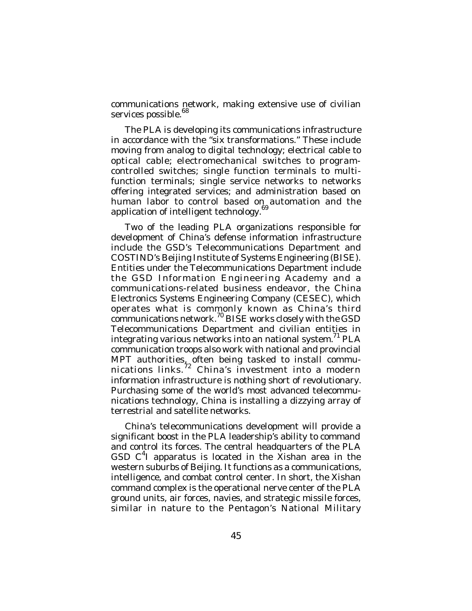communications network, making extensive use of civilian services possible.<sup>68</sup>

The PLA is developing its communications infrastructure in accordance with the "six transformations." These include moving from analog to digital technology; electrical cable to optical cable; electromechanical switches to programcontrolled switches; single function terminals to multifunction terminals; single service networks to networks offering integrated services; and administration based on human labor to control based on automation and the application of intelligent technology.<sup>69</sup>

Two of the leading PLA organizations responsible for development of China's defense information infrastructure include the GSD's Telecommunications Department and COSTIND's Beijing Institute of Systems Engineering (BISE). Entities under the Telecommunications Department include the GSD Information Engineering Academy and a communications-related business endeavor, the China Electronics Systems Engineering Company (CESEC), which operates what is commonly known as China's third  $\frac{1}{2}$ communications network.<sup>70</sup> BISE works closely with the GSD Telecommunications Department and civilian entities in integrating various networks into an national system.<sup>71</sup> PLA communication troops also work with national and provincial MPT authorities, often being tasked to install communications links.<sup>72</sup> China's investment into a modern information infrastructure is nothing short of revolutionary. Purchasing some of the world's most advanced telecommunications technology, China is installing a dizzying array of terrestrial and satellite networks.

China's telecommunications development will provide a significant boost in the PLA leadership's ability to command and control its forces. The central headquarters of the PLA GSD  $C<sup>4</sup>$  apparatus is located in the Xishan area in the western suburbs of Beijing. It functions as a communications, intelligence, and combat control center. In short, the Xishan command complex is the operational nerve center of the PLA ground units, air forces, navies, and strategic missile forces, similar in nature to the Pentagon's National Military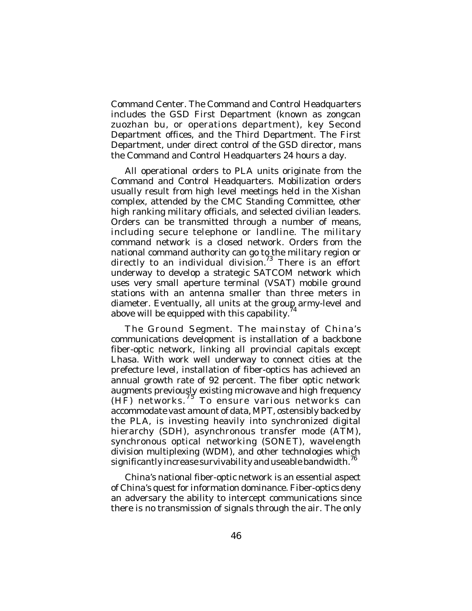Command Center. The Command and Control Headquarters includes the GSD First Department (known as *zongcan zuozhan bu*, or operations department), key Second Department offices, and the Third Department. The First Department, under direct control of the GSD director, mans the Command and Control Headquarters 24 hours a day.

All operational orders to PLA units originate from the Command and Control Headquarters. Mobilization orders usually result from high level meetings held in the Xishan complex, attended by the CMC Standing Committee, other high ranking military officials, and selected civilian leaders. Orders can be transmitted through a number of means, including secure telephone or landline. The military command network is a closed network. Orders from the national command authority can go to the military region or directly to an individual division.<sup>73</sup> There is an effort underway to develop a strategic SATCOM network which uses very small aperture terminal (VSAT) mobile ground stations with an antenna smaller than three meters in diameter. Eventually, all units at the group army-level and<br>above will be equipped with this consbility <sup>74</sup> above will be equipped with this capability.

*The Ground Segment*. The mainstay of China's communications development is installation of a backbone fiber-optic network, linking all provincial capitals except Lhasa. With work well underway to connect cities at the prefecture level, installation of fiber-optics has achieved an annual growth rate of 92 percent. The fiber optic network augments previously existing microwave and high frequency (HF) networks.<sup>75</sup> To ensure various networks can accommodate vast amount of data, MPT, ostensibly backed by the PLA, is investing heavily into synchronized digital hierarchy (SDH), asynchronous transfer mode (ATM), synchronous optical networking (SONET), wavelength division multiplexing (WDM), and other technologies which significantly increase survivability and useable bandwidth.  $^{76}$ 

China's national fiber-optic network is an essential aspect of China's quest for information dominance. Fiber-optics deny an adversary the ability to intercept communications since there is no transmission of signals through the air. The only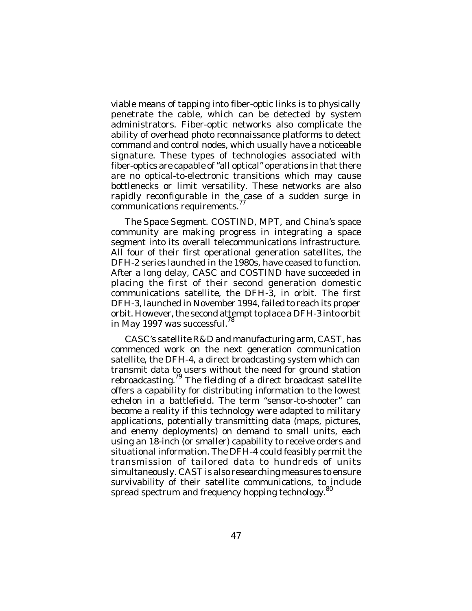viable means of tapping into fiber-optic links is to physically penetrate the cable, which can be detected by system administrators. Fiber-optic networks also complicate the ability of overhead photo reconnaissance platforms to detect command and control nodes, which usually have a noticeable signature. These types of technologies associated with fiber-optics are capable of "all optical" operations in that there are no optical-to-electronic transitions which may cause bottlenecks or limit versatility. These networks are also rapidly reconfigurable in the case of a sudden surge in communications requirements.<sup>77</sup>

*The Space Segment*. COSTIND, MPT, and China's space community are making progress in integrating a space segment into its overall telecommunications infrastructure. All four of their first operational generation satellites, the DFH-2 series launched in the 1980s, have ceased to function. After a long delay, CASC and COSTIND have succeeded in placing the first of their second generation domestic communications satellite, the DFH-3, in orbit. The first DFH-3, launched in November 1994, failed to reach its proper orbit. However, the second attempt to place a DFH-3 into orbit in May 1997 was successful.<sup>78</sup>

CASC's satellite R&D and manufacturing arm, CAST, has commenced work on the next generation communication satellite, the DFH-4, a direct broadcasting system which can transmit data to users without the need for ground station rebroadcasting.<sup>79</sup> The fielding of a direct broadcast satellite offers a capability for distributing information to the lowest echelon in a battlefield. The term "sensor-to-shooter" can become a reality if this technology were adapted to military applications, potentially transmitting data (maps, pictures, and enemy deployments) on demand to small units, each using an 18-inch (or smaller) capability to receive orders and situational information. The DFH-4 could feasibly permit the transmission of tailored data to hundreds of units simultaneously. CAST is also researching measures to ensure survivability of their satellite communications, to include spread spectrum and frequency hopping technology.<sup>80</sup>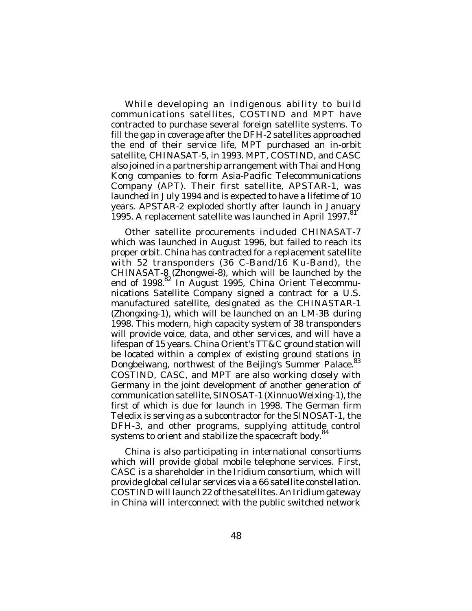While developing an indigenous ability to build communications satellites, COSTIND and MPT have contracted to purchase several foreign satellite systems. To fill the gap in coverage after the DFH-2 satellites approached the end of their service life, MPT purchased an in-orbit satellite, CHINASAT-5, in 1993. MPT, COSTIND, and CASC also joined in a partnership arrangement with Thai and Hong Kong companies to form Asia-Pacific Telecommunications Company (APT). Their first satellite, APSTAR-1, was launched in July 1994 and is expected to have a lifetime of 10 years. APSTAR-2 exploded shortly after launch in January 1995. A replacement satellite was launched in April 1997.<sup>81</sup>

Other satellite procurements included CHINASAT-7 which was launched in August 1996, but failed to reach its proper orbit. China has contracted for a replacement satellite with 52 transponders (36 C-Band/16 Ku-Band), the CHINASAT-8 (Zhongwei-8), which will be launched by the end of 1998.<sup>82</sup> In August 1995, China Orient Telecommunications Satellite Company signed a contract for a U.S. manufactured satellite, designated as the CHINASTAR-1 (Zhongxing-1), which will be launched on an LM-3B during 1998. This modern, high capacity system of 38 transponders will provide voice, data, and other services, and will have a lifespan of 15 years. China Orient's TT&C ground station will be located within a complex of existing ground stations in Dongbeiwang, northwest of the Beijing's Summer Palace.<sup>83</sup> COSTIND, CASC, and MPT are also working closely with Germany in the joint development of another generation of communication satellite, SINOSAT-1 (Xinnuo Weixing-1), the first of which is due for launch in 1998. The German firm Teledix is serving as a subcontractor for the SINOSAT-1, the DFH-3, and other programs, supplying attitude control systems to orient and stabilize the spacecraft body.<sup>84</sup>

China is also participating in international consortiums which will provide global mobile telephone services. First, CASC is a shareholder in the Iridium consortium, which will provide global cellular services via a 66 satellite constellation. COSTIND will launch 22 of the satellites. An Iridium gateway in China will interconnect with the public switched network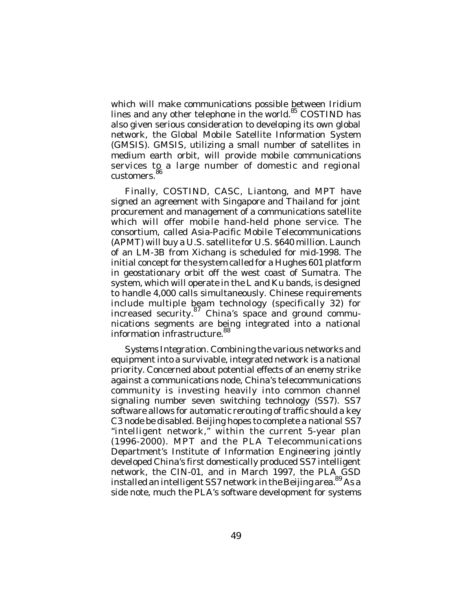which will make communications possible between Iridium lines and any other telephone in the world.<sup>85</sup> COSTIND has also given serious consideration to developing its own global network, the Global Mobile Satellite Information System (GMSIS). GMSIS, utilizing a small number of satellites in medium earth orbit, will provide mobile communications services to a large number of domestic and regional customers. 86

Finally, COSTIND, CASC, Liantong, and MPT have signed an agreement with Singapore and Thailand for joint procurement and management of a communications satellite which will offer mobile hand-held phone service. The consortium, called Asia-Pacific Mobile Telecommunications (APMT) will buy a U.S. satellite for U.S. \$640 million. Launch of an LM-3B from Xichang is scheduled for mid-1998. The initial concept for the system called for a Hughes 601 platform in geostationary orbit off the west coast of Sumatra. The system, which will operate in the L and Ku bands, is designed to handle 4,000 calls simultaneously. Chinese requirements include multiple beam technology (specifically 32) for increased security. 87 China's space and ground communications segments are being integrated into a national information infrastructure.<sup>88</sup>

*Systems Integration*. Combining the various networks and equipment into a survivable, integrated network is a national priority. Concerned about potential effects of an enemy strike against a communications node, China's telecommunications community is investing heavily into common channel signaling number seven switching technology (SS7). SS7 software allows for automatic rerouting of traffic should a key C3 node be disabled. Beijing hopes to complete a national SS7 "intelligent network," within the current 5-year plan (1996-2000). MPT and the PLA Telecommunications Department's Institute of Information Engineering jointly developed China's first domestically produced SS7 intelligent network, the CIN-01, and in March 1997, the PLA GSD installed an intelligent SS7 network in the Beijing area. <sup>89</sup> As a side note, much the PLA's software development for systems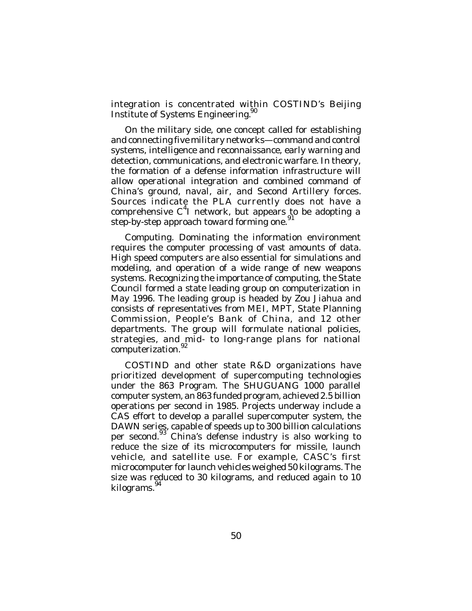integration is concentrated within COSTIND's Beijing Institute of Systems Engineering.<sup>90</sup>

On the military side, one concept called for establishing and connecting five military networks—command and control systems, intelligence and reconnaissance, early warning and detection, communications, and electronic warfare. In theory, the formation of a defense information infrastructure will allow operational integration and combined command of China's ground, naval, air, and Second Artillery forces. Sources indicate the PLA currently does not have a comprehensive  $C^4$ I network, but appears to be adopting a step-by-step approach toward forming one.<sup>91</sup>

*Computing*. Dominating the information environment requires the computer processing of vast amounts of data. High speed computers are also essential for simulations and modeling, and operation of a wide range of new weapons systems. Recognizing the importance of computing, the State Council formed a state leading group on computerization in May 1996. The leading group is headed by Zou Jiahua and consists of representatives from MEI, MPT, State Planning Commission, People's Bank of China, and 12 other departments. The group will formulate national policies, strategies, and mid- to long-range plans for national computerization.<sup>92</sup>

COSTIND and other state R&D organizations have prioritized development of supercomputing technologies under the 863 Program. The SHUGUANG 1000 parallel computer system, an 863 funded program, achieved 2.5 billion operations per second in 1985. Projects underway include a CAS effort to develop a parallel supercomputer system, the DAWN series, capable of speeds up to 300 billion calculations per second.<sup>93</sup> China's defense industry is also working to reduce the size of its microcomputers for missile, launch vehicle, and satellite use. For example, CASC's first microcomputer for launch vehicles weighed 50 kilograms. The size was reduced to 30 kilograms, and reduced again to 10 kilograms.<sup>94</sup>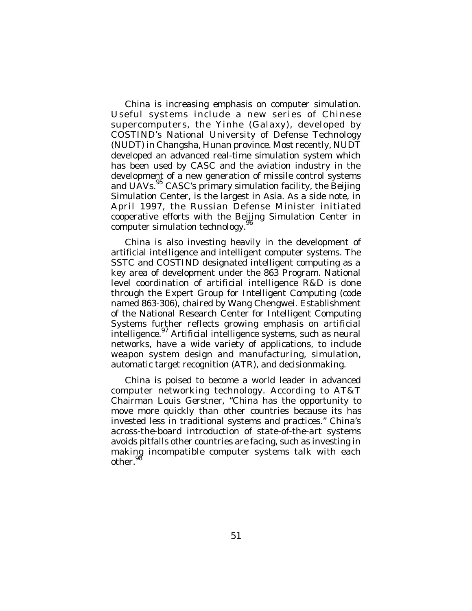China is increasing emphasis on computer simulation. Useful systems include a new series of Chinese supercomputers, the Yinhe (Galaxy), developed by COSTIND's National University of Defense Technology (NUDT) in Changsha, Hunan province. Most recently, NUDT developed an advanced real-time simulation system which has been used by CASC and the aviation industry in the development of a new generation of missile control systems and UAVs.<sup>95</sup> CASC's primary simulation facility, the Beijing Simulation Center, is the largest in Asia. As a side note, in April 1997, the Russian Defense Minister initiated cooperative efforts with the Beijing Simulation Center in computer simulation technology. $^{96}$ 

China is also investing heavily in the development of artificial intelligence and intelligent computer systems. The SSTC and COSTIND designated intelligent computing as a key area of development under the 863 Program. National level coordination of artificial intelligence R&D is done through the Expert Group for Intelligent Computing (code named 863-306), chaired by Wang Chengwei. Establishment of the National Research Center for Intelligent Computing Systems further reflects growing emphasis on artificial intelligence. 97 Artificial intelligence systems, such as neural networks, have a wide variety of applications, to include weapon system design and manufacturing, simulation, automatic target recognition (ATR), and decisionmaking.

China is poised to become a world leader in advanced computer networking technology. According to AT&T Chairman Louis Gerstner, "China has the opportunity to move more quickly than other countries because its has invested less in traditional systems and practices." China's across-the-board introduction of state-of-the-art systems avoids pitfalls other countries are facing, such as investing in making incompatible computer systems talk with each other.<sup>98</sup>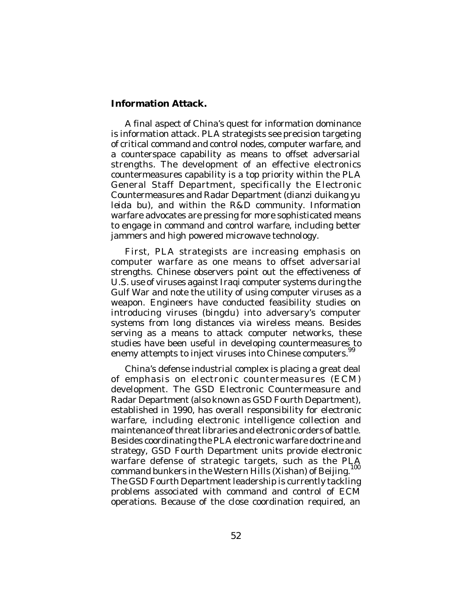## **Information Attack.**

A final aspect of China's quest for information dominance is information attack. PLA strategists see precision targeting of critical command and control nodes, computer warfare, and a counterspace capability as means to offset adversarial strengths. The development of an effective electronics countermeasures capability is a top priority within the PLA General Staff Department, specifically the Electronic Countermeasures and Radar Department (*dianzi duikang yu leida bu*), and within the R&D community. Information warfare advocates are pressing for more sophisticated means to engage in command and control warfare, including better jammers and high powered microwave technology.

First, PLA strategists are increasing emphasis on computer warfare as one means to offset adversarial strengths. Chinese observers point out the effectiveness of U.S. use of viruses against Iraqi computer systems during the Gulf War and note the utility of using computer viruses as a weapon. Engineers have conducted feasibility studies on introducing viruses (*bingdu*) into adversary's computer systems from long distances via wireless means. Besides serving as a means to attack computer networks, these studies have been useful in developing countermeasures to enemy attempts to inject viruses into Chinese computers.<sup>99</sup>

China's defense industrial complex is placing a great deal of emphasis on electronic countermeasures (ECM) development. The GSD Electronic Countermeasure and Radar Department (also known as GSD Fourth Department), established in 1990, has overall responsibility for electronic warfare, including electronic intelligence collection and maintenance of threat libraries and electronic orders of battle. Besides coordinating the PLA electronic warfare doctrine and strategy, GSD Fourth Department units provide electronic warfare defense of strategic targets, such as the PLA command bunkers in the Western Hills (*Xishan*) of Beijing. 100 The GSD Fourth Department leadership is currently tackling problems associated with command and control of ECM operations. Because of the close coordination required, an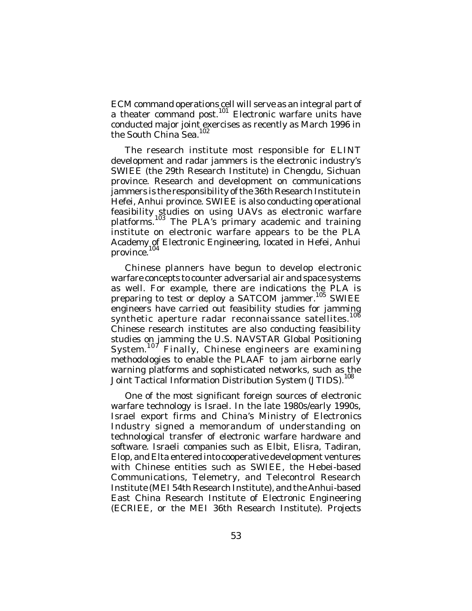ECM command operations cell will serve as an integral part of a theater command post.<sup>101</sup> Electronic warfare units have conducted major joint exercises as recently as March 1996 in<br>the South China See <sup>102</sup> the South China Sea.

The research institute most responsible for ELINT development and radar jammers is the electronic industry's SWIEE (the 29th Research Institute) in Chengdu, Sichuan province. Research and development on communications jammers is the responsibility of the 36th Research Institute in Hefei, Anhui province. SWIEE is also conducting operational feasibility studies on using UAVs as electronic warfare platforms.<sup>103</sup> The PLA's primary academic and training institute on electronic warfare appears to be the PLA Academy of Electronic Engineering, located in Hefei, Anhui province. 104

Chinese planners have begun to develop electronic warfare concepts to counter adversarial air and space systems as well. For example, there are indications the PLA is preparing to test or deploy a SATCOM jammer.<sup>105</sup> SWIEE engineers have carried out feasibility studies for jamming<br>symthetic enerture reder resenceiseerse estallites <sup>106</sup> synthetic aperture radar reconnaissance satellites. Chinese research institutes are also conducting feasibility studies on jamming the U.S. NAVSTAR Global Positioning System.<sup>107</sup> Finally, Chinese engineers are examining methodologies to enable the PLAAF to jam airborne early warning platforms and sophisticated networks, such as the Joint Tactical Information Distribution System (JTIDS). 108

One of the most significant foreign sources of electronic warfare technology is Israel. In the late 1980s/early 1990s, Israel export firms and China's Ministry of Electronics Industry signed a memorandum of understanding on technological transfer of electronic warfare hardware and software. Israeli companies such as Elbit, Elisra, Tadiran, Elop, and Elta entered into cooperative development ventures with Chinese entities such as SWIEE, the Hebei-based Communications, Telemetry, and Telecontrol Research Institute (MEI 54th Research Institute), and the Anhui-based East China Research Institute of Electronic Engineering (ECRIEE, or the MEI 36th Research Institute). Projects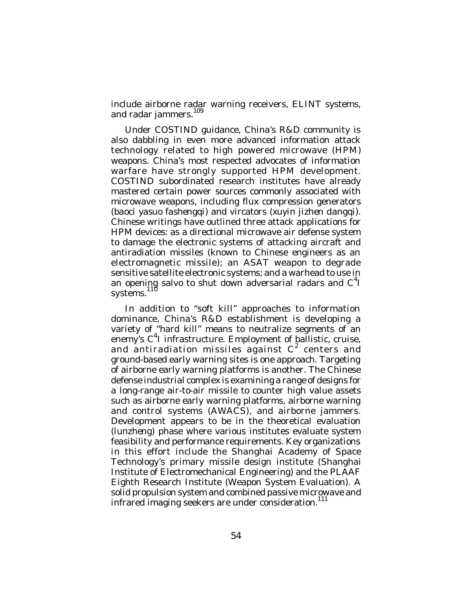include airborne radar warning receivers, ELINT systems, and radar jammers.<sup>109</sup>

Under COSTIND guidance, China's R&D community is also dabbling in even more advanced information attack technology related to high powered microwave (HPM) weapons. China's most respected advocates of information warfare have strongly supported HPM development. COSTIND subordinated research institutes have already mastered certain power sources commonly associated with microwave weapons, including flux compression generators (*baoci yasuo fashengqi*) and vircators (*xuyin jizhen dangqi*). Chinese writings have outlined three attack applications for HPM devices: as a directional microwave air defense system to damage the electronic systems of attacking aircraft and antiradiation missiles (known to Chinese engineers as an electromagnetic missile); an ASAT weapon to degrade sensitive satellite electronic systems; and a warhead to use in an opening salvo to shut down adversarial radars and  $C<sup>4</sup>$ systems.<sup>110</sup>

In addition to "soft kill" approaches to information dominance, China's R&D establishment is developing a variety of "hard kill" means to neutralize segments of an enemy's C<sup>4</sup>I infrastructure. Employment of ballistic, cruise, and antiradiation missiles against  $C^2$  centers and ground-based early warning sites is one approach. Targeting of airborne early warning platforms is another. The Chinese defense industrial complex is examining a range of designs for a long-range air-to-air missile to counter high value assets such as airborne early warning platforms, airborne warning and control systems (AWACS), and airborne jammers. Development appears to be in the theoretical evaluation (*lunzheng*) phase where various institutes evaluate system feasibility and performance requirements. Key organizations in this effort include the Shanghai Academy of Space Technology's primary missile design institute (Shanghai Institute of Electromechanical Engineering) and the PLAAF Eighth Research Institute (Weapon System Evaluation). A solid propulsion system and combined passive microwave and infrared imaging seekers are under consideration.<sup>111</sup>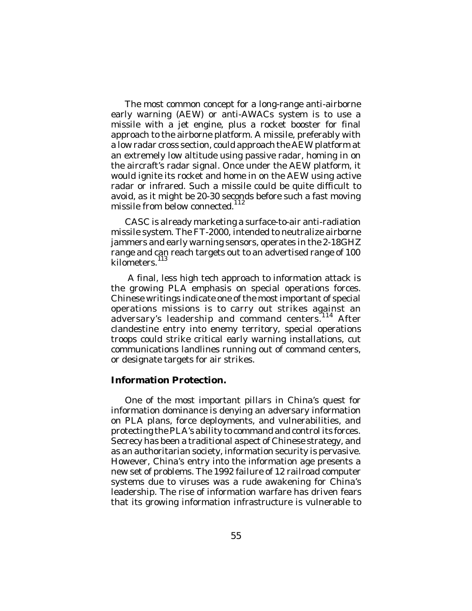The most common concept for a long-range anti-airborne early warning (AEW) or anti-AWACs system is to use a missile with a jet engine, plus a rocket booster for final approach to the airborne platform. A missile, preferably with a low radar cross section, could approach the AEW platform at an extremely low altitude using passive radar, homing in on the aircraft's radar signal. Once under the AEW platform, it would ignite its rocket and home in on the AEW using active radar or infrared. Such a missile could be quite difficult to avoid, as it might be 20-30 seconds before such a fast moving missile from below connected. 112

CASC is already marketing a surface-to-air anti-radiation missile system. The FT-2000, intended to neutralize airborne jammers and early warning sensors, operates in the 2-18GHZ range and can reach targets out to an advertised range of 100 kilometers. 113

 A final, less high tech approach to information attack is the growing PLA emphasis on special operations forces. Chinese writings indicate one of the most important of special operations missions is to carry out strikes against an adversary's leadership and command centers.<sup>"14</sup> After clandestine entry into enemy territory, special operations troops could strike critical early warning installations, cut communications landlines running out of command centers, or designate targets for air strikes.

## **Information Protection.**

One of the most important pillars in China's quest for information dominance is denying an adversary information on PLA plans, force deployments, and vulnerabilities, and protecting the PLA's ability to command and control its forces. Secrecy has been a traditional aspect of Chinese strategy, and as an authoritarian society, information security is pervasive. However, China's entry into the information age presents a new set of problems. The 1992 failure of 12 railroad computer systems due to viruses was a rude awakening for China's leadership. The rise of information warfare has driven fears that its growing information infrastructure is vulnerable to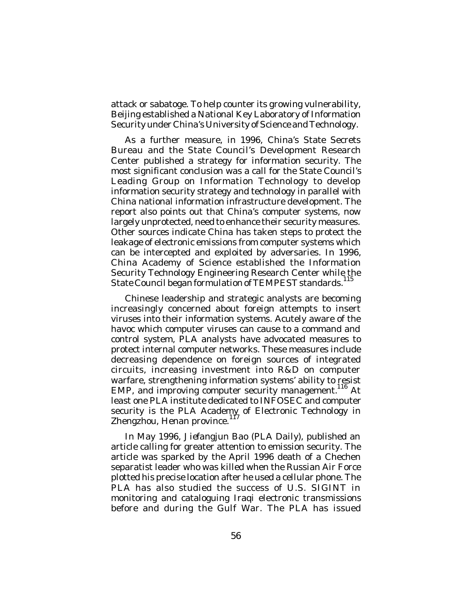attack or sabatoge. To help counter its growing vulnerability, Beijing established a National Key Laboratory of Information Security under China's University of Science and Technology.

As a further measure, in 1996, China's State Secrets Bureau and the State Council's Development Research Center published a strategy for information security. The most significant conclusion was a call for the State Council's Leading Group on Information Technology to develop information security strategy and technology in parallel with China national information infrastructure development. The report also points out that China's computer systems, now largely unprotected, need to enhance their security measures. Other sources indicate China has taken steps to protect the leakage of electronic emissions from computer systems which can be intercepted and exploited by adversaries. In 1996, China Academy of Science established the Information Security Technology Engineering Research Center while the State Council began formulation of TEMPEST standards.<sup>115</sup>

Chinese leadership and strategic analysts are becoming increasingly concerned about foreign attempts to insert viruses into their information systems. Acutely aware of the havoc which computer viruses can cause to a command and control system, PLA analysts have advocated measures to protect internal computer networks. These measures include decreasing dependence on foreign sources of integrated circuits, increasing investment into R&D on computer warfare, strengthening information systems' ability to resist EMP, and improving computer security management.<sup>116</sup> At least one PLA institute dedicated to INFOSEC and computer security is the PLA Academy of Electronic Technology in Zhengzhou, Henan province.<sup>117</sup>

In May 1996, *Jiefangjun Bao* (*PLA Daily*), published an article calling for greater attention to emission security. The article was sparked by the April 1996 death of a Chechen separatist leader who was killed when the Russian Air Force plotted his precise location after he used a cellular phone. The PLA has also studied the success of U.S. SIGINT in monitoring and cataloguing Iraqi electronic transmissions before and during the Gulf War. The PLA has issued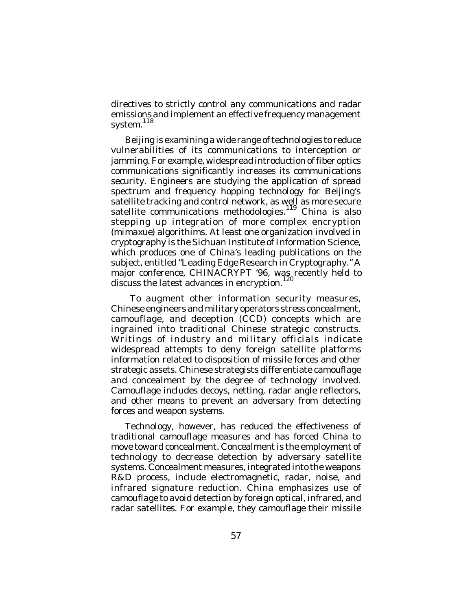directives to strictly control any communications and radar emissions and implement an effective frequency management system.<sup>118</sup>

Beijing is examining a wide range of technologies to reduce vulnerabilities of its communications to interception or jamming. For example, widespread introduction of fiber optics communications significantly increases its communications security. Engineers are studying the application of spread spectrum and frequency hopping technology for Beijing's satellite tracking and control network, as well as more secure satellite communications methodologies.<sup>119</sup> China is also stepping up integration of more complex encryption (*mimaxue*) algorithims. At least one organization involved in cryptography is the Sichuan Institute of Information Science, which produces one of China's leading publications on the subject, entitled "Leading Edge Research in Cryptography." A major conference, CHINACRYPT '96, was recently held to discuss the latest advances in encryption.

 To augment other information security measures, Chinese engineers and military operators stress concealment, camouflage, and deception (CCD) concepts which are ingrained into traditional Chinese strategic constructs. Writings of industry and military officials indicate widespread attempts to deny foreign satellite platforms information related to disposition of missile forces and other strategic assets. Chinese strategists differentiate camouflage and concealment by the degree of technology involved. Camouflage includes decoys, netting, radar angle reflectors, and other means to prevent an adversary from detecting forces and weapon systems.

Technology, however, has reduced the effectiveness of traditional camouflage measures and has forced China to move toward concealment. Concealment is the employment of technology to decrease detection by adversary satellite systems. Concealment measures, integrated into the weapons R&D process, include electromagnetic, radar, noise, and infrared signature reduction. China emphasizes use of camouflage to avoid detection by foreign optical, infrared, and radar satellites. For example, they camouflage their missile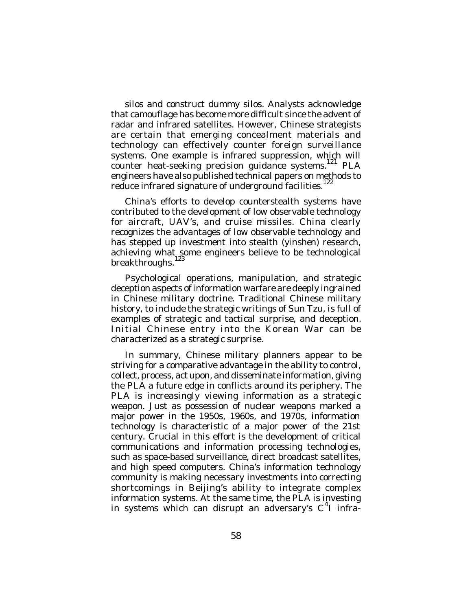silos and construct dummy silos. Analysts acknowledge that camouflage has become more difficult since the advent of radar and infrared satellites. However, Chinese strategists are certain that emerging concealment materials and technology can effectively counter foreign surveillance systems. One example is infrared suppression, which will counter heat-seeking precision guidance systems.<sup>121</sup> PLA engineers have also published technical papers on methods to reduce infrared signature of underground facilities.<sup>122</sup>

China's efforts to develop counterstealth systems have contributed to the development of low observable technology for aircraft, UAV's, and cruise missiles. China clearly recognizes the advantages of low observable technology and has stepped up investment into stealth (*yinshen*) research, achieving what some engineers believe to be technological 123 breakthroughs.

Psychological operations, manipulation, and strategic deception aspects of information warfare are deeply ingrained in Chinese military doctrine. Traditional Chinese military history, to include the strategic writings of Sun Tzu, is full of examples of strategic and tactical surprise, and deception. Initial Chinese entry into the Korean War can be characterized as a strategic surprise.

In summary, Chinese military planners appear to be striving for a comparative advantage in the ability to control, collect, process, act upon, and disseminate information, giving the PLA a future edge in conflicts around its periphery. The PLA is increasingly viewing information as a strategic weapon. Just as possession of nuclear weapons marked a major power in the 1950s, 1960s, and 1970s, information technology is characteristic of a major power of the 21st century. Crucial in this effort is the development of critical communications and information processing technologies, such as space-based surveillance, direct broadcast satellites, and high speed computers. China's information technology community is making necessary investments into correcting shortcomings in Beijing's ability to integrate complex information systems. At the same time, the PLA is investing in systems which can disrupt an adversary's  $C<sup>4</sup>$  infra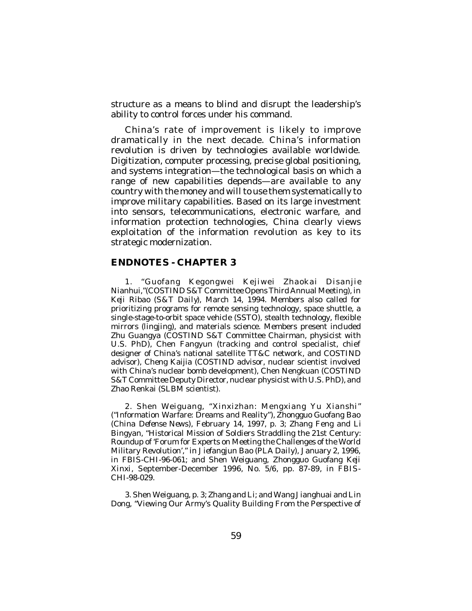structure as a means to blind and disrupt the leadership's ability to control forces under his command.

China's rate of improvement is likely to improve dramatically in the next decade. China's information revolution is driven by technologies available worldwide. Digitization, computer processing, precise global positioning, and systems integration—the technological basis on which a range of new capabilities depends—are available to any country with the money and will to use them systematically to improve military capabilities. Based on its large investment into sensors, telecommunications, electronic warfare, and information protection technologies, China clearly views exploitation of the information revolution as key to its strategic modernization.

## **ENDNOTES - CHAPTER 3**

1. "Guofang Kegongwei Kejiwei Zhaokai Disanjie Nianhui,"(COSTIND S&T Committee Opens Third Annual Meeting), in *Keji Ribao* (*S&T Daily*), March 14, 1994. Members also called for prioritizing programs for remote sensing technology, space shuttle, a single-stage-to-orbit space vehicle (SSTO), stealth technology, flexible mirrors (*lingjing*), and materials science. Members present included Zhu Guangya (COSTIND S&T Committee Chairman, physicist with U.S. PhD), Chen Fangyun (tracking and control specialist, chief designer of China's national satellite TT&C network, and COSTIND advisor), Cheng Kaijia (COSTIND advisor, nuclear scientist involved with China's nuclear bomb development), Chen Nengkuan (COSTIND S&T Committee Deputy Director, nuclear physicist with U.S. PhD), and Zhao Renkai (SLBM scientist).

2. Shen Weiguang, "Xinxizhan: Mengxiang Yu Xianshi" ("Information Warfare: Dreams and Reality"), *Zhongguo Guofang Bao* (*China Defense News*), February 14, 1997, p. 3; Zhang Feng and Li Bingyan, "Historical Mission of Soldiers Straddling the 21st Century: Roundup of 'Forum for Experts on Meeting the Challenges of the World Military Revolution'," in *Jiefangjun Bao* (*PLA Daily*), January 2, 1996, in *FBIS-CHI*-96-061; and Shen Weiguang, *Zhongguo Guofang Keji Xinxi*, September-December 1996, No. 5/6, pp. 87-89, in *FBIS-CHI*-98-029.

3. Shen Weiguang, p. 3; Zhang and Li; and Wang Jianghuai and Lin Dong, "Viewing Our Army's Quality Building From the Perspective of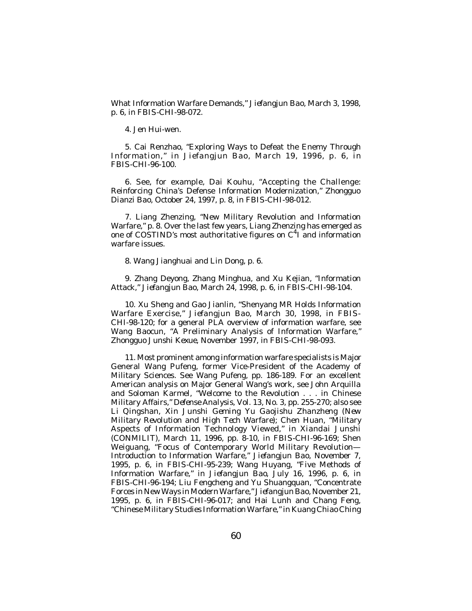What Information Warfare Demands," *Jiefangjun Bao*, March 3, 1998, p. 6, in *FBIS-CHI*-98-072.

4. Jen Hui-wen.

5. Cai Renzhao, "Exploring Ways to Defeat the Enemy Through Information," in *Jiefangjun Bao*, March 19, 1996, p. 6, in *FBIS-CHI*-96-100.

6. See, for example, Dai Kouhu, "Accepting the Challenge: Reinforcing China's Defense Information Modernization," *Zhongguo Dianzi Bao*, October 24, 1997, p. 8, in *FBIS-CHI*-98-012.

7. Liang Zhenzing, "New Military Revolution and Information Warfare," p. 8. Over the last few years, Liang Zhenzing has emerged as one of COSTIND's most authoritative figures on  $C^4$ I and information warfare issues.

8. Wang Jianghuai and Lin Dong, p. 6.

9. Zhang Deyong, Zhang Minghua, and Xu Kejian, "Information Attack," *Jiefangjun Bao*, March 24, 1998, p. 6, in *FBIS-CHI*-98-104.

10. Xu Sheng and Gao Jianlin, "Shenyang MR Holds Information Warfare Exercise," *Jiefangjun Bao*, March 30, 1998, in *FBIS-CHI*-98-120; for a general PLA overview of information warfare, see Wang Baocun, "A Preliminary Analysis of Information Warfare," *Zhongguo Junshi Kexue*, November 1997, in *FBIS-CHI*-98-093.

11. Most prominent among information warfare specialists is Major General Wang Pufeng, former Vice-President of the Academy of Military Sciences. See Wang Pufeng, pp. 186-189. For an excellent American analysis on Major General Wang's work, see John Arquilla and Soloman Karmel, "Welcome to the Revolution . . . in Chinese Military Affairs," *Defense Analysis*, Vol. 13, No. 3, pp. 255-270; also see Li Qingshan, *Xin Junshi Geming Yu Gaojishu Zhanzheng* (*New Military Revolution and High Tech Warfare*); Chen Huan, "Military Aspects of Information Technology Viewed," in *Xiandai Junshi* (CONMILIT), March 11, 1996, pp. 8-10, in *FBIS-CHI*-96-169; Shen Weiguang, "Focus of Contemporary World Military Revolution— Introduction to Information Warfare," *Jiefangjun Bao*, November 7, 1995, p. 6, in *FBIS-CHI*-95-239; Wang Huyang, "Five Methods of Information Warfare," in *Jiefangjun Bao*, July 16, 1996, p. 6, in *FBIS-CHI*-96-194; Liu Fengcheng and Yu Shuangquan, "Concentrate Forces in New Ways in Modern Warfare," *Jiefangjun Bao*, November 21, 1995, p. 6, in *FBIS-CHI*-96-017; and Hai Lunh and Chang Feng, "Chinese Military Studies Information Warfare," in *Kuang Chiao Ching*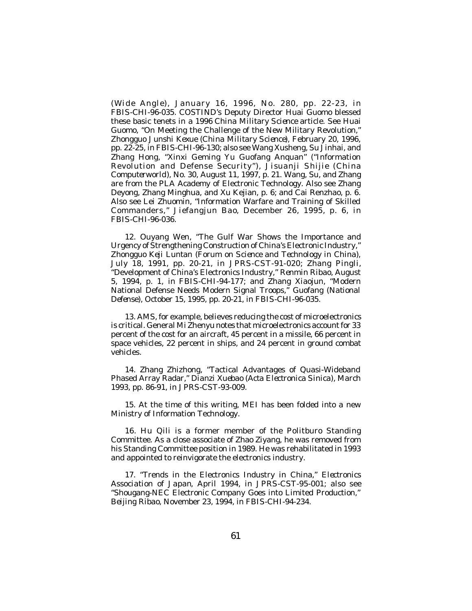*(Wide Angle),* January 16, 1996, No. 280, pp. 22-23, in *FBIS-CHI*-96-035. COSTIND's Deputy Director Huai Guomo blessed these basic tenets in a 1996 *China Military Science* article. See Huai Guomo, "On Meeting the Challenge of the New Military Revolution," *Zhongguo Junshi Kexue* (*China Military Science*), February 20, 1996, pp. 22-25, in *FBIS-CHI*-96-130; also see Wang Xusheng, Su Jinhai, and Zhang Hong, "Xinxi Geming Yu Guofang Anquan" ("Information Revolution and Defense Security"), *Jisuanji Shijie* (*China Computerworld*), No. 30, August 11, 1997, p. 21. Wang, Su, and Zhang are from the PLA Academy of Electronic Technology. Also see Zhang Deyong, Zhang Minghua, and Xu Kejian, p. 6; and Cai Renzhao, p. 6. Also see Lei Zhuomin, "Information Warfare and Training of Skilled Commanders," *Jiefangjun Bao*, December 26, 1995, p. 6, in *FBIS-CHI*-96-036.

12. Ouyang Wen, "The Gulf War Shows the Importance and Urgency of Strengthening Construction of China's Electronic Industry," *Zhongguo Keji Luntan* (*Forum on Science and Technology in China*), July 18, 1991, pp. 20-21, in *JPRS-CST*-91-020; Zhang Pingli, "Development of China's Electronics Industry," *Renmin Ribao*, August 5, 1994, p. 1, in *FBIS-CHI*-94-177; and Zhang Xiaojun, "Modern National Defense Needs Modern Signal Troops," *Guofang* (*National Defense*), October 15, 1995, pp. 20-21, in *FBIS-CHI*-96-035.

13. AMS, for example, believes reducing the cost of microelectronics is critical. General Mi Zhenyu notes that microelectronics account for 33 percent of the cost for an aircraft, 45 percent in a missile, 66 percent in space vehicles, 22 percent in ships, and 24 percent in ground combat vehicles.

14. Zhang Zhizhong, "Tactical Advantages of Quasi-Wideband Phased Array Radar," *Dianzi Xuebao* (*Acta Electronica Sinica*), March 1993, pp. 86-91, in *JPRS-CST*-93-009.

15. At the time of this writing, MEI has been folded into a new Ministry of Information Technology.

16. Hu Qili is a former member of the Politburo Standing Committee. As a close associate of Zhao Ziyang, he was removed from his Standing Committee position in 1989. He was rehabilitated in 1993 and appointed to reinvigorate the electronics industry.

17. "Trends in the Electronics Industry in China," *Electronics Association of Japan*, April 1994, in *JPRS-CST*-95-001; also see "Shougang-NEC Electronic Company Goes into Limited Production," *Beijing Ribao*, November 23, 1994, in *FBIS-CHI*-94-234.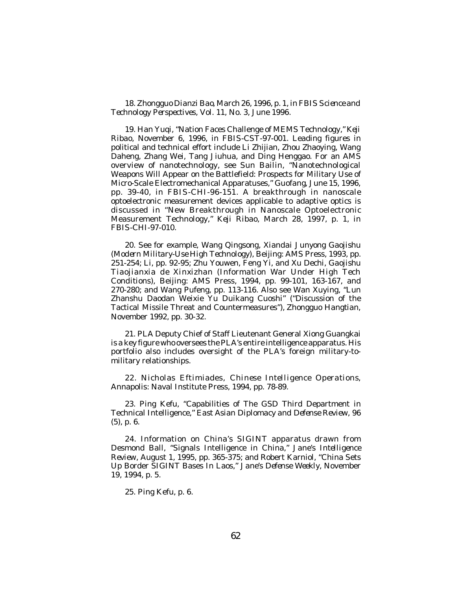18. *Zhongguo Dianzi Bao*, March 26, 1996, p. 1, in *FBIS Science and Technology Perspectives*, Vol. 11, No. 3, June 1996.

19. Han Yuqi, "Nation Faces Challenge of MEMS Technology," *Keji Ribao*, November 6, 1996, in *FBIS-CST*-97-001. Leading figures in political and technical effort include Li Zhijian, Zhou Zhaoying, Wang Daheng, Zhang Wei, Tang Jiuhua, and Ding Henggao. For an AMS overview of nanotechnology, see Sun Bailin, "Nanotechnological Weapons Will Appear on the Battlefield: Prospects for Military Use of Micro-Scale Electromechanical Apparatuses," *Guofang*, June 15, 1996, pp. 39-40, in *FBIS-CHI*-96-151. A breakthrough in nanoscale optoelectronic measurement devices applicable to adaptive optics is discussed in "New Breakthrough in Nanoscale Optoelectronic Measurement Technology," *Keji Ribao*, March 28, 1997, p. 1, in *FBIS-CHI*-97-010.

20. See for example, Wang Qingsong, *Xiandai Junyong Gaojishu* (*Modern Military-Use High Technology*), Beijing: AMS Press, 1993, pp. 251-254; Li, pp. 92-95; Zhu Youwen, Feng Yi, and Xu Dechi, *Gaojishu Tiaojianxia de Xinxizhan* (*Information War Under High Tech Conditions*), Beijing: AMS Press, 1994, pp. 99-101, 163-167, and 270-280; and Wang Pufeng, pp. 113-116. Also see Wan Xuying, "Lun Zhanshu Daodan Weixie Yu Duikang Cuoshi" ("Discussion of the Tactical Missile Threat and Countermeasures"), *Zhongguo Hangtian*, November 1992, pp. 30-32.

21. PLA Deputy Chief of Staff Lieutenant General Xiong Guangkai is a key figure who oversees the PLA's entire intelligence apparatus. His portfolio also includes oversight of the PLA's foreign military-tomilitary relationships.

22. Nicholas Eftimiades, *Chinese Intelligence Operations*, Annapolis: Naval Institute Press, 1994, pp. 78-89.

23. Ping Kefu, "Capabilities of The GSD Third Department in Technical Intelligence," *East Asian Diplomacy and Defense Review*, 96 (5), p. 6.

24. Information on China's SIGINT apparatus drawn from Desmond Ball, "Signals Intelligence in China," *Jane's Intelligence Review*, August 1, 1995, pp. 365-375; and Robert Karniol, "China Sets Up Border SIGINT Bases In Laos," *Jane's Defense Weekly*, November 19, 1994, p. 5.

25. Ping Kefu, p. 6.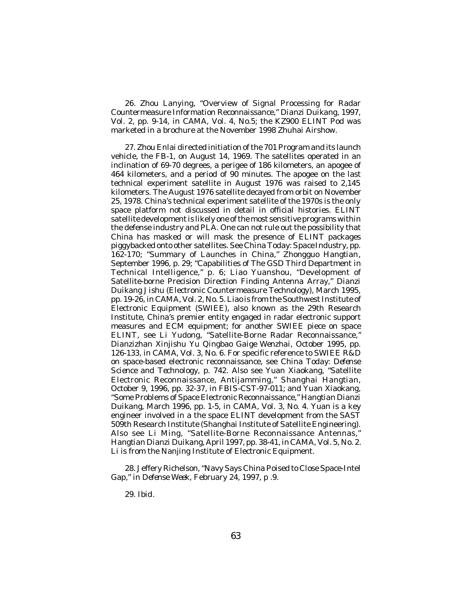26. Zhou Lanying, "Overview of Signal Processing for Radar Countermeasure Information Reconnaissance," *Dianzi Duikang*, 1997, Vol. 2, pp. 9-14, in *CAMA*, Vol. 4, No.5; the KZ900 ELINT Pod was marketed in a brochure at the November 1998 Zhuhai Airshow.

27. Zhou Enlai directed initiation of the 701 Program and its launch vehicle, the FB-1, on August 14, 1969. The satellites operated in an inclination of 69-70 degrees, a perigee of 186 kilometers, an apogee of 464 kilometers, and a period of 90 minutes. The apogee on the last technical experiment satellite in August 1976 was raised to 2,145 kilometers. The August 1976 satellite decayed from orbit on November 25, 1978. China's technical experiment satellite of the 1970s is the only space platform not discussed in detail in official histories. ELINT satellite development is likely one of the most sensitive programs within the defense industry and PLA. One can not rule out the possibility that China has masked or will mask the presence of ELINT packages piggybacked onto other satellites. See *China Today: Space Industry*, pp. 162-170; "Summary of Launches in China," *Zhongguo Hangtian*, September 1996, p. 29; "Capabilities of The GSD Third Department in Technical Intelligence," p. 6; Liao Yuanshou, "Development of Satellite-borne Precision Direction Finding Antenna Array*," Dianzi Duikang Jishu* (Electronic Countermeasure Technology), March 1995, pp. 19-26, in *CAMA*, Vol. 2, No. 5. Liao is from the Southwest Institute of Electronic Equipment (SWIEE), also known as the 29th Research Institute, China's premier entity engaged in radar electronic support measures and ECM equipment; for another SWIEE piece on space ELINT, see Li Yudong, "Satellite-Borne Radar Reconnaissance," *Dianzizhan Xinjishu Yu Qingbao Gaige Wenzhai*, October 1995, pp. 126-133, in *CAMA*, Vol. 3, No. 6. For specific reference to SWIEE R&D on space-based electronic reconnaissance, see *China Today: Defense Science and Technology*, p. 742. Also see Yuan Xiaokang, "Satellite Electronic Reconnaissance, Antijamming," *Shanghai Hangtian*, October 9, 1996, pp. 32-37, in *FBIS-CST*-97-011; and Yuan Xiaokang, "Some Problems of Space Electronic Reconnaissance," *Hangtian Dianzi Duikang*, March 1996, pp. 1-5, in *CAMA*, Vol. 3, No. 4. Yuan is a key engineer involved in a the space ELINT development from the SAST 509th Research Institute (Shanghai Institute of Satellite Engineering). Also see Li Ming, "Satellite-Borne Reconnaissance Antennas," *Hangtian Dianzi Duikang*, April 1997, pp. 38-41, in *CAMA*, Vol. 5, No. 2. Li is from the Nanjing Institute of Electronic Equipment.

28. Jeffery Richelson, "Navy Says China Poised to Close Space-Intel Gap," in *Defense Week*, February 24, 1997, p .9.

29. *Ibid*.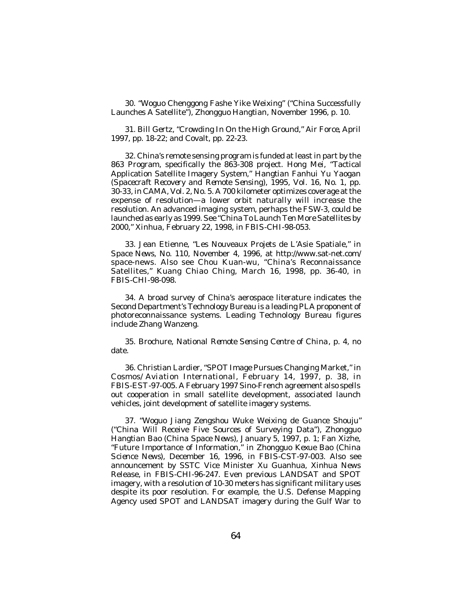30. "Woguo Chenggong Fashe Yike Weixing" ("China Successfully Launches A Satellite"), *Zhongguo Hangtian*, November 1996, p. 10.

31. Bill Gertz, "Crowding In On the High Ground," *Air Force*, April 1997, pp. 18-22; and Covalt, pp. 22-23.

32. China's remote sensing program is funded at least in part by the 863 Program, specifically the 863-308 project. Hong Mei, "Tactical Application Satellite Imagery System," *Hangtian Fanhui Yu Yaogan* (*Spacecraft Recovery and Remote Sensing*), 1995, Vol. 16, No. 1, pp. 30-33, in *CAMA*, Vol. 2, No. 5. A 700 kilometer optimizes coverage at the expense of resolution—a lower orbit naturally will increase the resolution. An advanced imaging system, perhaps the FSW-3, could be launched as early as 1999. See "China To Launch Ten More Satellites by 2000," *Xinhua*, February 22, 1998, in *FBIS-CHI*-98-053.

33. Jean Etienne, "Les Nouveaux Projets de L'Asie Spatiale," in *Space News*, No. 110, November 4, 1996, at http://www.sat-net.com/ space-news. Also see Chou Kuan-wu, "China's Reconnaissance Satellites," *Kuang Chiao Ching*, March 16, 1998, pp. 36-40, in *FBIS-CHI*-98-098.

34. A broad survey of China's aerospace literature indicates the Second Department's Technology Bureau is a leading PLA proponent of photoreconnaissance systems. Leading Technology Bureau figures include Zhang Wanzeng.

35. Brochure, *National Remote Sensing Centre of China*, p. 4, no date.

36. Christian Lardier, "SPOT Image Pursues Changing Market," in *Cosmos/Aviation International*, February 14, 1997, p. 38, in *FBIS-EST*-97-005. A February 1997 Sino-French agreement also spells out cooperation in small satellite development, associated launch vehicles, joint development of satellite imagery systems.

37. "Woguo Jiang Zengshou Wuke Weixing de Guance Shouju" ("China Will Receive Five Sources of Surveying Data"), *Zhongguo Hangtian Bao (China Space News),* January 5, 1997, p. 1; Fan Xizhe, "Future Importance of Information," in *Zhongguo Kexue Bao* (*China Science News*), December 16, 1996, in *FBIS-CST*-97-003. Also see announcement by SSTC Vice Minister Xu Guanhua, Xinhua News Release, in *FBIS-CHI*-96-247. Even previous LANDSAT and SPOT imagery, with a resolution of 10-30 meters has significant military uses despite its poor resolution. For example, the U.S. Defense Mapping Agency used SPOT and LANDSAT imagery during the Gulf War to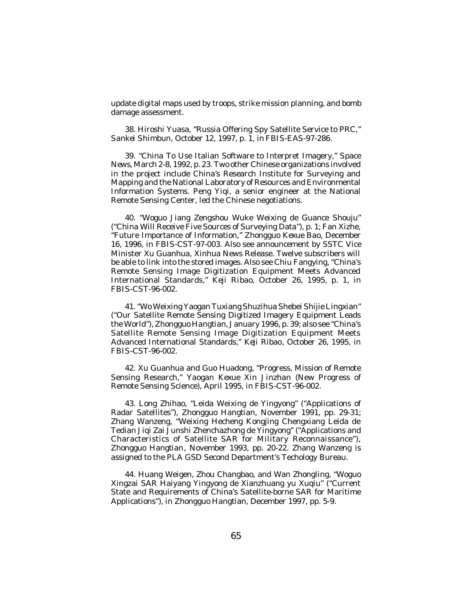update digital maps used by troops, strike mission planning, and bomb damage assessment.

38. Hiroshi Yuasa, "Russia Offering Spy Satellite Service to PRC," *Sankei Shimbun*, October 12, 1997, p. 1, in *FBIS-EAS*-97-286.

39. "China To Use Italian Software to Interpret Imagery," *Space News*, March 2-8, 1992, p. 23. Two other Chinese organizations involved in the project include China's Research Institute for Surveying and Mapping and the National Laboratory of Resources and Environmental Information Systems. Peng Yiqi, a senior engineer at the National Remote Sensing Center, led the Chinese negotiations.

40. "Woguo Jiang Zengshou Wuke Weixing de Guance Shouju" ("China Will Receive Five Sources of Surveying Data"), p. 1; Fan Xizhe, "Future Importance of Information," *Zhongguo Kexue Bao*, December 16, 1996, in *FBIS-CST*-97-003. Also see announcement by SSTC Vice Minister Xu Guanhua, Xinhua News Release. Twelve subscribers will be able to link into the stored images. Also see Chiu Fangying, "China's Remote Sensing Image Digitization Equipment Meets Advanced International Standards," *Keji Ribao*, October 26, 1995, p. 1, in *FBIS-CST*-96-002.

41. "Wo Weixing Yaogan Tuxiang Shuzihua Shebei Shijie Lingxian" ("Our Satellite Remote Sensing Digitized Imagery Equipment Leads the World"), *Zhongguo Hangtian*, January 1996, p. 39; also see "China's Satellite Remote Sensing Image Digitization Equipment Meets Advanced International Standards," *Keji Ribao*, October 26, 1995, in *FBIS-CST*-96-002.

42. Xu Guanhua and Guo Huadong, "Progress, Mission of Remote Sensing Research," *Yaogan Kexue Xin Jinzhan* (New Progress of Remote Sensing Science), April 1995, in *FBIS-CST*-96-002.

43. Long Zhihao, "Leida Weixing de Yingyong" ("Applications of Radar Satellites"), *Zhongguo Hangtian*, November 1991, pp. 29-31; Zhang Wanzeng, "Weixing Hecheng Kongjing Chengxiang Leida de Tedian Jiqi Zai Junshi Zhenchazhong de Yingyong" ("Applications and Characteristics of Satellite SAR for Military Reconnaissance"), *Zhongguo Hangtian*, November 1993, pp. 20-22. Zhang Wanzeng is assigned to the PLA GSD Second Department's Techology Bureau.

44. Huang Weigen, Zhou Changbao, and Wan Zhongling, "Woguo Xingzai SAR Haiyang Yingyong de Xianzhuang yu Xuqiu" ("Current State and Requirements of China's Satellite-borne SAR for Maritime Applications"), in *Zhongguo Hangtian*, December 1997, pp. 5-9.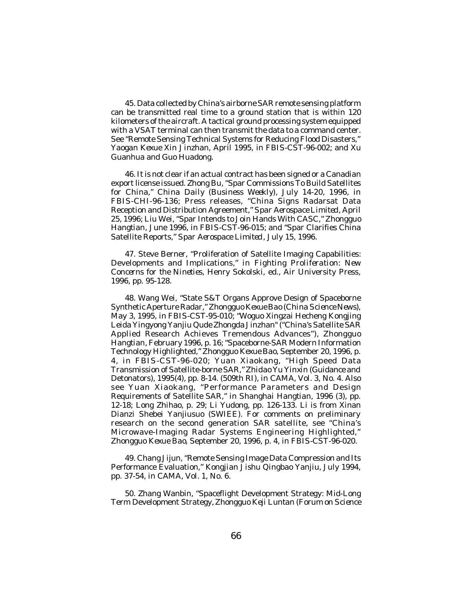45. Data collected by China's airborne SAR remote sensing platform can be transmitted real time to a ground station that is within 120 kilometers of the aircraft. A tactical ground processing system equipped with a VSAT terminal can then transmit the data to a command center. See "Remote Sensing Technical Systems for Reducing Flood Disasters," *Yaogan Kexue Xin Jinzhan*, April 1995, in *FBIS-CST*-96-002; and Xu Guanhua and Guo Huadong.

46. It is not clear if an actual contract has been signed or a Canadian export license issued. Zhong Bu, "Spar Commissions To Build Satellites for China," *China Daily (Business Weekly*), July 14-20, 1996, in *FBIS-CHI*-96-136; Press releases, "China Signs Radarsat Data Reception and Distribution Agreement," *Spar Aerospace Limited*, April 25, 1996; Liu Wei, "Spar Intends to Join Hands With CASC," *Zhongguo Hangtian*, June 1996, in *FBIS-CST*-96-015; and "Spar Clarifies China Satellite Reports," *Spar Aerospace Limited*, July 15, 1996.

47. Steve Berner, "Proliferation of Satellite Imaging Capabilities: Developments and Implications," in *Fighting Proliferation: New Concerns for the Nineties*, Henry Sokolski, ed., Air University Press, 1996, pp. 95-128.

48. Wang Wei, "State S&T Organs Approve Design of Spaceborne Synthetic Aperture Radar," *Zhongguo Kexue Bao* (*China Science News*), May 3, 1995, in *FBIS-CST*-95-010; "Woguo Xingzai Hecheng Kongjing Leida Yingyong Yanjiu Qude Zhongda Jinzhan" ("China's Satellite SAR Applied Research Achieves Tremendous Advances"), *Zhongguo Hangtian*, February 1996, p. 16; "Spaceborne-SAR Modern Information Technology Highlighted," *Zhongguo Kexue Bao*, September 20, 1996, p. 4, in *FBIS-CST*-96-020; Yuan Xiaokang, "High Speed Data Transmission of Satellite-borne SAR," *Zhidao Yu Yinxin* (Guidance and Detonators), 1995(4), pp. 8-14. (509th RI), in *CAMA*, Vol. 3, No. 4. Also see Yuan Xiaokang, "Performance Parameters and Design Requirements of Satellite SAR," *in Shanghai Hangtian*, 1996 (3), pp. 12-18; Long Zhihao, p. 29; Li Yudong, pp. 126-133. Li is from Xinan Dianzi Shebei Yanjiusuo (SWIEE). For comments on preliminary research on the second generation SAR satellite, see "China's Microwave-Imaging Radar Systems Engineering Highlighted," *Zhongguo Kexue Bao*, September 20, 1996, p. 4, in *FBIS-CST*-96-020.

49. Chang Jijun, "Remote Sensing Image Data Compression and Its Performance Evaluation," *Kongjian Jishu Qingbao Yanjiu*, July 1994, pp. 37-54, in *CAMA*, Vol. 1, No. 6.

50. Zhang Wanbin, "Spaceflight Development Strategy: Mid-Long Term Development Strategy, *Zhongguo Keji Luntan* (*Forum on Science*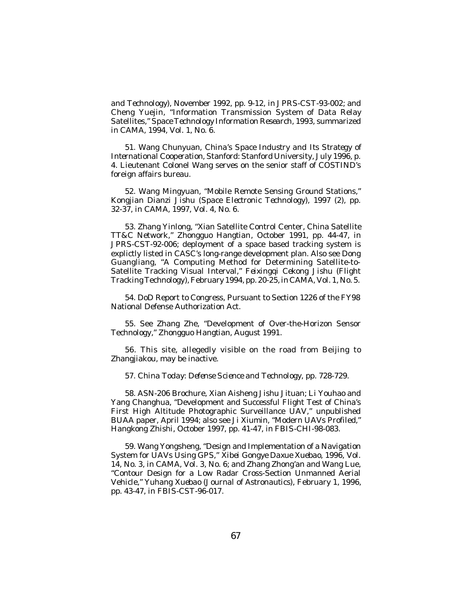*and Technology*), November 1992, pp. 9-12, in *JPRS-CST*-93-002; and Cheng Yuejin, "Information Transmission System of Data Relay Satellites," *Space Technology Information Research*, 1993, summarized in *CAMA*, 1994, Vol. 1, No. 6.

51. Wang Chunyuan*, China's Space Industry and Its Strategy of International Cooperation*, Stanford: Stanford University, July 1996, p. 4. Lieutenant Colonel Wang serves on the senior staff of COSTIND's foreign affairs bureau.

52. Wang Mingyuan, "Mobile Remote Sensing Ground Stations," *Kongjian Dianzi Jishu* (*Space Electronic Technology*), 1997 (2), pp. 32-37, in *CAMA*, 1997, Vol. 4, No. 6.

53. Zhang Yinlong, "Xian Satellite Control Center, China Satellite TT&C Network," *Zhongguo Hangtian*, October 1991, pp. 44-47, in *JPRS-CST*-92-006; deployment of a space based tracking system is explictly listed in CASC's long-range development plan. Also see Dong Guangliang, "A Computing Method for Determining Satellite-to-Satellite Tracking Visual Interval," *Feixingqi Cekong Jishu* (Flight Tracking Technology), February 1994, pp. 20-25, in *CAMA*, Vol. 1, No. 5.

54. DoD Report to Congress, Pursuant to Section 1226 of the FY98 National Defense Authorization Act.

55. See Zhang Zhe, "Development of Over-the-Horizon Sensor Technology," *Zhongguo Hangtian*, August 1991.

56. This site, allegedly visible on the road from Beijing to Zhangjiakou, may be inactive.

57. *China Today: Defense Science and Technology*, pp. 728-729.

58. ASN-206 Brochure, Xian Aisheng Jishu Jituan; Li Youhao and Yang Changhua, "Development and Successful Flight Test of China's First High Altitude Photographic Surveillance UAV," unpublished BUAA paper, April 1994; also see Ji Xiumin, "Modern UAVs Profiled," *Hangkong Zhishi*, October 1997, pp. 41-47, in *FBIS-CHI*-98-083.

59. Wang Yongsheng, "Design and Implementation of a Navigation System for UAVs Using GPS," *Xibei Gongye Daxue Xuebao*, 1996, Vol. 14, No. 3, in *CAMA*, Vol. 3, No. 6; and Zhang Zhong'an and Wang Lue, "Contour Design for a Low Radar Cross-Section Unmanned Aerial Vehicle," *Yuhang Xuebao* (*Journal of Astronautics*), February 1, 1996, pp. 43-47, in *FBIS-CST*-96-017.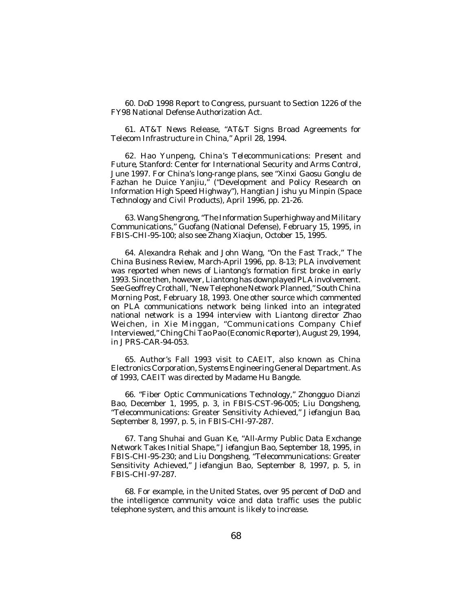60. DoD 1998 Report to Congress, pursuant to Section 1226 of the FY98 National Defense Authorization Act.

61. AT&T News Release, "AT&T Signs Broad Agreements for Telecom Infrastructure in China," April 28, 1994.

62. Hao Yunpeng, *China's Telecommunications: Present and Future*, Stanford: Center for International Security and Arms Control, June 1997. For China's long-range plans, see "Xinxi Gaosu Gonglu de Fazhan he Duice Yanjiu," ("Development and Policy Research on Information High Speed Highway"), *Hangtian Jishu yu Minpin* (*Space Technology and Civil Products*), April 1996, pp. 21-26.

63. Wang Shengrong, "The Information Superhighway and Military Communications," *Guofang* (National Defense), February 15, 1995, in *FBIS-CHI*-95-100; also see Zhang Xiaojun, October 15, 1995.

64. Alexandra Rehak and John Wang, "On the Fast Track," *The China Business Review*, March-April 1996, pp. 8-13; PLA involvement was reported when news of Liantong's formation first broke in early 1993. Since then, however, Liantong has downplayed PLA involvement. See Geoffrey Crothall, "New Telephone Network Planned," *South China Morning Post*, February 18, 1993. One other source which commented on PLA communications network being linked into an integrated national network is a 1994 interview with Liantong director Zhao Weichen, in Xie Minggan, "Communications Company Chief Interviewed," *Ching Chi Tao Pao* (*Economic Reporter*), August 29, 1994, in *JPRS-CAR*-94-053.

65. Author's Fall 1993 visit to CAEIT, also known as China Electronics Corporation, Systems Engineering General Department. As of 1993, CAEIT was directed by Madame Hu Bangde.

66. "Fiber Optic Communications Technology," *Zhongguo Dianzi Bao*, December 1, 1995, p. 3, in *FBIS-CST*-96-005; Liu Dongsheng, "Telecommunications: Greater Sensitivity Achieved," *Jiefangjun Bao*, September 8, 1997, p. 5, in *FBIS-CHI*-97-287.

67. Tang Shuhai and Guan Ke, "All-Army Public Data Exchange Network Takes Initial Shape," *Jiefangjun Bao*, September 18, 1995, in *FBIS-CHI*-95-230; and Liu Dongsheng, "Telecommunications: Greater Sensitivity Achieved," *Jiefangjun Bao*, September 8, 1997, p. 5, in *FBIS-CHI*-97-287.

68. For example, in the United States, over 95 percent of DoD and the intelligence community voice and data traffic uses the public telephone system, and this amount is likely to increase.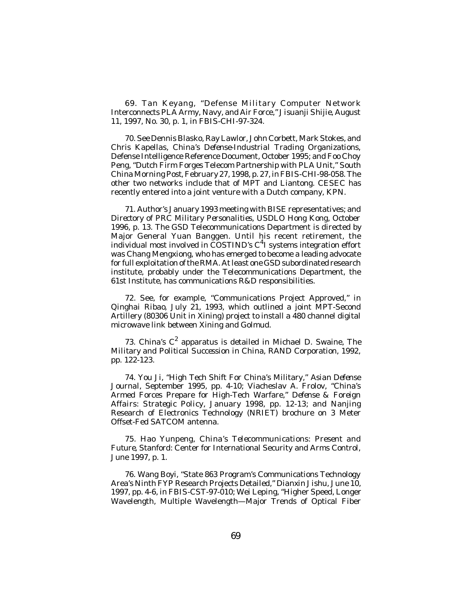69. Tan Keyang, "Defense Military Computer Network Interconnects PLA Army, Navy, and Air Force," *Jisuanji Shijie*, August 11, 1997, No. 30, p. 1, in *FBIS-CHI*-97-324.

70. See Dennis Blasko, Ray Lawlor, John Corbett, Mark Stokes, and Chris Kapellas, *China's Defense-Industrial Trading Organizations*, Defense Intelligence Reference Document, October 1995; and Foo Choy Peng, "Dutch Firm Forges Telecom Partnership with PLA Unit," *South China Morning Post*, February 27, 1998, p. 27, in*FBIS-CHI*-98-058. The other two networks include that of MPT and Liantong. CESEC has recently entered into a joint venture with a Dutch company, KPN.

71. Author's January 1993 meeting with BISE representatives; and *Directory of PRC Military Personalities*, USDLO Hong Kong, October 1996, p. 13. The GSD Telecommunications Department is directed by Major General Yuan Banggen. Until his recent retirement, the individual most involved in COSTIND's  $C<sup>4</sup>$ I systems integration effort was Chang Mengxiong, who has emerged to become a leading advocate for full exploitation of the RMA. At least one GSD subordinated research institute, probably under the Telecommunications Department, the 61st Institute, has communications R&D responsibilities.

72. See, for example, "Communications Project Approved," in *Qinghai Ribao*, July 21, 1993, which outlined a joint MPT-Second Artillery (80306 Unit in Xining) project to install a 480 channel digital microwave link between Xining and Golmud.

73. China's C 2 apparatus is detailed in Michael D. Swaine, *The Military and Political Succession in China*, RAND Corporation, 1992, pp. 122-123.

74. You Ji, "High Tech Shift For China's Military," *Asian Defense Journal*, September 1995, pp. 4-10; Viacheslav A. Frolov, "China's Armed Forces Prepare for High-Tech Warfare," *Defense & Foreign Affairs: Strategic Policy*, January 1998, pp. 12-13; and Nanjing Research of Electronics Technology (NRIET) brochure on 3 Meter Offset-Fed SATCOM antenna.

75. Hao Yunpeng, *China's Telecommunications: Present and Future*, Stanford: Center for International Security and Arms Control, June 1997, p. 1.

76. Wang Boyi, "State 863 Program's Communications Technology Area's Ninth FYP Research Projects Detailed," *Dianxin Jishu*, June 10, 1997, pp. 4-6, in *FBIS-CST*-97-010; Wei Leping, "Higher Speed, Longer Wavelength, Multiple Wavelength—Major Trends of Optical Fiber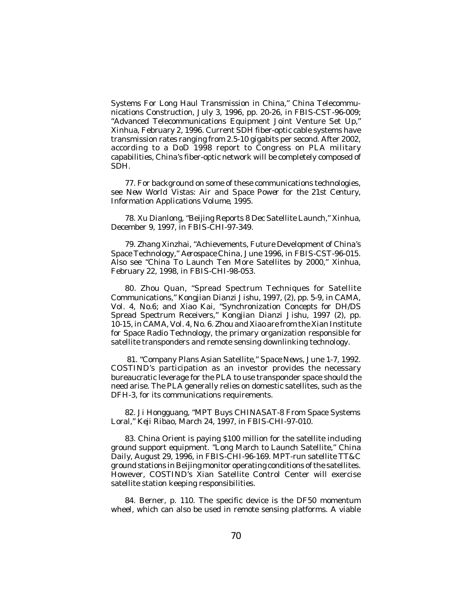Systems For Long Haul Transmission in China," China Telecommunications Construction, July 3, 1996, pp. 20-26, in *FBIS-CST*-96-009; "Advanced Telecommunications Equipment Joint Venture Set Up," *Xinhua*, February 2, 1996. Current SDH fiber-optic cable systems have transmission rates ranging from 2.5-10 gigabits per second. After 2002, according to a DoD 1998 report to Congress on PLA military capabilities, China's fiber-optic network will be completely composed of SDH.

77. For background on some of these communications technologies, see *New World Vistas: Air and Space Power for the 21st Century, Information Applications Volume*, 1995.

78. Xu Dianlong, "Beijing Reports 8 Dec Satellite Launch," *Xinhua*, December 9, 1997, in *FBIS-CHI*-97-349.

79. Zhang Xinzhai, "Achievements, Future Development of China's Space Technology," *Aerospace China*, June 1996, in *FBIS-CST*-96-015. Also see "China To Launch Ten More Satellites by 2000," *Xinhua*, February 22, 1998, in *FBIS-CHI*-98-053.

80. Zhou Quan, "Spread Spectrum Techniques for Satellite Communications," *Kongjian Dianzi Jishu*, 1997, (2), pp. 5-9, in *CAMA*, Vol. 4, No.6; and Xiao Kai, "Synchronization Concepts for DH/DS Spread Spectrum Receivers," *Kongjian Dianzi Jishu*, 1997 (2), pp. 10-15, in *CAMA*, Vol. 4, No. 6. Zhou and Xiao are from the Xian Institute for Space Radio Technology, the primary organization responsible for satellite transponders and remote sensing downlinking technology.

 81. "Company Plans Asian Satellite," *Space News*, June 1-7, 1992. COSTIND's participation as an investor provides the necessary bureaucratic leverage for the PLA to use transponder space should the need arise. The PLA generally relies on domestic satellites, such as the DFH-3, for its communications requirements.

82. Ji Hongguang, "MPT Buys CHINASAT-8 From Space Systems Loral," *Keji Ribao*, March 24, 1997, in *FBIS-CHI*-97-010.

83. China Orient is paying \$100 million for the satellite including ground support equipment. "Long March to Launch Satellite," *China Daily*, August 29, 1996, in *FBIS-CHI*-96-169. MPT-run satellite TT&C ground stations in Beijing monitor operating conditions of the satellites. However, COSTIND's Xian Satellite Control Center will exercise satellite station keeping responsibilities.

84. Berner, p. 110. The specific device is the DF50 momentum wheel, which can also be used in remote sensing platforms. A viable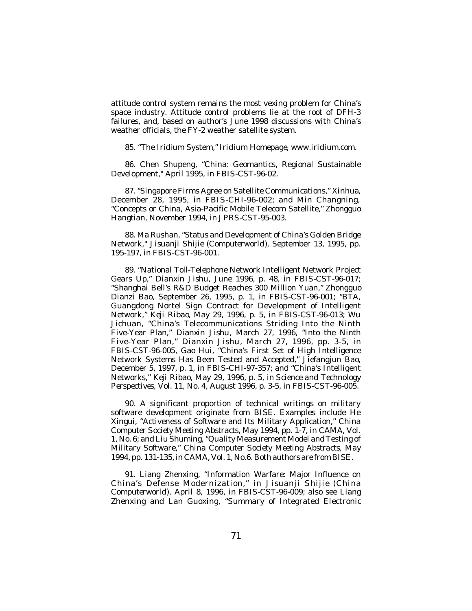attitude control system remains the most vexing problem for China's space industry. Attitude control problems lie at the root of DFH-3 failures, and, based on author's June 1998 discussions with China's weather officials, the FY-2 weather satellite system.

85. "The Iridium System," *Iridium Homepage*, *www.iridium.com*.

86. Chen Shupeng, "China: Geomantics, Regional Sustainable Development," April 1995, in *FBIS-CST*-96-02.

87. "Singapore Firms Agree on Satellite Communications," *Xinhua*, December 28, 1995, in *FBIS-CHI*-96-002; and Min Changning, "Concepts or China, Asia-Pacific Mobile Telecom Satellite," *Zhongguo Hangtian*, November 1994, in *JPRS-CST*-95-003.

88. Ma Rushan, "Status and Development of China's Golden Bridge Network," *Jisuanji Shijie* (*Computerworld*), September 13, 1995, pp. 195-197, in *FBIS-CST*-96-001.

89. "National Toll-Telephone Network Intelligent Network Project Gears Up," *Dianxin Jishu*, June 1996, p. 48, in *FBIS-CST*-96-017; "Shanghai Bell's R&D Budget Reaches 300 Million Yuan," *Zhongguo Dianzi Bao*, September 26, 1995, p. 1, in *FBIS-CST*-96-001; "BTA, Guangdong Nortel Sign Contract for Development of Intelligent Network," *Keji Ribao*, May 29, 1996, p. 5, in *FBIS-CST*-96-013; Wu Jichuan, "China's Telecommunications Striding Into the Ninth Five-Year Plan," *Dianxin Jishu*, March 27, 1996, "Into the Ninth Five-Year Plan," *Dianxin Jishu*, March 27, 1996, pp. 3-5, in *FBIS-CST*-96-005, Gao Hui, "China's First Set of High Intelligence Network Systems Has Been Tested and Accepted," *Jiefangjun Bao*, December 5, 1997, p. 1, in *FBIS-CHI*-97-357; and "China's Intelligent Networks," *Keji Ribao*, May 29, 1996, p. 5, in *Science and Technology Perspectives*, Vol. 11, No. 4, August 1996, p. 3-5, in *FBIS-CST*-96-005.

90. A significant proportion of technical writings on military software development originate from BISE. Examples include He Xingui, "Activeness of Software and Its Military Application*," China Computer Society Meeting Abstracts*, May 1994, pp. 1-7, in *CAMA*, Vol. 1, No. 6; and Liu Shuming, "Quality Measurement Model and Testing of Military Software," *China Computer Society Meeting Abstracts*, May 1994, pp. 131-135, in *CAMA*, Vol. 1, No.6. Both authors are from BISE.

91. Liang Zhenxing, "Information Warfare: Major Influence on China's Defense Modernization," in *Jisuanji Shijie* (*China Computerworld*), April 8, 1996, in *FBIS-CST*-96-009; also see Liang Zhenxing and Lan Guoxing, "Summary of Integrated Electronic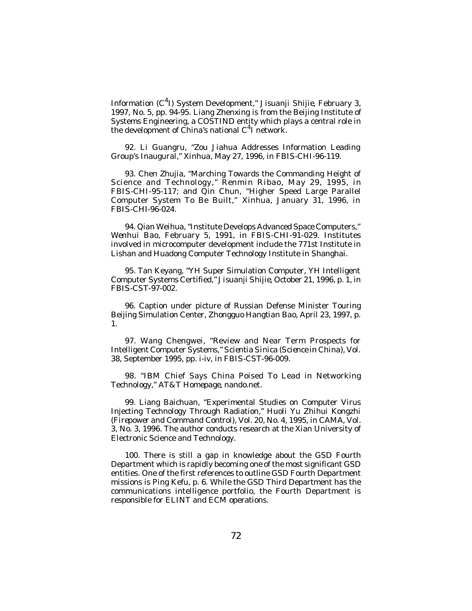Information (C<sup>4</sup> I) System Development," *Jisuanji Shijie*, February 3, 1997, No. 5, pp. 94-95. Liang Zhenxing is from the Beijing Institute of Systems Engineering, a COSTIND entity which plays a central role in the development of China's national C<sup>4</sup>I network.

92. Li Guangru, "Zou Jiahua Addresses Information Leading Group's Inaugural," *Xinhua*, May 27, 1996, in *FBIS-CHI*-96-119.

93. Chen Zhujia, "Marching Towards the Commanding Height of Science and Technology," *Renmin Ribao*, May 29, 1995, in *FBIS-CHI*-95-117; and Qin Chun, "Higher Speed Large Parallel Computer System To Be Built," *Xinhua*, January 31, 1996, in *FBIS-CHI*-96-024.

94. Qian Weihua, "Institute Develops Advanced Space Computers," *Wenhui Bao*, February 5, 1991, in *FBIS-CHI*-91-029. Institutes involved in microcomputer development include the 771st Institute in Lishan and Huadong Computer Technology Institute in Shanghai.

95. Tan Keyang, "YH Super Simulation Computer, YH Intelligent Computer Systems Certified," *Jisuanji Shijie*, October 21, 1996, p. 1, in *FBIS-CST*-97-002.

96. Caption under picture of Russian Defense Minister Touring Beijing Simulation Center, *Zhongguo Hangtian Bao*, April 23, 1997, p. 1.

97. Wang Chengwei, "Review and Near Term Prospects for Intelligent Computer Systems," *Scientia Sinica* (*Science in China*), Vol. 38, September 1995, pp. i-iv, in *FBIS-CST*-96-009.

98. "IBM Chief Says China Poised To Lead in Networking Technology," *AT&T Homepage*, nando.net.

99. Liang Baichuan, "Experimental Studies on Computer Virus Injecting Technology Through Radiation," *Huoli Yu Zhihui Kongzhi (Firepower and Command Control*), Vol. 20, No. 4, 1995, in *CAMA*, Vol. 3, No. 3, 1996. The author conducts research at the Xian University of Electronic Science and Technology.

100. There is still a gap in knowledge about the GSD Fourth Department which is rapidly becoming one of the most significant GSD entities. One of the first references to outline GSD Fourth Department missions is Ping Kefu, p. 6. While the GSD Third Department has the communications intelligence portfolio, the Fourth Department is responsible for ELINT and ECM operations.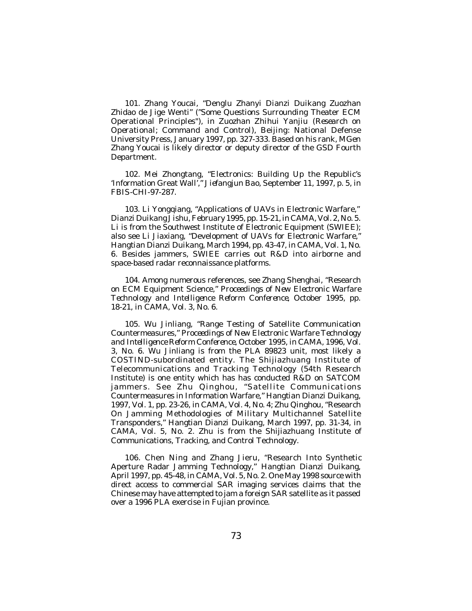101. Zhang Youcai, "Denglu Zhanyi Dianzi Duikang Zuozhan Zhidao de Jige Wenti" ("Some Questions Surrounding Theater ECM Operational Principles"), in *Zuozhan Zhihui Yanjiu* (*Research on Operational; Command and Control*), Beijing: National Defense University Press, January 1997, pp. 327-333. Based on his rank, MGen Zhang Youcai is likely director or deputy director of the GSD Fourth Department.

102. Mei Zhongtang, "Electronics: Building Up the Republic's 'Information Great Wall'," *Jiefangjun Bao*, September 11, 1997, p. 5, in *FBIS-CHI*-97-287.

103. Li Yongqiang, "Applications of UAVs in Electronic Warfare," *Dianzi Duikang Jishu*, February 1995, pp. 15-21, in *CAMA*, Vol. 2, No. 5. Li is from the Southwest Institute of Electronic Equipment (SWIEE); also see Li Jiaxiang, "Development of UAVs for Electronic Warfare," *Hangtian Dianzi Duikang*, March 1994, pp. 43-47, in *CAMA*, Vol. 1, No. 6. Besides jammers, SWIEE carries out R&D into airborne and space-based radar reconnaissance platforms.

104. Among numerous references, see Zhang Shenghai, "Research on ECM Equipment Science," *Proceedings of New Electronic Warfare Technology and Intelligence Reform Conference*, October 1995, pp. 18-21, in *CAMA*, Vol. 3, No. 6.

105. Wu Jinliang, "Range Testing of Satellite Communication Countermeasures," *Proceedings of New Electronic Warfare Technology and Intelligence Reform Conference*, October 1995, in *CAMA*, 1996, Vol. 3, No. 6. Wu Jinliang is from the PLA 89823 unit, most likely a COSTIND-subordinated entity. The Shijiazhuang Institute of Telecommunications and Tracking Technology (54th Research Institute) is one entity which has has conducted R&D on SATCOM jammers. See Zhu Qinghou, "Satellite Communications Countermeasures in Information Warfare," *Hangtian Dianzi Duikang*, 1997, Vol. 1, pp. 23-26, in *CAMA*, Vol. 4, No. 4; Zhu Qinghou, "Research On Jamming Methodologies of Military Multichannel Satellite Transponders," *Hangtian Dianzi Duikang*, March 1997, pp. 31-34, in *CAMA*, Vol. 5, No. 2. Zhu is from the Shijiazhuang Institute of Communications, Tracking, and Control Technology.

106. Chen Ning and Zhang Jieru, "Research Into Synthetic Aperture Radar Jamming Technology," *Hangtian Dianzi Duikang*, April 1997, pp. 45-48, in *CAMA*, Vol. 5, No. 2. One May 1998 source with direct access to commercial SAR imaging services claims that the Chinese may have attempted to jam a foreign SAR satellite as it passed over a 1996 PLA exercise in Fujian province.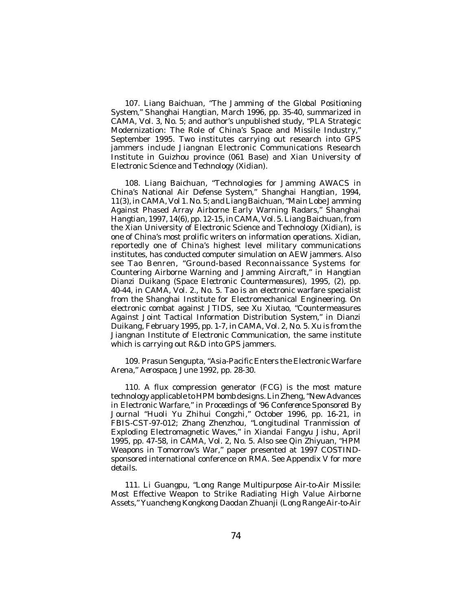107. Liang Baichuan, "The Jamming of the Global Positioning System," *Shanghai Hangtian*, March 1996, pp. 35-40, summarized in *CAMA*, Vol. 3, No. 5; and author's unpublished study, "PLA Strategic Modernization: The Role of China's Space and Missile Industry," September 1995. Two institutes carrying out research into GPS jammers include Jiangnan Electronic Communications Research Institute in Guizhou province (061 Base) and Xian University of Electronic Science and Technology (*Xidian*).

108. Liang Baichuan, "Technologies for Jamming AWACS in China's National Air Defense System," *Shanghai Hangtian*, 1994, 11(3), in *CAMA*, Vol 1. No. 5; and Liang Baichuan, "Main Lobe Jamming Against Phased Array Airborne Early Warning Radars," *Shanghai Hangtian*, 1997, 14(6), pp. 12-15, in *CAMA*, Vol. 5. Liang Baichuan, from the Xian University of Electronic Science and Technology (*Xidian*), is one of China's most prolific writers on information operations. Xidian, reportedly one of China's highest level military communications institutes, has conducted computer simulation on AEW jammers. Also see Tao Benren, "Ground-based Reconnaissance Systems for Countering Airborne Warning and Jamming Aircraft," in *Hangtian Dianzi Duikang (Space Electronic Countermeasures*), 1995, (2), pp. 40-44, in *CAMA,* Vol. 2., No. 5. Tao is an electronic warfare specialist from the Shanghai Institute for Electromechanical Engineering. On electronic combat against JTIDS, see Xu Xiutao, "Countermeasures Against Joint Tactical Information Distribution System," in *Dianzi Duikang*, February 1995, pp. 1-7, in *CAMA*, Vol. 2, No. 5. Xu is from the Jiangnan Institute of Electronic Communication, the same institute which is carrying out R&D into GPS jammers.

109. Prasun Sengupta, "Asia-Pacific Enters the Electronic Warfare Arena," *Aerospace*, June 1992, pp. 28-30.

110. A flux compression generator (FCG) is the most mature technology applicable to HPM bomb designs. Lin Zheng, "New Advances in Electronic Warfare," in *Proceedings of '96 Conference Sponsored By Journal "Huoli Yu Zhihui Congzhi*," October 1996, pp. 16-21, in *FBIS-CST*-97-012; Zhang Zhenzhou, "Longitudinal Tranmission of Exploding Electromagnetic Waves," in *Xiandai Fangyu Jishu*, April 1995, pp. 47-58, in *CAMA*, Vol. 2, No. 5. Also see Qin Zhiyuan, "HPM Weapons in Tomorrow's War," paper presented at 1997 COSTINDsponsored international conference on RMA. See Appendix V for more details.

111. Li Guangpu, "Long Range Multipurpose Air-to-Air Missile: Most Effective Weapon to Strike Radiating High Value Airborne Assets," *Yuancheng Kongkong Daodan Zhuanji (Long Range Air-to-Air*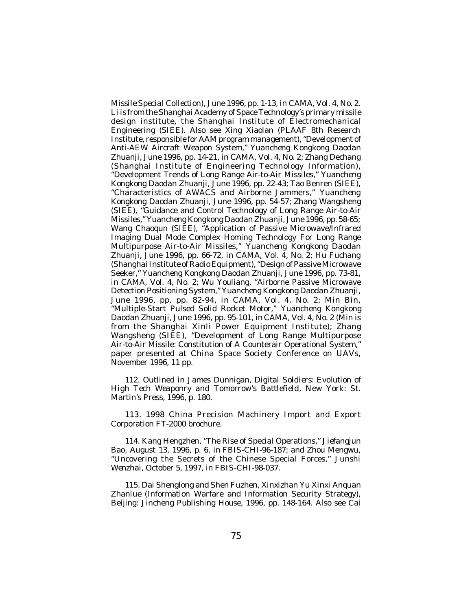*Missile Special Collection)*, June 1996, pp. 1-13, in *CAMA*, Vol. 4, No. 2. Li is from the Shanghai Academy of Space Technology's primary missile design institute, the Shanghai Institute of Electromechanical Engineering (SIEE). Also see Xing Xiaolan (PLAAF 8th Research Institute, responsible for AAM program management), "Development of Anti-AEW Aircraft Weapon System," *Yuancheng Kongkong Daodan Zhuanji,* June 1996, pp. 14-21, in *CAMA*, Vol. 4, No. 2; Zhang Dechang (Shanghai Institute of Engineering Technology Information), "Development Trends of Long Range Air-to-Air Missiles," *Yuancheng Kongkong Daodan Zhuanji,* June 1996, pp. 22-43; Tao Benren (SIEE), "Characteristics of AWACS and Airborne Jammers," *Yuancheng Kongkong Daodan Zhuanji*, June 1996*,* pp. 54-57; Zhang Wangsheng (SIEE), "Guidance and Control Technology of Long Range Air-to-Air Missiles," *Yuancheng Kongkong Daodan Zhuanji,* June 1996*,* pp. 58-65; Wang Chaoqun (SIEE), "Application of Passive Microwave/Infrared Imaging Dual Mode Complex Homing Technology For Long Range Multipurpose Air-to-Air Missiles," *Yuancheng Kongkong Daodan Zhuanji,* June 1996, pp. 66-72, in *CAMA*, Vol. 4, No. 2; Hu Fuchang (Shanghai Institute of Radio Equipment), "Design of Passive Microwave Seeker," *Yuancheng Kongkong Daodan Zhuanji,* June 1996, pp. 73-81, in *CAMA*, Vol. 4, No. 2; Wu Youliang, "Airborne Passive Microwave Detection Positioning System," *Yuancheng Kongkong Daodan Zhuanji,* June 1996, pp. pp. 82-94, in *CAMA*, Vol. 4, No. 2; Min Bin, "Multiple-Start Pulsed Solid Rocket Motor," *Yuancheng Kongkong Daodan Zhuanji,* June 1996, pp. 95-101, in *CAMA*, Vol. 4, No. 2 (Min is from the Shanghai Xinli Power Equipment Institute); Zhang Wangsheng (SIEE), "Development of Long Range Multipurpose Air-to-Air Missile: Constitution of A Counterair Operational System," paper presented at China Space Society Conference on UAVs, November 1996, 11 pp.

112. Outlined in James Dunnigan, *Digital Soldiers: Evolution of High Tech Weaponry and Tomorrow's Battlefield*, New York: St. Martin's Press, 1996, p. 180.

113. 1998 China Precision Machinery Import and Export Corporation FT-2000 brochure.

114. Kang Hengzhen, "The Rise of Special Operations," *Jiefangjun Bao*, August 13, 1996, p. 6, in *FBIS-CHI*-96-187; and Zhou Mengwu, "Uncovering the Secrets of the Chinese Special Forces," *Junshi Wenzhai*, October 5, 1997, in *FBIS-CHI*-98-037.

115. Dai Shenglong and Shen Fuzhen, *Xinxizhan Yu Xinxi Anquan Zhanlue* (Information Warfare and Information Security Strategy), Beijing: Jincheng Publishing House, 1996, pp. 148-164. Also see Cai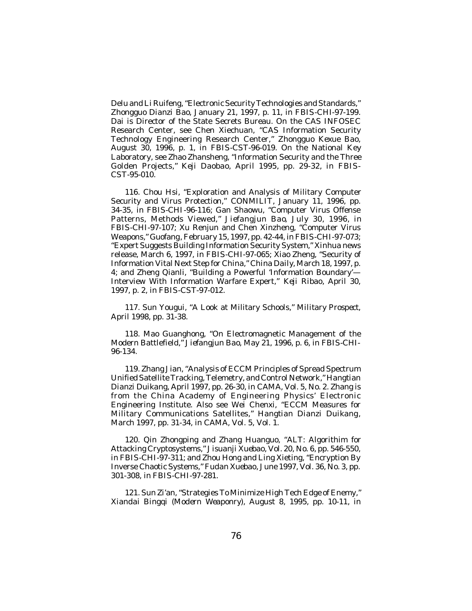Delu and Li Ruifeng, "Electronic Security Technologies and Standards," *Zhongguo Dianzi Bao*, January 21, 1997, p. 11, in *FBIS-CHI*-97-199. Dai is Director of the State Secrets Bureau. On the CAS INFOSEC Research Center, see Chen Xiechuan, "CAS Information Security Technology Engineering Research Center," *Zhongguo Kexue Bao*, August 30, 1996, p. 1, in *FBIS-CST*-96-019. On the National Key Laboratory, see Zhao Zhansheng, "Information Security and the Three Golden Projects," *Keji Daobao*, April 1995, pp. 29-32, in *FBIS-CST*-95-010.

116. Chou Hsi, "Exploration and Analysis of Military Computer Security and Virus Protection," *CONMILIT*, January 11, 1996, pp. 34-35, in *FBIS-CHI*-96-116; Gan Shaowu, "Computer Virus Offense Patterns, Methods Viewed," *Jiefangjun Bao*, July 30, 1996, in *FBIS-CHI*-97-107; Xu Renjun and Chen Xinzheng, "Computer Virus Weapons," *Guofang*, February 15, 1997, pp. 42-44, in *FBIS-CHI*-97-073; "Expert Suggests Building Information Security System," *Xinhua* news release, March 6, 1997, in *FBIS-CHI*-97-065; Xiao Zheng, "Security of Information Vital Next Step for China," *China Daily*, March 18, 1997, p. 4; and Zheng Qianli, "Building a Powerful 'Information Boundary'— Interview With Information Warfare Expert," *Keji Ribao*, April 30, 1997, p. 2, in *FBIS-CST*-97-012.

117. Sun Yougui, "A Look at Military Schools," *Military Prospect*, April 1998, pp. 31-38.

118. Mao Guanghong, "On Electromagnetic Management of the Modern Battlefield," *Jiefangjun Bao*, May 21, 1996, p. 6, in *FBIS-CHI-*96-134.

119. Zhang Jian, "Analysis of ECCM Principles of Spread Spectrum Unified Satellite Tracking, Telemetry, and Control Network," *Hangtian Dianzi Duikang*, April 1997, pp. 26-30, in *CAMA*, Vol. 5, No. 2. Zhang is from the China Academy of Engineering Physics' Electronic Engineering Institute. Also see Wei Chenxi, "ECCM Measures for Military Communications Satellites," *Hangtian Dianzi Duikang*, March 1997, pp. 31-34, in *CAMA*, Vol. 5, Vol. 1.

120. Qin Zhongping and Zhang Huanguo, "ALT: Algorithim for Attacking Cryptosystems," *Jisuanji Xuebao*, Vol. 20, No. 6, pp. 546-550, in *FBIS-CHI*-97-311; and Zhou Hong and Ling Xieting, "Encryption By Inverse Chaotic Systems," *Fudan Xuebao*, June 1997, Vol. 36, No. 3, pp. 301-308, in *FBIS-CHI*-97-281.

121. Sun Zi'an, "Strategies To Minimize High Tech Edge of Enemy," *Xiandai Bingqi* (*Modern Weaponry*), August 8, 1995, pp. 10-11, in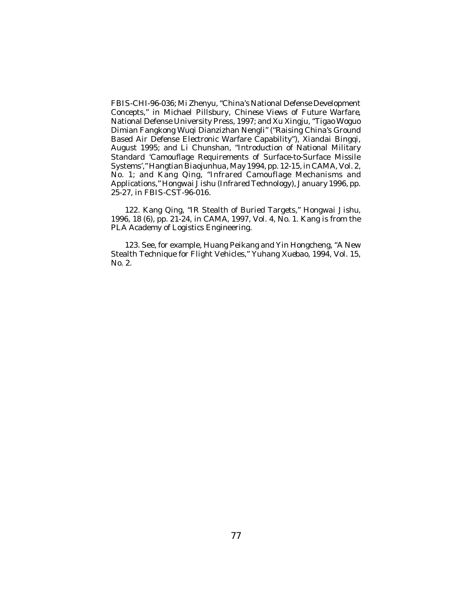*FBIS-CHI*-96-036; Mi Zhenyu, "China's National Defense Development Concepts," in Michael Pillsbury, *Chinese Views of Future Warfare*, National Defense University Press, 1997; and Xu Xingju, "Tigao Woguo Dimian Fangkong Wuqi Dianzizhan Nengli" ("Raising China's Ground Based Air Defense Electronic Warfare Capability"), *Xiandai Bingqi*, August 1995; and Li Chunshan, "Introduction of National Military Standard 'Camouflage Requirements of Surface-to-Surface Missile Systems'," *Hangtian Biaojunhua*, May 1994, pp. 12-15, in *CAMA*, Vol. 2, No. 1; and Kang Qing, "Infrared Camouflage Mechanisms and Applications," *Hongwai Jishu* (Infrared Technology), January 1996, pp. 25-27, in *FBIS-CST*-96-016.

122. Kang Qing, "IR Stealth of Buried Targets," *Hongwai Jishu*, 1996, 18 (6), pp. 21-24, in *CAMA*, 1997, Vol. 4, No. 1. Kang is from the PLA Academy of Logistics Engineering.

123. See, for example, Huang Peikang and Yin Hongcheng, "A New Stealth Technique for Flight Vehicles," *Yuhang Xuebao*, 1994, Vol. 15, No. 2.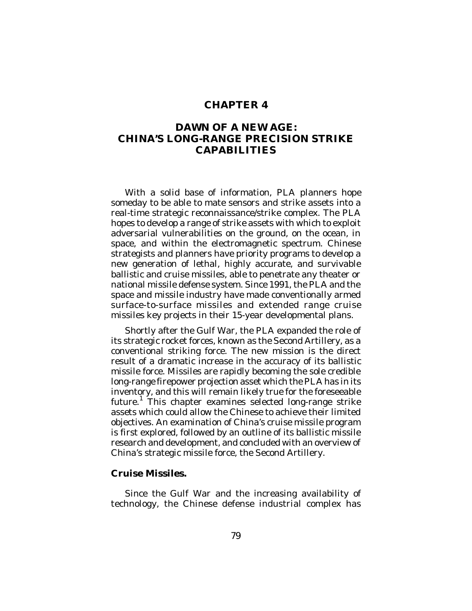### **CHAPTER 4**

# **DAWN OF A NEW AGE: CHINA'S LONG-RANGE PRECISION STRIKE CAPABILITIES**

With a solid base of information, PLA planners hope someday to be able to mate sensors and strike assets into a real-time strategic reconnaissance/strike complex. The PLA hopes to develop a range of strike assets with which to exploit adversarial vulnerabilities on the ground, on the ocean, in space, and within the electromagnetic spectrum. Chinese strategists and planners have priority programs to develop a new generation of lethal, highly accurate, and survivable ballistic and cruise missiles, able to penetrate any theater or national missile defense system. Since 1991, the PLA and the space and missile industry have made conventionally armed surface-to-surface missiles and extended range cruise missiles key projects in their 15-year developmental plans.

Shortly after the Gulf War, the PLA expanded the role of its strategic rocket forces, known as the Second Artillery, as a conventional striking force. The new mission is the direct result of a dramatic increase in the accuracy of its ballistic missile force. Missiles are rapidly becoming the sole credible long-range firepower projection asset which the PLA has in its inventory, and this will remain likely true for the foreseeable future.<sup>1</sup> This chapter examines selected long-range strike assets which could allow the Chinese to achieve their limited objectives. An examination of China's cruise missile program is first explored, followed by an outline of its ballistic missile research and development, and concluded with an overview of China's strategic missile force, the Second Artillery.

### **Cruise Missiles.**

Since the Gulf War and the increasing availability of technology, the Chinese defense industrial complex has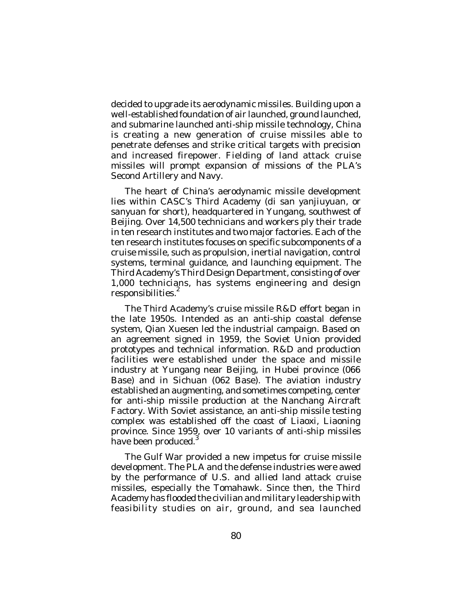decided to upgrade its aerodynamic missiles. Building upon a well-established foundation of air launched, ground launched, and submarine launched anti-ship missile technology, China is creating a new generation of cruise missiles able to penetrate defenses and strike critical targets with precision and increased firepower. Fielding of land attack cruise missiles will prompt expansion of missions of the PLA's Second Artillery and Navy.

The heart of China's aerodynamic missile development lies within CASC's Third Academy (*di san yanjiuyuan*, or *sanyuan* for short), headquartered in Yungang, southwest of Beijing. Over 14,500 technicians and workers ply their trade in ten research institutes and two major factories. Each of the ten research institutes focuses on specific subcomponents of a cruise missile, such as propulsion, inertial navigation, control systems, terminal guidance, and launching equipment. The Third Academy's Third Design Department, consisting of over 1,000 technicians, has systems engineering and design responsibilities.<sup>2</sup>

The Third Academy's cruise missile R&D effort began in the late 1950s. Intended as an anti-ship coastal defense system, Qian Xuesen led the industrial campaign. Based on an agreement signed in 1959, the Soviet Union provided prototypes and technical information. R&D and production facilities were established under the space and missile industry at Yungang near Beijing, in Hubei province (066 Base) and in Sichuan (062 Base). The aviation industry established an augmenting, and sometimes competing, center for anti-ship missile production at the Nanchang Aircraft Factory. With Soviet assistance, an anti-ship missile testing complex was established off the coast of Liaoxi, Liaoning province. Since 1959, over 10 variants of anti-ship missiles<br>have been produced <sup>3</sup> have been produced.

The Gulf War provided a new impetus for cruise missile development. The PLA and the defense industries were awed by the performance of U.S. and allied land attack cruise missiles, especially the Tomahawk. Since then, the Third Academy has flooded the civilian and military leadership with feasibility studies on air, ground, and sea launched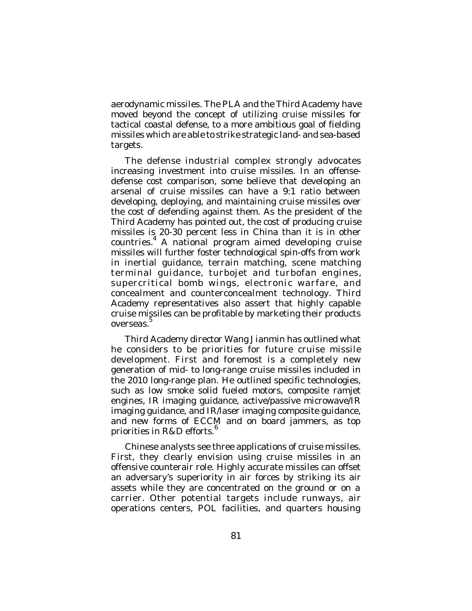aerodynamic missiles. The PLA and the Third Academy have moved beyond the concept of utilizing cruise missiles for tactical coastal defense, to a more ambitious goal of fielding missiles which are able to strike strategic land- and sea-based targets.

The defense industrial complex strongly advocates increasing investment into cruise missiles. In an offensedefense cost comparison, some believe that developing an arsenal of cruise missiles can have a 9:1 ratio between developing, deploying, and maintaining cruise missiles over the cost of defending against them. As the president of the Third Academy has pointed out, the cost of producing cruise missiles is 20-30 percent less in China than it is in other countries.<sup>4</sup> A national program aimed developing cruise missiles will further foster technological spin-offs from work in inertial guidance, terrain matching, scene matching terminal guidance, turbojet and turbofan engines, supercritical bomb wings, electronic warfare, and concealment and counterconcealment technology. Third Academy representatives also assert that highly capable cruise missiles can be profitable by marketing their products overseas.<sup>5</sup>

Third Academy director Wang Jianmin has outlined what he considers to be priorities for future cruise missile development. First and foremost is a completely new generation of mid- to long-range cruise missiles included in the 2010 long-range plan. He outlined specific technologies, such as low smoke solid fueled motors, composite ramjet engines, IR imaging guidance, active/passive microwave/IR imaging guidance, and IR/laser imaging composite guidance, and new forms of ECCM and on board jammers, as top priorities in R&D efforts. $^6$ 

Chinese analysts see three applications of cruise missiles. First, they clearly envision using cruise missiles in an offensive counterair role. Highly accurate missiles can offset an adversary's superiority in air forces by striking its air assets while they are concentrated on the ground or on a carrier. Other potential targets include runways, air operations centers, POL facilities, and quarters housing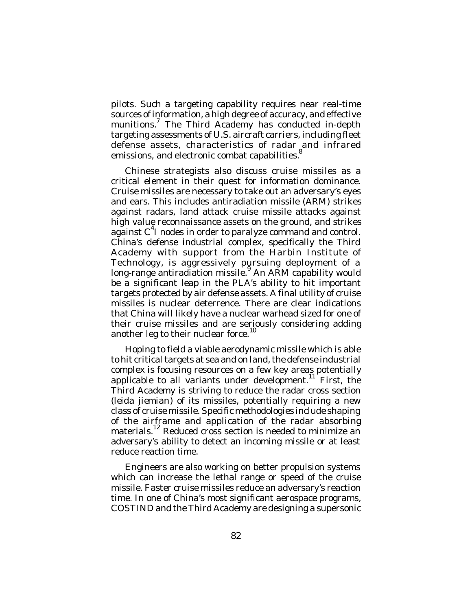pilots. Such a targeting capability requires near real-time sources of information, a high degree of accuracy, and effective munitions.<sup>7</sup> The Third Academy has conducted in-depth targeting assessments of U.S. aircraft carriers, including fleet defense assets, characteristics of radar and infrared emissions, and electronic combat capabilities.<sup>8</sup>

Chinese strategists also discuss cruise missiles as a critical element in their quest for information dominance. Cruise missiles are necessary to take out an adversary's eyes and ears. This includes antiradiation missile (ARM) strikes against radars, land attack cruise missile attacks against high value reconnaissance assets on the ground, and strikes against  $C<sup>4</sup>$  nodes in order to paralyze command and control. China's defense industrial complex, specifically the Third Academy with support from the Harbin Institute of Technology, is aggressively pursuing deployment of a long-range antiradiation missile.<sup>9</sup> An ARM capability would be a significant leap in the PLA's ability to hit important targets protected by air defense assets. A final utility of cruise missiles is nuclear deterrence. There are clear indications that China will likely have a nuclear warhead sized for one of their cruise missiles and are seriously considering adding another leg to their nuclear force. $^{\rm 10}$ 

Hoping to field a viable aerodynamic missile which is able to hit critical targets at sea and on land, the defense industrial complex is focusing resources on a few key areas potentially applicable to all variants under development.<sup>11</sup> First, the Third Academy is striving to reduce the radar cross section (*leida jiemian*) of its missiles, potentially requiring a new class of cruise missile. Specific methodologies include shaping of the airframe and application of the radar absorbing materials.<sup>12</sup> Reduced cross section is needed to minimize an adversary's ability to detect an incoming missile or at least reduce reaction time.

Engineers are also working on better propulsion systems which can increase the lethal range or speed of the cruise missile. Faster cruise missiles reduce an adversary's reaction time. In one of China's most significant aerospace programs, COSTIND and the Third Academy are designing a supersonic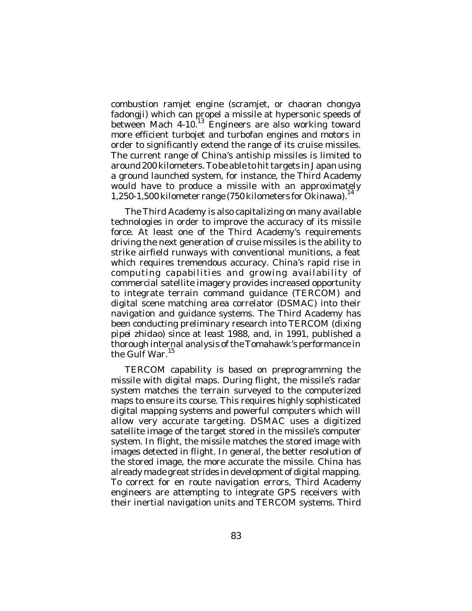combustion ramjet engine (scramjet, or *chaoran chongya* fadongji) which can propel a missile at hypersonic speeds of between Mach 4-10.<sup>13</sup> Engineers are also working toward more efficient turbojet and turbofan engines and motors in order to significantly extend the range of its cruise missiles. The current range of China's antiship missiles is limited to around 200 kilometers. To be able to hit targets in Japan using a ground launched system, for instance, the Third Academy would have to produce a missile with an approximately 1,250-1,500 kilometer range (750 kilometers for Okinawa). 14

The Third Academy is also capitalizing on many available technologies in order to improve the accuracy of its missile force. At least one of the Third Academy's requirements driving the next generation of cruise missiles is the ability to strike airfield runways with conventional munitions, a feat which requires tremendous accuracy. China's rapid rise in computing capabilities and growing availability of commercial satellite imagery provides increased opportunity to integrate terrain command guidance (TERCOM) and digital scene matching area correlator (DSMAC) into their navigation and guidance systems. The Third Academy has been conducting preliminary research into TERCOM (*dixing pipei zhidao*) since at least 1988, and, in 1991, published a thorough internal analysis of the Tomahawk's performance in the Gulf War.<sup>15</sup>

TERCOM capability is based on preprogramming the missile with digital maps. During flight, the missile's radar system matches the terrain surveyed to the computerized maps to ensure its course. This requires highly sophisticated digital mapping systems and powerful computers which will allow very accurate targeting. DSMAC uses a digitized satellite image of the target stored in the missile's computer system. In flight, the missile matches the stored image with images detected in flight. In general, the better resolution of the stored image, the more accurate the missile. China has already made great strides in development of digital mapping. To correct for en route navigation errors, Third Academy engineers are attempting to integrate GPS receivers with their inertial navigation units and TERCOM systems. Third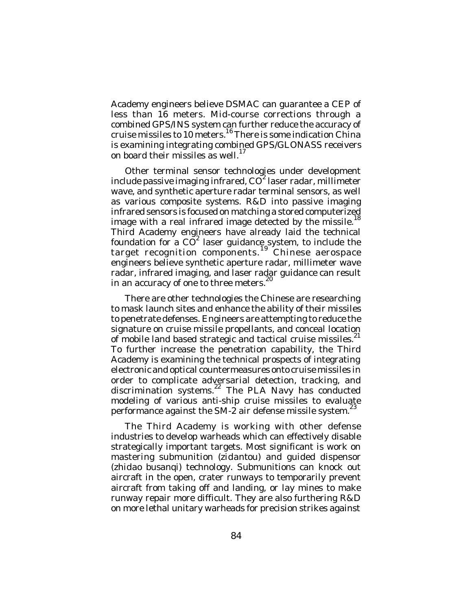Academy engineers believe DSMAC can guarantee a CEP of less than 16 meters. Mid-course corrections through a combined GPS/INS system can further reduce the accuracy of cruise missiles to 10 meters.<sup>16</sup> There is some indication China is examining integrating combined GPS/GLONASS receivers on board their missiles as well.<sup>17</sup>

Other terminal sensor technologies under development include passive imaging infrared, CO<sup>2</sup> laser radar, millimeter wave, and synthetic aperture radar terminal sensors, as well as various composite systems. R&D into passive imaging infrared sensors is focused on matching a stored computerized image with a real infrared image detected by the missile.<sup>18</sup> Third Academy engineers have already laid the technical foundation for a  $\overrightarrow{CO}^2$  laser guidance system, to include the target recognition components.<sup>19</sup> Chinese aerospace engineers believe synthetic aperture radar, millimeter wave radar, infrared imaging, and laser radar guidance can result 20 in an accuracy of one to three meters.

There are other technologies the Chinese are researching to mask launch sites and enhance the ability of their missiles to penetrate defenses. Engineers are attempting to reduce the signature on cruise missile propellants, and conceal location of mobile land based strategic and tactical cruise missiles. $^{21}$ To further increase the penetration capability, the Third Academy is examining the technical prospects of integrating electronic and optical countermeasures onto cruise missiles in order to complicate adversarial detection, tracking, and discrimination systems. <sup>22</sup> The PLA Navy has conducted modeling of various anti-ship cruise missiles to evaluate performance against the SM-2 air defense missile system.<sup>23</sup>

The Third Academy is working with other defense industries to develop warheads which can effectively disable strategically important targets. Most significant is work on mastering submunition (*zidantou*) and guided dispensor (*zhidao busanq*i) technology. Submunitions can knock out aircraft in the open, crater runways to temporarily prevent aircraft from taking off and landing, or lay mines to make runway repair more difficult. They are also furthering R&D on more lethal unitary warheads for precision strikes against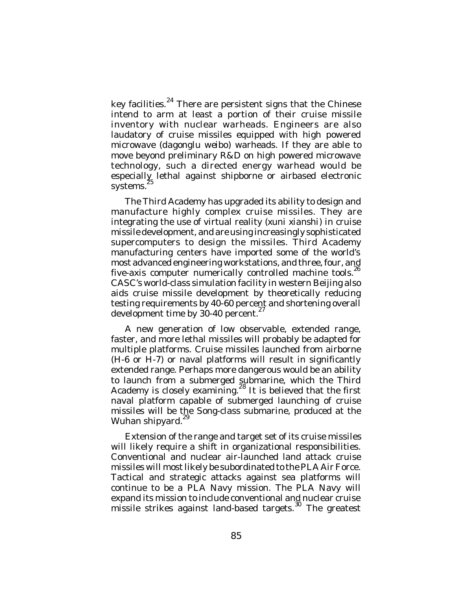key facilities.<sup>24</sup> There are persistent signs that the Chinese intend to arm at least a portion of their cruise missile inventory with nuclear warheads. Engineers are also laudatory of cruise missiles equipped with high powered microwave (*dagonglu weibo*) warheads. If they are able to move beyond preliminary R&D on high powered microwave technology, such a directed energy warhead would be especially lethal against shipborne or airbased electronic systems.

The Third Academy has upgraded its ability to design and manufacture highly complex cruise missiles. They are integrating the use of virtual reality (*xuni xianshi*) in cruise missile development, and are using increasingly sophisticated supercomputers to design the missiles. Third Academy manufacturing centers have imported some of the world's most advanced engineering workstations, and three, four, and five-axis computer numerically controlled machine tools.<sup>26</sup> CASC's world-class simulation facility in western Beijing also aids cruise missile development by theoretically reducing testing requirements by 40-60 percent and shortening overall development time by 30-40 percent.<sup>27</sup>

A new generation of low observable, extended range, faster, and more lethal missiles will probably be adapted for multiple platforms. Cruise missiles launched from airborne (H-6 or H-7) or naval platforms will result in significantly extended range. Perhaps more dangerous would be an ability to launch from a submerged submarine, which the Third Academy is closely examining. $^{28}$  It is believed that the first naval platform capable of submerged launching of cruise missiles will be the Song-class submarine, produced at the Wuhan shipyard.<sup>29</sup>

Extension of the range and target set of its cruise missiles will likely require a shift in organizational responsibilities. Conventional and nuclear air-launched land attack cruise missiles will most likely be subordinated to the PLA Air Force. Tactical and strategic attacks against sea platforms will continue to be a PLA Navy mission. The PLA Navy will expand its mission to include conventional and nuclear cruise missile strikes against land-based targets.<sup>30</sup> The greatest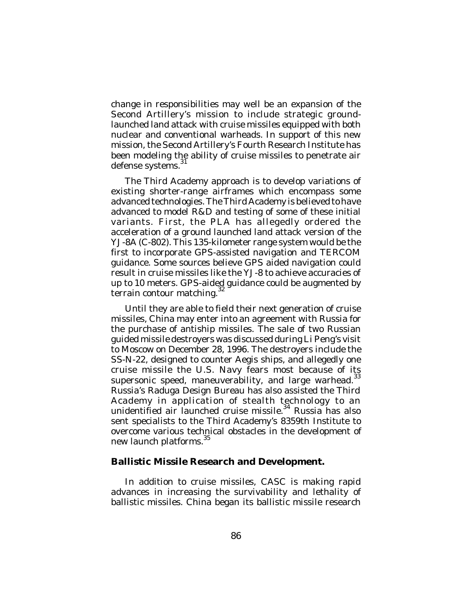change in responsibilities may well be an expansion of the Second Artillery's mission to include strategic groundlaunched land attack with cruise missiles equipped with both nuclear and conventional warheads. In support of this new mission, the Second Artillery's Fourth Research Institute has been modeling the ability of cruise missiles to penetrate air<br>defence systems <sup>31</sup> defense systems.

The Third Academy approach is to develop variations of existing shorter-range airframes which encompass some advanced technologies. The Third Academy is believed to have advanced to model R&D and testing of some of these initial variants. First, the PLA has allegedly ordered the acceleration of a ground launched land attack version of the YJ-8A (C-802). This 135-kilometer range system would be the first to incorporate GPS-assisted navigation and TERCOM guidance. Some sources believe GPS aided navigation could result in cruise missiles like the YJ-8 to achieve accuracies of up to 10 meters. GPS-aided guidance could be augmented by<br>terrain conteur matching  $^{32}$ terrain contour matching.

Until they are able to field their next generation of cruise missiles, China may enter into an agreement with Russia for the purchase of antiship missiles. The sale of two Russian guided missile destroyers was discussed during Li Peng's visit to Moscow on December 28, 1996. The destroyers include the SS-N-22, designed to counter Aegis ships, and allegedly one cruise missile the U.S. Navy fears most because of its<br>superconic anced monouvershility and large werhood 33 supersonic speed, maneuverability, and large warhead. Russia's Raduga Design Bureau has also assisted the Third Academy in application of stealth technology to an unidentified air launched cruise missile.<sup>34</sup> Russia has also sent specialists to the Third Academy's 8359th Institute to overcome various technical obstacles in the development of new launch platforms.<sup>35</sup>

#### **Ballistic Missile Research and Development.**

In addition to cruise missiles, CASC is making rapid advances in increasing the survivability and lethality of ballistic missiles. China began its ballistic missile research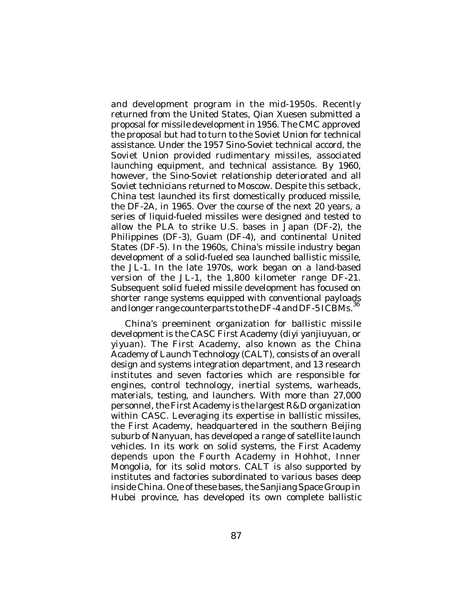and development program in the mid-1950s. Recently returned from the United States, Qian Xuesen submitted a proposal for missile development in 1956. The CMC approved the proposal but had to turn to the Soviet Union for technical assistance. Under the 1957 Sino-Soviet technical accord, the Soviet Union provided rudimentary missiles, associated launching equipment, and technical assistance. By 1960, however, the Sino-Soviet relationship deteriorated and all Soviet technicians returned to Moscow. Despite this setback, China test launched its first domestically produced missile, the DF-2A, in 1965. Over the course of the next 20 years, a series of liquid-fueled missiles were designed and tested to allow the PLA to strike U.S. bases in Japan (DF-2), the Philippines (DF-3), Guam (DF-4), and continental United States (DF-5). In the 1960s, China's missile industry began development of a solid-fueled sea launched ballistic missile, the JL-1. In the late 1970s, work began on a land-based version of the JL-1, the 1,800 kilometer range DF-21. Subsequent solid fueled missile development has focused on shorter range systems equipped with conventional payloads and longer range counterparts to the DF-4 and DF-5 ICBMs.<sup>36</sup>

China's preeminent organization for ballistic missile development is the CASC First Academy (*diyi yanjiuyuan*, or *yiyuan*). The First Academy, also known as the China Academy of Launch Technology (CALT), consists of an overall design and systems integration department, and 13 research institutes and seven factories which are responsible for engines, control technology, inertial systems, warheads, materials, testing, and launchers. With more than 27,000 personnel, the First Academy is the largest R&D organization within CASC. Leveraging its expertise in ballistic missiles, the First Academy, headquartered in the southern Beijing suburb of Nanyuan, has developed a range of satellite launch vehicles. In its work on solid systems, the First Academy depends upon the Fourth Academy in Hohhot, Inner Mongolia, for its solid motors. CALT is also supported by institutes and factories subordinated to various bases deep inside China. One of these bases, the Sanjiang Space Group in Hubei province, has developed its own complete ballistic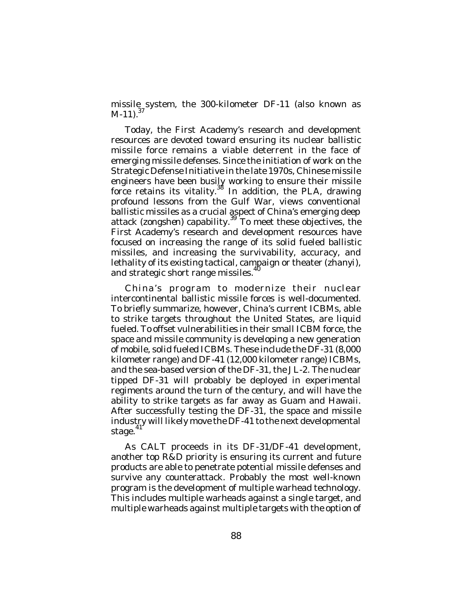missile system, the 300-kilometer DF-11 (also known as  $M-11$ ).<sup>37</sup>

Today, the First Academy's research and development resources are devoted toward ensuring its nuclear ballistic missile force remains a viable deterrent in the face of emerging missile defenses. Since the initiation of work on the Strategic Defense Initiative in the late 1970s, Chinese missile engineers have been busily working to ensure their missile force retains its vitality.<sup>38</sup> In addition, the PLA, drawing profound lessons from the Gulf War, views conventional ballistic missiles as a crucial aspect of China's emerging deep attack (*zongshe*n) capability. <sup>39</sup> To meet these objectives, the First Academy's research and development resources have focused on increasing the range of its solid fueled ballistic missiles, and increasing the survivability, accuracy, and lethality of its existing tactical, campaign or theater (*zhanyi*), and strategic short range missiles.

China's program to modernize their nuclear intercontinental ballistic missile forces is well-documented. To briefly summarize, however, China's current ICBMs, able to strike targets throughout the United States, are liquid fueled. To offset vulnerabilities in their small ICBM force, the space and missile community is developing a new generation of mobile, solid fueled ICBMs. These include the DF-31 (8,000 kilometer range) and DF-41 (12,000 kilometer range) ICBMs, and the sea-based version of the DF-31, the JL-2. The nuclear tipped DF-31 will probably be deployed in experimental regiments around the turn of the century, and will have the ability to strike targets as far away as Guam and Hawaii. After successfully testing the DF-31, the space and missile industry will likely move the DF-41 to the next developmental stage.<sup>41</sup>

As CALT proceeds in its DF-31/DF-41 development, another top R&D priority is ensuring its current and future products are able to penetrate potential missile defenses and survive any counterattack. Probably the most well-known program is the development of multiple warhead technology. This includes multiple warheads against a single target, and multiple warheads against multiple targets with the option of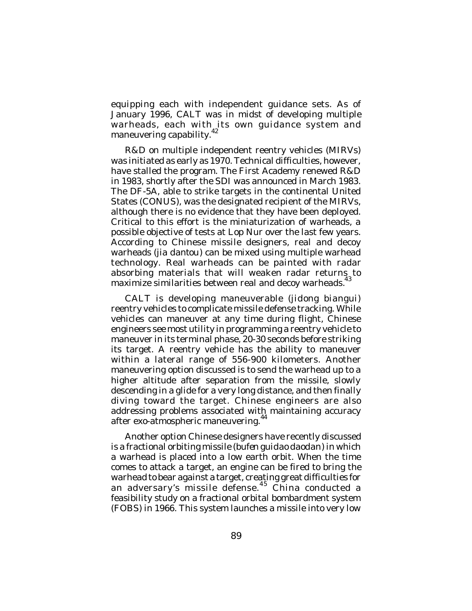equipping each with independent guidance sets. As of January 1996, CALT was in midst of developing multiple warheads, each with its own guidance system and maneuvering capability.<sup>42</sup>

R&D on multiple independent reentry vehicles (MIRVs) was initiated as early as 1970. Technical difficulties, however, have stalled the program. The First Academy renewed R&D in 1983, shortly after the SDI was announced in March 1983. The DF-5A, able to strike targets in the continental United States (CONUS), was the designated recipient of the MIRVs, although there is no evidence that they have been deployed. Critical to this effort is the miniaturization of warheads, a possible objective of tests at Lop Nur over the last few years. According to Chinese missile designers, real and decoy warheads (*jia dantou*) can be mixed using multiple warhead technology. Real warheads can be painted with radar absorbing materials that will weaken radar returns, to maximize similarities between real and decoy warheads.<sup>4</sup>

CALT is developing maneuverable (*jidong biangui*) reentry vehicles to complicate missile defense tracking. While vehicles can maneuver at any time during flight, Chinese engineers see most utility in programming a reentry vehicle to maneuver in its terminal phase, 20-30 seconds before striking its target. A reentry vehicle has the ability to maneuver within a lateral range of 556-900 kilometers. Another maneuvering option discussed is to send the warhead up to a higher altitude after separation from the missile, slowly descending in a glide for a very long distance, and then finally diving toward the target. Chinese engineers are also addressing problems associated with maintaining accuracy after exo-atmospheric maneuvering.<sup>44</sup>

Another option Chinese designers have recently discussed is a fractional orbiting missile (*bufen guidao daodan*) in which a warhead is placed into a low earth orbit. When the time comes to attack a target, an engine can be fired to bring the warhead to bear against a target, creating great difficulties for an adversary's missile defense. 45 China conducted a feasibility study on a fractional orbital bombardment system (FOBS) in 1966. This system launches a missile into very low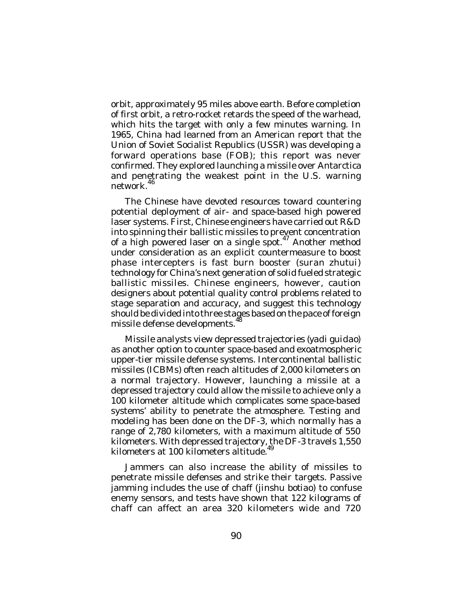orbit, approximately 95 miles above earth. Before completion of first orbit, a retro-rocket retards the speed of the warhead, which hits the target with only a few minutes warning. In 1965, China had learned from an American report that the Union of Soviet Socialist Republics (USSR) was developing a forward operations base (FOB); this report was never confirmed. They explored launching a missile over Antarctica and penetrating the weakest point in the U.S. warning network. 46

The Chinese have devoted resources toward countering potential deployment of air- and space-based high powered laser systems. First, Chinese engineers have carried out R&D into spinning their ballistic missiles to prevent concentration of a high powered laser on a single spot.<sup>47</sup> Another method under consideration as an explicit countermeasure to boost phase intercepters is fast burn booster (*suran zhutui*) technology for China's next generation of solid fueled strategic ballistic missiles. Chinese engineers, however, caution designers about potential quality control problems related to stage separation and accuracy, and suggest this technology should be divided into three stages based on the pace of foreign missile defense developments. 48

Missile analysts view depressed trajectories (*yadi guidao*) as another option to counter space-based and exoatmospheric upper-tier missile defense systems. Intercontinental ballistic missiles (ICBMs) often reach altitudes of 2,000 kilometers on a normal trajectory. However, launching a missile at a depressed trajectory could allow the missile to achieve only a 100 kilometer altitude which complicates some space-based systems' ability to penetrate the atmosphere. Testing and modeling has been done on the DF-3, which normally has a range of 2,780 kilometers, with a maximum altitude of 550 kilometers. With depressed trajectory, the DF-3 travels 1,550 kilometers at 100 kilometers altitude.

Jammers can also increase the ability of missiles to penetrate missile defenses and strike their targets. Passive jamming includes the use of chaff (*jinshu botiao*) to confuse enemy sensors, and tests have shown that 122 kilograms of chaff can affect an area 320 kilometers wide and 720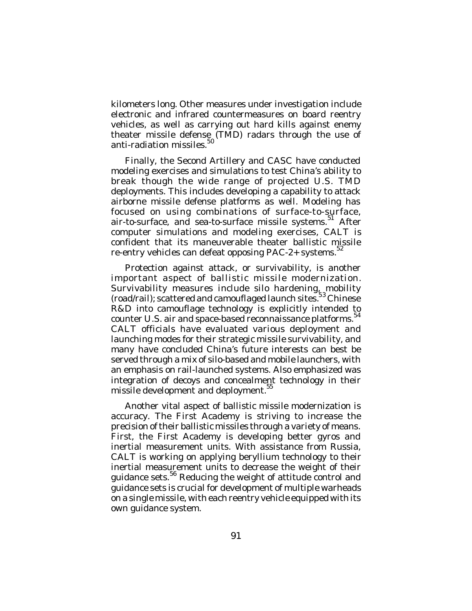kilometers long. Other measures under investigation include electronic and infrared countermeasures on board reentry vehicles, as well as carrying out hard kills against enemy theater missile defense (TMD) radars through the use of anti-radiation missiles.<sup>50</sup>

Finally, the Second Artillery and CASC have conducted modeling exercises and simulations to test China's ability to break though the wide range of projected U.S. TMD deployments. This includes developing a capability to attack airborne missile defense platforms as well. Modeling has focused on using combinations of surface-to-surface, air-to-surface, and sea-to-surface missile systems.<sup>51</sup> After computer simulations and modeling exercises, CALT is confident that its maneuverable theater ballistic missile re-entry vehicles can defeat opposing PAC-2+ systems.<sup>52</sup>

Protection against attack, or survivability, is another important aspect of ballistic missile modernization. Survivability measures include silo hardening, mobility (road/rail); scattered and camouflaged launch sites.<sup>53</sup> Chinese R&D into camouflage technology is explicitly intended to counter U.S. air and space-based reconnaissance platforms. 54 CALT officials have evaluated various deployment and launching modes for their strategic missile survivability, and many have concluded China's future interests can best be served through a mix of silo-based and mobile launchers, with an emphasis on rail-launched systems. Also emphasized was integration of decoys and concealment technology in their missile development and deployment.<sup>55</sup>

Another vital aspect of ballistic missile modernization is accuracy. The First Academy is striving to increase the precision of their ballistic missiles through a variety of means. First, the First Academy is developing better gyros and inertial measurement units. With assistance from Russia, CALT is working on applying beryllium technology to their inertial measurement units to decrease the weight of their guidance sets.<sup>56</sup> Reducing the weight of attitude control and guidance sets is crucial for development of multiple warheads on a single missile, with each reentry vehicle equipped with its own guidance system.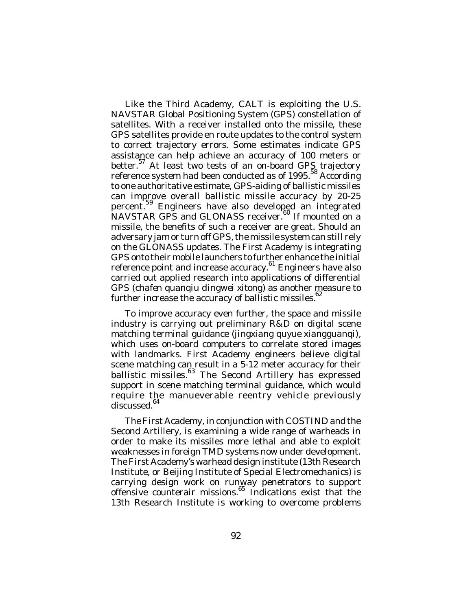Like the Third Academy, CALT is exploiting the U.S. NAVSTAR Global Positioning System (GPS) constellation of satellites. With a receiver installed onto the missile, these GPS satellites provide en route updates to the control system to correct trajectory errors. Some estimates indicate GPS assistance can help achieve an accuracy of 100 meters or better.<sup>57</sup> At least two tests of an on-board GPS trajectory reference system had been conducted as of 1995.<sup>58</sup> According to one authoritative estimate, GPS-aiding of ballistic missiles can improve overall ballistic missile accuracy by 20-25 percent.<sup>59</sup> Engineers have also developed an integrated NAVSTAR GPS and GLONASS receiver.<sup>60</sup> If mounted on a missile, the benefits of such a receiver are great. Should an adversary jam or turn off GPS, the missile system can still rely on the GLONASS updates. The First Academy is integrating GPS onto their mobile launchers to further enhance the initial reference point and increase accuracy.<sup>61</sup> Engineers have also carried out applied research into applications of differential GPS (*chafen quanqiu dingwei xitong*) as another measure to further increase the accuracy of ballistic missiles.<sup>62</sup>

To improve accuracy even further, the space and missile industry is carrying out preliminary R&D on digital scene matching terminal guidance (*jingxiang quyue xiangguanqi*), which uses on-board computers to correlate stored images with landmarks. First Academy engineers believe digital scene matching can result in a 5-12 meter accuracy for their ballistic missiles.<sup>63</sup> The Second Artillery has expressed support in scene matching terminal guidance, which would require the manueverable reentry vehicle previously discussed. 64

The First Academy, in conjunction with COSTIND and the Second Artillery, is examining a wide range of warheads in order to make its missiles more lethal and able to exploit weaknesses in foreign TMD systems now under development. The First Academy's warhead design institute (13th Research Institute, or Beijing Institute of Special Electromechanics) is carrying design work on runway penetrators to support offensive counterair missions. <sup>65</sup> Indications exist that the 13th Research Institute is working to overcome problems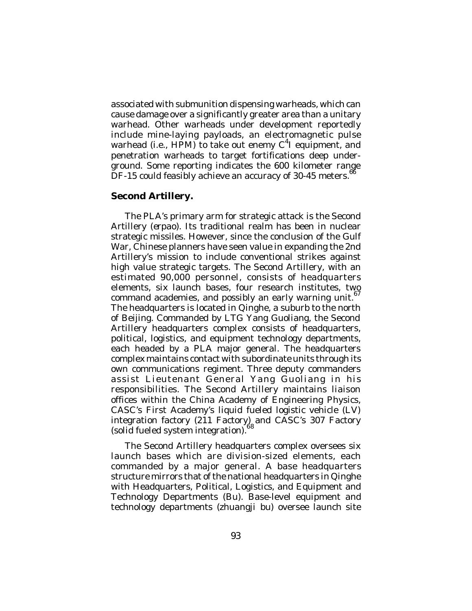associated with submunition dispensing warheads, which can cause damage over a significantly greater area than a unitary warhead. Other warheads under development reportedly include mine-laying payloads, an electromagnetic pulse warhead (i.e., HPM) to take out enemy C<sup>4</sup>I equipment, and penetration warheads to target fortifications deep underground. Some reporting indicates the 600 kilometer range  $DF-15$  could feasibly achieve an accuracy of 30-45 meters.<sup>66</sup>

# **Second Artillery.**

The PLA's primary arm for strategic attack is the Second Artillery (*erpao*). Its traditional realm has been in nuclear strategic missiles. However, since the conclusion of the Gulf War, Chinese planners have seen value in expanding the 2nd Artillery's mission to include conventional strikes against high value strategic targets. The Second Artillery, with an estimated 90,000 personnel, consists of headquarters elements, six launch bases, four research institutes, two command academies, and possibly an early warning unit.<sup>67</sup> The headquarters is located in Qinghe, a suburb to the north of Beijing. Commanded by LTG Yang Guoliang, the Second Artillery headquarters complex consists of headquarters, political, logistics, and equipment technology departments, each headed by a PLA major general. The headquarters complex maintains contact with subordinate units through its own communications regiment. Three deputy commanders assist Lieutenant General Yang Guoliang in his responsibilities. The Second Artillery maintains liaison offices within the China Academy of Engineering Physics, CASC's First Academy's liquid fueled logistic vehicle (LV) integration factory (211 Factory) and CASC's 307 Factory (solid fueled system integration).

The Second Artillery headquarters complex oversees six launch bases which are division-sized elements, each commanded by a major general. A base headquarters structure mirrors that of the national headquarters in Qinghe with Headquarters, Political, Logistics, and Equipment and Technology Departments (Bu). Base-level equipment and technology departments (*zhuangji bu*) oversee launch site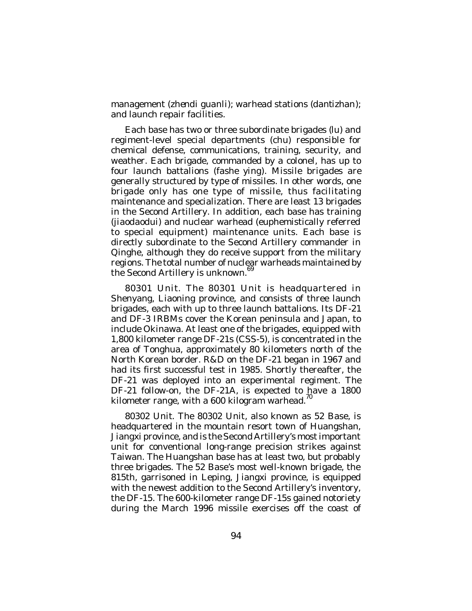management (*zhendi guanli*); warhead stations (*dantizhan*); and launch repair facilities.

Each base has two or three subordinate brigades (*lu*) and regiment-level special departments (*chu*) responsible for chemical defense, communications, training, security, and weather. Each brigade, commanded by a colonel, has up to four launch battalions (*fashe ying*). Missile brigades are generally structured by type of missiles. In other words, one brigade only has one type of missile, thus facilitating maintenance and specialization. There are least 13 brigades in the Second Artillery. In addition, each base has training (*jiaodaodui*) and nuclear warhead (euphemistically referred to special equipment) maintenance units. Each base is directly subordinate to the Second Artillery commander in Qinghe, although they do receive support from the military regions. The total number of nuclear warheads maintained by the Second Artillery is unknown.<sup>69</sup>

*80301 Unit*. The 80301 Unit is headquartered in Shenyang, Liaoning province, and consists of three launch brigades, each with up to three launch battalions. Its DF-21 and DF-3 IRBMs cover the Korean peninsula and Japan, to include Okinawa. At least one of the brigades, equipped with 1,800 kilometer range DF-21s (CSS-5), is concentrated in the area of Tonghua, approximately 80 kilometers north of the North Korean border. R&D on the DF-21 began in 1967 and had its first successful test in 1985. Shortly thereafter, the DF-21 was deployed into an experimental regiment. The DF-21 follow-on, the DF-21A, is expected to have a 1800 kilometer range, with a 600 kilogram warhead.<sup>70</sup>

*80302 Unit*. The 80302 Unit, also known as 52 Base, is headquartered in the mountain resort town of Huangshan, Jiangxi province, and is the Second Artillery's most important unit for conventional long-range precision strikes against Taiwan. The Huangshan base has at least two, but probably three brigades. The 52 Base's most well-known brigade, the 815th, garrisoned in Leping, Jiangxi province, is equipped with the newest addition to the Second Artillery's inventory, the DF-15. The 600-kilometer range DF-15s gained notoriety during the March 1996 missile exercises off the coast of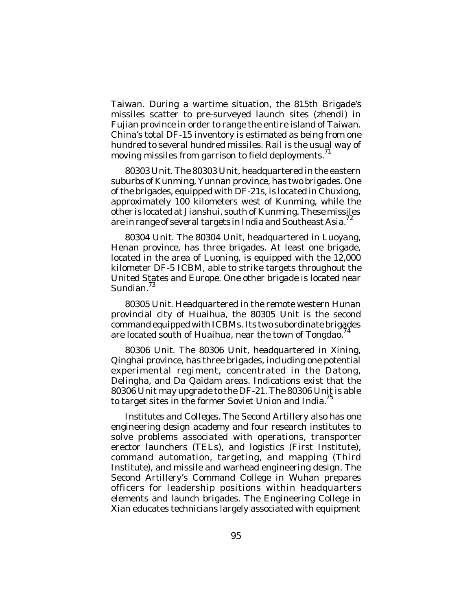Taiwan. During a wartime situation, the 815th Brigade's missiles scatter to pre-surveyed launch sites (*zhendi*) in Fujian province in order to range the entire island of Taiwan. China's total DF-15 inventory is estimated as being from one hundred to several hundred missiles. Rail is the usual way of moving missiles from garrison to field deployments. $^{\rm 71}$ 

*80303 Unit*. The 80303 Unit, headquartered in the eastern suburbs of Kunming, Yunnan province, has two brigades. One of the brigades, equipped with DF-21s, is located in Chuxiong, approximately 100 kilometers west of Kunming, while the other is located at Jianshui, south of Kunming. These missiles are in range of several targets in India and Southeast Asia.<sup>72</sup>

*80304 Unit*. The 80304 Unit, headquartered in Luoyang, Henan province, has three brigades. At least one brigade, located in the area of Luoning, is equipped with the 12,000 kilometer DF-5 ICBM, able to strike targets throughout the United States and Europe. One other brigade is located near Sundian.<sup>73</sup>

*80305 Unit*. Headquartered in the remote western Hunan provincial city of Huaihua, the 80305 Unit is the second command equipped with ICBMs. Its two subordinate brigades are located south of Huaihua, near the town of Tongdao.<sup>74</sup>

*80306 Unit*. The 80306 Unit, headquartered in Xining, Qinghai province, has three brigades, including one potential experimental regiment, concentrated in the Datong, Delingha, and Da Qaidam areas. Indications exist that the 80306 Unit may upgrade to the DF-21. The 80306 Unit is able to target sites in the former Soviet Union and India.<sup>75</sup>

*Institutes and Colleges*. The Second Artillery also has one engineering design academy and four research institutes to solve problems associated with operations, transporter erector launchers (TELs), and logistics (First Institute), command automation, targeting, and mapping (Third Institute), and missile and warhead engineering design. The Second Artillery's Command College in Wuhan prepares officers for leadership positions within headquarters elements and launch brigades. The Engineering College in Xian educates technicians largely associated with equipment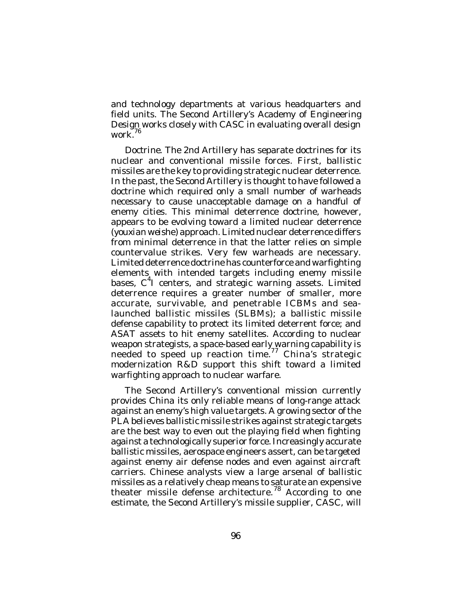and technology departments at various headquarters and field units. The Second Artillery's Academy of Engineering Design works closely with CASC in evaluating overall design work. 76

*Doctrine*. The 2nd Artillery has separate doctrines for its nuclear and conventional missile forces. First, ballistic missiles are the key to providing strategic nuclear deterrence. In the past, the Second Artillery is thought to have followed a doctrine which required only a small number of warheads necessary to cause unacceptable damage on a handful of enemy cities. This minimal deterrence doctrine, however, appears to be evolving toward a limited nuclear deterrence (*youxian weishe*) approach. Limited nuclear deterrence differs from minimal deterrence in that the latter relies on simple countervalue strikes. Very few warheads are necessary. Limited deterrence doctrine has counterforce and warfighting elements with intended targets including enemy missile bases, C<sup>4</sup>I centers, and strategic warning assets. Limited deterrence requires a greater number of smaller, more accurate, survivable, and penetrable ICBMs and sealaunched ballistic missiles (SLBMs); a ballistic missile defense capability to protect its limited deterrent force; and ASAT assets to hit enemy satellites. According to nuclear weapon strategists, a space-based early warning capability is needed to speed up reaction time.<sup>77</sup> China's strategic modernization R&D support this shift toward a limited warfighting approach to nuclear warfare.

The Second Artillery's conventional mission currently provides China its only reliable means of long-range attack against an enemy's high value targets. A growing sector of the PLA believes ballistic missile strikes against strategic targets are the best way to even out the playing field when fighting against a technologically superior force. Increasingly accurate ballistic missiles, aerospace engineers assert, can be targeted against enemy air defense nodes and even against aircraft carriers. Chinese analysts view a large arsenal of ballistic missiles as a relatively cheap means to saturate an expensive theater missile defense architecture.<sup>78</sup> According to one estimate, the Second Artillery's missile supplier, CASC, will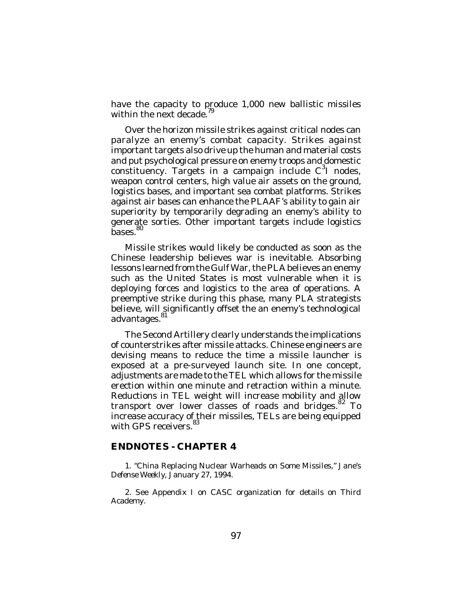have the capacity to produce 1,000 new ballistic missiles<br>within the next decade <sup>79</sup> within the next decade.

Over the horizon missile strikes against critical nodes can paralyze an enemy's combat capacity. Strikes against important targets also drive up the human and material costs and put psychological pressure on enemy troops and domestic constituency. Targets in a campaign include  $C^3$ I nodes, weapon control centers, high value air assets on the ground, logistics bases, and important sea combat platforms. Strikes against air bases can enhance the PLAAF's ability to gain air superiority by temporarily degrading an enemy's ability to generate sorties. Other important targets include logistics bases.<sup>80</sup>

Missile strikes would likely be conducted as soon as the Chinese leadership believes war is inevitable. Absorbing lessons learned from the Gulf War, the PLA believes an enemy such as the United States is most vulnerable when it is deploying forces and logistics to the area of operations. A preemptive strike during this phase, many PLA strategists believe, will significantly offset the an enemy's technological advantages.<sup>8</sup>

The Second Artillery clearly understands the implications of counterstrikes after missile attacks. Chinese engineers are devising means to reduce the time a missile launcher is exposed at a pre-surveyed launch site. In one concept, adjustments are made to the TEL which allows for the missile erection within one minute and retraction within a minute. Reductions in TEL weight will increase mobility and allow transport over lower classes of roads and bridges.<sup>82</sup> To increase accuracy of their missiles, TELs are being equipped with GPS receivers.<sup>83</sup>

## **ENDNOTES - CHAPTER 4**

1. "China Replacing Nuclear Warheads on Some Missiles," *Jane's Defense Weekly*, January 27, 1994.

2. See Appendix I on CASC organization for details on Third Academy.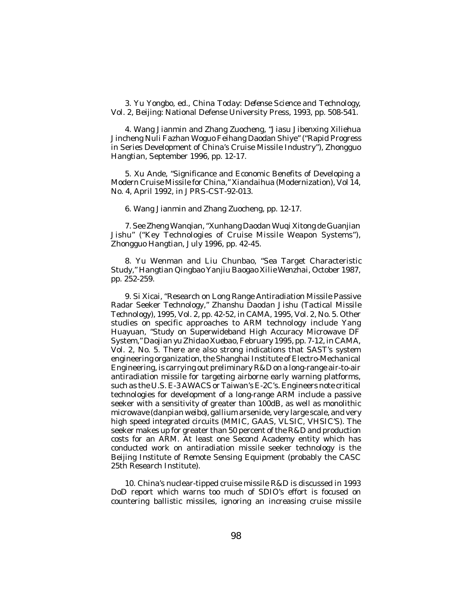3. Yu Yongbo, ed., *China Today: Defense Science and Technology*, Vol. 2, Beijing: National Defense University Press, 1993, pp. 508-541.

4. Wang Jianmin and Zhang Zuocheng, "Jiasu Jibenxing Xiliehua Jincheng Nuli Fazhan Woguo Feihang Daodan Shiye" ("Rapid Progress in Series Development of China's Cruise Missile Industry"), *Zhongguo Hangtian*, September 1996, pp. 12-17.

5. Xu Ande, "Significance and Economic Benefits of Developing a Modern Cruise Missile for China," *Xiandaihua* (Modernization), Vol 14, No. 4, April 1992, in *JPRS-CST*-92-013.

6. Wang Jianmin and Zhang Zuocheng, pp. 12-17.

7. See Zheng Wanqian, "Xunhang Daodan Wuqi Xitong de Guanjian Jishu" ("Key Technologies of Cruise Missile Weapon Systems"), *Zhongguo Hangtian*, July 1996, pp. 42-45.

8. Yu Wenman and Liu Chunbao, "Sea Target Characteristic Study," *Hangtian Qingbao Yanjiu Baogao Xilie Wenzhai*, October 1987, pp. 252-259.

9. Si Xicai, "Research on Long Range Antiradiation Missile Passive Radar Seeker Technology," *Zhanshu Daodan Jishu* (*Tactical Missile Technology*), 1995, Vol. 2, pp. 42-52, in *CAMA*, 1995, Vol. 2, No. 5. Other studies on specific approaches to ARM technology include Yang Huayuan, "Study on Superwideband High Accuracy Microwave DF System," *Daojian yu Zhidao Xuebao*, February 1995, pp. 7-12, in *CAMA*, Vol. 2, No. 5. There are also strong indications that SAST's system engineering organization, the Shanghai Institute of Electro-Mechanical Engineering, is carrying out preliminary R&D on a long-range air-to-air antiradiation missile for targeting airborne early warning platforms, such as the U.S. E-3 AWACS or Taiwan's E-2C's. Engineers note critical technologies for development of a long-range ARM include a passive seeker with a sensitivity of greater than 100dB, as well as monolithic microwave (*danpian weibo*), gallium arsenide, very large scale, and very high speed integrated circuits (MMIC, GAAS, VLSIC, VHSIC'S). The seeker makes up for greater than 50 percent of the R&D and production costs for an ARM. At least one Second Academy entity which has conducted work on antiradiation missile seeker technology is the Beijing Institute of Remote Sensing Equipment (probably the CASC 25th Research Institute).

10. China's nuclear-tipped cruise missile R&D is discussed in 1993 DoD report which warns too much of SDIO's effort is focused on countering ballistic missiles, ignoring an increasing cruise missile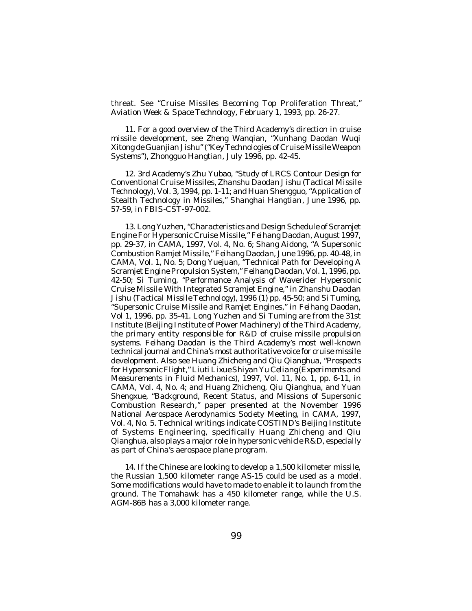threat. See "Cruise Missiles Becoming Top Proliferation Threat," *Aviation Week & Space Technology*, February 1, 1993, pp. 26-27.

11. For a good overview of the Third Academy's direction in cruise missile development, see Zheng Wanqian, "Xunhang Daodan Wuqi Xitong de Guanjian Jishu" ("Key Technologies of Cruise Missile Weapon Systems"), *Zhongguo Hangtian*, July 1996, pp. 42-45.

12. 3rd Academy's Zhu Yubao, "Study of LRCS Contour Design for Conventional Cruise Missiles, *Zhanshu Daodan Jishu* (*Tactical Missile Technology*), Vol. 3, 1994, pp. 1-11; and Huan Shengguo, "Application of Stealth Technology in Missiles," *Shanghai Hangtian*, June 1996, pp. 57-59, in *FBIS-CST*-97-002.

13. Long Yuzhen, "Characteristics and Design Schedule of Scramjet Engine For Hypersonic Cruise Missile," *Feihang Daodan*, August 1997, pp. 29-37, in *CAMA*, 1997, Vol. 4, No. 6; Shang Aidong, "A Supersonic Combustion Ramjet Missile," *Feihang Daodan*, June 1996, pp. 40-48, in *CAMA*, Vol. 1, No. 5; Dong Yuejuan, "Technical Path for Developing A Scramjet Engine Propulsion System," *Feihang Daodan*, Vol. 1, 1996, pp. 42-50; Si Tuming, "Performance Analysis of Waverider Hypersonic Cruise Missile With Integrated Scramjet Engine," in *Zhanshu Daodan Jishu* (*Tactical Missile Technology*), 1996 (1) pp. 45-50; and Si Tuming, "Supersonic Cruise Missile and Ramjet Engines," in *Feihang Daodan*, Vol 1, 1996, pp. 35-41. Long Yuzhen and Si Tuming are from the 31st Institute (Beijing Institute of Power Machinery) of the Third Academy, the primary entity responsible for R&D of cruise missile propulsion systems. *Feihang Daodan* is the Third Academy's most well-known technical journal and China's most authoritative voice for cruise missile development. Also see Huang Zhicheng and Qiu Qianghua, "Prospects for Hypersonic Flight," *Liuti Lixue Shiyan Yu Celiang* (*Experiments and Measurements in Fluid Mechanics*), 1997, Vol. 11, No. 1, pp. 6-11, in *CAMA*, Vol. 4, No. 4; and Huang Zhicheng, Qiu Qianghua, and Yuan Shengxue, "Background, Recent Status, and Missions of Supersonic Combustion Research," paper presented at the November 1996 National Aerospace Aerodynamics Society Meeting, in *CAMA*, 1997, Vol. 4, No. 5. Technical writings indicate COSTIND's Beijing Institute of Systems Engineering, specifically Huang Zhicheng and Qiu Qianghua, also plays a major role in hypersonic vehicle R&D, especially as part of China's aerospace plane program.

14. If the Chinese are looking to develop a 1,500 kilometer missile, the Russian 1,500 kilometer range AS-15 could be used as a model. Some modifications would have to made to enable it to launch from the ground. The Tomahawk has a 450 kilometer range, while the U.S. AGM-86B has a 3,000 kilometer range.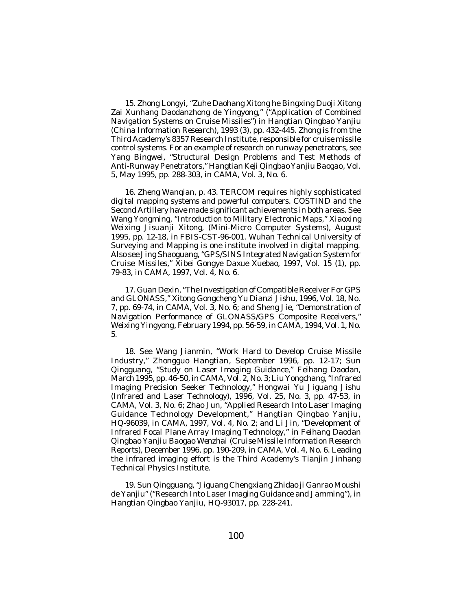15. Zhong Longyi, "Zuhe Daohang Xitong he Bingxing Duoji Xitong Zai Xunhang Daodanzhong de Yingyong," ("Application of Combined Navigation Systems on Cruise Missiles") in *Hangtian Qingbao Yanjiu* (*China Information Research)*, 1993 (3), pp. 432-445. Zhong is from the Third Academy's 8357 Research Institute, responsible for cruise missile control systems. For an example of research on runway penetrators, see Yang Bingwei, "Structural Design Problems and Test Methods of Anti-Runway Penetrators," *Hangtian Keji Qingbao Yanjiu Baogao*, Vol. 5, May 1995, pp. 288-303, in *CAMA*, Vol. 3, No. 6.

16. Zheng Wanqian, p. 43. TERCOM requires highly sophisticated digital mapping systems and powerful computers. COSTIND and the Second Artillery have made significant achievements in both areas. See Wang Yongming, "Introduction to Military Electronic Maps," *Xiaoxing Weixing Jisuanji Xitong*, (Mini-Micro Computer Systems), August 1995, pp. 12-18, in *FBIS-CST*-96-001. Wuhan Technical University of Surveying and Mapping is one institute involved in digital mapping. Also see Jing Shaoguang, "GPS/SINS Integrated Navigation System for Cruise Missiles," *Xibei Gongye Daxue Xuebao*, 1997, Vol. 15 (1), pp. 79-83, in *CAMA*, 1997, Vol. 4, No. 6.

17. Guan Dexin, "The Investigation of Compatible Receiver For GPS and GLONASS," *Xitong Gongcheng Yu Dianzi Jishu*, 1996, Vol. 18, No. 7, pp. 69-74, in *CAMA*, Vol. 3, No. 6; and Sheng Jie, "Demonstration of Navigation Performance of GLONASS/GPS Composite Receivers," *Weixing Yingyong*, February 1994, pp. 56-59, in *CAMA*, 1994, Vol. 1, No. 5.

18. See Wang Jianmin, "Work Hard to Develop Cruise Missile Industry," *Zhongguo Hangtian*, September 1996, pp. 12-17; Sun Qingguang, "Study on Laser Imaging Guidance," *Feihang Daodan*, March 1995, pp. 46-50, in *CAMA*, Vol. 2, No. 3; Liu Yongchang, "Infrared Imaging Precision Seeker Technology," *Hongwai Yu Jiguang Jishu* (*Infrared and Laser Technology*), 1996, Vol. 25, No. 3, pp. 47-53, in *CAMA*, Vol. 3, No. 6; Zhao Jun, "Applied Research Into Laser Imaging Guidance Technology Development," *Hangtian Qingbao Yanjiu*, HQ-96039, in *CAMA*, 1997, Vol. 4, No. 2; and Li Jin, "Development of Infrared Focal Plane Array Imaging Technology," in *Feihang Daodan Qingbao Yanjiu Baogao Wenzhai* (*Cruise Missile Information Research Reports*), December 1996, pp. 190-209, in *CAMA*, Vol. 4, No. 6. Leading the infrared imaging effort is the Third Academy's Tianjin Jinhang Technical Physics Institute.

19. Sun Qingguang, "Jiguang Chengxiang Zhidao ji Ganrao Moushi de Yanjiu" ("Research Into Laser Imaging Guidance and Jamming"), in *Hangtian Qingbao Yanjiu*, HQ-93017, pp. 228-241.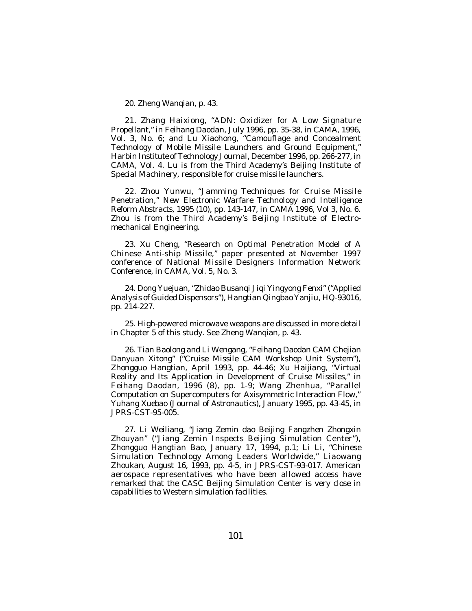20. Zheng Wanqian, p. 43.

21. Zhang Haixiong, "ADN: Oxidizer for A Low Signature Propellant," in *Feihang Daodan*, July 1996, pp. 35-38, in *CAMA*, 1996, Vol. 3, No. 6; and Lu Xiaohong, "Camouflage and Concealment Technology of Mobile Missile Launchers and Ground Equipment," *Harbin Institute of Technology Journal*, December 1996, pp. 266-277, in *CAMA*, Vol. 4. Lu is from the Third Academy's Beijing Institute of Special Machinery, responsible for cruise missile launchers.

22. Zhou Yunwu, "Jamming Techniques for Cruise Missile Penetration," *New Electronic Warfare Technology and Intelligence Reform Abstracts*, 1995 (10), pp. 143-147, in *CAMA* 1996, Vol 3, No. 6. Zhou is from the Third Academy's Beijing Institute of Electromechanical Engineering.

23. Xu Cheng, "Research on Optimal Penetration Model of A Chinese Anti-ship Missile," paper presented at November 1997 conference of National Missile Designers Information Network Conference, in *CAMA*, Vol. 5, No. 3.

24. Dong Yuejuan, "Zhidao Busanqi Jiqi Yingyong Fenxi" ("Applied Analysis of Guided Dispensors"), *Hangtian Qingbao Yanjiu*, HQ-93016, pp. 214-227.

25. High-powered microwave weapons are discussed in more detail in Chapter 5 of this study. See Zheng Wanqian, p. 43.

26. Tian Baolong and Li Wengang, "Feihang Daodan CAM Chejian Danyuan Xitong" ("Cruise Missile CAM Workshop Unit System"), *Zhongguo Hangtian*, April 1993, pp. 44-46; Xu Haijiang, "Virtual Reality and Its Application in Development of Cruise Missiles," in *Feihang Daodan*, 1996 (8), pp. 1-9; Wang Zhenhua, "Parallel Computation on Supercomputers for Axisymmetric Interaction Flow," *Yuhang Xuebao* (*Journal of Astronautics*), January 1995, pp. 43-45, in *JPRS-CST*-95-005.

27. Li Weiliang, "Jiang Zemin dao Beijing Fangzhen Zhongxin Zhouyan" ("Jiang Zemin Inspects Beijing Simulation Center"), *Zhongguo Hangtian Bao*, January 17, 1994, p.1; Li Li, "Chinese Simulation Technology Among Leaders Worldwide," *Liaowang Zhoukan*, August 16, 1993, pp. 4-5, in *JPRS-CST*-93-017. American aerospace representatives who have been allowed access have remarked that the CASC Beijing Simulation Center is very close in capabilities to Western simulation facilities.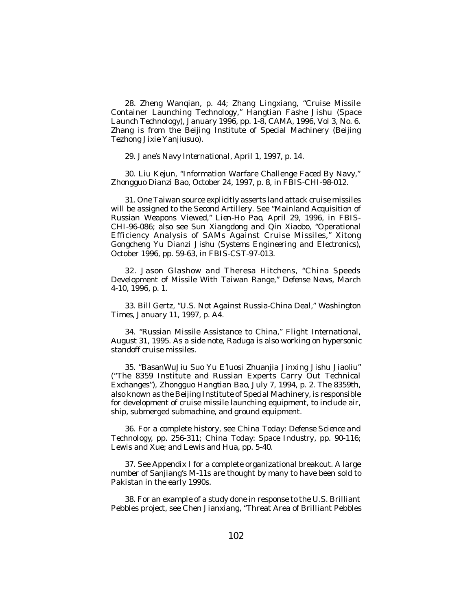28. Zheng Wanqian, p. 44; Zhang Lingxiang, "Cruise Missile Container Launching Technology," *Hangtian Fashe Jishu* (*Space Launch Technology)*, January 1996, pp. 1-8, *CAMA,* 1996, Vol 3, No. 6. Zhang is from the Beijing Institute of Special Machinery (Beijing Tezhong Jixie Yanjiusuo).

29. *Jane's Navy International*, April 1, 1997, p. 14.

30. Liu Kejun, "Information Warfare Challenge Faced By Navy," *Zhongguo Dianzi Bao*, October 24, 1997, p. 8, in *FBIS-CHI*-98-012.

31. One Taiwan source explicitly asserts land attack cruise missiles will be assigned to the Second Artillery. See "Mainland Acquisition of Russian Weapons Viewed," *Lien-Ho Pao*, April 29, 1996, in *FBIS-CHI-96-086*; also see Sun Xiangdong and Qin Xiaobo, "Operational Efficiency Analysis of SAMs Against Cruise Missiles," *Xitong Gongcheng Yu Dianzi Jishu* (*Systems Engineering and Electronics*), October 1996, pp. 59-63, in *FBIS-CST*-97-013.

32. Jason Glashow and Theresa Hitchens, "China Speeds Development of Missile With Taiwan Range," *Defense News*, March 4-10, 1996, p. 1.

33. Bill Gertz, "U.S. Not Against Russia-China Deal," *Washington Times*, January 11, 1997, p. A4.

34. "Russian Missile Assistance to China," *Flight International*, August 31, 1995. As a side note, Raduga is also working on hypersonic standoff cruise missiles.

35. "BasanWuJiu Suo Yu E'luosi Zhuanjia Jinxing Jishu Jiaoliu" ("The 8359 Institute and Russian Experts Carry Out Technical Exchanges"), *Zhongguo Hangtian Bao*, July 7, 1994, p. 2. The 8359th, also known as the Beijing Institute of Special Machinery, is responsible for development of cruise missile launching equipment, to include air, ship, submerged submachine, and ground equipment.

36. For a complete history, see *China Today: Defense Science and Technology*, pp. 256-311; *China Today: Space Industry*, pp. 90-116; Lewis and Xue; and Lewis and Hua, pp. 5-40.

37. See Appendix I for a complete organizational breakout. A large number of Sanjiang's M-11s are thought by many to have been sold to Pakistan in the early 1990s.

38. For an example of a study done in response to the U.S. Brilliant Pebbles project, see Chen Jianxiang, "Threat Area of Brilliant Pebbles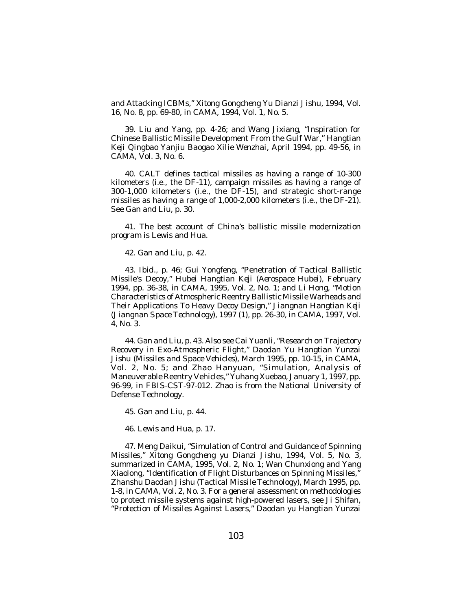and Attacking ICBMs," *Xitong Gongcheng Yu Dianzi Jishu*, 1994, Vol. 16, No. 8, pp. 69-80, in *CAMA,* 1994, Vol. 1, No. 5.

39. Liu and Yang, pp. 4-26; and Wang Jixiang, "Inspiration for Chinese Ballistic Missile Development From the Gulf War," *Hangtian Keji Qingbao Yanjiu Baogao Xilie Wenzhai*, April 1994, pp. 49-56, in *CAMA*, Vol. 3, No. 6.

40. CALT defines tactical missiles as having a range of 10-300 kilometers (i.e., the DF-11), campaign missiles as having a range of 300-1,000 kilometers (i.e., the DF-15), and strategic short-range missiles as having a range of 1,000-2,000 kilometers (i.e., the DF-21). See Gan and Liu, p. 30.

41. The best account of China's ballistic missile modernization program is Lewis and Hua.

42. Gan and Liu, p. 42.

43. *Ibid*., p. 46; Gui Yongfeng, "Penetration of Tactical Ballistic Missile's Decoy," *Hubei Hangtian Keji* (*Aerospace Hubei*), February 1994, pp. 36-38, in *CAMA*, 1995, Vol. 2, No. 1; and Li Hong, "Motion Characteristics of Atmospheric Reentry Ballistic Missile Warheads and Their Applications To Heavy Decoy Design," *Jiangnan Hangtian Keji* (*Jiangnan Space Technology*), 1997 (1), pp. 26-30, in *CAMA*, 1997, Vol. 4, No. 3.

44. Gan and Liu, p. 43. Also see Cai Yuanli, "Research on Trajectory Recovery in Exo-Atmospheric Flight," *Daodan Yu Hangtian Yunzai Jishu* (*Missiles and Space Vehicles*), March 1995, pp. 10-15, in *CAMA*, Vol. 2, No. 5; and Zhao Hanyuan, "Simulation, Analysis of Maneuverable Reentry Vehicles," *Yuhang Xuebao*, January 1, 1997, pp. 96-99, in *FBIS-CST*-97-012. Zhao is from the National University of Defense Technology.

45. Gan and Liu, p. 44.

46. Lewis and Hua, p. 17.

47. Meng Daikui, "Simulation of Control and Guidance of Spinning Missiles," *Xitong Gongcheng yu Dianzi Jishu*, 1994, Vol. 5, No. 3, summarized in *CAMA*, 1995, Vol. 2, No. 1; Wan Chunxiong and Yang Xiaolong, "Identification of Flight Disturbances on Spinning Missiles," *Zhanshu Daodan Jishu* (*Tactical Missile Technology*), March 1995, pp. 1-8, in *CAMA*, Vol. 2, No. 3. For a general assessment on methodologies to protect missile systems against high-powered lasers, see Ji Shifan, "Protection of Missiles Against Lasers," *Daodan yu Hangtian Yunzai*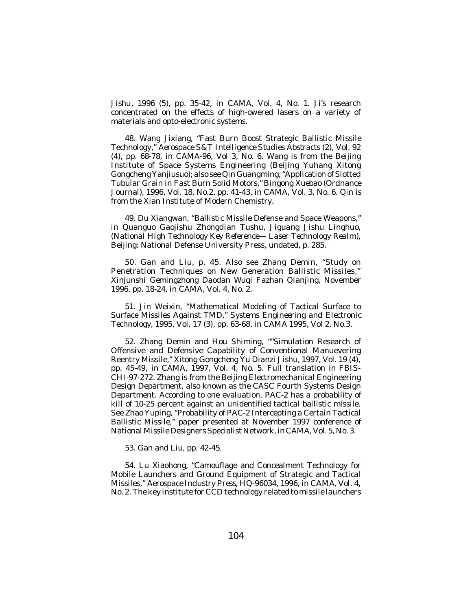*Jishu*, 1996 (5), pp. 35-42, in *CAMA*, Vol. 4, No. 1. Ji's research concentrated on the effects of high-owered lasers on a variety of materials and opto-electronic systems.

48. Wang Jixiang, "Fast Burn Boost Strategic Ballistic Missile Technology," *Aerospace S&T Intelligence Studies Abstracts* (2), Vol. 92 (4), pp. 68-78, in *CAMA-*96, Vol 3, No. 6. Wang is from the Beijing Institute of Space Systems Engineering (Beijing Yuhang Xitong Gongcheng Yanjiusuo); also see Qin Guangming, "Application of Slotted Tubular Grain in Fast Burn Solid Motors," *Bingong Xuebao* (*Ordnance Journa*l), 1996, Vol. 18, No.2, pp. 41-43, in *CAMA*, Vol. 3, No. 6. Qin is from the Xian Institute of Modern Chemistry.

49. Du Xiangwan, "Ballistic Missile Defense and Space Weapons," in *Quanguo Gaojishu Zhongdian Tushu, Jiguang Jishu Linghuo*, (*National High Technology Key Reference— Laser Technology Realm*), Beijing: National Defense University Press, undated, p. 285.

50. Gan and Liu, p. 45. Also see Zhang Demin, "Study on Penetration Techniques on New Generation Ballistic Missiles," *Xinjunshi Gemingzhong Daodan Wuqi Fazhan Qianjing*, November 1996, pp. 18-24, in *CAMA*, Vol. 4, No. 2.

51. Jin Weixin, "Mathematical Modeling of Tactical Surface to Surface Missiles Against TMD," *Systems Engineering and Electronic Technology*, 1995, Vol. 17 (3), pp. 63-68, in *CAMA* 1995, Vol 2, No.3.

52. Zhang Demin and Hou Shiming, ""Simulation Research of Offensive and Defensive Capability of Conventional Manuevering Reentry Missile," *Xitong Gongcheng Yu Dianzi Jishu*, 1997, Vol. 19 (4), pp. 45-49, in *CAMA*, 1997, Vol. 4, No. 5. Full translation in *FBIS-CHI*-97-272. Zhang is from the Beijing Electromechanical Engineering Design Department, also known as the CASC Fourth Systems Design Department. According to one evaluation, PAC-2 has a probability of kill of 10-25 percent against an unidentified tactical ballistic missile. See Zhao Yuping, "Probability of PAC-2 Intercepting a Certain Tactical Ballistic Missile," paper presented at November 1997 conference of National Missile Designers Specialist Network, in*CAMA*, Vol. 5, No. 3.

53. Gan and Liu, pp. 42-45.

54. Lu Xiaohong, "Camouflage and Concealment Technology for Mobile Launchers and Ground Equipment of Strategic and Tactical Missiles," *Aerospace Industry Press*, HQ-96034, 1996, in *CAMA*, Vol. 4, No. 2. The key institute for CCD technology related to missile launchers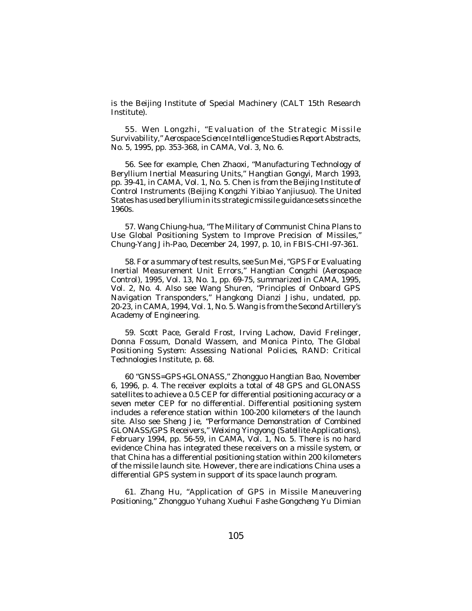is the Beijing Institute of Special Machinery (CALT 15th Research Institute).

55. Wen Longzhi, "Evaluation of the Strategic Missile Survivability," *Aerospace Science Intelligence Studies Report Abstracts*, No. 5, 1995, pp. 353-368, in *CAMA,* Vol. 3, No. 6.

56. See for example, Chen Zhaoxi, "Manufacturing Technology of Beryllium Inertial Measuring Units," *Hangtian Gongyi*, March 1993, pp. 39-41, in *CAMA*, Vol. 1, No. 5. Chen is from the Beijing Institute of Control Instruments (Beijing Kongzhi Yibiao Yanjiusuo). The United States has used beryllium in its strategic missile guidance sets since the 1960s.

57. Wang Chiung-hua, "The Military of Communist China Plans to Use Global Positioning System to Improve Precision of Missiles," *Chung-Yang Jih-Pao*, December 24, 1997, p. 10, in *FBIS-CHI*-97-361.

58. For a summary of test results, see Sun Mei, "GPS For Evaluating Inertial Measurement Unit Errors," *Hangtian Congzhi* (*Aerospace Control*), 1995, Vol. 13, No. 1, pp. 69-75, summarized in *CAMA*, 1995, Vol. 2, No. 4. Also see Wang Shuren, "Principles of Onboard GPS Navigation Transponders," *Hangkong Dianzi Jishu*, undated, pp. 20-23, in *CAMA*, 1994, Vol. 1, No. 5. Wang is from the Second Artillery's Academy of Engineering.

59. Scott Pace, Gerald Frost, Irving Lachow, David Frelinger, Donna Fossum, Donald Wassem, and Monica Pinto, *The Global Positioning System: Assessing National Policies*, RAND: Critical Technologies Institute, p. 68.

60 "GNSS=GPS+GLONASS," *Zhongguo Hangtian Bao*, November 6, 1996, p. 4. The receiver exploits a total of 48 GPS and GLONASS satellites to achieve a 0.5 CEP for differential positioning accuracy or a seven meter CEP for no differential. Differential positioning system includes a reference station within 100-200 kilometers of the launch site. Also see Sheng Jie, "Performance Demonstration of Combined GLONASS/GPS Receivers," *Weixing Yingyong* (*Satellite Applications*), February 1994, pp. 56-59, in *CAMA*, Vol. 1, No. 5. There is no hard evidence China has integrated these receivers on a missile system, or that China has a differential positioning station within 200 kilometers of the missile launch site. However, there are indications China uses a differential GPS system in support of its space launch program.

61. Zhang Hu, "Application of GPS in Missile Maneuvering Positioning," *Zhongguo Yuhang Xuehui Fashe Gongcheng Yu Dimian*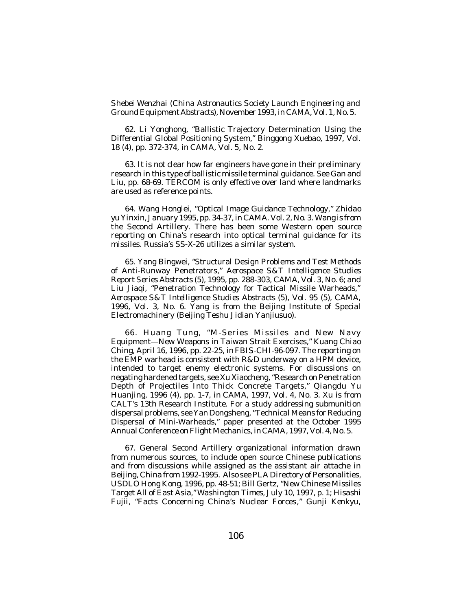*Shebei Wenzhai* (*China Astronautics Society Launch Engineering and Ground Equipment Abstracts*), November 1993, in *CAMA*, Vol. 1, No. 5.

62. Li Yonghong, "Ballistic Trajectory Determination Using the Differential Global Positioning System," *Binggong Xuebao*, 1997, Vol. 18 (4), pp. 372-374, in *CAMA,* Vol. 5, No. 2.

63. It is not clear how far engineers have gone in their preliminary research in this type of ballistic missile terminal guidance. See Gan and Liu, pp. 68-69. TERCOM is only effective over land where landmarks are used as reference points.

64. Wang Honglei, "Optical Image Guidance Technology," *Zhidao yu Yinxin*, January 1995, pp. 34-37, in *CAMA.* Vol. 2, No. 3. Wang is from the Second Artillery. There has been some Western open source reporting on China's research into optical terminal guidance for its missiles. Russia's SS-X-26 utilizes a similar system.

65. Yang Bingwei, "Structural Design Problems and Test Methods of Anti-Runway Penetrators," *Aerospace S&T Intelligence Studies Report Series Abstracts (5),* 1995, pp. 288-303, *CAMA,* Vol. 3, No. 6; and Liu Jiaqi, "Penetration Technology for Tactical Missile Warheads," *Aerospace S&T Intelligence Studies Abstracts* (5), Vol. 95 (5), *CAMA,* 1996, Vol. 3, No. 6. Yang is from the Beijing Institute of Special Electromachinery (Beijing Teshu Jidian Yanjiusuo).

66. Huang Tung, "M-Series Missiles and New Navy Equipment—New Weapons in Taiwan Strait Exercises," *Kuang Chiao Ching*, April 16, 1996, pp. 22-25, in *FBIS-CHI*-96-097. The reporting on the EMP warhead is consistent with R&D underway on a HPM device, intended to target enemy electronic systems. For discussions on negating hardened targets, see Xu Xiaocheng, "Research on Penetration Depth of Projectiles Into Thick Concrete Targets," *Qiangdu Yu Huanjing*, 1996 (4), pp. 1-7, in *CAMA*, 1997, Vol. 4, No. 3. Xu is from CALT's 13th Research Institute. For a study addressing submunition dispersal problems, see Yan Dongsheng, "Technical Means for Reducing Dispersal of Mini-Warheads," paper presented at the October 1995 Annual Conference on Flight Mechanics, in*CAMA*, 1997, Vol. 4, No. 5.

67. General Second Artillery organizational information drawn from numerous sources, to include open source Chinese publications and from discussions while assigned as the assistant air attache in Beijing, China from 1992-1995. Also see PLA Directory of Personalities, USDLO Hong Kong, 1996, pp. 48-51; Bill Gertz, "New Chinese Missiles Target All of East Asia," *Washington Times*, July 10, 1997, p. 1; Hisashi Fujii, "Facts Concerning China's Nuclear Forces*," Gunji Kenkyu*,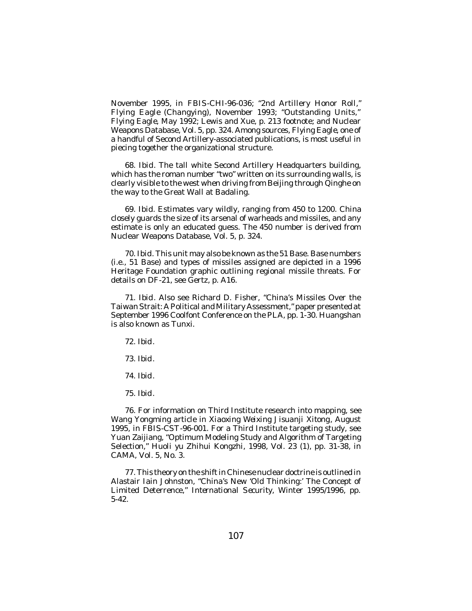November 1995, in *FBIS-CHI*-96-036; "2nd Artillery Honor Roll," *Flying Eagle (Changying)*, November 1993; "Outstanding Units," *Flying Eagle,* May 1992; Lewis and Xue, p. 213 footnote; and Nuclear Weapons Database, Vol. 5, pp. 324. Among sources, *Flying Eagle,* one of a handful of Second Artillery-associated publications, is most useful in piecing together the organizational structure.

68. *Ibid*. The tall white Second Artillery Headquarters building, which has the roman number "two" written on its surrounding walls, is clearly visible to the west when driving from Beijing through Qinghe on the way to the Great Wall at Badaling.

69. *Ibid*. Estimates vary wildly, ranging from 450 to 1200. China closely guards the size of its arsenal of warheads and missiles, and any estimate is only an educated guess. The 450 number is derived from Nuclear Weapons Database, Vol. 5, p. 324.

70. *Ibid*. This unit may also be known as the 51 Base. Base numbers (i.e., 51 Base) and types of missiles assigned are depicted in a 1996 Heritage Foundation graphic outlining regional missile threats. For details on DF-21, see Gertz, p. A16.

71. *Ibid*. Also see Richard D. Fisher, "China's Missiles Over the Taiwan Strait: A Political and Military Assessment," paper presented at September 1996 Coolfont Conference on the PLA, pp. 1-30. Huangshan is also known as Tunxi.

72. *Ibid*.

73. *Ibid*.

74. *Ibid*.

75. *Ibid*.

76. For information on Third Institute research into mapping, see Wang Yongming article in *Xiaoxing Weixing Jisuanji Xitong*, August 1995, in *FBIS-CST*-96-001. For a Third Institute targeting study, see Yuan Zaijiang, "Optimum Modeling Study and Algorithm of Targeting Selection," *Huoli yu Zhihui Kongzhi*, 1998, Vol. 23 (1), pp. 31-38, in *CAMA*, Vol. 5, No. 3.

77. This theory on the shift in Chinese nuclear doctrine is outlined in Alastair Iain Johnston, "China's New 'Old Thinking:' The Concept of Limited Deterrence," *International Security*, Winter 1995/1996, pp. 5-42.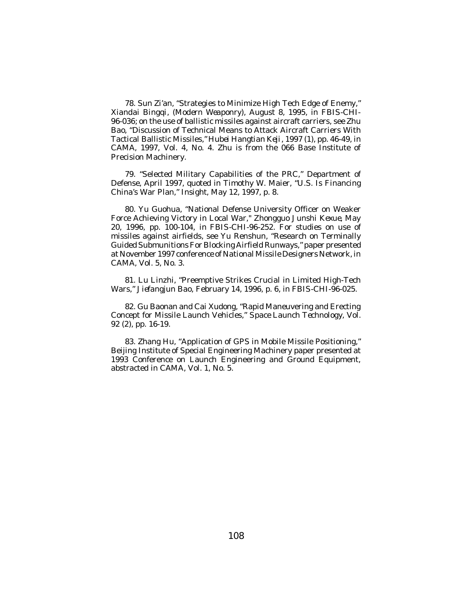78. Sun Zi'an, "Strategies to Minimize High Tech Edge of Enemy," *Xiandai Bingqi*, (*Modern Weaponry*), August 8, 1995, in *FBIS-CHI-*96-036; on the use of ballistic missiles against aircraft carriers, see Zhu Bao, "Discussion of Technical Means to Attack Aircraft Carriers With Tactical Ballistic Missiles," *Hubei Hangtian Keji*, 1997 (1), pp. 46-49, in *CAMA*, 1997, Vol. 4, No. 4. Zhu is from the 066 Base Institute of Precision Machinery.

79. "Selected Military Capabilities of the PRC," Department of Defense, April 1997, quoted in Timothy W. Maier, "U.S. Is Financing China's War Plan," *Insight*, May 12, 1997, p. 8.

80. Yu Guohua, "National Defense University Officer on Weaker Force Achieving Victory in Local War," *Zhongguo Junshi Kexue*, May 20, 1996, pp. 100-104, in *FBIS-CHI*-96-252. For studies on use of missiles against airfields, see Yu Renshun, "Research on Terminally Guided Submunitions For Blocking Airfield Runways," paper presented at November 1997 conference of National Missile Designers Network, in *CAMA*, Vol. 5, No. 3.

81. Lu Linzhi, "Preemptive Strikes Crucial in Limited High-Tech Wars," *Jiefangjun Bao*, February 14, 1996, p. 6, in *FBIS-CHI*-96-025.

82. Gu Baonan and Cai Xudong, "Rapid Maneuvering and Erecting Concept for Missile Launch Vehicles," *Space Launch Technology*, Vol. 92 (2), pp. 16-19.

83. Zhang Hu, "Application of GPS in Mobile Missile Positioning," Beijing Institute of Special Engineering Machinery paper presented at 1993 Conference on Launch Engineering and Ground Equipment, abstracted in *CAMA*, Vol. 1, No. 5.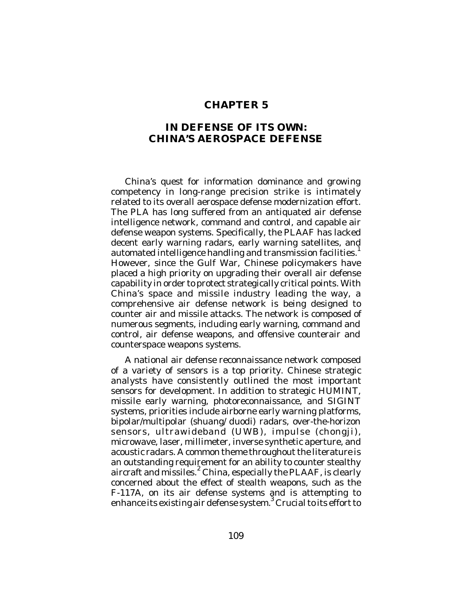## **CHAPTER 5**

## **IN DEFENSE OF ITS OWN: CHINA'S AEROSPACE DEFENSE**

China's quest for information dominance and growing competency in long-range precision strike is intimately related to its overall aerospace defense modernization effort. The PLA has long suffered from an antiquated air defense intelligence network, command and control, and capable air defense weapon systems. Specifically, the PLAAF has lacked decent early warning radars, early warning satellites, and automated intelligence handling and transmission facilities.<sup>1</sup> However, since the Gulf War, Chinese policymakers have placed a high priority on upgrading their overall air defense capability in order to protect strategically critical points. With China's space and missile industry leading the way, a comprehensive air defense network is being designed to counter air and missile attacks. The network is composed of numerous segments, including early warning, command and control, air defense weapons, and offensive counterair and counterspace weapons systems.

A national air defense reconnaissance network composed of a variety of sensors is a top priority. Chinese strategic analysts have consistently outlined the most important sensors for development. In addition to strategic HUMINT, missile early warning, photoreconnaissance, and SIGINT systems, priorities include airborne early warning platforms, bipolar/multipolar (*shuang/duodi*) radars, over-the-horizon sensors, ultrawideband (UWB), impulse (*chongji*), microwave, laser, millimeter, inverse synthetic aperture, and acoustic radars. A common theme throughout the literature is an outstanding requirement for an ability to counter stealthy aircraft and missiles. 2 China, especially the PLAAF, is clearly concerned about the effect of stealth weapons, such as the F-117A, on its air defense systems and is attempting to enhance its existing air defense system. $^3$  Crucial to its effort to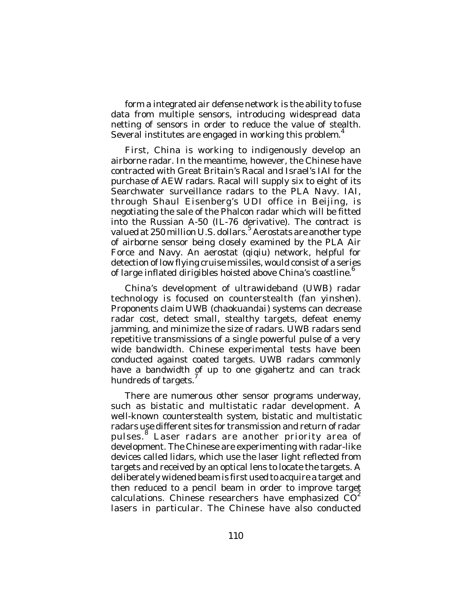form a integrated air defense network is the ability to fuse data from multiple sensors, introducing widespread data netting of sensors in order to reduce the value of stealth. Several institutes are engaged in working this problem.<sup>4</sup>

First, China is working to indigenously develop an airborne radar. In the meantime, however, the Chinese have contracted with Great Britain's Racal and Israel's IAI for the purchase of AEW radars. Racal will supply six to eight of its Searchwater surveillance radars to the PLA Navy. IAI, through Shaul Eisenberg's UDI office in Beijing, is negotiating the sale of the Phalcon radar which will be fitted into the Russian A-50 (IL-76 derivative). The contract is valued at 250 million U.S. dollars.<sup>5</sup> Aerostats are another type of airborne sensor being closely examined by the PLA Air Force and Navy. An aerostat (*qiqiu*) network, helpful for detection of low flying cruise missiles, would consist of a series of large inflated dirigibles hoisted above China's coastline.<sup>6</sup>

China's development of ultrawideband (UWB) radar technology is focused on counterstealth (*fan yinshen*). Proponents claim UWB (*chaokuandai*) systems can decrease radar cost, detect small, stealthy targets, defeat enemy jamming, and minimize the size of radars. UWB radars send repetitive transmissions of a single powerful pulse of a very wide bandwidth. Chinese experimental tests have been conducted against coated targets. UWB radars commonly have a bandwidth of up to one gigahertz and can track hundreds of targets. 7

There are numerous other sensor programs underway, such as bistatic and multistatic radar development. A well-known counterstealth system, bistatic and multistatic radars use different sites for transmission and return of radar pulses.<sup>8</sup> Laser radars are another priority area of development. The Chinese are experimenting with radar-like devices called lidars, which use the laser light reflected from targets and received by an optical lens to locate the targets. A deliberately widened beam is first used to acquire a target and then reduced to a pencil beam in order to improve target calculations. Chinese researchers have emphasized  $CO<sup>2</sup>$ lasers in particular. The Chinese have also conducted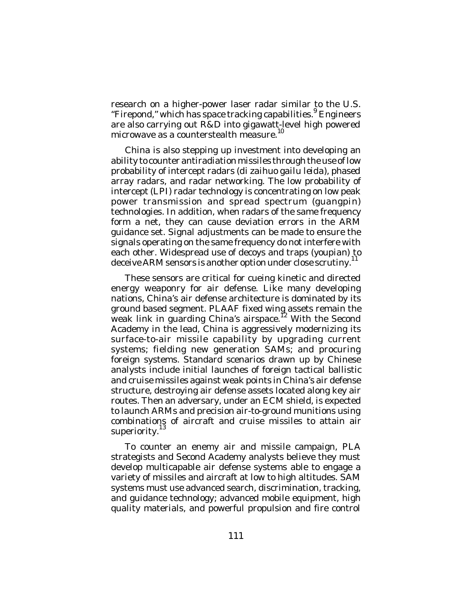research on a higher-power laser radar similar to the U.S. "Firepond," which has space tracking capabilities. <sup>9</sup> Engineers are also carrying out R&D into gigawatt-level high powered microwave as a counterstealth measure.<sup>10</sup>

China is also stepping up investment into developing an ability to counter antiradiation missiles through the use of low probability of intercept radars (*di zaihuo gailu leida*), phased array radars, and radar networking. The low probability of intercept (LPI) radar technology is concentrating on low peak power transmission and spread spectrum (*guangpin*) technologies. In addition, when radars of the same frequency form a net, they can cause deviation errors in the ARM guidance set. Signal adjustments can be made to ensure the signals operating on the same frequency do not interfere with each other. Widespread use of decoys and traps (*youpian*) to deceive ARM sensors is another option under close scrutiny.<sup>11</sup>

These sensors are critical for cueing kinetic and directed energy weaponry for air defense. Like many developing nations, China's air defense architecture is dominated by its ground based segment. PLAAF fixed wing assets remain the weak link in guarding China's airspace.<sup>12</sup> With the Second Academy in the lead, China is aggressively modernizing its surface-to-air missile capability by upgrading current systems; fielding new generation SAMs; and procuring foreign systems. Standard scenarios drawn up by Chinese analysts include initial launches of foreign tactical ballistic and cruise missiles against weak points in China's air defense structure, destroying air defense assets located along key air routes. Then an adversary, under an ECM shield, is expected to launch ARMs and precision air-to-ground munitions using combinations of aircraft and cruise missiles to attain air<br>cunoriarity.<sup>13</sup> superiority.

To counter an enemy air and missile campaign, PLA strategists and Second Academy analysts believe they must develop multicapable air defense systems able to engage a variety of missiles and aircraft at low to high altitudes. SAM systems must use advanced search, discrimination, tracking, and guidance technology; advanced mobile equipment, high quality materials, and powerful propulsion and fire control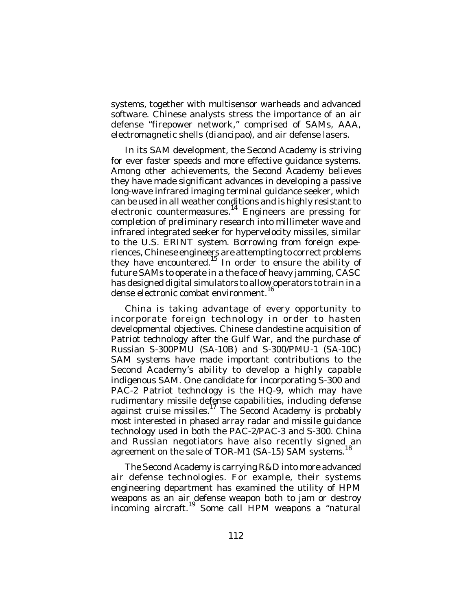systems, together with multisensor warheads and advanced software. Chinese analysts stress the importance of an air defense "firepower network," comprised of SAMs, AAA, electromagnetic shells (*diancipao*), and air defense lasers.

In its SAM development, the Second Academy is striving for ever faster speeds and more effective quidance systems. Among other achievements, the Second Academy believes they have made significant advances in developing a passive long-wave infrared imaging terminal guidance seeker, which can be used in all weather conditions and is highly resistant to electronic countermeasures.<sup>14</sup> Engineers are pressing for completion of preliminary research into millimeter wave and infrared integrated seeker for hypervelocity missiles, similar to the U.S. ERINT system. Borrowing from foreign experiences, Chinese engineers are attempting to correct problems they have encountered.<sup>15</sup> In order to ensure the ability of future SAMs to operate in a the face of heavy jamming, CASC has designed digital simulators to allow operators to train in a 16 dense electronic combat environment.

China is taking advantage of every opportunity to incorporate foreign technology in order to hasten developmental objectives. Chinese clandestine acquisition of Patriot technology after the Gulf War, and the purchase of Russian S-300PMU (SA-10B) and S-300/PMU-1 (SA-10C) SAM systems have made important contributions to the Second Academy's ability to develop a highly capable indigenous SAM. One candidate for incorporating S-300 and PAC-2 Patriot technology is the HQ-9, which may have rudimentary missile defense capabilities, including defense against cruise missiles.<sup>17</sup> The Second Academy is probably most interested in phased array radar and missile guidance technology used in both the PAC-2/PAC-3 and S-300. China and Russian negotiators have also recently signed an agreement on the sale of TOR-M1 (SA-15) SAM systems.<sup>18</sup>

The Second Academy is carrying R&D into more advanced air defense technologies. For example, their systems engineering department has examined the utility of HPM weapons as an air defense weapon both to jam or destroy incoming aircraft. 19 Some call HPM weapons a "natural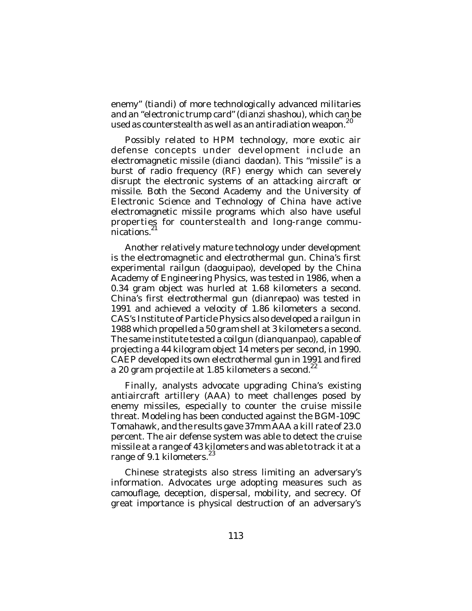enemy" (*tiandi*) of more technologically advanced militaries and an "electronic trump card" (*dianzi shashou*), which can be used as counterstealth as well as an antiradiation weapon.<sup>20</sup>

Possibly related to HPM technology, more exotic air defense concepts under development include an electromagnetic missile (*dianci daodan*). This "missile" is a burst of radio frequency (RF) energy which can severely disrupt the electronic systems of an attacking aircraft or missile. Both the Second Academy and the University of Electronic Science and Technology of China have active electromagnetic missile programs which also have useful properties for counterstealth and long-range communications.<sup>21</sup>

Another relatively mature technology under development is the electromagnetic and electrothermal gun. China's first experimental railgun (*daoguipao*), developed by the China Academy of Engineering Physics, was tested in 1986, when a 0.34 gram object was hurled at 1.68 kilometers a second. China's first electrothermal gun (*dianrepao*) was tested in 1991 and achieved a velocity of 1.86 kilometers a second. CAS's Institute of Particle Physics also developed a railgun in 1988 which propelled a 50 gram shell at 3 kilometers a second. The same institute tested a coilgun (*dianquanpao*), capable of projecting a 44 kilogram object 14 meters per second, in 1990. CAEP developed its own electrothermal gun in 1991 and fired a 20 gram projectile at 1.85 kilometers a second.<sup>22</sup>

Finally, analysts advocate upgrading China's existing antiaircraft artillery (AAA) to meet challenges posed by enemy missiles, especially to counter the cruise missile threat. Modeling has been conducted against the BGM-109C Tomahawk, and the results gave 37mm AAA a kill rate of 23.0 percent. The air defense system was able to detect the cruise missile at a range of 43 kilometers and was able to track it at a range of 9.1 kilometers.<sup>23</sup>

Chinese strategists also stress limiting an adversary's information. Advocates urge adopting measures such as camouflage, deception, dispersal, mobility, and secrecy. Of great importance is physical destruction of an adversary's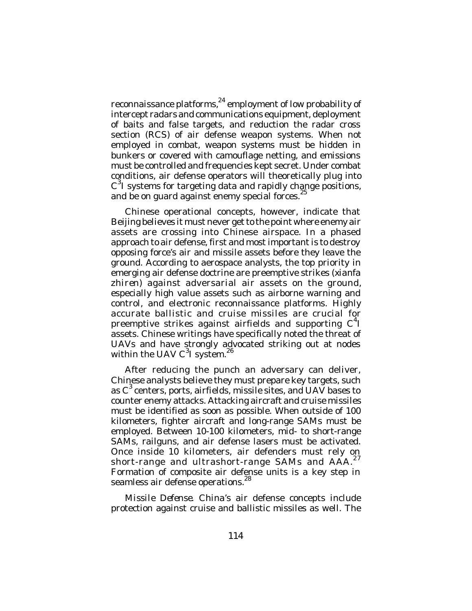reconnaissance platforms, $^{24}$  employment of low probability of intercept radars and communications equipment, deployment of baits and false targets, and reduction the radar cross section (RCS) of air defense weapon systems. When not employed in combat, weapon systems must be hidden in bunkers or covered with camouflage netting, and emissions must be controlled and frequencies kept secret. Under combat conditions, air defense operators will theoretically plug into C<sup>3</sup>I systems for targeting data and rapidly change positions, and be on guard against enemy special forces.<sup>25</sup>

Chinese operational concepts, however, indicate that Beijing believes it must never get to the point where enemy air assets are crossing into Chinese airspace. In a phased approach to air defense, first and most important is to destroy opposing force's air and missile assets before they leave the ground. According to aerospace analysts, the top priority in emerging air defense doctrine are preemptive strikes (*xianfa zhiren*) against adversarial air assets on the ground, especially high value assets such as airborne warning and control, and electronic reconnaissance platforms. Highly accurate ballistic and cruise missiles are crucial for preemptive strikes against airfields and supporting  $C<sup>4</sup>I$ assets. Chinese writings have specifically noted the threat of UAVs and have strongly advocated striking out at nodes within the UAV  $C^3$  system.<sup>26</sup>

After reducing the punch an adversary can deliver, Chinese analysts believe they must prepare key targets, such as C<sup>3</sup> centers, ports, airfields, missile sites, and UAV bases to counter enemy attacks. Attacking aircraft and cruise missiles must be identified as soon as possible. When outside of 100 kilometers, fighter aircraft and long-range SAMs must be employed. Between 10-100 kilometers, mid- to short-range SAMs, railguns, and air defense lasers must be activated. Once inside 10 kilometers, air defenders must rely on short-range and ultrashort-range SAMs and  $A\overline{A}A$ .  $^{27}$ Formation of composite air defense units is a key step in seamless air defense operations.<sup>28</sup>

*Missile Defense*. China's air defense concepts include protection against cruise and ballistic missiles as well. The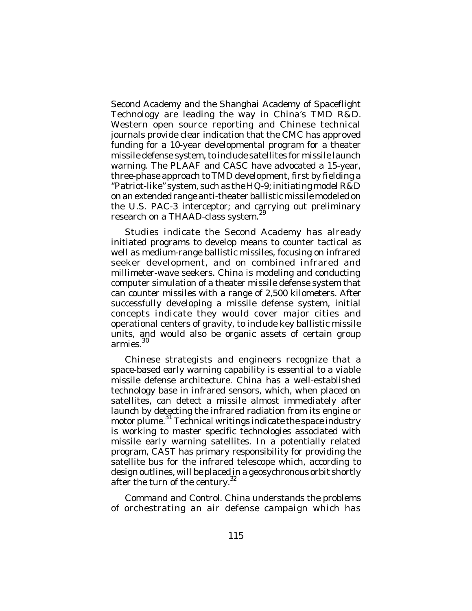Second Academy and the Shanghai Academy of Spaceflight Technology are leading the way in China's TMD R&D. Western open source reporting and Chinese technical journals provide clear indication that the CMC has approved funding for a 10-year developmental program for a theater missile defense system, to include satellites for missile launch warning. The PLAAF and CASC have advocated a 15-year, three-phase approach to TMD development, first by fielding a "Patriot-like" system, such as the HQ-9; initiating model R&D on an extended range anti-theater ballistic missile modeled on the U.S. PAC-3 interceptor; and carrying out preliminary research on a THAAD-class system.<sup>29</sup>

Studies indicate the Second Academy has already initiated programs to develop means to counter tactical as well as medium-range ballistic missiles, focusing on infrared seeker development, and on combined infrared and millimeter-wave seekers. China is modeling and conducting computer simulation of a theater missile defense system that can counter missiles with a range of 2,500 kilometers. After successfully developing a missile defense system, initial concepts indicate they would cover major cities and operational centers of gravity, to include key ballistic missile units, and would also be organic assets of certain group armies. 30

Chinese strategists and engineers recognize that a space-based early warning capability is essential to a viable missile defense architecture. China has a well-established technology base in infrared sensors, which, when placed on satellites, can detect a missile almost immediately after launch by detecting the infrared radiation from its engine or motor plume.<sup>31</sup> Technical writings indicate the space industry is working to master specific technologies associated with missile early warning satellites. In a potentially related program, CAST has primary responsibility for providing the satellite bus for the infrared telescope which, according to design outlines, will be placed in a geosychronous orbit shortly after the turn of the century.<sup>32</sup>

*Command and Control*. China understands the problems of orchestrating an air defense campaign which has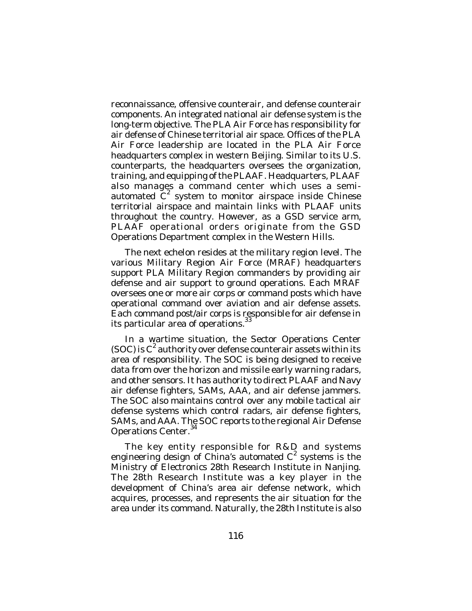reconnaissance, offensive counterair, and defense counterair components. An integrated national air defense system is the long-term objective. The PLA Air Force has responsibility for air defense of Chinese territorial air space. Offices of the PLA Air Force leadership are located in the PLA Air Force headquarters complex in western Beijing. Similar to its U.S. counterparts, the headquarters oversees the organization, training, and equipping of the PLAAF. Headquarters, PLAAF also manages a command center which uses a semiautomated  $\tilde{C}^2$  system to monitor airspace inside Chinese territorial airspace and maintain links with PLAAF units throughout the country. However, as a GSD service arm, PLAAF operational orders originate from the GSD Operations Department complex in the Western Hills.

The next echelon resides at the military region level. The various Military Region Air Force (MRAF) headquarters support PLA Military Region commanders by providing air defense and air support to ground operations. Each MRAF oversees one or more air corps or command posts which have operational command over aviation and air defense assets. Each command post/air corps is responsible for air defense in its particular area of operations.<sup>33</sup>

In a wartime situation, the Sector Operations Center (SOC) is  $C^2$  authority over defense counterair assets within its area of responsibility. The SOC is being designed to receive data from over the horizon and missile early warning radars, and other sensors. It has authority to direct PLAAF and Navy air defense fighters, SAMs, AAA, and air defense jammers. The SOC also maintains control over any mobile tactical air defense systems which control radars, air defense fighters, SAMs, and AAA. The SOC reports to the regional Air Defense Operations Center.<sup>34</sup>

The key entity responsible for R&D and systems engineering design of China's automated C<sup>2</sup> systems is the Ministry of Electronics 28th Research Institute in Nanjing. The 28th Research Institute was a key player in the development of China's area air defense network, which acquires, processes, and represents the air situation for the area under its command. Naturally, the 28th Institute is also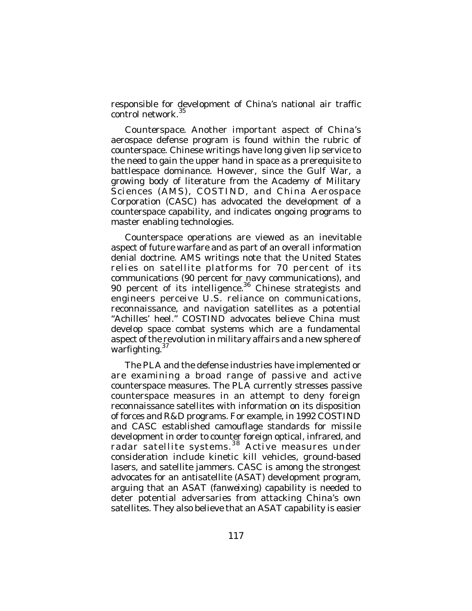responsible for development of China's national air traffic control network. 35

*Counterspace*. Another important aspect of China's aerospace defense program is found within the rubric of counterspace. Chinese writings have long given lip service to the need to gain the upper hand in space as a prerequisite to battlespace dominance. However, since the Gulf War, a growing body of literature from the Academy of Military Sciences (AMS), COSTIND, and China Aerospace Corporation (CASC) has advocated the development of a counterspace capability, and indicates ongoing programs to master enabling technologies.

Counterspace operations are viewed as an inevitable aspect of future warfare and as part of an overall information denial doctrine. AMS writings note that the United States relies on satellite platforms for 70 percent of its communications (90 percent for navy communications), and 90 percent of its intelligence.<sup>36</sup> Chinese strategists and engineers perceive U.S. reliance on communications, reconnaissance, and navigation satellites as a potential "Achilles' heel." COSTIND advocates believe China must develop space combat systems which are a fundamental aspect of the revolution in military affairs and a new sphere of warfighting.<sup>37</sup>

The PLA and the defense industries have implemented or are examining a broad range of passive and active counterspace measures. The PLA currently stresses passive counterspace measures in an attempt to deny foreign reconnaissance satellites with information on its disposition of forces and R&D programs. For example, in 1992 COSTIND and CASC established camouflage standards for missile development in order to counter foreign optical, infrared, and radar satellite systems.<sup>38</sup> Active measures under consideration include kinetic kill vehicles, ground-based lasers, and satellite jammers. CASC is among the strongest advocates for an antisatellite (ASAT) development program, arguing that an ASAT (*fanweixing*) capability is needed to deter potential adversaries from attacking China's own satellites. They also believe that an ASAT capability is easier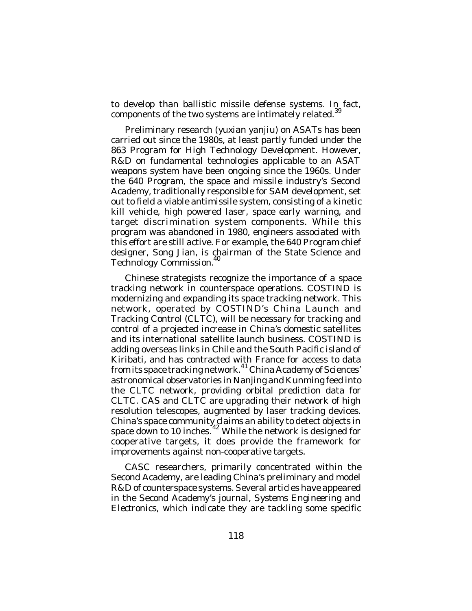to develop than ballistic missile defense systems. In fact, components of the two systems are intimately related.<sup>39</sup>

Preliminary research (*yuxian yanjiu*) on ASATs has been carried out since the 1980s, at least partly funded under the 863 Program for High Technology Development. However, R&D on fundamental technologies applicable to an ASAT weapons system have been ongoing since the 1960s. Under the 640 Program, the space and missile industry's Second Academy, traditionally responsible for SAM development, set out to field a viable antimissile system, consisting of a kinetic kill vehicle, high powered laser, space early warning, and target discrimination system components. While this program was abandoned in 1980, engineers associated with this effort are still active. For example, the 640 Program chief designer, Song Jian, is chairman of the State Science and Technology Commission.<sup>4</sup>

Chinese strategists recognize the importance of a space tracking network in counterspace operations. COSTIND is modernizing and expanding its space tracking network. This network, operated by COSTIND's China Launch and Tracking Control (CLTC), will be necessary for tracking and control of a projected increase in China's domestic satellites and its international satellite launch business. COSTIND is adding overseas links in Chile and the South Pacific island of Kiribati, and has contracted with France for access to data from its space tracking network. <sup>41</sup> China Academy of Sciences' astronomical observatories in Nanjing and Kunming feed into the CLTC network, providing orbital prediction data for CLTC. CAS and CLTC are upgrading their network of high resolution telescopes, augmented by laser tracking devices. China's space community claims an ability to detect objects in space down to 10 inches.<sup>42</sup> While the network is designed for cooperative targets, it does provide the framework for improvements against non-cooperative targets.

CASC researchers, primarily concentrated within the Second Academy, are leading China's preliminary and model R&D of counterspace systems. Several articles have appeared in the Second Academy's journal, *Systems Engineering and Electronics*, which indicate they are tackling some specific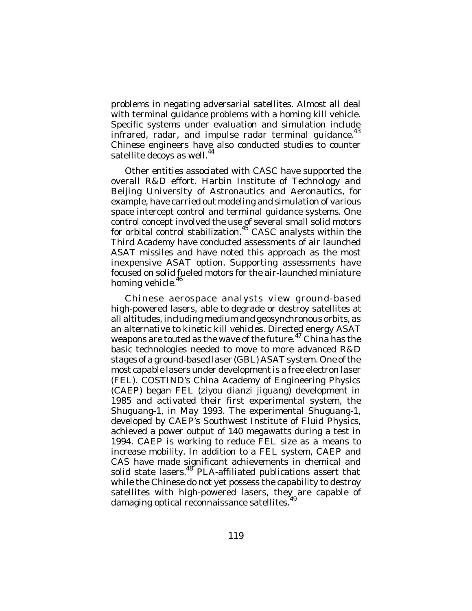problems in negating adversarial satellites. Almost all deal with terminal guidance problems with a homing kill vehicle. Specific systems under evaluation and simulation include infrared, radar, and impulse radar terminal guidance.<sup>43</sup> Chinese engineers have also conducted studies to counter satellite decoys as well.<sup>44</sup>

Other entities associated with CASC have supported the overall R&D effort. Harbin Institute of Technology and Beijing University of Astronautics and Aeronautics, for example, have carried out modeling and simulation of various space intercept control and terminal guidance systems. One control concept involved the use of several small solid motors for orbital control stabilization.<sup>45</sup> CASC analysts within the Third Academy have conducted assessments of air launched ASAT missiles and have noted this approach as the most inexpensive ASAT option. Supporting assessments have focused on solid fueled motors for the air-launched miniature homing vehicle.<sup>46</sup>

Chinese aerospace analysts view ground-based high-powered lasers, able to degrade or destroy satellites at all altitudes, including medium and geosynchronous orbits, as an alternative to kinetic kill vehicles. Directed energy ASAT weapons are touted as the wave of the future.<sup>47</sup> China has the basic technologies needed to move to more advanced R&D stages of a ground-based laser (GBL) ASAT system. One of the most capable lasers under development is a free electron laser (FEL). COSTIND's China Academy of Engineering Physics (CAEP) began FEL (*ziyou dianzi jiguang*) development in 1985 and activated their first experimental system, the Shuguang-1, in May 1993. The experimental Shuguang-1, developed by CAEP's Southwest Institute of Fluid Physics, achieved a power output of 140 megawatts during a test in 1994. CAEP is working to reduce FEL size as a means to increase mobility. In addition to a FEL system, CAEP and CAS have made significant achievements in chemical and solid state lasers.<sup>48</sup> PLA-affiliated publications assert that while the Chinese do not yet possess the capability to destroy satellites with high-powered lasers, they are capable of damaging optical reconnaissance satellites.<sup>49</sup>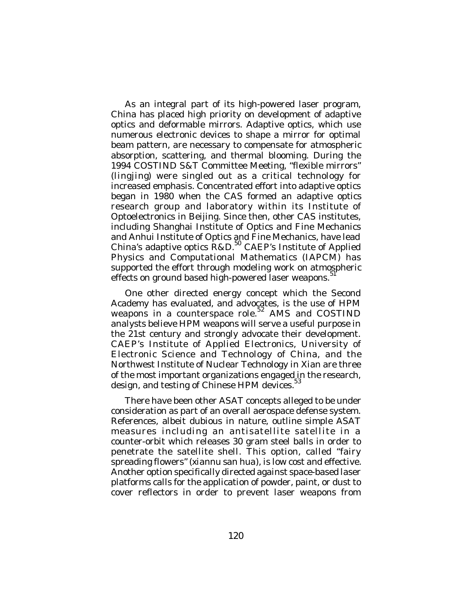As an integral part of its high-powered laser program, China has placed high priority on development of adaptive optics and deformable mirrors. Adaptive optics, which use numerous electronic devices to shape a mirror for optimal beam pattern, are necessary to compensate for atmospheric absorption, scattering, and thermal blooming. During the 1994 COSTIND S&T Committee Meeting, "flexible mirrors" (*lingjing*) were singled out as a critical technology for increased emphasis. Concentrated effort into adaptive optics began in 1980 when the CAS formed an adaptive optics research group and laboratory within its Institute of Optoelectronics in Beijing. Since then, other CAS institutes, including Shanghai Institute of Optics and Fine Mechanics and Anhui Institute of Optics and Fine Mechanics, have lead China's adaptive optics R&D.<sup>50</sup> CAEP's Institute of Applied Physics and Computational Mathematics (IAPCM) has supported the effort through modeling work on atmospheric effects on ground based high-powered laser weapons.<sup>51</sup>

One other directed energy concept which the Second Academy has evaluated, and advocates, is the use of HPM weapons in a counterspace role.<sup>52</sup> AMS and COSTIND analysts believe HPM weapons will serve a useful purpose in the 21st century and strongly advocate their development. CAEP's Institute of Applied Electronics, University of Electronic Science and Technology of China, and the Northwest Institute of Nuclear Technology in Xian are three of the most important organizations engaged in the research, design, and testing of Chinese HPM devices.<sup>53</sup>

There have been other ASAT concepts alleged to be under consideration as part of an overall aerospace defense system. References, albeit dubious in nature, outline simple ASAT measures including an antisatellite satellite in a counter-orbit which releases 30 gram steel balls in order to penetrate the satellite shell. This option, called "fairy spreading flowers" (*xiannu san hua*), is low cost and effective. Another option specifically directed against space-based laser platforms calls for the application of powder, paint, or dust to cover reflectors in order to prevent laser weapons from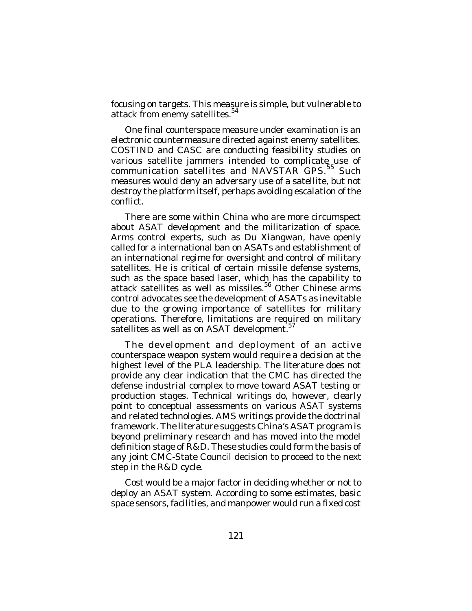focusing on targets. This measure is simple, but vulnerable to attack from enemy satellites.<sup>54</sup>

One final counterspace measure under examination is an electronic countermeasure directed against enemy satellites. COSTIND and CASC are conducting feasibility studies on various satellite jammers intended to complicate use of communication satellites and NAVSTAR GPS.<sup>55</sup> Such measures would deny an adversary use of a satellite, but not destroy the platform itself, perhaps avoiding escalation of the conflict.

There are some within China who are more circumspect about ASAT development and the militarization of space. Arms control experts, such as Du Xiangwan, have openly called for a international ban on ASATs and establishment of an international regime for oversight and control of military satellites. He is critical of certain missile defense systems, such as the space based laser, which has the capability to attack satellites as well as missiles.<sup>56</sup> Other Chinese arms control advocates see the development of ASATs as inevitable due to the growing importance of satellites for military operations. Therefore, limitations are required on military satellites as well as on ASAT development.<sup>5</sup>

The development and deployment of an active counterspace weapon system would require a decision at the highest level of the PLA leadership. The literature does not provide any clear indication that the CMC has directed the defense industrial complex to move toward ASAT testing or production stages. Technical writings do, however, clearly point to conceptual assessments on various ASAT systems and related technologies. AMS writings provide the doctrinal framework. The literature suggests China's ASAT program is beyond preliminary research and has moved into the model definition stage of R&D. These studies could form the basis of any joint CMC-State Council decision to proceed to the next step in the R&D cycle.

Cost would be a major factor in deciding whether or not to deploy an ASAT system. According to some estimates, basic space sensors, facilities, and manpower would run a fixed cost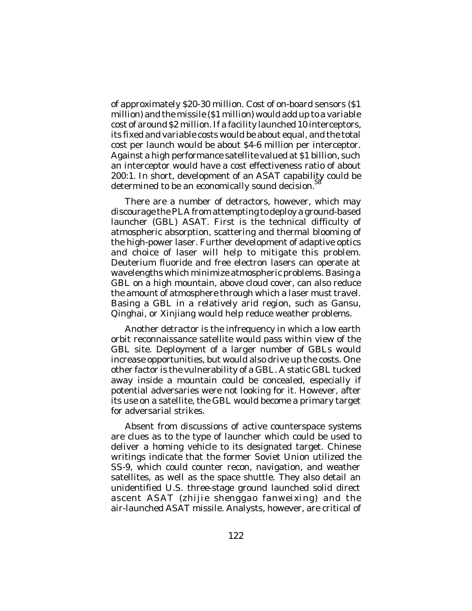of approximately \$20-30 million. Cost of on-board sensors (\$1 million) and the missile (\$1 million) would add up to a variable cost of around \$2 million. If a facility launched 10 interceptors, its fixed and variable costs would be about equal, and the total cost per launch would be about \$4-6 million per interceptor. Against a high performance satellite valued at \$1 billion, such an interceptor would have a cost effectiveness ratio of about 200:1. In short, development of an ASAT capability could be determined to be an economically sound decision.<sup>5</sup>

There are a number of detractors, however, which may discourage the PLA from attempting to deploy a ground-based launcher (GBL) ASAT. First is the technical difficulty of atmospheric absorption, scattering and thermal blooming of the high-power laser. Further development of adaptive optics and choice of laser will help to mitigate this problem. Deuterium fluoride and free electron lasers can operate at wavelengths which minimize atmospheric problems. Basing a GBL on a high mountain, above cloud cover, can also reduce the amount of atmosphere through which a laser must travel. Basing a GBL in a relatively arid region, such as Gansu, Qinghai, or Xinjiang would help reduce weather problems.

Another detractor is the infrequency in which a low earth orbit reconnaissance satellite would pass within view of the GBL site. Deployment of a larger number of GBLs would increase opportunities, but would also drive up the costs. One other factor is the vulnerability of a GBL. A static GBL tucked away inside a mountain could be concealed, especially if potential adversaries were not looking for it. However, after its use on a satellite, the GBL would become a primary target for adversarial strikes.

Absent from discussions of active counterspace systems are clues as to the type of launcher which could be used to deliver a homing vehicle to its designated target. Chinese writings indicate that the former Soviet Union utilized the SS-9, which could counter recon, navigation, and weather satellites, as well as the space shuttle. They also detail an unidentified U.S. three-stage ground launched solid direct ascent ASAT (*zhijie shenggao fanweixing*) and the air-launched ASAT missile. Analysts, however, are critical of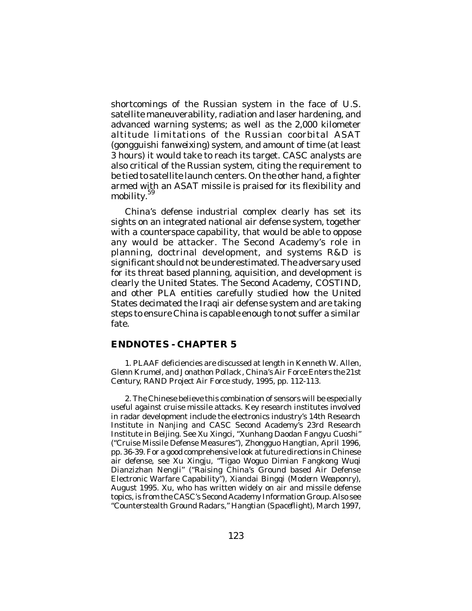shortcomings of the Russian system in the face of U.S. satellite maneuverability, radiation and laser hardening, and advanced warning systems; as well as the 2,000 kilometer altitude limitations of the Russian coorbital ASAT (*gongguishi fanweixing*) system, and amount of time (at least 3 hours) it would take to reach its target. CASC analysts are also critical of the Russian system, citing the requirement to be tied to satellite launch centers. On the other hand, a fighter armed with an ASAT missile is praised for its flexibility and mobility. 59

China's defense industrial complex clearly has set its sights on an integrated national air defense system, together with a counterspace capability, that would be able to oppose any would be attacker. The Second Academy's role in planning, doctrinal development, and systems R&D is significant should not be underestimated. The adversary used for its threat based planning, aquisition, and development is clearly the United States. The Second Academy, COSTIND, and other PLA entities carefully studied how the United States decimated the Iraqi air defense system and are taking steps to ensure China is capable enough to not suffer a similar fate.

## **ENDNOTES - CHAPTER 5**

1. PLAAF deficiencies are discussed at length in Kenneth W. Allen, Glenn Krumel, and Jonathon Pollack*, China's Air Force Enters the 21st Century*, RAND Project Air Force study, 1995, pp. 112-113.

2. The Chinese believe this combination of sensors will be especially useful against cruise missile attacks. Key research institutes involved in radar development include the electronics industry's 14th Research Institute in Nanjing and CASC Second Academy's 23rd Research Institute in Beijing. See Xu Xingci, "Xunhang Daodan Fangyu Cuoshi" ("Cruise Missile Defense Measures"), *Zhongguo Hangtian*, April 1996, pp. 36-39. For a good comprehensive look at future directions in Chinese air defense, see Xu Xingju, "Tigao Woguo Dimian Fangkong Wuqi Dianzizhan Nengli" ("Raising China's Ground based Air Defense Electronic Warfare Capability"), *Xiandai Bingqi* (*Modern Weaponr*y), August 1995. Xu, who has written widely on air and missile defense topics, is from the CASC's Second Academy Information Group. Also see "Counterstealth Ground Radars," *Hangtian* (*Spaceflight*), March 1997,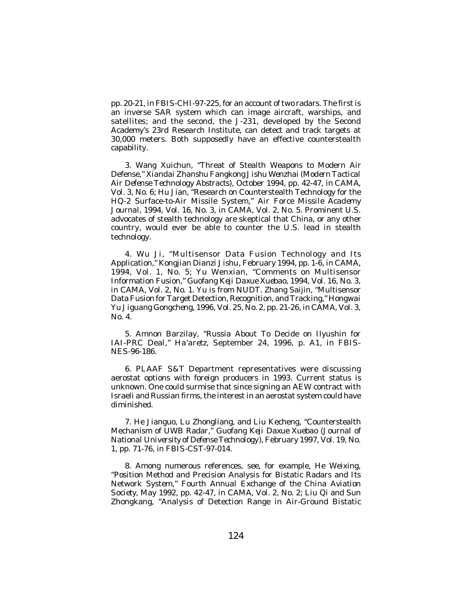pp. 20-21, in *FBIS-CHI*-97-225, for an account of two radars. The first is an inverse SAR system which can image aircraft, warships, and satellites; and the second, the J-231, developed by the Second Academy's 23rd Research Institute, can detect and track targets at 30,000 meters. Both supposedly have an effective counterstealth capability.

3. Wang Xuichun, "Threat of Stealth Weapons to Modern Air Defense," *Xiandai Zhanshu Fangkong Jishu Wenzhai (Modern Tactical Air Defense Technology Abstracts*), October 1994, pp. 42-47, in *CAMA*, Vol. 3, No. 6; Hu Jian, "Research on Counterstealth Technology for the HQ-2 Surface-to-Air Missile System," *Air Force Missile Academy Journal*, 1994, Vol. 16, No. 3, in *CAMA*, Vol. 2, No. 5. Prominent U.S. advocates of stealth technology are skeptical that China, or any other country, would ever be able to counter the U.S. lead in stealth technology.

4. Wu Ji, "Multisensor Data Fusion Technology and Its Application," *Kongjian Dianzi Jishu*, February 1994, pp. 1-6, in *CAMA*, 1994, Vol. 1, No. 5; Yu Wenxian, "Comments on Multisensor Information Fusion," *Guofang Keji Daxue Xuebao*, 1994, Vol. 16, No. 3, in *CAMA*, Vol. 2, No. 1. Yu is from NUDT. Zhang Saijin, "Multisensor Data Fusion for Target Detection, Recognition, and Tracking," *Hongwai Yu Jiguang Gongcheng*, 1996, Vol. 25, No. 2, pp. 21-26, in *CAMA*, Vol. 3, No. 4.

5. Amnon Barzilay, "Russia About To Decide on Ilyushin for IAI-PRC Deal," *Ha'aretz*, September 24, 1996, p. A1, in *FBIS-NES*-96-186.

6. PLAAF S&T Department representatives were discussing aerostat options with foreign producers in 1993. Current status is unknown. One could surmise that since signing an AEW contract with Israeli and Russian firms, the interest in an aerostat system could have diminished.

7. He Jianguo, Lu Zhongliang, and Liu Kecheng, "Counterstealth Mechanism of UWB Radar," *Guofang Keji Daxue Xuebao* (*Journal of National University of Defense Technology*), February 1997, Vol. 19, No. 1, pp. 71-76, in *FBIS-CST*-97-014.

8. Among numerous references, see, for example, He Weixing, "Position Method and Precision Analysis for Bistatic Radars and Its Network System," *Fourth Annual Exchange of the China Aviation Society*, May 1992, pp. 42-47, in *CAMA*, Vol. 2, No. 2; Liu Qi and Sun Zhongkang, "Analysis of Detection Range in Air-Ground Bistatic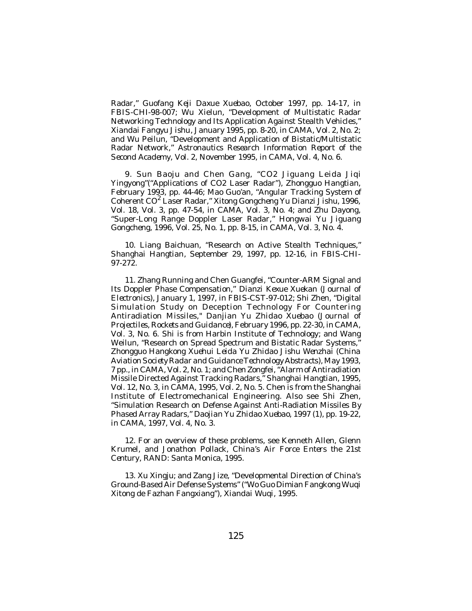Radar," *Guofang Keji Daxue Xuebao*, October 1997, pp. 14-17, in *FBIS-CHI*-98-007; Wu Xielun, "Development of Multistatic Radar Networking Technology and Its Application Against Stealth Vehicles," *Xiandai Fangyu Jishu*, January 1995, pp. 8-20, in *CAMA*, Vol. 2, No. 2; and Wu Peilun, "Development and Application of Bistatic/Multistatic Radar Network," *Astronautics Research Information Report of the Second Academy,* Vol. 2, November 1995, in *CAMA*, Vol. 4, No. 6.

9. Sun Baoju and Chen Gang, "CO2 Jiguang Leida Jiqi Yingyong"("Applications of CO2 Laser Radar"), *Zhongguo Hangtian*, February 1993, pp. 44-46; Mao Guo'an, "Angular Tracking System of Coherent CO 2 Laser Radar," *Xitong Gongcheng Yu Dianzi Jishu*, 1996, Vol. 18, Vol. 3, pp. 47-54, in *CAMA*, Vol. 3, No. 4; and Zhu Dayong, "Super-Long Range Doppler Laser Radar," *Hongwai Yu Jiguang Gongcheng*, 1996, Vol. 25, No. 1, pp. 8-15, in *CAMA*, Vol. 3, No. 4.

10. Liang Baichuan, "Research on Active Stealth Techniques," *Shanghai Hangtian*, September 29, 1997, pp. 12-16, in *FBIS-CHI-*97-272.

11. Zhang Running and Chen Guangfei, "Counter-ARM Signal and Its Doppler Phase Compensation," *Dianzi Kexue Xuekan* (*Journal of Electronics*), January 1, 1997, in *FBIS-CST*-97-012; Shi Zhen, "Digital Simulation Study on Deception Technology For Countering Antiradiation Missiles," *Danjian Yu Zhidao Xuebao* (*Journal of Projectiles, Rockets and Guidance*), February 1996, pp. 22-30, in *CAMA*, Vol. 3, No. 6. Shi is from Harbin Institute of Technology; and Wang Weilun, "Research on Spread Spectrum and Bistatic Radar Systems," *Zhongguo Hangkong Xuehui Leida Yu Zhidao Jishu Wenzhai* (*China Aviation Society Radar and Guidance Technology Abstracts*), May 1993, 7 pp., in *CAMA*, Vol. 2, No. 1; and Chen Zongfei, "Alarm of Antiradiation Missile Directed Against Tracking Radars," *Shanghai Hangtian*, 1995, Vol. 12, No. 3, in *CAMA*, 1995, Vol. 2, No. 5. Chen is from the Shanghai Institute of Electromechanical Engineering. Also see Shi Zhen, "Simulation Research on Defense Against Anti-Radiation Missiles By Phased Array Radars," *Daojian Yu Zhidao Xuebao*, 1997 (1), pp. 19-22, in *CAMA*, 1997, Vol. 4, No. 3.

12. For an overview of these problems, see Kenneth Allen, Glenn Krumel, and Jonathon Pollack, *China's Air Force Enters the 21st Century*, RAND: Santa Monica, 1995.

13. Xu Xingju; and Zang Jize, "Developmental Direction of China's Ground-Based Air Defense Systems" ("Wo Guo Dimian Fangkong Wuqi Xitong de Fazhan Fangxiang"), *Xiandai Wuqi*, 1995.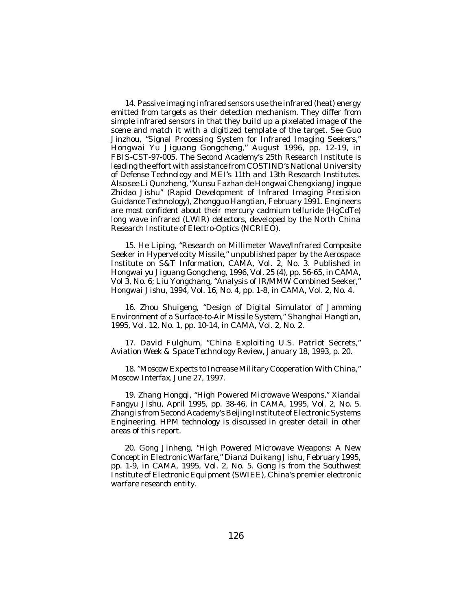14. Passive imaging infrared sensors use the infrared (heat) energy emitted from targets as their detection mechanism. They differ from simple infrared sensors in that they build up a pixelated image of the scene and match it with a digitized template of the target. See Guo Jinzhou, "Signal Processing System for Infrared Imaging Seekers," *Hongwai Yu Jiguang Gongcheng*," August 1996, pp. 12-19, in *FBIS-CST*-97-005. The Second Academy's 25th Research Institute is leading the effort with assistance from COSTIND's National University of Defense Technology and MEI's 11th and 13th Research Institutes. Also see Li Qunzheng, "Xunsu Fazhan de Hongwai Chengxiang Jingque Zhidao Jishu" (Rapid Development of Infrared Imaging Precision Guidance Technology), *Zhongguo Hangtian*, February 1991. Engineers are most confident about their mercury cadmium telluride (HgCdTe) long wave infrared (LWIR) detectors, developed by the North China Research Institute of Electro-Optics (NCRIEO).

15. He Liping, "Research on Millimeter Wave/Infrared Composite Seeker in Hypervelocity Missile," unpublished paper by the Aerospace Institute on S&T Information, *CAMA*, Vol. 2, No. 3. Published in *Hongwai yu Jiguang Gongcheng*, 1996, Vol. 25 (4), pp. 56-65, in *CAMA,* Vol 3, No. 6; Liu Yongchang, "Analysis of IR/MMW Combined Seeker," *Hongwai Jishu*, 1994, Vol. 16, No. 4, pp. 1-8, in *CAMA*, Vol. 2, No. 4.

16. Zhou Shuigeng, "Design of Digital Simulator of Jamming Environment of a Surface-to-Air Missile System," *Shanghai Hangtian*, 1995, Vol. 12, No. 1, pp. 10-14, in *CAMA*, Vol. 2, No. 2.

17. David Fulghum, "China Exploiting U.S. Patriot Secrets," *Aviation Week & Space Technology Review*, January 18, 1993, p. 20.

18. "Moscow Expects to Increase Military Cooperation With China," *Moscow Interfax*, June 27, 1997.

19. Zhang Hongqi, "High Powered Microwave Weapons," *Xiandai Fangyu Jishu*, April 1995, pp. 38-46, in *CAMA,* 1995, Vol. 2, No. 5. Zhang is from Second Academy's Beijing Institute of Electronic Systems Engineering. HPM technology is discussed in greater detail in other areas of this report.

20. Gong Jinheng, "High Powered Microwave Weapons: A New Concept in Electronic Warfare," *Dianzi Duikang Jishu*, February 1995, pp. 1-9, in *CAMA,* 1995, Vol. 2, No. 5. Gong is from the Southwest Institute of Electronic Equipment (SWIEE), China's premier electronic warfare research entity.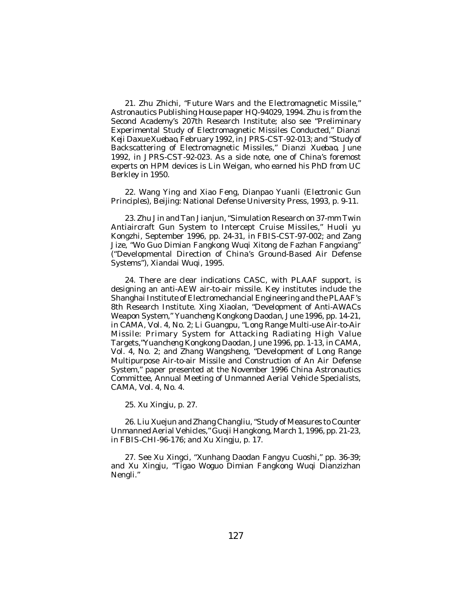21. Zhu Zhichi, "Future Wars and the Electromagnetic Missile," Astronautics Publishing House paper HQ-94029, 1994. Zhu is from the Second Academy's 207th Research Institute; also see "Preliminary Experimental Study of Electromagnetic Missiles Conducted," *Dianzi Keji Daxue Xuebao*, February 1992, in *JPRS-CST*-92-013; and "Study of Backscattering of Electromagnetic Missiles," *Dianzi Xuebao*, June 1992, in *JPRS-CST*-92-023. As a side note, one of China's foremost experts on HPM devices is Lin Weigan, who earned his PhD from UC Berkley in 1950.

22. Wang Ying and Xiao Feng, *Dianpao Yuanli* (*Electronic Gun Principles*), Beijing: National Defense University Press, 1993, p. 9-11.

23. Zhu Jin and Tan Jianjun, "Simulation Research on 37-mm Twin Antiaircraft Gun System to Intercept Cruise Missiles," *Huoli yu Kongzhi*, September 1996, pp. 24-31, in *FBIS-CST*-97-002; and Zang Jize, "Wo Guo Dimian Fangkong Wuqi Xitong de Fazhan Fangxiang" ("Developmental Direction of China's Ground-Based Air Defense Systems"), *Xiandai Wuqi*, 1995.

24. There are clear indications CASC, with PLAAF support, is designing an anti-AEW air-to-air missile. Key institutes include the Shanghai Institute of Electromechancial Engineering and the PLAAF's 8th Research Institute. Xing Xiaolan, "Development of Anti-AWACs Weapon System," *Yuancheng Kongkong Daodan*, June 1996, pp. 14-21, in *CAMA*, Vol. 4, No. 2; Li Guangpu, "Long Range Multi-use Air-to-Air Missile: Primary System for Attacking Radiating High Value Targets,"*Yuancheng Kongkong Daodan*, June 1996, pp. 1-13, in *CAMA*, Vol. 4, No. 2; and Zhang Wangsheng, "Development of Long Range Multipurpose Air-to-air Missile and Construction of An Air Defense System," paper presented at the November 1996 China Astronautics Committee, Annual Meeting of Unmanned Aerial Vehicle Specialists, *CAMA*, Vol. 4, No. 4.

25. Xu Xingju, p. 27.

26. Liu Xuejun and Zhang Changliu, "Study of Measures to Counter Unmanned Aerial Vehicles," *Guoji Hangkong*, March 1, 1996, pp. 21-23, in *FBIS-CHI*-96-176; and Xu Xingju, p. 17.

27. See Xu Xingci, "Xunhang Daodan Fangyu Cuoshi," pp. 36-39; and Xu Xingju, "Tigao Woguo Dimian Fangkong Wuqi Dianzizhan Nengli."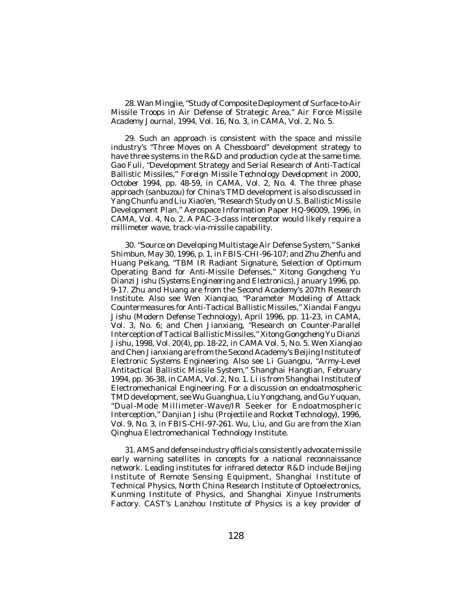28. Wan Mingjie, "Study of Composite Deployment of Surface-to-Air Missile Troops in Air Defense of Strategic Area," *Air Force Missile Academy Journal*, 1994, Vol. 16, No. 3, in *CAMA*, Vol. 2, No. 5.

29. Such an approach is consistent with the space and missile industry's "Three Moves on A Chessboard" development strategy to have three systems in the R&D and production cycle at the same time. Gao Fuli, "Development Strategy and Serial Research of Anti-Tactical Ballistic Missiles," *Foreign Missile Technology Development in 2000*, October 1994, pp. 48-59, in *CAMA*, Vol. 2, No. 4. The three phase approach (*sanbuzou*) for China's TMD development is also discussed in Yang Chunfu and Liu Xiao'en, "Research Study on U.S. Ballistic Missile Development Plan," Aerospace Information Paper HQ-96009, 1996, in *CAMA*, Vol. 4, No. 2. A PAC-3-class interceptor would likely require a millimeter wave, track-via-missile capability.

30. "Source on Developing Multistage Air Defense System," *Sankei Shimbun*, May 30, 1996, p. 1, in *FBIS-CHI*-96-107; and Zhu Zhenfu and Huang Peikang, "TBM IR Radiant Signature, Selection of Optimum Operating Band for Anti-Missile Defenses," *Xitong Gongcheng Yu Dianzi Jishu* (*Systems Engineering and Electronics*), January 1996, pp. 9-17. Zhu and Huang are from the Second Academy's 207th Research Institute. Also see Wen Xianqiao, "Parameter Modeling of Attack Countermeasures for Anti-Tactical Ballistic Missiles," *Xiandai Fangyu Jishu* (Modern Defense Technology), April 1996, pp. 11-23, in *CAMA*, Vol. 3, No. 6; and Chen Jianxiang, "Research on Counter-Parallel Interception of Tactical Ballistic Missiles," *Xitong Gongcheng Yu Dianzi Jishu*, 1998, Vol. 20(4), pp. 18-22, in *CAMA* Vol. 5, No. 5. Wen Xianqiao and Chen Jianxiang are from the Second Academy's Beijing Institute of Electronic Systems Engineering. Also see Li Guangpu, "Army-Level Antitactical Ballistic Missile System," *Shanghai Hangtian*, February 1994, pp. 36-38, in *CAMA*, Vol. 2, No. 1. Li is from Shanghai Institute of Electromechanical Engineering. For a discussion on endoatmospheric TMD development, see Wu Guanghua, Liu Yongchang, and Gu Yuquan, "Dual-Mode Millimeter-Wave/IR Seeker for Endoatmospheric Interception," *Danjian Jishu* (*Projectile and Rocket Technology*), 1996, Vol. 9, No. 3, in *FBIS-CHI*-97-261. Wu, Liu, and Gu are from the Xian Qinghua Electromechanical Technology Institute.

31. AMS and defense industry officials consistently advocate missile early warning satellites in concepts for a national reconnaissance network. Leading institutes for infrared detector R&D include Beijing Institute of Remote Sensing Equipment, Shanghai Institute of Technical Physics, North China Research Institute of Optoelectronics, Kunming Institute of Physics, and Shanghai Xinyue Instruments Factory. CAST's Lanzhou Institute of Physics is a key provider of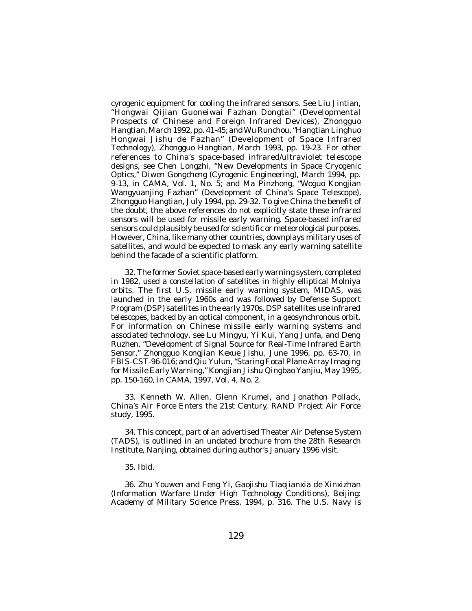cyrogenic equipment for cooling the infrared sensors. See Liu Jintian, "Hongwai Qijian Guoneiwai Fazhan Dongtai" (Developmental Prospects of Chinese and Foreign Infrared Devices), *Zhongguo Hangtian*, March 1992, pp. 41-45; and Wu Runchou, "Hangtian Linghuo Hongwai Jishu de Fazhan" (Development of Space Infrared Technology), *Zhongguo Hangtian*, March 1993, pp. 19-23. For other references to China's space-based infrared/ultraviolet telescope designs, see Chen Longzhi, "New Developments in Space Cryogenic Optics," *Diwen Gongcheng* (Cyrogenic Engineering), March 1994, pp. 9-13, in *CAMA*, Vol. 1, No. 5; and Ma Pinzhong, "Woguo Kongjian Wangyuanjing Fazhan" (Development of China's Space Telescope), *Zhongguo Hangtian*, July 1994, pp. 29-32. To give China the benefit of the doubt, the above references do not explicitly state these infrared sensors will be used for missile early warning. Space-based infrared sensors could plausibly be used for scientific or meteorological purposes. However, China, like many other countries, downplays military uses of satellites, and would be expected to mask any early warning satellite behind the facade of a scientific platform.

32. The former Soviet space-based early warning system, completed in 1982, used a constellation of satellites in highly elliptical Molniya orbits. The first U.S. missile early warning system, MIDAS, was launched in the early 1960s and was followed by Defense Support Program (DSP) satellites in the early 1970s. DSP satellites use infrared telescopes, backed by an optical component, in a geosynchronous orbit. For information on Chinese missile early warning systems and associated technology, see Lu Mingyu, Yi Kui, Yang Junfa, and Deng Ruzhen, "Development of Signal Source for Real-Time Infrared Earth Sensor," *Zhongguo Kongjian Kexue Jishu*, June 1996, pp. 63-70, in *FBIS-CST*-96-016; and Qiu Yulun, "Staring Focal Plane Array Imaging for Missile Early Warning," *Kongjian Jishu Qingbao Yanjiu*, May 1995, pp. 150-160, in *CAMA*, 1997, Vol. 4, No. 2.

33. Kenneth W. Allen, Glenn Krumel, and Jonathon Pollack*, China's Air Force Enters the 21st Century*, RAND Project Air Force study, 1995.

34. This concept, part of an advertised Theater Air Defense System (TADS), is outlined in an undated brochure from the 28th Research Institute, Nanjing, obtained during author's January 1996 visit.

35. *Ibid*.

36. Zhu Youwen and Feng Yi, *Gaojishu Tiaojianxia de Xinxizhan* (*Information Warfare Under High Technology Conditions*), Beijing: Academy of Military Science Press, 1994, p. 316. The U.S. Navy *is*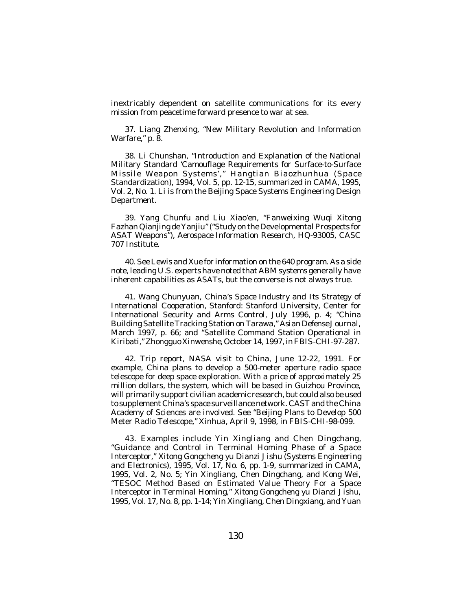inextricably dependent on satellite communications for its every mission from peacetime forward presence to war at sea.

37. Liang Zhenxing, "New Military Revolution and Information Warfare," p. 8.

38. Li Chunshan, "Introduction and Explanation of the National Military Standard 'Camouflage Requirements for Surface-to-Surface Missile Weapon Systems'," *Hangtian Biaozhunhua* (Space Standardization), 1994, Vol. 5, pp. 12-15, summarized in *CAMA*, 1995, Vol. 2, No. 1. Li is from the Beijing Space Systems Engineering Design Department.

39. Yang Chunfu and Liu Xiao'en, "Fanweixing Wuqi Xitong Fazhan Qianjing de Yanjiu" ("Study on the Developmental Prospects for ASAT Weapons"), *Aerospace Information Research*, HQ-93005, CASC 707 Institute.

40. See Lewis and Xue for information on the 640 program. As a side note, leading U.S. experts have noted that ABM systems generally have inherent capabilities as ASATs, but the converse is not always true.

41. Wang Chunyuan, *China's Space Industry and Its Strategy of International Cooperation*, Stanford: Stanford University, Center for International Security and Arms Control, July 1996, p. 4; "China Building Satellite Tracking Station on Tarawa," *Asian Defense Journal*, March 1997, p. 66; and "Satellite Command Station Operational in Kiribati," *Zhongguo Xinwenshe*, October 14, 1997, in*FBIS-CHI*-97-287.

42. Trip report, NASA visit to China, June 12-22, 1991. For example, China plans to develop a 500-meter aperture radio space telescope for deep space exploration. With a price of approximately 25 million dollars, the system, which will be based in Guizhou Province, will primarily support civilian academic research, but could also be used to supplement China's space surveillance network. CAST and the China Academy of Sciences are involved. See "Beijing Plans to Develop 500 Meter Radio Telescope," *Xinhua*, April 9, 1998, in *FBIS-CHI*-98-099.

43. Examples include Yin Xingliang and Chen Dingchang, "Guidance and Control in Terminal Homing Phase of a Space Interceptor," *Xitong Gongcheng yu Dianzi Jishu* (*Systems Engineering and Electronics*), 1995, Vol. 17, No. 6, pp. 1-9, summarized in *CAMA*, 1995, Vol. 2, No. 5; Yin Xingliang, Chen Dingchang, and Kong Wei, "TESOC Method Based on Estimated Value Theory For a Space Interceptor in Terminal Homing," *Xitong Gongcheng yu Dianzi Jishu*, 1995, Vol. 17, No. 8, pp. 1-14; Yin Xingliang, Chen Dingxiang, and Yuan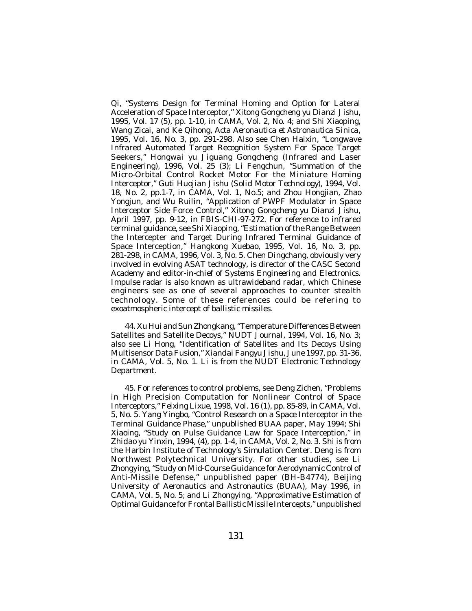Qi, "Systems Design for Terminal Homing and Option for Lateral Acceleration of Space Interceptor," *Xitong Gongcheng yu Dianzi Jishu*, 1995, Vol. 17 (5), pp. 1-10, in *CAMA,* Vol. 2, No. 4; and Shi Xiaoping, Wang Zicai, and Ke Qihong, *Acta Aeronautica et Astronautica Sinica*, 1995, Vol. 16, No. 3, pp. 291-298. Also see Chen Haixin, "Longwave Infrared Automated Target Recognition System For Space Target Seekers," *Hongwai yu Jiguang Gongcheng* (Infrared and Laser Engineering),  $1996$ , Vol. 25 (3); Li Fengchun, "Summation of the Micro-Orbital Control Rocket Motor For the Miniature Homing Interceptor," *Guti Huojian Jishu* (*Solid Motor Technology*), 1994, Vol. 18, No. 2, pp.1-7, in *CAMA*, Vol. 1, No.5; and Zhou Hongjian, Zhao Yongjun, and Wu Ruilin, "Application of PWPF Modulator in Space Interceptor Side Force Control," *Xitong Gongcheng yu Dianzi Jishu*, April 1997, pp. 9-12, in *FBIS-CHI*-97-272. For reference to infrared terminal guidance, see Shi Xiaoping, "Estimation of the Range Between the Intercepter and Target During Infrared Terminal Guidance of Space Interception," *Hangkong Xuebao*, 1995, Vol. 16, No. 3, pp. 281-298, in *CAMA*, 1996, Vol. 3, No. 5. Chen Dingchang, obviously very involved in evolving ASAT technology, is director of the CASC Second Academy and editor-in-chief of *Systems Engineering and Electronics*. Impulse radar is also known as ultrawideband radar, which Chinese engineers see as one of several approaches to counter stealth technology. Some of these references could be refering to exoatmospheric intercept of ballistic missiles.

44. Xu Hui and Sun Zhongkang, "Temperature Differences Between Satellites and Satellite Decoys," *NUDT Journal*, 1994, Vol. 16, No. 3; also see Li Hong, "Identification of Satellites and Its Decoys Using Multisensor Data Fusion," *Xiandai Fangyu Jishu*, June 1997, pp. 31-36, in *CAMA*, Vol. 5, No. 1. Li is from the NUDT Electronic Technology Department.

45. For references to control problems, see Deng Zichen, "Problems in High Precision Computation for Nonlinear Control of Space Interceptors," *Feixing Lixue*, 1998, Vol. 16 (1), pp. 85-89, in *CAMA*, Vol. 5, No. 5. Yang Yingbo, "Control Research on a Space Interceptor in the Terminal Guidance Phase," unpublished BUAA paper, May 1994; Shi Xiaoing, "Study on Pulse Guidance Law for Space Interception," in *Zhidao yu Yinxin*, 1994, (4), pp. 1-4, in *CAMA*, Vol. 2, No. 3. Shi is from the Harbin Institute of Technology's Simulation Center. Deng is from Northwest Polytechnical University. For other studies, see Li Zhongying, "Study on Mid-Course Guidance for Aerodynamic Control of Anti-Missile Defense," unpublished paper (BH-B4774), Beijing University of Aeronautics and Astronautics (BUAA), May 1996, in *CAMA*, Vol. 5, No. 5; and Li Zhongying, "Approximative Estimation of Optimal Guidance for Frontal Ballistic Missile Intercepts," unpublished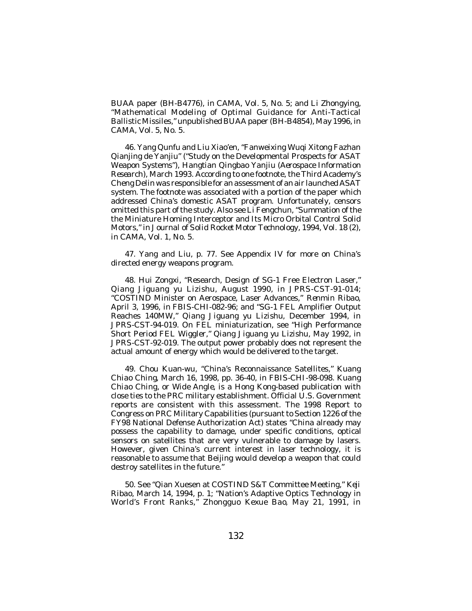BUAA paper (BH-B4776), in *CAMA*, Vol. 5, No. 5; and Li Zhongying, "Mathematical Modeling of Optimal Guidance for Anti-Tactical Ballistic Missiles," unpublished BUAA paper (BH-B4854), May 1996, in *CAMA*, Vol. 5, No. 5.

46. Yang Qunfu and Liu Xiao'en, "Fanweixing Wuqi Xitong Fazhan Qianjing de Yanjiu" ("Study on the Developmental Prospects for ASAT Weapon Systems"), *Hangtian Qingbao Yanjiu* (*Aerospace Information Research*), March 1993. According to one footnote, the Third Academy's Cheng Delin was responsible for an assessment of an air launched ASAT system. The footnote was associated with a portion of the paper which addressed China's domestic ASAT program. Unfortunately, censors omitted this part of the study. Also see Li Fengchun, "Summation of the the Miniature Homing Interceptor and Its Micro Orbital Control Solid Motors," in *Journal of Solid Rocket Motor Technology*, 1994, Vol. 18 (2), in *CAMA*, Vol. 1, No. 5.

47. Yang and Liu, p. 77. See Appendix IV for more on China's directed energy weapons program.

48. Hui Zongxi, "Research, Design of SG-1 Free Electron Laser," *Qiang Jiguang yu Lizishu*, August 1990, in *JPRS-CST*-91-014; "COSTIND Minister on Aerospace, Laser Advances," *Renmin Ribao*, April 3, 1996, in *FBIS-CHI*-082-96; and "SG-1 FEL Amplifier Output Reaches 140MW," *Qiang Jiguang yu Lizishu*, December 1994, in *JPRS-CST*-94-019. On FEL miniaturization, see "High Performance Short Period FEL Wiggler," *Qiang Jiguang yu Lizishu*, May 1992, in *JPRS-CST*-92-019. The output power probably does not represent the actual amount of energy which would be delivered to the target.

49. Chou Kuan-wu, "China's Reconnaissance Satellites," *Kuang Chiao Ching*, March 16, 1998, pp. 36-40, in *FBIS-CHI*-98-098. *Kuang Chiao Ching,* or *Wide Angle*, is a Hong Kong-based publication with close ties to the PRC military establishment. Official U.S. Government reports are consistent with this assessment. The 1998 Report to Congress on PRC Military Capabilities (pursuant to Section 1226 of the FY98 National Defense Authorization Act) states "China already may possess the capability to damage, under specific conditions, optical sensors on satellites that are very vulnerable to damage by lasers. However, given China's current interest in laser technology, it is reasonable to assume that Beijing would develop a weapon that could destroy satellites in the future."

50. See "Qian Xuesen at COSTIND S&T Committee Meeting," *Keji Ribao*, March 14, 1994, p. 1; "Nation's Adaptive Optics Technology in World's Front Ranks," *Zhongguo Kexue Bao*, May 21, 1991, in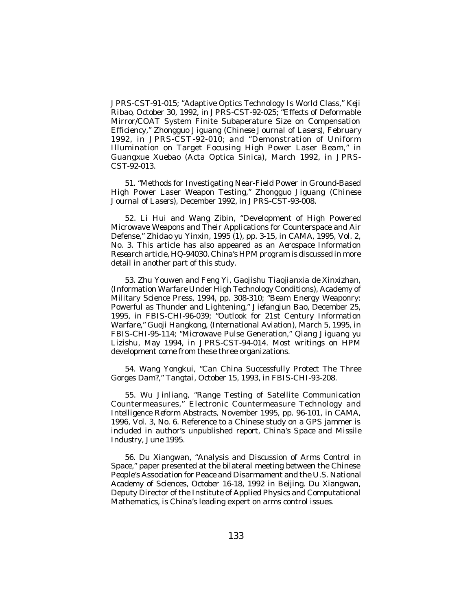*JPRS-CST*-91-015; "Adaptive Optics Technology Is World Class," *Keji Ribao*, October 30, 1992, in *JPRS-CST*-92-025; "Effects of Deformable Mirror/COAT System Finite Subaperature Size on Compensation Efficiency," *Zhongguo Jiguang* (*Chinese Journal of Lasers*), February 1992, in *JPRS-CST*-92-010; and "Demonstration of Uniform Illumination on Target Focusing High Power Laser Beam," in *Guangxue Xuebao* (Acta Optica Sinica), March 1992, in *JPRS-CST*-92-013.

51. "Methods for Investigating Near-Field Power in Ground-Based High Power Laser Weapon Testing," *Zhongguo Jiguang* (*Chinese Journal of Lasers*), December 1992, in *JPRS-CST*-93-008.

52. Li Hui and Wang Zibin, "Development of High Powered Microwave Weapons and Their Applications for Counterspace and Air Defense," *Zhidao yu Yinxin*, 1995 (1), pp. 3-15, in *CAMA*, 1995, Vol. 2, No. 3. This article has also appeared as an *Aerospace Information Research* article, HQ-94030. China's HPM program is discussed in more detail in another part of this study.

53. Zhu Youwen and Feng Yi, *Gaojishu Tiaojianxia de Xinxizhan*, (Information Warfare Under High Technology Conditions), Academy of Military Science Press, 1994, pp. 308-310; "Beam Energy Weaponry: Powerful as Thunder and Lightening," *Jiefangjun Bao*, December 25, 1995, in *FBIS-CHI*-96-039; "Outlook for 21st Century Information Warfare," *Guoji Hangkong*, (*International Aviation*), March 5, 1995, in *FBIS-CHI*-95-114; "Microwave Pulse Generation," *Qiang Jiguang yu Lizishu*, May 1994, in *JPRS-CST*-94-014. Most writings on HPM development come from these three organizations.

54. Wang Yongkui, "Can China Successfully Protect The Three Gorges Dam?," *Tangtai*, October 15, 1993, in *FBIS-CHI*-93-208.

55. Wu Jinliang, "Range Testing of Satellite Communication Countermeasures," *Electronic Countermeasure Technology and Intelligence Reform Abstracts*, November 1995, pp. 96-101, in *CAMA*, 1996, Vol. 3, No. 6. Reference to a Chinese study on a GPS jammer is included in author's unpublished report, *China's Space and Missile Industry*, June 1995.

56. Du Xiangwan, "Analysis and Discussion of Arms Control in Space," paper presented at the bilateral meeting between the Chinese People's Association for Peace and Disarmament and the U.S. National Academy of Sciences, October 16-18, 1992 in Beijing. Du Xiangwan, Deputy Director of the Institute of Applied Physics and Computational Mathematics, is China's leading expert on arms control issues.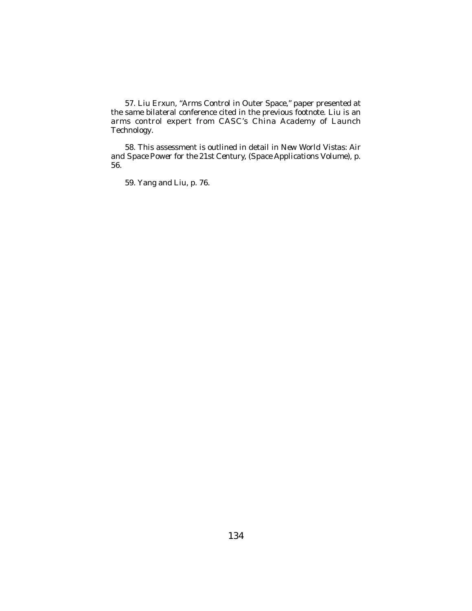57. Liu Erxun, "Arms Control in Outer Space," paper presented at the same bilateral conference cited in the previous footnote. Liu is an arms control expert from CASC's China Academy of Launch Technology.

58. This assessment is outlined in detail in *New World Vistas: Air and Space Power for the 21st Century*, (*Space Applications Volume*), p. 56.

59. Yang and Liu, p. 76.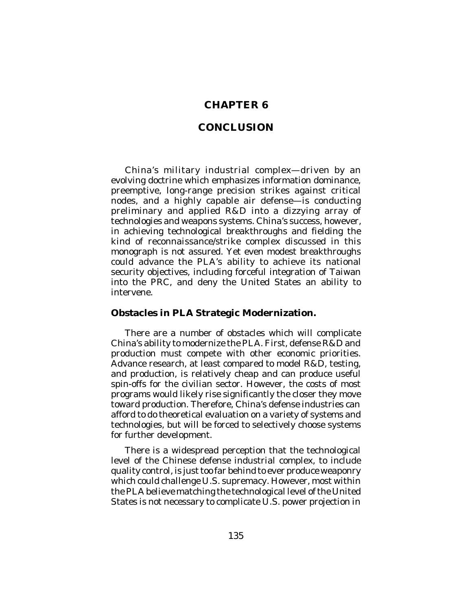# **CHAPTER 6**

# **CONCLUSION**

China's military industrial complex—driven by an evolving doctrine which emphasizes information dominance, preemptive, long-range precision strikes against critical nodes, and a highly capable air defense—is conducting preliminary and applied R&D into a dizzying array of technologies and weapons systems. China's success, however, in achieving technological breakthroughs and fielding the kind of reconnaissance/strike complex discussed in this monograph is not assured. Yet even modest breakthroughs could advance the PLA's ability to achieve its national security objectives, including forceful integration of Taiwan into the PRC, and deny the United States an ability to intervene.

### **Obstacles in PLA Strategic Modernization.**

There are a number of obstacles which will complicate China's ability to modernize the PLA. First, defense R&D and production must compete with other economic priorities. Advance research, at least compared to model R&D, testing, and production, is relatively cheap and can produce useful spin-offs for the civilian sector. However, the costs of most programs would likely rise significantly the closer they move toward production. Therefore, China's defense industries can afford to do theoretical evaluation on a variety of systems and technologies, but will be forced to selectively choose systems for further development.

There is a widespread perception that the technological level of the Chinese defense industrial complex, to include quality control, is just too far behind to ever produce weaponry which could challenge U.S. supremacy. However, most within the PLA believe matching the technological level of the United States is not necessary to complicate U.S. power projection in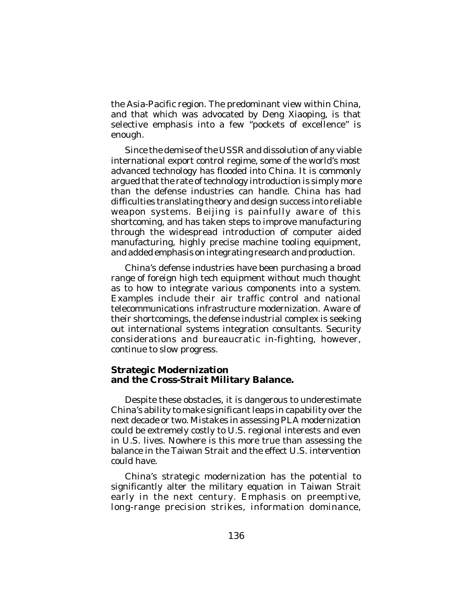the Asia-Pacific region. The predominant view within China, and that which was advocated by Deng Xiaoping, is that selective emphasis into a few "pockets of excellence" is enough.

Since the demise of the USSR and dissolution of any viable international export control regime, some of the world's most advanced technology has flooded into China. It is commonly argued that the rate of technology introduction is simply more than the defense industries can handle. China has had difficulties translating theory and design success into reliable weapon systems. Beijing is painfully aware of this shortcoming, and has taken steps to improve manufacturing through the widespread introduction of computer aided manufacturing, highly precise machine tooling equipment, and added emphasis on integrating research and production.

China's defense industries have been purchasing a broad range of foreign high tech equipment without much thought as to how to integrate various components into a system. Examples include their air traffic control and national telecommunications infrastructure modernization. Aware of their shortcomings, the defense industrial complex is seeking out international systems integration consultants. Security considerations and bureaucratic in-fighting, however, continue to slow progress.

#### **Strategic Modernization and the Cross-Strait Military Balance.**

Despite these obstacles, it is dangerous to underestimate China's ability to make significant leaps in capability over the next decade or two. Mistakes in assessing PLA modernization could be extremely costly to U.S. regional interests and even in U.S. lives. Nowhere is this more true than assessing the balance in the Taiwan Strait and the effect U.S. intervention could have.

China's strategic modernization has the potential to significantly alter the military equation in Taiwan Strait early in the next century. Emphasis on preemptive, long-range precision strikes, information dominance,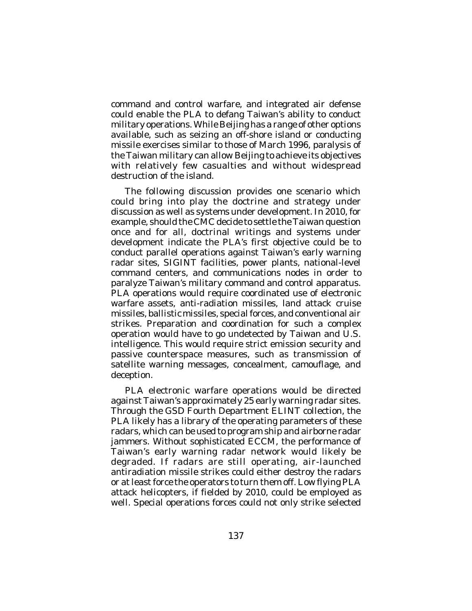command and control warfare, and integrated air defense could enable the PLA to defang Taiwan's ability to conduct military operations. While Beijing has a range of other options available, such as seizing an off-shore island or conducting missile exercises similar to those of March 1996, paralysis of the Taiwan military can allow Beijing to achieve its objectives with relatively few casualties and without widespread destruction of the island.

The following discussion provides one scenario which could bring into play the doctrine and strategy under discussion as well as systems under development. In 2010, for example, should the CMC decide to settle the Taiwan question once and for all, doctrinal writings and systems under development indicate the PLA's first objective could be to conduct parallel operations against Taiwan's early warning radar sites, SIGINT facilities, power plants, national-level command centers, and communications nodes in order to paralyze Taiwan's military command and control apparatus. PLA operations would require coordinated use of electronic warfare assets, anti-radiation missiles, land attack cruise missiles, ballistic missiles, special forces, and conventional air strikes. Preparation and coordination for such a complex operation would have to go undetected by Taiwan and U.S. intelligence. This would require strict emission security and passive counterspace measures, such as transmission of satellite warning messages, concealment, camouflage, and deception.

PLA electronic warfare operations would be directed against Taiwan's approximately 25 early warning radar sites. Through the GSD Fourth Department ELINT collection, the PLA likely has a library of the operating parameters of these radars, which can be used to program ship and airborne radar jammers. Without sophisticated ECCM, the performance of Taiwan's early warning radar network would likely be degraded. If radars are still operating, air-launched antiradiation missile strikes could either destroy the radars or at least force the operators to turn them off. Low flying PLA attack helicopters, if fielded by 2010, could be employed as well. Special operations forces could not only strike selected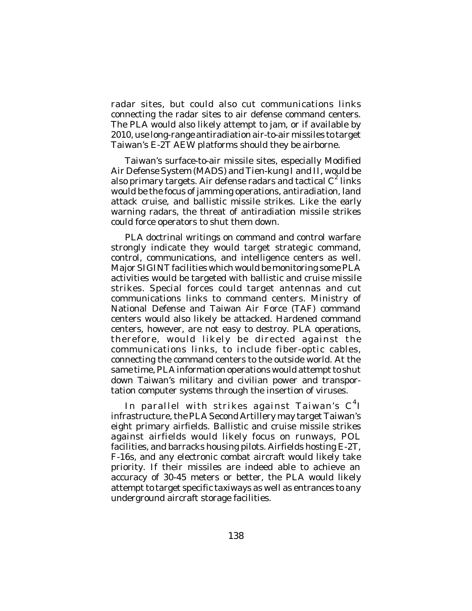radar sites, but could also cut communications links connecting the radar sites to air defense command centers. The PLA would also likely attempt to jam, or if available by 2010, use long-range antiradiation air-to-air missiles to target Taiwan's E-2T AEW platforms should they be airborne.

Taiwan's surface-to-air missile sites, especially Modified Air Defense System (MADS) and Tien-kung I and II, would be also primary targets. Air defense radars and tactical  $C^2$  links would be the focus of jamming operations, antiradiation, land attack cruise, and ballistic missile strikes. Like the early warning radars, the threat of antiradiation missile strikes could force operators to shut them down.

PLA doctrinal writings on command and control warfare strongly indicate they would target strategic command, control, communications, and intelligence centers as well. Major SIGINT facilities which would be monitoring some PLA activities would be targeted with ballistic and cruise missile strikes. Special forces could target antennas and cut communications links to command centers. Ministry of National Defense and Taiwan Air Force (TAF) command centers would also likely be attacked. Hardened command centers, however, are not easy to destroy. PLA operations, therefore, would likely be directed against the communications links, to include fiber-optic cables, connecting the command centers to the outside world. At the same time, PLA information operations would attempt to shut down Taiwan's military and civilian power and transportation computer systems through the insertion of viruses.

In parallel with strikes against Taiwan's  $\textsf{C}^4\textsf{I}$ infrastructure, the PLA Second Artillery may target Taiwan's eight primary airfields. Ballistic and cruise missile strikes against airfields would likely focus on runways, POL facilities, and barracks housing pilots. Airfields hosting E-2T, F-16s, and any electronic combat aircraft would likely take priority. If their missiles are indeed able to achieve an accuracy of 30-45 meters or better, the PLA would likely attempt to target specific taxiways as well as entrances to any underground aircraft storage facilities.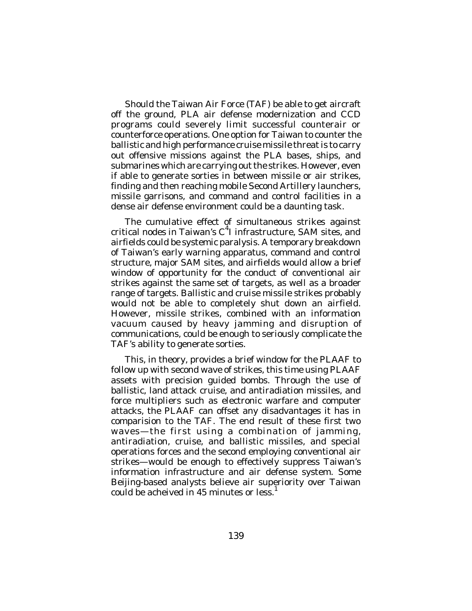Should the Taiwan Air Force (TAF) be able to get aircraft off the ground, PLA air defense modernization and CCD programs could severely limit successful counterair or counterforce operations. One option for Taiwan to counter the ballistic and high performance cruise missile threat is to carry out offensive missions against the PLA bases, ships, and submarines which are carrying out the strikes. However, even if able to generate sorties in between missile or air strikes, finding and then reaching mobile Second Artillery launchers, missile garrisons, and command and control facilities in a dense air defense environment could be a daunting task.

The cumulative effect of simultaneous strikes against critical nodes in Taiwan's C 4 I infrastructure, SAM sites, and airfields could be systemic paralysis. A temporary breakdown of Taiwan's early warning apparatus, command and control structure, major SAM sites, and airfields would allow a brief window of opportunity for the conduct of conventional air strikes against the same set of targets, as well as a broader range of targets. Ballistic and cruise missile strikes probably would not be able to completely shut down an airfield. However, missile strikes, combined with an information vacuum caused by heavy jamming and disruption of communications, could be enough to seriously complicate the TAF's ability to generate sorties.

This, in theory, provides a brief window for the PLAAF to follow up with second wave of strikes, this time using PLAAF assets with precision guided bombs. Through the use of ballistic, land attack cruise, and antiradiation missiles, and force multipliers such as electronic warfare and computer attacks, the PLAAF can offset any disadvantages it has in comparision to the TAF. The end result of these first two waves—the first using a combination of jamming, antiradiation, cruise, and ballistic missiles, and special operations forces and the second employing conventional air strikes—would be enough to effectively suppress Taiwan's information infrastructure and air defense system. Some Beijing-based analysts believe air superiority over Taiwan could be acheived in 45 minutes or less.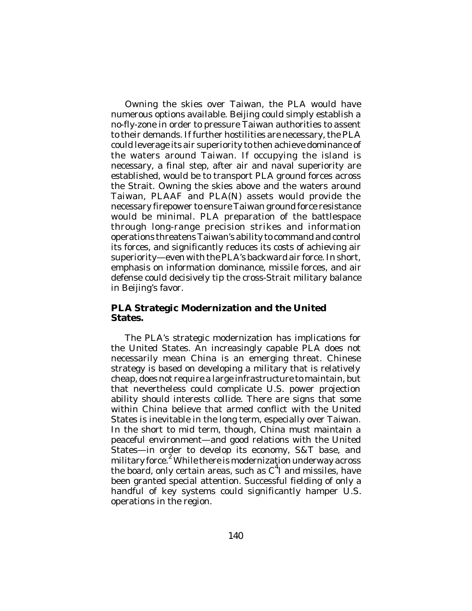Owning the skies over Taiwan, the PLA would have numerous options available. Beijing could simply establish a no-fly-zone in order to pressure Taiwan authorities to assent to their demands. If further hostilities are necessary, the PLA could leverage its air superiority to then achieve dominance of the waters around Taiwan. If occupying the island is necessary, a final step, after air and naval superiority are established, would be to transport PLA ground forces across the Strait. Owning the skies above and the waters around Taiwan, PLAAF and PLA(N) assets would provide the necessary firepower to ensure Taiwan ground force resistance would be minimal. PLA preparation of the battlespace through long-range precision strikes and information operations threatens Taiwan's ability to command and control its forces, and significantly reduces its costs of achieving air superiority—even with the PLA's backward air force. In short, emphasis on information dominance, missile forces, and air defense could decisively tip the cross-Strait military balance in Beijing's favor.

### **PLA Strategic Modernization and the United States.**

The PLA's strategic modernization has implications for the United States. An increasingly capable PLA does not necessarily mean China is an emerging threat. Chinese strategy is based on developing a military that is relatively cheap, does not require a large infrastructure to maintain, but that nevertheless could complicate U.S. power projection ability should interests collide. There are signs that some within China believe that armed conflict with the United States is inevitable in the long term, especially over Taiwan. In the short to mid term, though, China must maintain a peaceful environment—and good relations with the United States—in order to develop its economy, S&T base, and military force. $^2$  While there is modernization underway across the board, only certain areas, such as  $C<sup>4</sup>$  and missiles, have been granted special attention. Successful fielding of only a handful of key systems could significantly hamper U.S. operations in the region.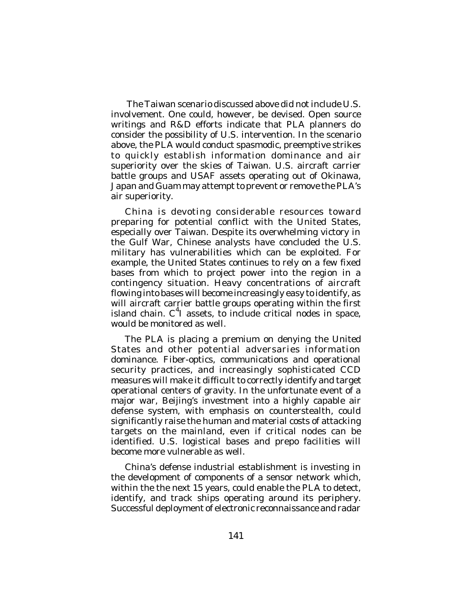The Taiwan scenario discussed above did not include U.S. involvement. One could, however, be devised. Open source writings and R&D efforts indicate that PLA planners do consider the possibility of U.S. intervention. In the scenario above, the PLA would conduct spasmodic, preemptive strikes to quickly establish information dominance and air superiority over the skies of Taiwan. U.S. aircraft carrier battle groups and USAF assets operating out of Okinawa, Japan and Guam may attempt to prevent or remove the PLA's air superiority.

China is devoting considerable resources toward preparing for potential conflict with the United States, especially over Taiwan. Despite its overwhelming victory in the Gulf War, Chinese analysts have concluded the U.S. military has vulnerabilities which can be exploited. For example, the United States continues to rely on a few fixed bases from which to project power into the region in a contingency situation. Heavy concentrations of aircraft flowing into bases will become increasingly easy to identify, as will aircraft carrier battle groups operating within the first island chain. C<sup>4</sup>I assets, to include critical nodes in space, would be monitored as well.

The PLA is placing a premium on denying the United States and other potential adversaries information dominance. Fiber-optics, communications and operational security practices, and increasingly sophisticated CCD measures will make it difficult to correctly identify and target operational centers of gravity. In the unfortunate event of a major war, Beijing's investment into a highly capable air defense system, with emphasis on counterstealth, could significantly raise the human and material costs of attacking targets on the mainland, even if critical nodes can be identified. U.S. logistical bases and prepo facilities will become more vulnerable as well.

China's defense industrial establishment is investing in the development of components of a sensor network which, within the the next 15 years, could enable the PLA to detect, identify, and track ships operating around its periphery. Successful deployment of electronic reconnaissance and radar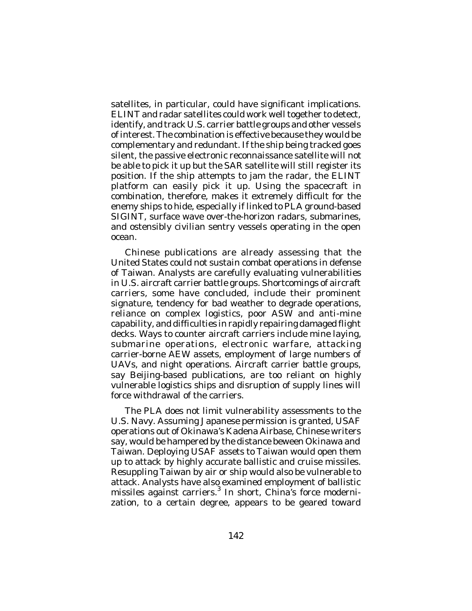satellites, in particular, could have significant implications. ELINT and radar satellites could work well together to detect, identify, and track U.S. carrier battle groups and other vessels of interest. The combination is effective because they would be complementary and redundant. If the ship being tracked goes silent, the passive electronic reconnaissance satellite will not be able to pick it up but the SAR satellite will still register its position. If the ship attempts to jam the radar, the ELINT platform can easily pick it up. Using the spacecraft in combination, therefore, makes it extremely difficult for the enemy ships to hide, especially if linked to PLA ground-based SIGINT, surface wave over-the-horizon radars, submarines, and ostensibly civilian sentry vessels operating in the open ocean.

Chinese publications are already assessing that the United States could not sustain combat operations in defense of Taiwan. Analysts are carefully evaluating vulnerabilities in U.S. aircraft carrier battle groups. Shortcomings of aircraft carriers, some have concluded, include their prominent signature, tendency for bad weather to degrade operations, reliance on complex logistics, poor ASW and anti-mine capability, and difficulties in rapidly repairing damaged flight decks. Ways to counter aircraft carriers include mine laying, submarine operations, electronic warfare, attacking carrier-borne AEW assets, employment of large numbers of UAVs, and night operations. Aircraft carrier battle groups, say Beijing-based publications, are too reliant on highly vulnerable logistics ships and disruption of supply lines will force withdrawal of the carriers.

The PLA does not limit vulnerability assessments to the U.S. Navy. Assuming Japanese permission is granted, USAF operations out of Okinawa's Kadena Airbase, Chinese writers say, would be hampered by the distance beween Okinawa and Taiwan. Deploying USAF assets to Taiwan would open them up to attack by highly accurate ballistic and cruise missiles. Resuppling Taiwan by air or ship would also be vulnerable to attack. Analysts have also examined employment of ballistic missiles against carriers.<sup>3</sup> In short, China's force modernization, to a certain degree, appears to be geared toward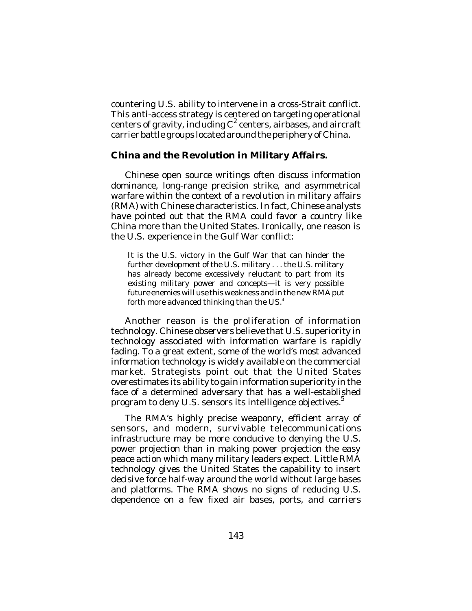countering U.S. ability to intervene in a cross-Strait conflict. This anti-access strategy is centered on targeting operational centers of gravity, including  $C^2$  centers, airbases, and aircraft carrier battle groups located around the periphery of China.

### **China and the Revolution in Military Affairs.**

Chinese open source writings often discuss information dominance, long-range precision strike, and asymmetrical warfare within the context of a revolution in military affairs (RMA) with Chinese characteristics. In fact, Chinese analysts have pointed out that the RMA could favor a country like China more than the United States. Ironically, one reason is the U.S. experience in the Gulf War conflict:

It is the U.S. victory in the Gulf War that can hinder the further development of the U.S. military . . . the U.S. military has already become excessively reluctant to part from its existing military power and concepts—it is very possible future enemies will use this weakness and in the new RMA put forth more advanced thinking than the US. 4

Another reason is the proliferation of information technology. Chinese observers believe that U.S. superiority in technology associated with information warfare is rapidly fading. To a great extent, some of the world's most advanced information technology is widely available on the commercial market. Strategists point out that the United States overestimates its ability to gain information superiority in the face of a determined adversary that has a well-established program to deny U.S. sensors its intelligence objectives. 5

The RMA's highly precise weaponry, efficient array of sensors, and modern, survivable telecommunications infrastructure may be more conducive to denying the U.S. power projection than in making power projection the easy peace action which many military leaders expect. Little RMA technology gives the United States the capability to insert decisive force half-way around the world without large bases and platforms. The RMA shows no signs of reducing U.S. dependence on a few fixed air bases, ports, and carriers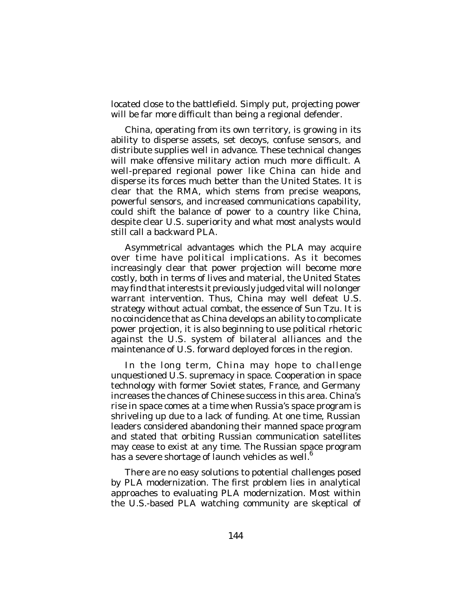located close to the battlefield. Simply put, projecting power will be far more difficult than being a regional defender.

China, operating from its own territory, is growing in its ability to disperse assets, set decoys, confuse sensors, and distribute supplies well in advance. These technical changes will make offensive military action much more difficult. A well-prepared regional power like China can hide and disperse its forces much better than the United States. It is clear that the RMA, which stems from precise weapons, powerful sensors, and increased communications capability, could shift the balance of power to a country like China, despite clear U.S. superiority and what most analysts would still call a backward PLA.

Asymmetrical advantages which the PLA may acquire over time have political implications. As it becomes increasingly clear that power projection will become more costly, both in terms of lives and material, the United States may find that interests it previously judged vital will no longer warrant intervention. Thus, China may well defeat U.S. strategy without actual combat, the essence of Sun Tzu. It is no coincidence that as China develops an ability to complicate power projection, it is also beginning to use political rhetoric against the U.S. system of bilateral alliances and the maintenance of U.S. forward deployed forces in the region.

In the long term, China may hope to challenge unquestioned U.S. supremacy in space. Cooperation in space technology with former Soviet states, France, and Germany increases the chances of Chinese success in this area. China's rise in space comes at a time when Russia's space program is shriveling up due to a lack of funding. At one time, Russian leaders considered abandoning their manned space program and stated that orbiting Russian communication satellites may cease to exist at any time. The Russian space program has a severe shortage of launch vehicles as well.<sup>6</sup>

There are no easy solutions to potential challenges posed by PLA modernization. The first problem lies in analytical approaches to evaluating PLA modernization. Most within the U.S.-based PLA watching community are skeptical of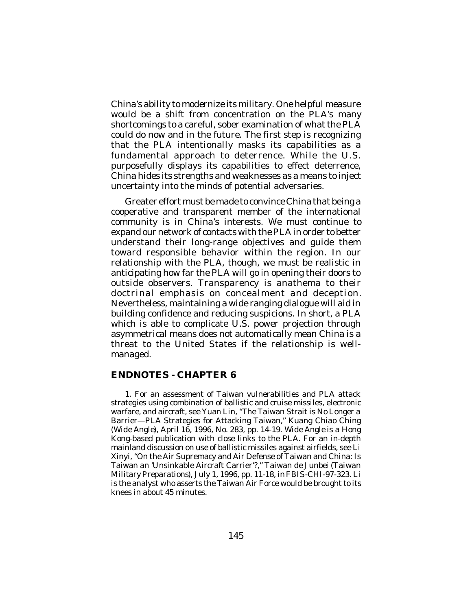China's ability to modernize its military. One helpful measure would be a shift from concentration on the PLA's many shortcomings to a careful, sober examination of what the PLA could do now and in the future. The first step is recognizing that the PLA intentionally masks its capabilities as a fundamental approach to deterrence. While the U.S. purposefully displays its capabilities to effect deterrence, China hides its strengths and weaknesses as a means to inject uncertainty into the minds of potential adversaries.

Greater effort must be made to convince China that being a cooperative and transparent member of the international community is in China's interests. We must continue to expand our network of contacts with the PLA in order to better understand their long-range objectives and guide them toward responsible behavior within the region. In our relationship with the PLA, though, we must be realistic in anticipating how far the PLA will go in opening their doors to outside observers. Transparency is anathema to their doctrinal emphasis on concealment and deception. Nevertheless, maintaining a wide ranging dialogue will aid in building confidence and reducing suspicions. In short, a PLA which is able to complicate U.S. power projection through asymmetrical means does not automatically mean China is a threat to the United States if the relationship is wellmanaged.

#### **ENDNOTES - CHAPTER 6**

1. For an assessment of Taiwan vulnerabilities and PLA attack strategies using combination of ballistic and cruise missiles, electronic warfare, and aircraft, see Yuan Lin, "The Taiwan Strait is No Longer a Barrier—PLA Strategies for Attacking Taiwan," *Kuang Chiao Ching* (*Wide Angle*), April 16, 1996, No. 283, pp. 14-19. *Wide Angle* is a Hong Kong-based publication with close links to the PLA. For an in-depth mainland discussion on use of ballistic missiles against airfields, see Li Xinyi, "On the Air Supremacy and Air Defense of Taiwan and China: Is Taiwan an 'Unsinkable Aircraft Carrier'?," *Taiwan de Junbei* (*Taiwan Military Preparations*), July 1, 1996, pp. 11-18, in *FBIS-CHI*-97-323. Li is the analyst who asserts the Taiwan Air Force would be brought to its knees in about 45 minutes.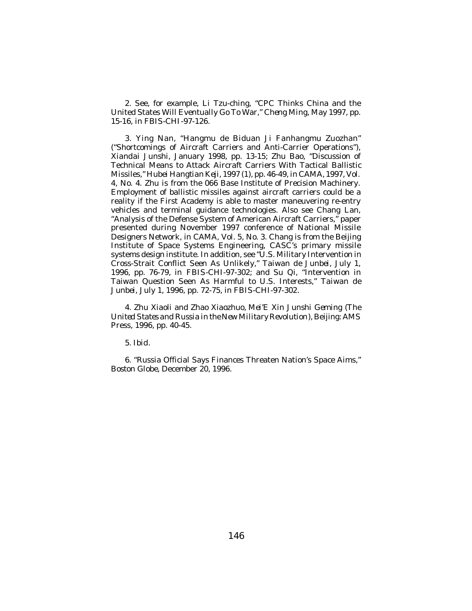2. See, for example, Li Tzu-ching, "CPC Thinks China and the United States Will Eventually Go To War," *Cheng Ming*, May 1997, pp. 15-16, in *FBIS-CHI*-97-126.

3. Ying Nan, "Hangmu de Biduan Ji Fanhangmu Zuozhan" ("Shortcomings of Aircraft Carriers and Anti-Carrier Operations"), *Xiandai Junshi*, January 1998, pp. 13-15; Zhu Bao, "Discussion of Technical Means to Attack Aircraft Carriers With Tactical Ballistic Missiles," *Hubei Hangtian Keji*, 1997 (1), pp. 46-49, in *CAMA*, 1997, Vol. 4, No. 4. Zhu is from the 066 Base Institute of Precision Machinery. Employment of ballistic missiles against aircraft carriers could be a reality if the First Academy is able to master maneuvering re-entry vehicles and terminal guidance technologies. Also see Chang Lan, "Analysis of the Defense System of American Aircraft Carriers," paper presented during November 1997 conference of National Missile Designers Network, in *CAMA*, Vol. 5, No. 3. Chang is from the Beijing Institute of Space Systems Engineering, CASC's primary missile systems design institute. In addition, see "U.S. Military Intervention in Cross-Strait Conflict Seen As Unlikely," *Taiwan de Junbei*, July 1, 1996, pp. 76-79, in *FBIS-CHI*-97-302; and Su Qi, "Intervention in Taiwan Question Seen As Harmful to U.S. Interests," *Taiwan de Junbei*, July 1, 1996, pp. 72-75, in *FBIS-CHI*-97-302.

4. Zhu Xiaoli and Zhao Xiaozhuo, *Mei'E Xin Junshi Geming* (*The United States and Russia in the New Military Revolution*), Beijing: AMS Press, 1996, pp. 40-45.

5. *Ibid*.

6. "Russia Official Says Finances Threaten Nation's Space Aims," *Boston Globe*, December 20, 1996.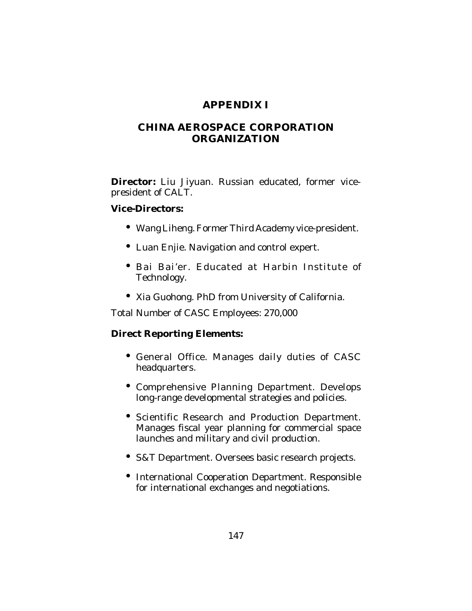# **APPENDIX I**

# **CHINA AEROSPACE CORPORATION ORGANIZATION**

**Director:** Liu Jiyuan. Russian educated, former vicepresident of CALT.

### **Vice-Directors:**

- Wang Liheng. Former Third Academy vice-president.
- Luan Enjie. Navigation and control expert.
- Bai Bai'er. Educated at Harbin Institute of Technology.
- Xia Guohong. PhD from University of California.

Total Number of CASC Employees: 270,000

## **Direct Reporting Elements:**

- General Office. Manages daily duties of CASC headquarters.
- Comprehensive Planning Department. Develops long-range developmental strategies and policies.
- Scientific Research and Production Department. Manages fiscal year planning for commercial space launches and military and civil production.
- S&T Department. Oversees basic research projects.
- International Cooperation Department. Responsible for international exchanges and negotiations.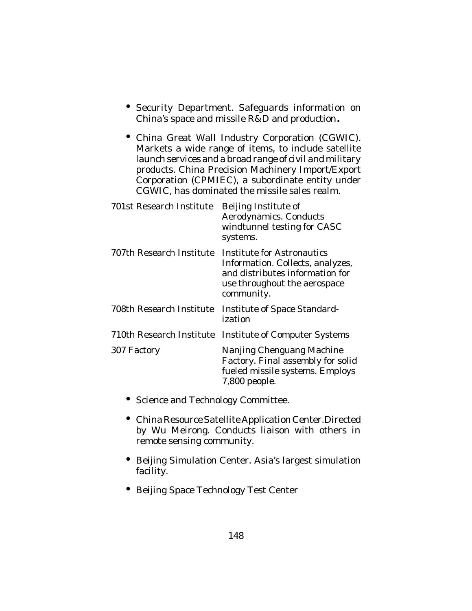- Security Department. Safeguards information on China's space and missile R&D and production**.**
- China Great Wall Industry Corporation (CGWIC). Markets a wide range of items, to include satellite launch services and a broad range of civil and military products. China Precision Machinery Import/Export Corporation (CPMIEC), a subordinate entity under CGWIC, has dominated the missile sales realm.

| Beijing Institute of<br>Aerodynamics. Conducts<br>windtunnel testing for CASC<br>systems.                                                       |
|-------------------------------------------------------------------------------------------------------------------------------------------------|
| Institute for Astronautics<br>Information. Collects, analyzes,<br>and distributes information for<br>use throughout the aerospace<br>community. |
| Institute of Space Standard-<br>ization                                                                                                         |
| Institute of Computer Systems                                                                                                                   |
| Nanjing Chenguang Machine<br>Factory. Final assembly for solid<br>fueled missile systems. Employs<br>7,800 people.                              |
|                                                                                                                                                 |

- Science and Technology Committee.
- China Resource Satellite Application Center.Directed by Wu Meirong. Conducts liaison with others in remote sensing community.
- Beijing Simulation Center. Asia's largest simulation facility.
- Beijing Space Technology Test Center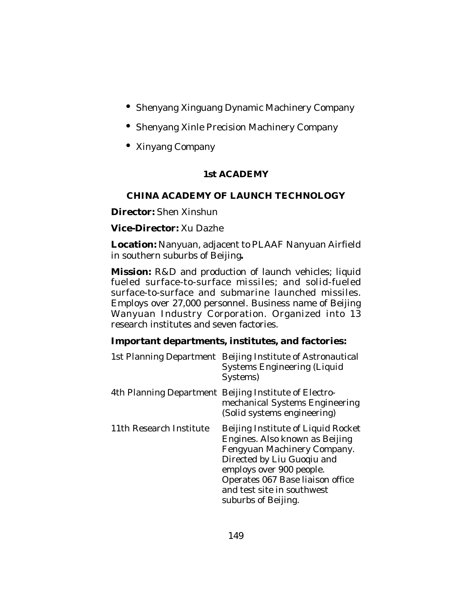- Shenyang Xinguang Dynamic Machinery Company
- Shenyang Xinle Precision Machinery Company
- Xinyang Company

# **1st ACADEMY**

# **CHINA ACADEMY OF LAUNCH TECHNOLOGY**

**Director:** Shen Xinshun

### **Vice-Director:** Xu Dazhe

**Location:** Nanyuan, adjacent to PLAAF Nanyuan Airfield in southern suburbs of Beijing**.**

**Mission:** R&D and production of launch vehicles; liquid fueled surface-to-surface missiles; and solid-fueled surface-to-surface and submarine launched missiles. Employs over 27,000 personnel. Business name of Beijing Wanyuan Industry Corporation. Organized into 13 research institutes and seven factories.

## **Important departments, institutes, and factories:**

| 1st Planning Department | Beijing Institute of Astronautical<br><b>Systems Engineering (Liquid</b><br>Systems)                                                                                                                                                                   |
|-------------------------|--------------------------------------------------------------------------------------------------------------------------------------------------------------------------------------------------------------------------------------------------------|
|                         | 4th Planning Department Beijing Institute of Electro-<br>mechanical Systems Engineering<br>(Solid systems engineering)                                                                                                                                 |
| 11th Research Institute | Beijing Institute of Liquid Rocket<br>Engines. Also known as Beijing<br>Fengyuan Machinery Company.<br>Directed by Liu Guogiu and<br>employs over 900 people.<br>Operates 067 Base liaison office<br>and test site in southwest<br>suburbs of Beijing. |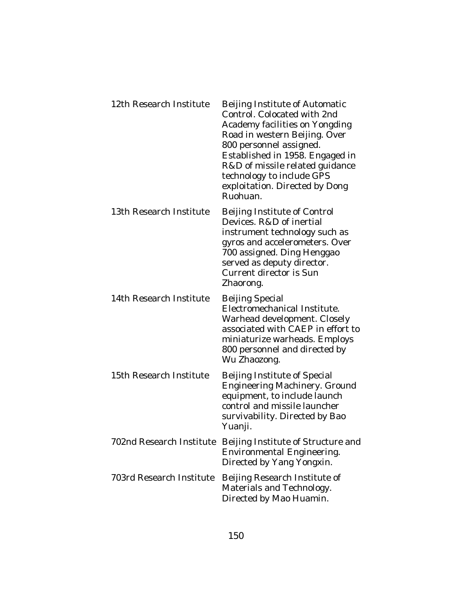| 12th Research Institute  | Beijing Institute of Automatic<br>Control. Colocated with 2nd<br>Academy facilities on Yongding<br>Road in western Beijing. Over<br>800 personnel assigned.<br>Established in 1958. Engaged in<br>R&D of missile related guidance<br>technology to include GPS<br>exploitation. Directed by Dong<br>Ruohuan. |
|--------------------------|--------------------------------------------------------------------------------------------------------------------------------------------------------------------------------------------------------------------------------------------------------------------------------------------------------------|
| 13th Research Institute  | Beijing Institute of Control<br>Devices. R&D of inertial<br>instrument technology such as<br>gyros and accelerometers. Over<br>700 assigned. Ding Henggao<br>served as deputy director.<br>Current director is Sun<br>Zhaorong.                                                                              |
| 14th Research Institute  | <b>Beijing Special</b><br>Electromechanical Institute.<br>Warhead development. Closely<br>associated with CAEP in effort to<br>miniaturize warheads. Employs<br>800 personnel and directed by<br>Wu Zhaozong.                                                                                                |
| 15th Research Institute  | Beijing Institute of Special<br>Engineering Machinery. Ground<br>equipment, to include launch<br>control and missile launcher<br>survivability. Directed by Bao<br>Yuanji.                                                                                                                                   |
|                          | 702nd Research Institute Beijing Institute of Structure and<br><b>Environmental Engineering.</b><br>Directed by Yang Yongxin.                                                                                                                                                                                |
| 703rd Research Institute | Beijing Research Institute of<br>Materials and Technology.<br>Directed by Mao Huamin.                                                                                                                                                                                                                        |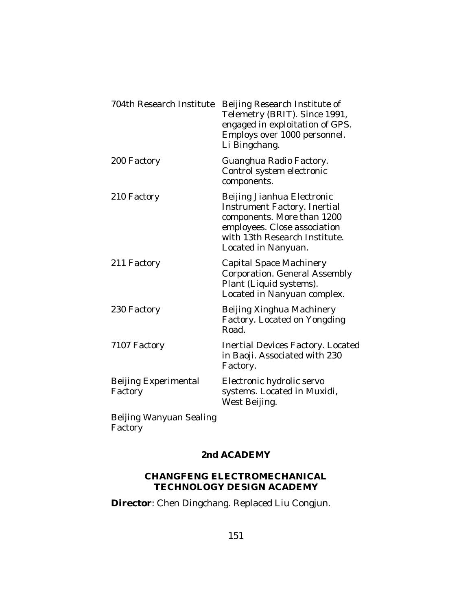| 704th Research Institute               | Beijing Research Institute of<br>Telemetry (BRIT). Since 1991,<br>engaged in exploitation of GPS.<br>Employs over 1000 personnel.<br>Li Bingchang.                               |
|----------------------------------------|----------------------------------------------------------------------------------------------------------------------------------------------------------------------------------|
| 200 Factory                            | Guanghua Radio Factory.<br>Control system electronic<br>components.                                                                                                              |
| 210 Factory                            | Beijing Jianhua Electronic<br>Instrument Factory. Inertial<br>components. More than 1200<br>employees. Close association<br>with 13th Research Institute.<br>Located in Nanyuan. |
| 211 Factory                            | <b>Capital Space Machinery</b><br>Corporation. General Assembly<br>Plant (Liquid systems).<br>Located in Nanyuan complex.                                                        |
| 230 Factory                            | Beijing Xinghua Machinery<br>Factory. Located on Yongding<br>Road.                                                                                                               |
| 7107 Factory                           | <b>Inertial Devices Factory. Located</b><br>in Baoji. Associated with 230<br>Factory.                                                                                            |
| <b>Beijing Experimental</b><br>Factory | Electronic hydrolic servo<br>systems. Located in Muxidi,<br>West Beijing.                                                                                                        |
| Beijing Wanyuan Sealing                |                                                                                                                                                                                  |

**Factory** 

## **2nd ACADEMY**

#### **CHANGFENG ELECTROMECHANICAL TECHNOLOGY DESIGN ACADEMY**

**Director**: Chen Dingchang. Replaced Liu Congjun.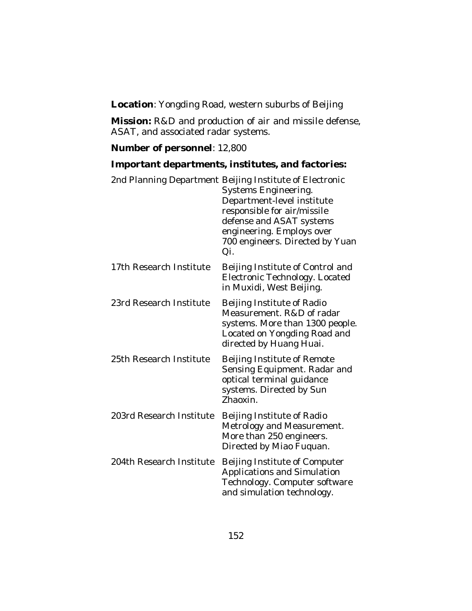**Location**: Yongding Road, western suburbs of Beijing

**Mission:** R&D and production of air and missile defense, ASAT, and associated radar systems.

### **Number of personnel**: 12,800

### **Important departments, institutes, and factories:**

|                          | 2nd Planning Department Beijing Institute of Electronic<br>Systems Engineering.<br>Department-level institute<br>responsible for air/missile<br>defense and ASAT systems<br>engineering. Employs over<br>700 engineers. Directed by Yuan<br>Qi. |
|--------------------------|-------------------------------------------------------------------------------------------------------------------------------------------------------------------------------------------------------------------------------------------------|
| 17th Research Institute  | Beijing Institute of Control and<br>Electronic Technology. Located<br>in Muxidi, West Beijing.                                                                                                                                                  |
| 23rd Research Institute  | Beijing Institute of Radio<br>Measurement. R&D of radar<br>systems. More than 1300 people.<br>Located on Yongding Road and<br>directed by Huang Huai.                                                                                           |
| 25th Research Institute  | Beijing Institute of Remote<br>Sensing Equipment. Radar and<br>optical terminal guidance<br>systems. Directed by Sun<br>Zhaoxin.                                                                                                                |
| 203rd Research Institute | Beijing Institute of Radio<br>Metrology and Measurement.<br>More than 250 engineers.<br>Directed by Miao Fuquan.                                                                                                                                |
| 204th Research Institute | Beijing Institute of Computer<br>Applications and Simulation<br>Technology. Computer software<br>and simulation technology.                                                                                                                     |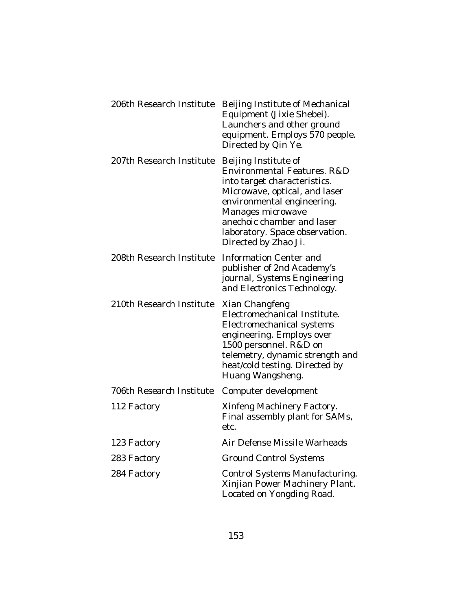| 206th Research Institute | Beijing Institute of Mechanical<br>Equipment (Jixie Shebei).<br>Launchers and other ground<br>equipment. Employs 570 people.<br>Directed by Qin Ye.                                                                                                             |
|--------------------------|-----------------------------------------------------------------------------------------------------------------------------------------------------------------------------------------------------------------------------------------------------------------|
| 207th Research Institute | Beijing Institute of<br>Environmental Features. R&D<br>into target characteristics.<br>Microwave, optical, and laser<br>environmental engineering.<br>Manages microwave<br>anechoic chamber and laser<br>laboratory. Space observation.<br>Directed by Zhao Ji. |
| 208th Research Institute | <b>Information Center and</b><br>publisher of 2nd Academy's<br>journal, Systems Engineering<br>and Electronics Technology.                                                                                                                                      |
| 210th Research Institute | Xian Changfeng<br>Electromechanical Institute.<br>Electromechanical systems<br>engineering. Employs over<br>1500 personnel. R&D on<br>telemetry, dynamic strength and<br>heat/cold testing. Directed by<br>Huang Wangsheng.                                     |
| 706th Research Institute | Computer development                                                                                                                                                                                                                                            |
| 112 Factory              | Xinfeng Machinery Factory.<br>Final assembly plant for SAMs,<br>etc.                                                                                                                                                                                            |
| 123 Factory              | Air Defense Missile Warheads                                                                                                                                                                                                                                    |
| 283 Factory              | <b>Ground Control Systems</b>                                                                                                                                                                                                                                   |
| 284 Factory              | Control Systems Manufacturing.<br>Xinjian Power Machinery Plant.<br>Located on Yongding Road.                                                                                                                                                                   |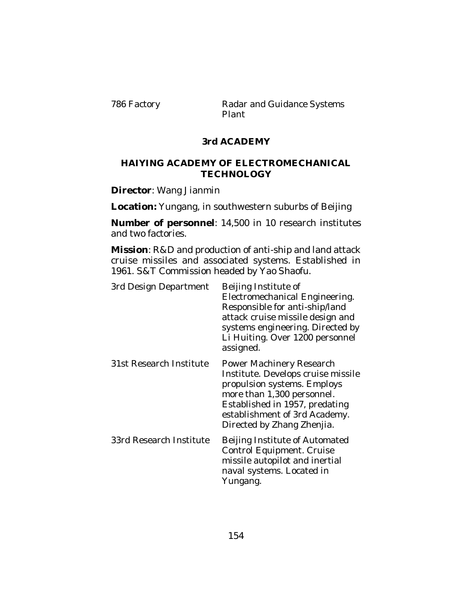786 Factory **Radar and Guidance Systems** Plant

### **3rd ACADEMY**

#### **HAIYING ACADEMY OF ELECTROMECHANICAL TECHNOLOGY**

**Director**: Wang Jianmin

**Location:** Yungang, in southwestern suburbs of Beijing

**Number of personnel**: 14,500 in 10 research institutes and two factories.

**Mission**: R&D and production of anti-ship and land attack cruise missiles and associated systems. Established in 1961. S&T Commission headed by Yao Shaofu.

| 3rd Design Department   | Beijing Institute of<br>Electromechanical Engineering.<br>Responsible for anti-ship/land<br>attack cruise missile design and<br>systems engineering. Directed by<br>Li Huiting. Over 1200 personnel<br>assigned.             |
|-------------------------|------------------------------------------------------------------------------------------------------------------------------------------------------------------------------------------------------------------------------|
| 31st Research Institute | Power Machinery Research<br>Institute. Develops cruise missile<br>propulsion systems. Employs<br>more than 1,300 personnel.<br>Established in 1957, predating<br>establishment of 3rd Academy.<br>Directed by Zhang Zhenjia. |
| 33rd Research Institute | Beijing Institute of Automated<br>Control Equipment. Cruise<br>missile autopilot and inertial<br>naval systems. Located in<br>Yungang.                                                                                       |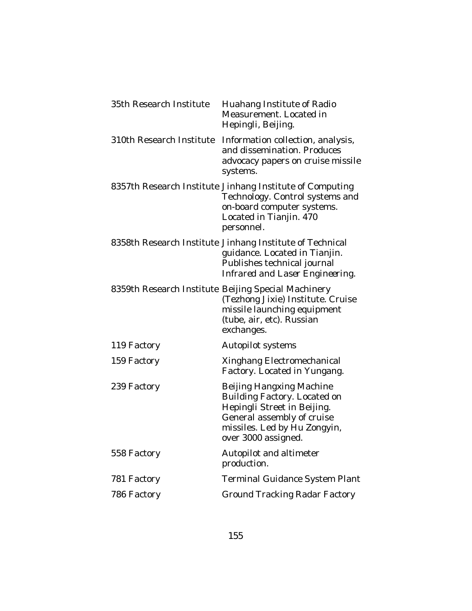| 35th Research Institute  | Huahang Institute of Radio<br>Measurement. Located in<br>Hepingli, Beijing.                                                                                                  |
|--------------------------|------------------------------------------------------------------------------------------------------------------------------------------------------------------------------|
| 310th Research Institute | Information collection, analysis,<br>and dissemination. Produces<br>advocacy papers on cruise missile<br>systems.                                                            |
|                          | 8357th Research Institute Jinhang Institute of Computing<br>Technology. Control systems and<br>on-board computer systems.<br>Located in Tianjin. 470<br>personnel.           |
|                          | 8358th Research Institute Jinhang Institute of Technical<br>guidance. Located in Tianjin.<br>Publishes technical journal<br>Infrared and Laser Engineering.                  |
|                          | 8359th Research Institute Beijing Special Machinery<br>(Tezhong Jixie) Institute. Cruise<br>missile launching equipment<br>(tube, air, etc). Russian<br>exchanges.           |
| 119 Factory              | Autopilot systems                                                                                                                                                            |
| 159 Factory              | Xinghang Electromechanical<br>Factory. Located in Yungang.                                                                                                                   |
| 239 Factory              | Beijing Hangxing Machine<br>Building Factory. Located on<br>Hepingli Street in Beijing.<br>General assembly of cruise<br>missiles. Led by Hu Zongyin,<br>over 3000 assigned. |
| 558 Factory              | Autopilot and altimeter<br>production.                                                                                                                                       |
| 781 Factory              | <b>Terminal Guidance System Plant</b>                                                                                                                                        |
| 786 Factory              | <b>Ground Tracking Radar Factory</b>                                                                                                                                         |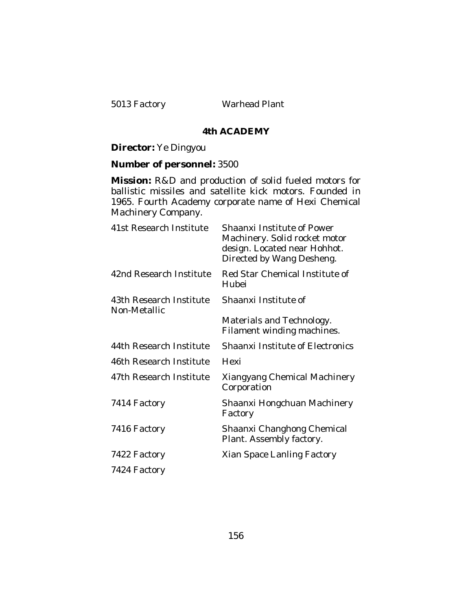5013 Factory Warhead Plant

#### **4th ACADEMY**

#### **Director:** Ye Dingyou

#### **Number of personnel:** 3500

**Mission:** R&D and production of solid fueled motors for ballistic missiles and satellite kick motors. Founded in 1965. Fourth Academy corporate name of Hexi Chemical Machinery Company.

| 41st Research Institute                 | <b>Shaanxi Institute of Power</b><br>Machinery. Solid rocket motor<br>design. Located near Hohhot.<br>Directed by Wang Desheng. |
|-----------------------------------------|---------------------------------------------------------------------------------------------------------------------------------|
| 42nd Research Institute                 | Red Star Chemical Institute of<br>Hubei                                                                                         |
| 43th Research Institute<br>Non-Metallic | Shaanxi Institute of                                                                                                            |
|                                         | Materials and Technology.<br>Filament winding machines.                                                                         |
| 44th Research Institute                 | <b>Shaanxi Institute of Electronics</b>                                                                                         |
| 46th Research Institute                 | Hexi                                                                                                                            |
| 47th Research Institute                 | Xiangyang Chemical Machinery<br>Corporation                                                                                     |
| 7414 Factory                            | Shaanxi Hongchuan Machinery<br>Factory                                                                                          |
| 7416 Factory                            | Shaanxi Changhong Chemical<br>Plant. Assembly factory.                                                                          |
| 7422 Factory                            | Xian Space Lanling Factory                                                                                                      |
| 7424 Factory                            |                                                                                                                                 |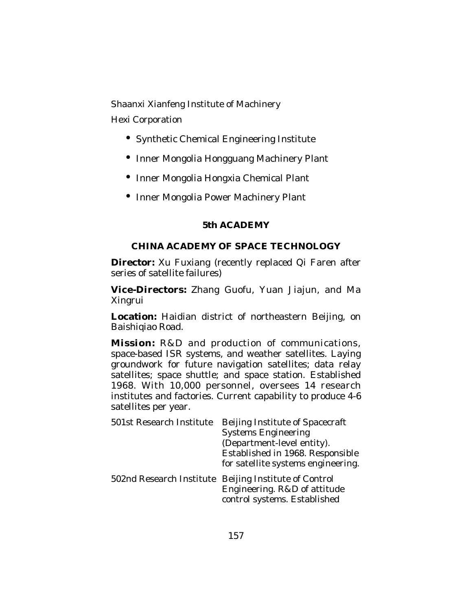Shaanxi Xianfeng Institute of Machinery Hexi Corporation

- Synthetic Chemical Engineering Institute
- Inner Mongolia Hongguang Machinery Plant
- Inner Mongolia Hongxia Chemical Plant
- Inner Mongolia Power Machinery Plant

### **5th ACADEMY**

## **CHINA ACADEMY OF SPACE TECHNOLOGY**

**Director:** Xu Fuxiang (recently replaced Qi Faren after series of satellite failures)

**Vice-Directors:** Zhang Guofu, Yuan Jiajun, and Ma Xingrui

**Location:** Haidian district of northeastern Beijing, on Baishigiao Road.

**Mission:** R&D and production of communications, space-based ISR systems, and weather satellites. Laying groundwork for future navigation satellites; data relay satellites; space shuttle; and space station. Established 1968. With 10,000 personnel, oversees 14 research institutes and factories. Current capability to produce 4-6 satellites per year.

| 501st Research Institute | Beijing Institute of Spacecraft<br><b>Systems Engineering</b><br>(Department-level entity).<br>Established in 1968. Responsible<br>for satellite systems engineering. |
|--------------------------|-----------------------------------------------------------------------------------------------------------------------------------------------------------------------|
|                          | 502nd Research Institute Beijing Institute of Control<br>Engineering. R&D of attitude<br>control systems. Established                                                 |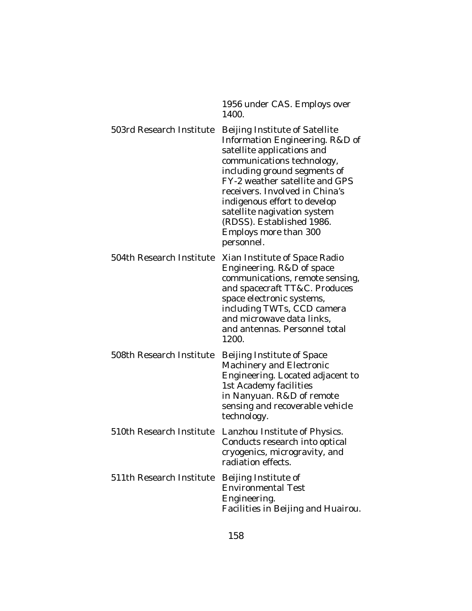|                          | 1956 under CAS. Employs over<br>1400.                                                                                                                                                                                                                                                                                                                                |
|--------------------------|----------------------------------------------------------------------------------------------------------------------------------------------------------------------------------------------------------------------------------------------------------------------------------------------------------------------------------------------------------------------|
| 503rd Research Institute | Beijing Institute of Satellite<br>Information Engineering. R&D of<br>satellite applications and<br>communications technology,<br>including ground segments of<br>FY-2 weather satellite and GPS<br>receivers. Involved in China's<br>indigenous effort to develop<br>satellite nagivation system<br>(RDSS). Established 1986.<br>Employs more than 300<br>personnel. |
| 504th Research Institute | Xian Institute of Space Radio<br>Engineering. R&D of space<br>communications, remote sensing,<br>and spacecraft TT&C. Produces<br>space electronic systems,<br>including TWTs, CCD camera<br>and microwave data links,<br>and antennas. Personnel total<br>1200.                                                                                                     |
| 508th Research Institute | Beijing Institute of Space<br>Machinery and Electronic<br>Engineering. Located adjacent to<br>1st Academy facilities<br>in Nanyuan. R&D of remote<br>sensing and recoverable vehicle<br>technology.                                                                                                                                                                  |
| 510th Research Institute | Lanzhou Institute of Physics.<br>Conducts research into optical<br>cryogenics, microgravity, and<br>radiation effects.                                                                                                                                                                                                                                               |
| 511th Research Institute | Beijing Institute of<br><b>Environmental Test</b><br>Engineering.<br>Facilities in Beijing and Huairou.                                                                                                                                                                                                                                                              |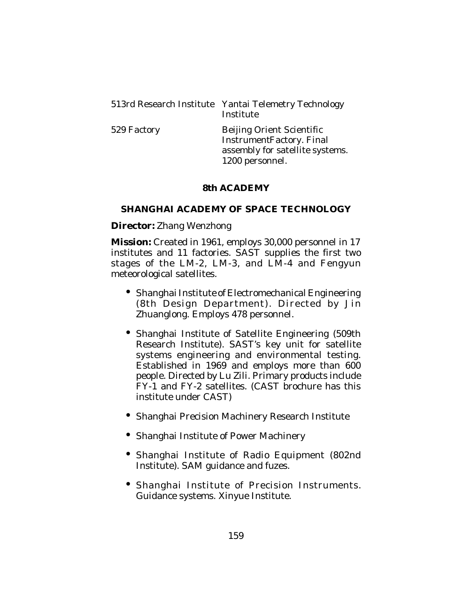513rd Research Institute Yantai Telemetry Technology Institute

529 Factory Beijing Orient Scientific InstrumentFactory. Final assembly for satellite systems. 1200 personnel.

# **8th ACADEMY**

# **SHANGHAI ACADEMY OF SPACE TECHNOLOGY**

**Director:** Zhang Wenzhong

**Mission:** Created in 1961, employs 30,000 personnel in 17 institutes and 11 factories. SAST supplies the first two stages of the LM-2, LM-3, and LM-4 and Fengyun meteorological satellites.

- Shanghai Institute of Electromechanical Engineering (8th Design Department). Directed by Jin Zhuanglong. Employs 478 personnel.
- Shanghai Institute of Satellite Engineering (509th Research Institute). SAST's key unit for satellite systems engineering and environmental testing. Established in 1969 and employs more than 600 people. Directed by Lu Zili. Primary products include FY-1 and FY-2 satellites. (CAST brochure has this institute under CAST)
- Shanghai Precision Machinery Research Institute
- Shanghai Institute of Power Machinery
- Shanghai Institute of Radio Equipment (802nd Institute). SAM guidance and fuzes.
- Shanghai Institute of Precision Instruments. Guidance systems. Xinyue Institute.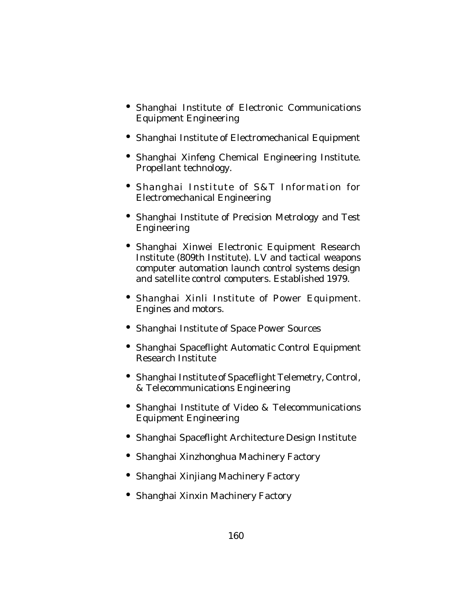- Shanghai Institute of Electronic Communications Equipment Engineering
- Shanghai Institute of Electromechanical Equipment
- Shanghai Xinfeng Chemical Engineering Institute. Propellant technology.
- Shanghai Institute of S&T Information for Electromechanical Engineering
- Shanghai Institute of Precision Metrology and Test Engineering
- Shanghai Xinwei Electronic Equipment Research Institute (809th Institute). LV and tactical weapons computer automation launch control systems design and satellite control computers. Established 1979.
- Shanghai Xinli Institute of Power Equipment. Engines and motors.
- Shanghai Institute of Space Power Sources
- Shanghai Spaceflight Automatic Control Equipment Research Institute
- Shanghai Institute of Spaceflight Telemetry, Control, & Telecommunications Engineering
- Shanghai Institute of Video & Telecommunications Equipment Engineering
- Shanghai Spaceflight Architecture Design Institute
- Shanghai Xinzhonghua Machinery Factory
- Shanghai Xinjiang Machinery Factory
- Shanghai Xinxin Machinery Factory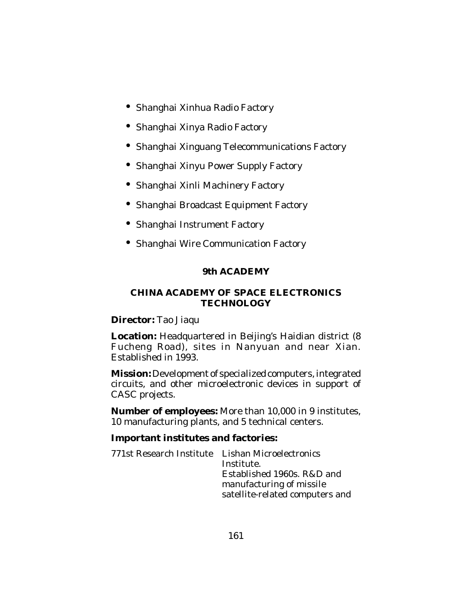- Shanghai Xinhua Radio Factory
- Shanghai Xinya Radio Factory
- Shanghai Xinguang Telecommunications Factory
- Shanghai Xinyu Power Supply Factory
- Shanghai Xinli Machinery Factory
- Shanghai Broadcast Equipment Factory
- Shanghai Instrument Factory
- Shanghai Wire Communication Factory

# **9th ACADEMY**

## **CHINA ACADEMY OF SPACE ELECTRONICS TECHNOLOGY**

## **Director:** Tao Jiaqu

**Location:** Headquartered in Beijing's Haidian district (8 Fucheng Road), sites in Nanyuan and near Xian. Established in 1993.

**Mission:** Development of specialized computers, integrated circuits, and other microelectronic devices in support of CASC projects.

**Number of employees:** More than 10,000 in 9 institutes, 10 manufacturing plants, and 5 technical centers.

# **Important institutes and factories:**

| 771st Research Institute Lishan Microelectronics | Institute.<br>Established 1960s, R&D and<br>manufacturing of missile |
|--------------------------------------------------|----------------------------------------------------------------------|
|                                                  | satellite-related computers and                                      |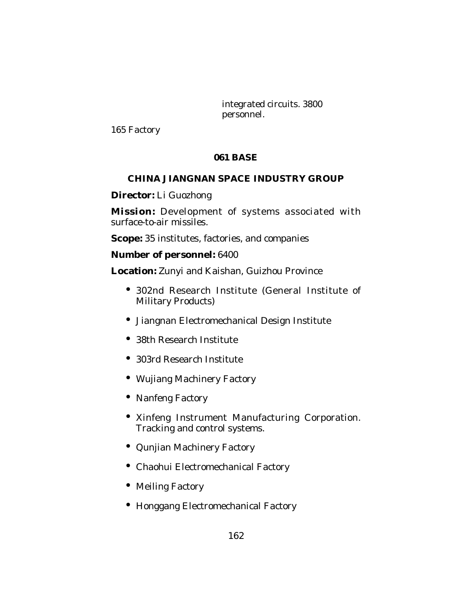integrated circuits. 3800 personnel.

165 Factory

# **061 BASE**

# **CHINA JIANGNAN SPACE INDUSTRY GROUP**

**Director:** Li Guozhong

**Mission:** Development of systems associated with surface-to-air missiles.

**Scope:** 35 institutes, factories, and companies

## **Number of personnel:** 6400

**Location:** Zunyi and Kaishan, Guizhou Province

- 302nd Research Institute (General Institute of Military Products)
- Jiangnan Electromechanical Design Institute
- 38th Research Institute
- 303rd Research Institute
- Wujiang Machinery Factory
- Nanfeng Factory
- Xinfeng Instrument Manufacturing Corporation. Tracking and control systems.
- Qunjian Machinery Factory
- Chaohui Electromechanical Factory
- Meiling Factory
- Honggang Electromechanical Factory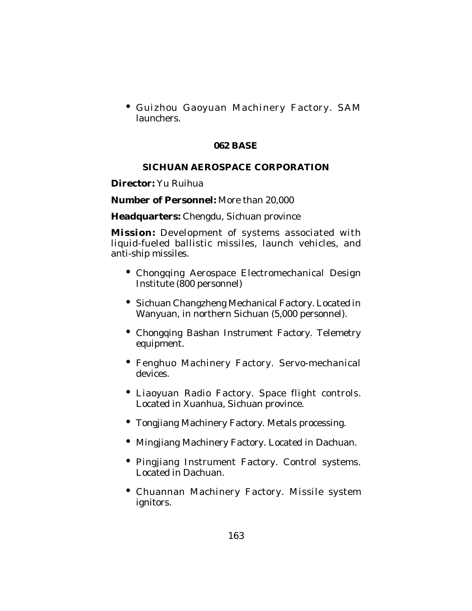• Guizhou Gaoyuan Machinery Factory. SAM launchers.

#### **062 BASE**

## **SICHUAN AEROSPACE CORPORATION**

**Director:** Yu Ruihua

**Number of Personnel:** More than 20,000

**Headquarters:** Chengdu, Sichuan province

**Mission:** Development of systems associated with liquid-fueled ballistic missiles, launch vehicles, and anti-ship missiles.

- Chongqing Aerospace Electromechanical Design Institute (800 personnel)
- Sichuan Changzheng Mechanical Factory. Located in Wanyuan, in northern Sichuan (5,000 personnel).
- Chongqing Bashan Instrument Factory. Telemetry equipment.
- Fenghuo Machinery Factory. Servo-mechanical devices.
- Liaoyuan Radio Factory. Space flight controls. Located in Xuanhua, Sichuan province.
- Tongjiang Machinery Factory. Metals processing.
- Mingjiang Machinery Factory. Located in Dachuan.
- Pingjiang Instrument Factory. Control systems. Located in Dachuan.
- Chuannan Machinery Factory. Missile system ignitors.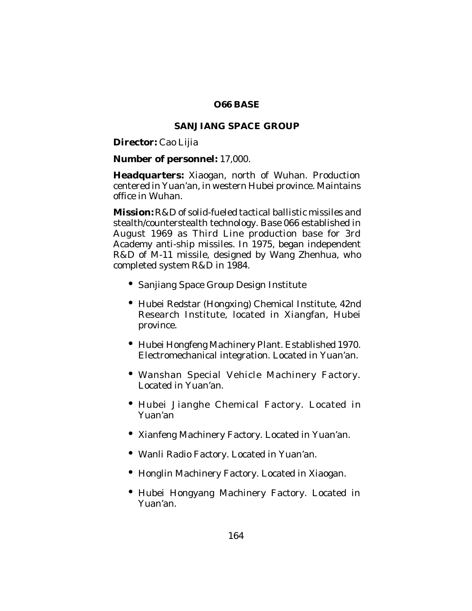## **O66 BASE**

## **SANJIANG SPACE GROUP**

**Director:** Cao Lijia

## **Number of personnel:** 17,000.

**Headquarters:** Xiaogan, north of Wuhan. Production centered in Yuan'an, in western Hubei province. Maintains office in Wuhan.

**Mission:** R&D of solid-fueled tactical ballistic missiles and stealth/counterstealth technology. Base 066 established in August 1969 as Third Line production base for 3rd Academy anti-ship missiles. In 1975, began independent R&D of M-11 missile, designed by Wang Zhenhua, who completed system R&D in 1984.

- Sanjiang Space Group Design Institute
- Hubei Redstar (Hongxing) Chemical Institute, 42nd Research Institute, located in Xiangfan, Hubei province.
- Hubei Hongfeng Machinery Plant. Established 1970. Electromechanical integration. Located in Yuan'an.
- Wanshan Special Vehicle Machinery Factory. Located in Yuan'an.
- Hubei Jianghe Chemical Factory. Located in Yuan'an
- Xianfeng Machinery Factory. Located in Yuan'an.
- Wanli Radio Factory. Located in Yuan'an.
- Honglin Machinery Factory. Located in Xiaogan.
- Hubei Hongyang Machinery Factory. Located in Yuan'an.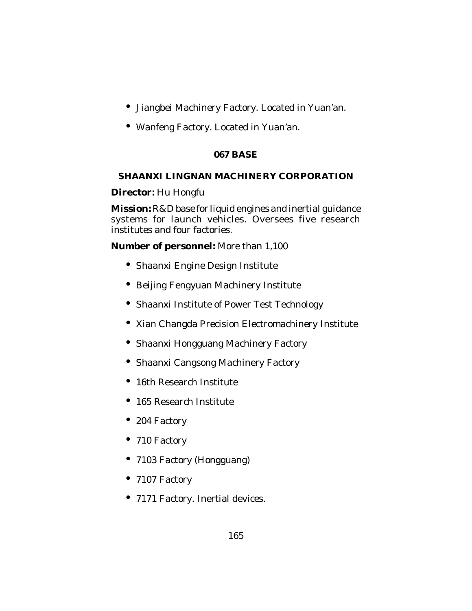- Jiangbei Machinery Factory. Located in Yuan'an.
- Wanfeng Factory. Located in Yuan'an.

# **067 BASE**

# **SHAANXI LINGNAN MACHINERY CORPORATION**

**Director:** Hu Hongfu

**Mission:** R&D base for liquid engines and inertial guidance systems for launch vehicles. Oversees five research institutes and four factories.

**Number of personnel:** More than 1,100

- Shaanxi Engine Design Institute
- Beijing Fengyuan Machinery Institute
- Shaanxi Institute of Power Test Technology
- Xian Changda Precision Electromachinery Institute
- Shaanxi Hongguang Machinery Factory
- Shaanxi Cangsong Machinery Factory
- 16th Research Institute
- 165 Research Institute
- 204 Factory
- 710 Factory
- 7103 Factory (Hongguang)
- 7107 Factory
- 7171 Factory. Inertial devices.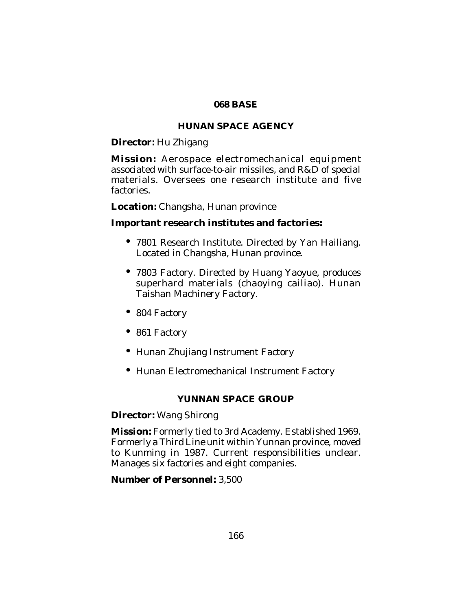### **068 BASE**

# **HUNAN SPACE AGENCY**

**Director:** Hu Zhigang

**Mission:** Aerospace electromechanical equipment associated with surface-to-air missiles, and R&D of special materials. Oversees one research institute and five factories.

**Location:** Changsha, Hunan province

## **Important research institutes and factories:**

- 7801 Research Institute. Directed by Yan Hailiang. Located in Changsha, Hunan province.
- 7803 Factory. Directed by Huang Yaoyue, produces superhard materials (chaoying cailiao). Hunan Taishan Machinery Factory.
- 804 Factory
- 861 Factory
- Hunan Zhujiang Instrument Factory
- Hunan Electromechanical Instrument Factory

## **YUNNAN SPACE GROUP**

## **Director:** Wang Shirong

**Mission:** Formerly tied to 3rd Academy. Established 1969. Formerly a Third Line unit within Yunnan province, moved to Kunming in 1987. Current responsibilities unclear. Manages six factories and eight companies.

## **Number of Personnel:** 3,500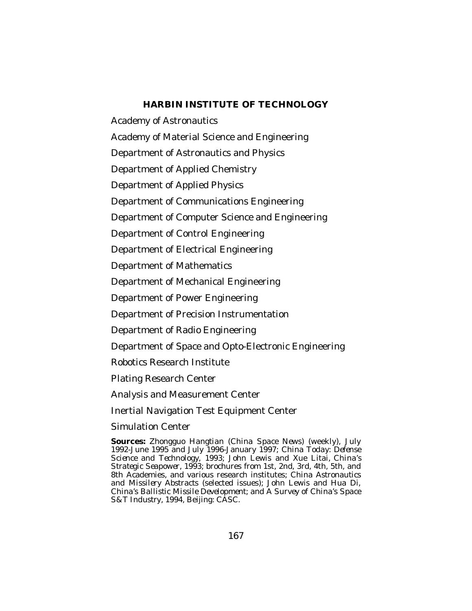## **HARBIN INSTITUTE OF TECHNOLOGY**

Academy of Astronautics Academy of Material Science and Engineering Department of Astronautics and Physics Department of Applied Chemistry Department of Applied Physics Department of Communications Engineering Department of Computer Science and Engineering Department of Control Engineering Department of Electrical Engineering Department of Mathematics Department of Mechanical Engineering Department of Power Engineering Department of Precision Instrumentation Department of Radio Engineering Department of Space and Opto-Electronic Engineering Robotics Research Institute Plating Research Center Analysis and Measurement Center Inertial Navigation Test Equipment Center Simulation Center

**Sources:** *Zhongguo Hangtian (China Space News)* (weekly), July 1992-June 1995 and July 1996-January 1997; *China Today: Defense Science and Technology,* 1993; John Lewis and Xue Litai, *China's Strategic Seapower,* 1993; brochures from 1st, 2nd, 3rd, 4th, 5th, and 8th Academies, and various research institutes; *China Astronautics and Missilery Abstracts* (selected issues); John Lewis and Hua Di, *China's Ballistic Missile Development;* and *A Survey of China's Space S&T Industr*y, 1994, Beijing: CASC.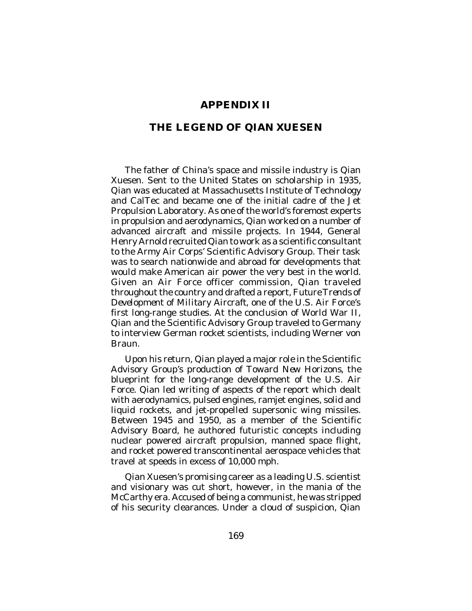### **APPENDIX II**

### **THE LEGEND OF QIAN XUESEN**

The father of China's space and missile industry is Qian Xuesen. Sent to the United States on scholarship in 1935, Qian was educated at Massachusetts Institute of Technology and CalTec and became one of the initial cadre of the Jet Propulsion Laboratory. As one of the world's foremost experts in propulsion and aerodynamics, Qian worked on a number of advanced aircraft and missile projects. In 1944, General Henry Arnold recruited Qian to work as a scientific consultant to the Army Air Corps' Scientific Advisory Group. Their task was to search nationwide and abroad for developments that would make American air power the very best in the world. Given an Air Force officer commission, Qian traveled throughout the country and drafted a report, *Future Trends of Development of Military Aircraft*, one of the U.S. Air Force's first long-range studies. At the conclusion of World War II, Qian and the Scientific Advisory Group traveled to Germany to interview German rocket scientists, including Werner von Braun.

Upon his return, Qian played a major role in the Scientific Advisory Group's production of *Toward New Horizons*, the blueprint for the long-range development of the U.S. Air Force. Qian led writing of aspects of the report which dealt with aerodynamics, pulsed engines, ramjet engines, solid and liquid rockets, and jet-propelled supersonic wing missiles. Between 1945 and 1950, as a member of the Scientific Advisory Board, he authored futuristic concepts including nuclear powered aircraft propulsion, manned space flight, and rocket powered transcontinental aerospace vehicles that travel at speeds in excess of 10,000 mph.

Qian Xuesen's promising career as a leading U.S. scientist and visionary was cut short, however, in the mania of the McCarthy era. Accused of being a communist, he was stripped of his security clearances. Under a cloud of suspicion, Qian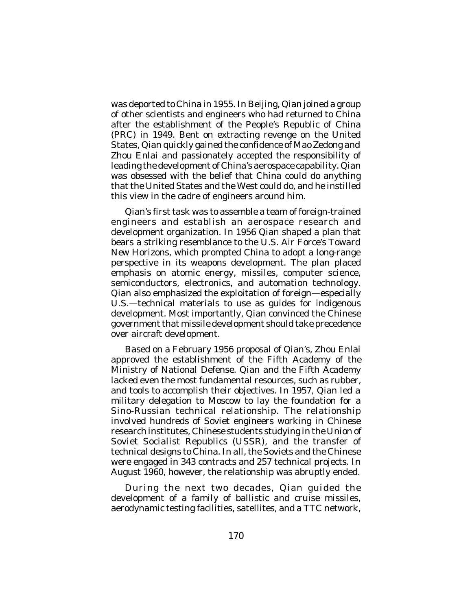was deported to China in 1955. In Beijing, Qian joined a group of other scientists and engineers who had returned to China after the establishment of the People's Republic of China (PRC) in 1949. Bent on extracting revenge on the United States, Qian quickly gained the confidence of Mao Zedong and Zhou Enlai and passionately accepted the responsibility of leading the development of China's aerospace capability. Qian was obsessed with the belief that China could do anything that the United States and the West could do, and he instilled this view in the cadre of engineers around him.

Qian's first task was to assemble a team of foreign-trained engineers and establish an aerospace research and development organization. In 1956 Qian shaped a plan that bears a striking resemblance to the U.S. Air Force's *Toward New Horizons*, which prompted China to adopt a long-range perspective in its weapons development. The plan placed emphasis on atomic energy, missiles, computer science, semiconductors, electronics, and automation technology. Qian also emphasized the exploitation of foreign—especially U.S.—technical materials to use as guides for indigenous development. Most importantly, Qian convinced the Chinese government that missile development should take precedence over aircraft development.

Based on a February 1956 proposal of Qian's, Zhou Enlai approved the establishment of the Fifth Academy of the Ministry of National Defense. Qian and the Fifth Academy lacked even the most fundamental resources, such as rubber, and tools to accomplish their objectives. In 1957, Qian led a military delegation to Moscow to lay the foundation for a Sino-Russian technical relationship. The relationship involved hundreds of Soviet engineers working in Chinese research institutes, Chinese students studying in the Union of Soviet Socialist Republics (USSR), and the transfer of technical designs to China. In all, the Soviets and the Chinese were engaged in 343 contracts and 257 technical projects. In August 1960, however, the relationship was abruptly ended.

During the next two decades, Qian guided the development of a family of ballistic and cruise missiles, aerodynamic testing facilities, satellites, and a TTC network,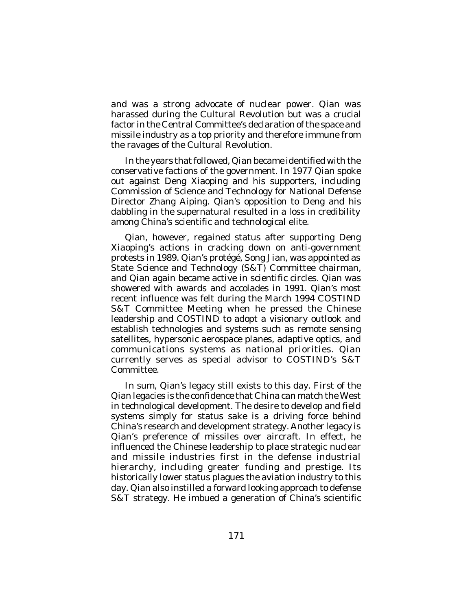and was a strong advocate of nuclear power. Qian was harassed during the Cultural Revolution but was a crucial factor in the Central Committee's declaration of the space and missile industry as a top priority and therefore immune from the ravages of the Cultural Revolution.

In the years that followed, Qian became identified with the conservative factions of the government. In 1977 Qian spoke out against Deng Xiaoping and his supporters, including Commission of Science and Technology for National Defense Director Zhang Aiping. Qian's opposition to Deng and his dabbling in the supernatural resulted in a loss in credibility among China's scientific and technological elite.

Qian, however, regained status after supporting Deng Xiaoping's actions in cracking down on anti-government protests in 1989. Qian's protégé, Song Jian, was appointed as State Science and Technology (S&T) Committee chairman, and Qian again became active in scientific circles. Qian was showered with awards and accolades in 1991. Qian's most recent influence was felt during the March 1994 COSTIND S&T Committee Meeting when he pressed the Chinese leadership and COSTIND to adopt a visionary outlook and establish technologies and systems such as remote sensing satellites, hypersonic aerospace planes, adaptive optics, and communications systems as national priorities. Qian currently serves as special advisor to COSTIND's S&T Committee.

In sum, Qian's legacy still exists to this day. First of the Qian legacies is the confidence that China can match the West in technological development. The desire to develop and field systems simply for status sake is a driving force behind China's research and development strategy. Another legacy is Qian's preference of missiles over aircraft. In effect, he influenced the Chinese leadership to place strategic nuclear and missile industries first in the defense industrial hierarchy, including greater funding and prestige. Its historically lower status plagues the aviation industry to this day. Qian also instilled a forward looking approach to defense S&T strategy. He imbued a generation of China's scientific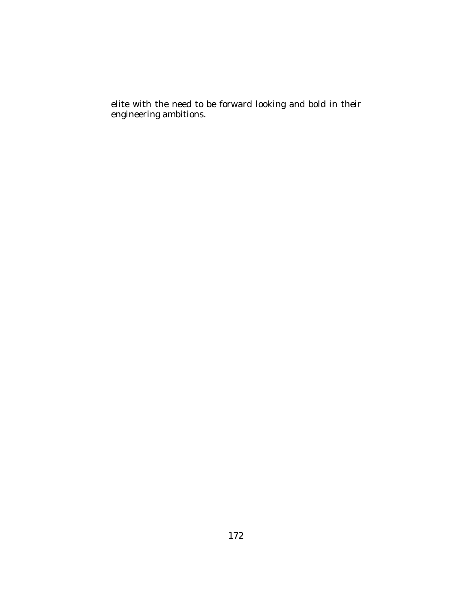elite with the need to be forward looking and bold in their engineering ambitions.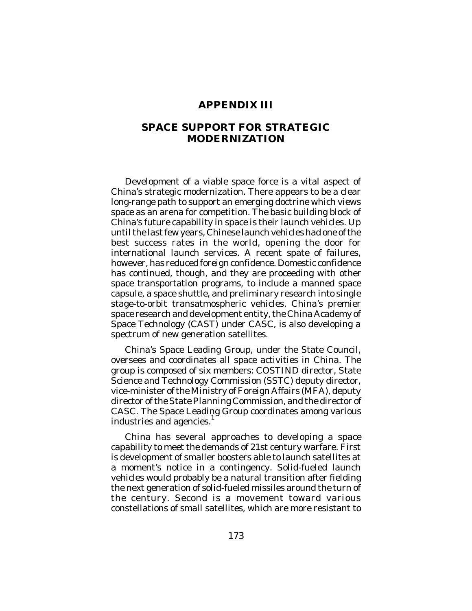#### **APPENDIX III**

## **SPACE SUPPORT FOR STRATEGIC MODERNIZATION**

Development of a viable space force is a vital aspect of China's strategic modernization. There appears to be a clear long-range path to support an emerging doctrine which views space as an arena for competition. The basic building block of China's future capability in space is their launch vehicles. Up until the last few years, Chinese launch vehicles had one of the best success rates in the world, opening the door for international launch services. A recent spate of failures, however, has reduced foreign confidence. Domestic confidence has continued, though, and they are proceeding with other space transportation programs, to include a manned space capsule, a space shuttle, and preliminary research into single stage-to-orbit transatmospheric vehicles. China's premier space research and development entity, the China Academy of Space Technology (CAST) under CASC, is also developing a spectrum of new generation satellites.

China's Space Leading Group, under the State Council, oversees and coordinates all space activities in China. The group is composed of six members: COSTIND director, State Science and Technology Commission (SSTC) deputy director, vice-minister of the Ministry of Foreign Affairs (MFA), deputy director of the State Planning Commission, and the director of CASC. The Space Leading Group coordinates among various industries and agencies.

China has several approaches to developing a space capability to meet the demands of 21st century warfare. First is development of smaller boosters able to launch satellites at a moment's notice in a contingency. Solid-fueled launch vehicles would probably be a natural transition after fielding the next generation of solid-fueled missiles around the turn of the century. Second is a movement toward various constellations of small satellites, which are more resistant to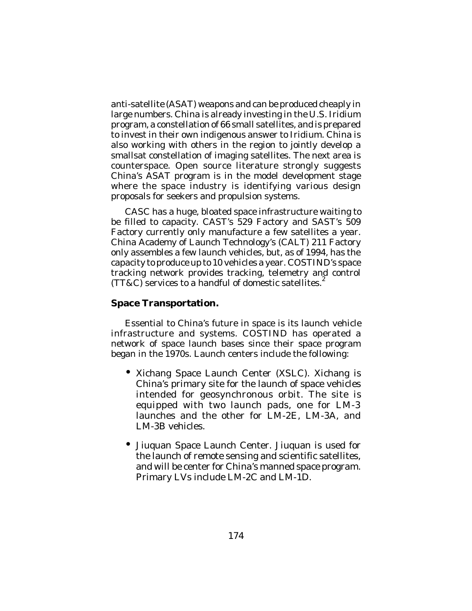anti-satellite (ASAT) weapons and can be produced cheaply in large numbers. China is already investing in the U.S. Iridium program, a constellation of 66 small satellites, and is prepared to invest in their own indigenous answer to Iridium. China is also working with others in the region to jointly develop a smallsat constellation of imaging satellites. The next area is counterspace. Open source literature strongly suggests China's ASAT program is in the model development stage where the space industry is identifying various design proposals for seekers and propulsion systems.

CASC has a huge, bloated space infrastructure waiting to be filled to capacity. CAST's 529 Factory and SAST's 509 Factory currently only manufacture a few satellites a year. China Academy of Launch Technology's (CALT) 211 Factory only assembles a few launch vehicles, but, as of 1994, has the capacity to produce up to 10 vehicles a year. COSTIND's space tracking network provides tracking, telemetry and control<br>(TTBC) servises to a handful of demostic satellites <sup>2</sup> (TT&C) services to a handful of domestic satellites.

### **Space Transportation.**

Essential to China's future in space is its launch vehicle infrastructure and systems. COSTIND has operated a network of space launch bases since their space program began in the 1970s. Launch centers include the following:

- Xichang Space Launch Center (XSLC). Xichang is China's primary site for the launch of space vehicles intended for geosynchronous orbit. The site is equipped with two launch pads, one for LM-3 launches and the other for LM-2E, LM-3A, and LM-3B vehicles.
- Jiuquan Space Launch Center. Jiuquan is used for the launch of remote sensing and scientific satellites, and will be center for China's manned space program. Primary LVs include LM-2C and LM-1D.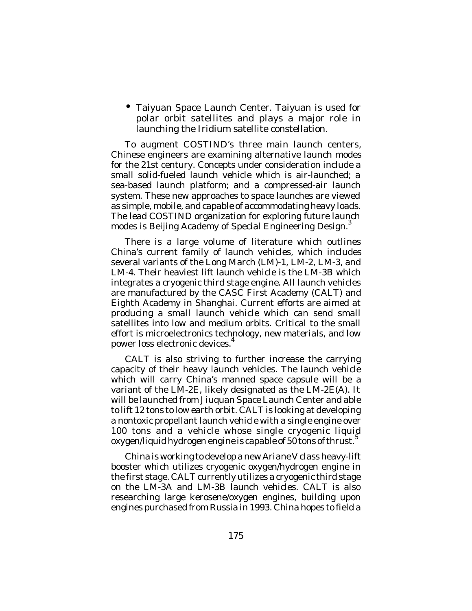• Taiyuan Space Launch Center. Taiyuan is used for polar orbit satellites and plays a major role in launching the Iridium satellite constellation.

To augment COSTIND's three main launch centers, Chinese engineers are examining alternative launch modes for the 21st century. Concepts under consideration include a small solid-fueled launch vehicle which is air-launched; a sea-based launch platform; and a compressed-air launch system. These new approaches to space launches are viewed as simple, mobile, and capable of accommodating heavy loads. The lead COSTIND organization for exploring future launch modes is Beijing Academy of Special Engineering Design.<sup>3</sup>

There is a large volume of literature which outlines China's current family of launch vehicles, which includes several variants of the Long March (LM)-1, LM-2, LM-3, and LM-4. Their heaviest lift launch vehicle is the LM-3B which integrates a cryogenic third stage engine. All launch vehicles are manufactured by the CASC First Academy (CALT) and Eighth Academy in Shanghai. Current efforts are aimed at producing a small launch vehicle which can send small satellites into low and medium orbits. Critical to the small effort is microelectronics technology, new materials, and low power loss electronic devices. 4

CALT is also striving to further increase the carrying capacity of their heavy launch vehicles. The launch vehicle which will carry China's manned space capsule will be a variant of the LM-2E, likely designated as the LM-2E(A). It will be launched from Jiuquan Space Launch Center and able to lift 12 tons to low earth orbit. CALT is looking at developing a nontoxic propellant launch vehicle with a single engine over 100 tons and a vehicle whose single cryogenic liquid oxygen/liquid hydrogen engine is capable of 50 tons of thrust.  $^5$ 

China is working to develop a new *Ariane V* class heavy-lift booster which utilizes cryogenic oxygen/hydrogen engine in the first stage. CALT currently utilizes a cryogenic third stage on the LM-3A and LM-3B launch vehicles. CALT is also researching large kerosene/oxygen engines, building upon engines purchased from Russia in 1993. China hopes to field a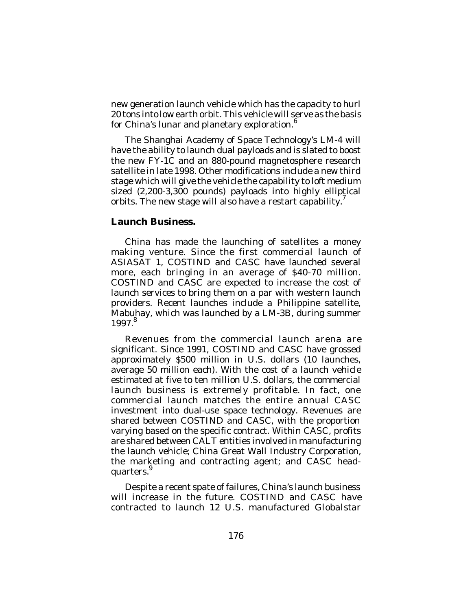new generation launch vehicle which has the capacity to hurl 20 tons into low earth orbit. This vehicle will serve as the basis for China's lunar and planetary exploration. 6

The Shanghai Academy of Space Technology's LM-4 will have the ability to launch dual payloads and is slated to boost the new FY-1C and an 880-pound magnetosphere research satellite in late 1998. Other modifications include a new third stage which will give the vehicle the capability to loft medium sized (2,200-3,300 pounds) payloads into highly elliptical orbits. The new stage will also have a restart capability.<sup>7</sup>

#### **Launch Business.**

China has made the launching of satellites a money making venture. Since the first commercial launch of ASIASAT 1, COSTIND and CASC have launched several more, each bringing in an average of \$40-70 million. COSTIND and CASC are expected to increase the cost of launch services to bring them on a par with western launch providers. Recent launches include a Philippine satellite, Mabuhay, which was launched by a LM-3B, during summer 1997. 8

Revenues from the commercial launch arena are significant. Since 1991, COSTIND and CASC have grossed approximately \$500 million in U.S. dollars (10 launches, average 50 million each). With the cost of a launch vehicle estimated at five to ten million U.S. dollars, the commercial launch business is extremely profitable. In fact, one commercial launch matches the entire annual CASC investment into dual-use space technology. Revenues are shared between COSTIND and CASC, with the proportion varying based on the specific contract. Within CASC, profits are shared between CALT entities involved in manufacturing the launch vehicle; China Great Wall Industry Corporation, the marketing and contracting agent; and CASC headquarters.<sup>9</sup>

Despite a recent spate of failures, China's launch business will increase in the future. COSTIND and CASC have contracted to launch 12 U.S. manufactured *Globalstar*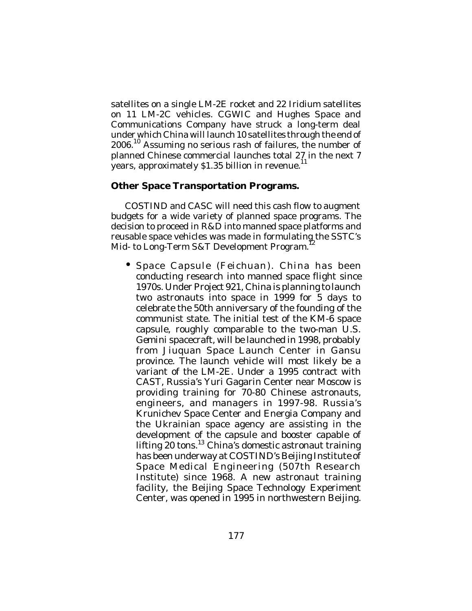satellites on a single LM-2E rocket and 22 Iridium satellites on 11 LM-2C vehicles. CGWIC and Hughes Space and Communications Company have struck a long-term deal under which China will launch 10 satellites through the end of 2006.<sup>10</sup> Assuming no serious rash of failures, the number of planned Chinese commercial launches total 27 in the next 7 years, approximately \$1.35 billion in revenue.

### **Other Space Transportation Programs.**

COSTIND and CASC will need this cash flow to augment budgets for a wide variety of planned space programs. The decision to proceed in R&D into manned space platforms and reusable space vehicles was made in formulating the SSTC's Mid- to Long-Term S&T Development Program.

• Space Capsule (*Feichuan*). China has been conducting research into manned space flight since 1970s. Under Project 921, China is planning to launch two astronauts into space in 1999 for 5 days to celebrate the 50th anniversary of the founding of the communist state. The initial test of the KM-6 space capsule, roughly comparable to the two-man U.S. *Gemini* spacecraft, will be launched in 1998, probably from Jiuquan Space Launch Center in Gansu province. The launch vehicle will most likely be a variant of the LM-2E. Under a 1995 contract with CAST, Russia's Yuri Gagarin Center near Moscow is providing training for 70-80 Chinese astronauts, engineers, and managers in 1997-98. Russia's Krunichev Space Center and Energia Company and the Ukrainian space agency are assisting in the development of the capsule and booster capable of lifting 20 tons. <sup>13</sup> China's domestic astronaut training has been underway at COSTIND's Beijing Institute of Space Medical Engineering (507th Research Institute) since 1968. A new astronaut training facility, the Beijing Space Technology Experiment Center, was opened in 1995 in northwestern Beijing.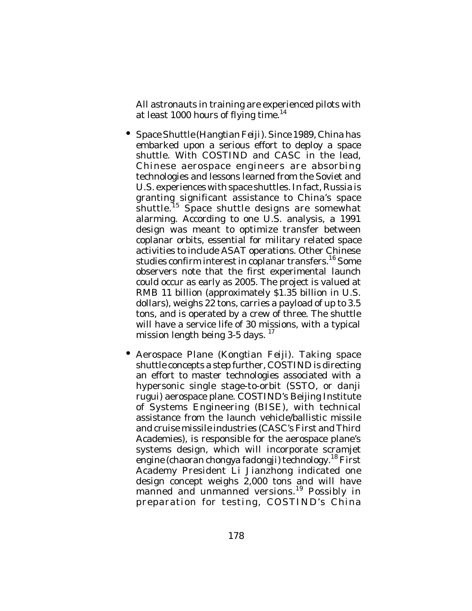All astronauts in training are experienced pilots with at least 1000 hours of flying time.<sup>14</sup>

- Space Shuttle (*Hangtian Feiji*). Since 1989, China has embarked upon a serious effort to deploy a space shuttle. With COSTIND and CASC in the lead, Chinese aerospace engineers are absorbing technologies and lessons learned from the Soviet and U.S. experiences with space shuttles. In fact, Russia is granting significant assistance to China's space shuttle. 15 Space shuttle designs are somewhat alarming. According to one U.S. analysis, a 1991 design was meant to optimize transfer between coplanar orbits, essential for military related space activities to include ASAT operations. Other Chinese studies confirm interest in coplanar transfers. <sup>16</sup> Some observers note that the first experimental launch could occur as early as 2005. The project is valued at RMB 11 billion (approximately \$1.35 billion in U.S. dollars), weighs 22 tons, carries a payload of up to 3.5 tons, and is operated by a crew of three. The shuttle will have a service life of 30 missions, with a typical mission length being 3-5 days.<sup>17</sup>
- Aerospace Plane (*Kongtian Feiji*). Taking space shuttle concepts a step further, COSTIND is directing an effort to master technologies associated with a hypersonic single stage-to-orbit (SSTO, or *danji rugui*) aerospace plane. COSTIND's Beijing Institute of Systems Engineering (BISE), with technical assistance from the launch vehicle/ballistic missile and cruise missile industries (CASC's First and Third Academies), is responsible for the aerospace plane's systems design, which will incorporate scramjet engine (*chaoran chongya fadongji*) technology. 18 First Academy President Li Jianzhong indicated one design concept weighs 2,000 tons and will have manned and unmanned versions.<sup>19</sup> Possibly in preparation for testing, COSTIND's China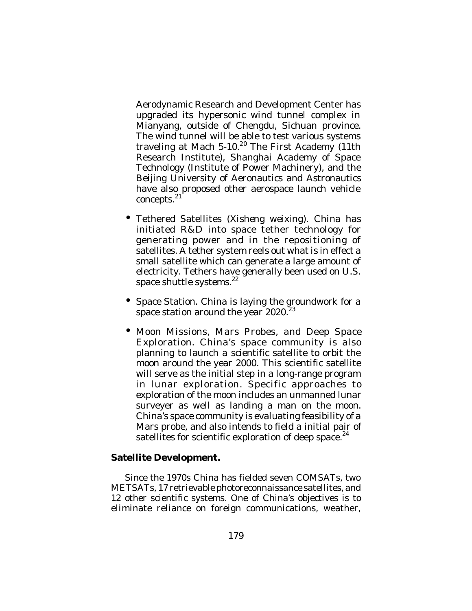Aerodynamic Research and Development Center has upgraded its hypersonic wind tunnel complex in Mianyang, outside of Chengdu, Sichuan province. The wind tunnel will be able to test various systems traveling at Mach 5-10.<sup>20</sup> The First Academy (11th Research Institute), Shanghai Academy of Space Technology (Institute of Power Machinery), and the Beijing University of Aeronautics and Astronautics have also proposed other aerospace launch vehicle concepts. 21

- Tethered Satellites (*Xisheng weixing*). China has initiated R&D into space tether technology for generating power and in the repositioning of satellites. A tether system reels out what is in effect a small satellite which can generate a large amount of electricity. Tethers have generally been used on U.S. space shuttle systems.<sup>22</sup>
- Space Station. China is laying the groundwork for a space station around the year 2020.<sup>23</sup>
- Moon Missions, Mars Probes, and Deep Space Exploration. China's space community is also planning to launch a scientific satellite to orbit the moon around the year 2000. This scientific satellite will serve as the initial step in a long-range program in lunar exploration. Specific approaches to exploration of the moon includes an unmanned lunar surveyer as well as landing a man on the moon. China's space community is evaluating feasibility of a Mars probe, and also intends to field a initial pair of satellites for scientific exploration of deep space. $^{24}$

### **Satellite Development.**

Since the 1970s China has fielded seven COMSATs, two METSATs, 17 retrievable photoreconnaissance satellites, and 12 other scientific systems. One of China's objectives is to eliminate reliance on foreign communications, weather,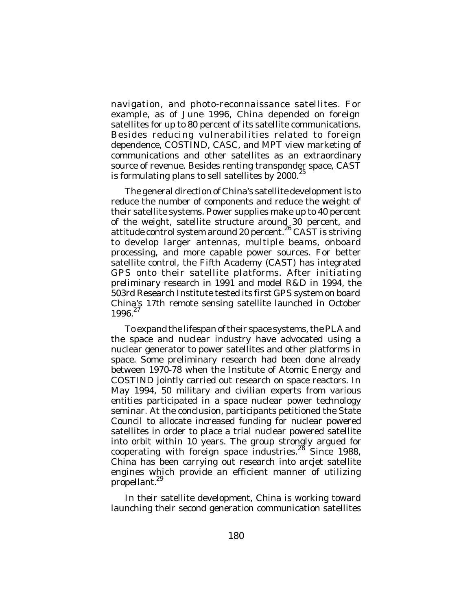navigation, and photo-reconnaissance satellites. For example, as of June 1996, China depended on foreign satellites for up to 80 percent of its satellite communications. Besides reducing vulnerabilities related to foreign dependence, COSTIND, CASC, and MPT view marketing of communications and other satellites as an extraordinary source of revenue. Besides renting transponder space, CAST is formulating plans to sell satellites by 2000.<sup>25</sup>

The general direction of China's satellite development is to reduce the number of components and reduce the weight of their satellite systems. Power supplies make up to 40 percent of the weight, satellite structure around 30 percent, and attitude control system around 20 percent.<sup>26</sup> CAST is striving to develop larger antennas, multiple beams, onboard processing, and more capable power sources. For better satellite control, the Fifth Academy (CAST) has integrated GPS onto their satellite platforms. After initiating preliminary research in 1991 and model R&D in 1994, the 503rd Research Institute tested its first GPS system on board China's 17th remote sensing satellite launched in October 1996. 27

To expand the lifespan of their space systems, the PLA and the space and nuclear industry have advocated using a nuclear generator to power satellites and other platforms in space. Some preliminary research had been done already between 1970-78 when the Institute of Atomic Energy and COSTIND jointly carried out research on space reactors. In May 1994, 50 military and civilian experts from various entities participated in a space nuclear power technology seminar. At the conclusion, participants petitioned the State Council to allocate increased funding for nuclear powered satellites in order to place a trial nuclear powered satellite into orbit within 10 years. The group strongly argued for cooperating with foreign space industries.<sup>28</sup> Since 1988, China has been carrying out research into arcjet satellite engines which provide an efficient manner of utilizing propellant.<sup>29</sup>

In their satellite development, China is working toward launching their second generation communication satellites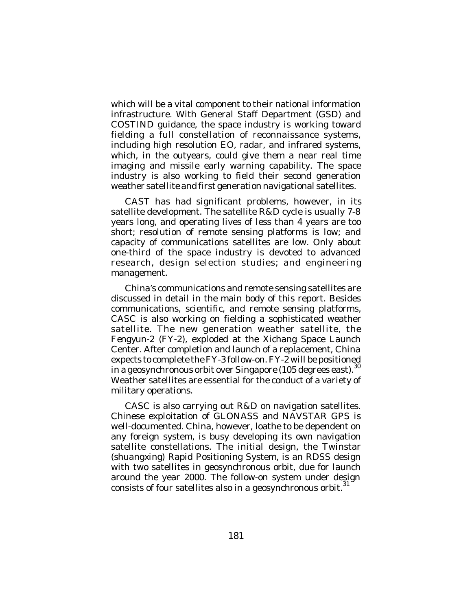which will be a vital component to their national information infrastructure. With General Staff Department (GSD) and COSTIND guidance, the space industry is working toward fielding a full constellation of reconnaissance systems, including high resolution EO, radar, and infrared systems, which, in the outyears, could give them a near real time imaging and missile early warning capability. The space industry is also working to field their second generation weather satellite and first generation navigational satellites.

CAST has had significant problems, however, in its satellite development. The satellite R&D cycle is usually 7-8 years long, and operating lives of less than 4 years are too short; resolution of remote sensing platforms is low; and capacity of communications satellites are low. Only about one-third of the space industry is devoted to advanced research, design selection studies; and engineering management.

China's communications and remote sensing satellites are discussed in detail in the main body of this report. Besides communications, scientific, and remote sensing platforms, CASC is also working on fielding a sophisticated weather satellite. The new generation weather satellite, the *Fengyun-2* (FY-2), exploded at the Xichang Space Launch Center. After completion and launch of a replacement, China expects to complete the FY-3 follow-on. FY-2 will be positioned in a geosynchronous orbit over Singapore (105 degrees east). 30 Weather satellites are essential for the conduct of a variety of military operations.

CASC is also carrying out R&D on navigation satellites. Chinese exploitation of GLONASS and NAVSTAR GPS is well-documented. China, however, loathe to be dependent on any foreign system, is busy developing its own navigation satellite constellations. The initial design, the Twinstar (*shuangxing*) Rapid Positioning System, is an RDSS design with two satellites in geosynchronous orbit, due for launch around the year 2000. The follow-on system under design consists of four satellites also in a geosynchronous orbit.<sup>31</sup>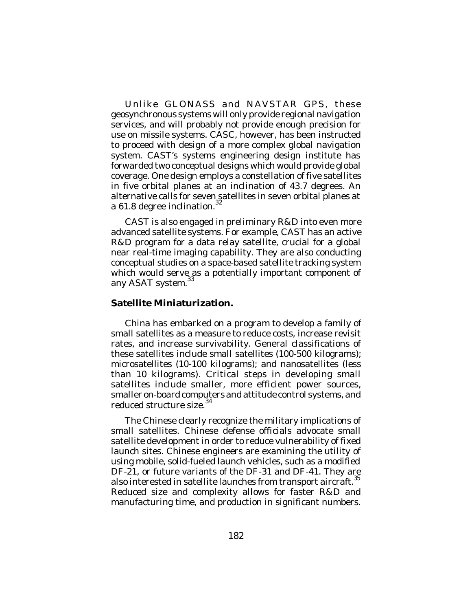Unlike GLONASS and NAVSTAR GPS, these geosynchronous systems will only provide regional navigation services, and will probably not provide enough precision for use on missile systems. CASC, however, has been instructed to proceed with design of a more complex global navigation system. CAST's systems engineering design institute has forwarded two conceptual designs which would provide global coverage. One design employs a constellation of five satellites in five orbital planes at an inclination of 43.7 degrees. An alternative calls for seven satellites in seven orbital planes at a 61.8 degree inclination. $^{32}$ 

CAST is also engaged in preliminary R&D into even more advanced satellite systems. For example, CAST has an active R&D program for a data relay satellite, crucial for a global near real-time imaging capability. They are also conducting conceptual studies on a space-based satellite tracking system which would serve as a potentially important component of any ASAT system.

## **Satellite Miniaturization.**

China has embarked on a program to develop a family of small satellites as a measure to reduce costs, increase revisit rates, and increase survivability. General classifications of these satellites include small satellites (100-500 kilograms); microsatellites (10-100 kilograms); and nanosatellites (less than 10 kilograms). Critical steps in developing small satellites include smaller, more efficient power sources, smaller on-board computers and attitude control systems, and<br>reduced structure size  $^{34}$ reduced structure size.

The Chinese clearly recognize the military implications of small satellites. Chinese defense officials advocate small satellite development in order to reduce vulnerability of fixed launch sites. Chinese engineers are examining the utility of using mobile, solid-fueled launch vehicles, such as a modified DF-21, or future variants of the DF-31 and DF-41. They are also interested in satellite launches from transport aircraft.  $^{\rm 35}$ Reduced size and complexity allows for faster R&D and manufacturing time, and production in significant numbers.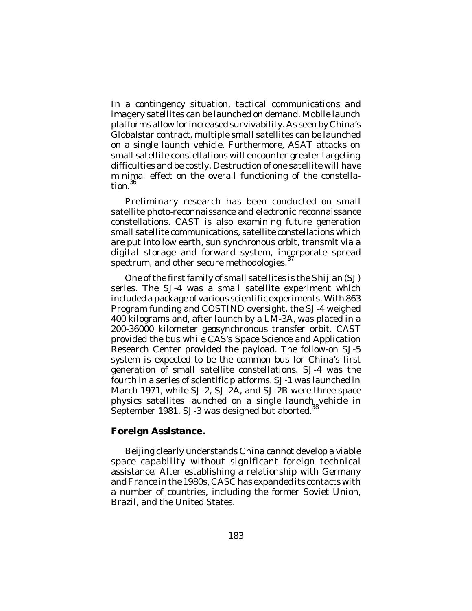In a contingency situation, tactical communications and imagery satellites can be launched on demand. Mobile launch platforms allow for increased survivability. As seen by China's Globalstar contract, multiple small satellites can be launched on a single launch vehicle. Furthermore, ASAT attacks on small satellite constellations will encounter greater targeting difficulties and be costly. Destruction of one satellite will have minimal effect on the overall functioning of the constellation. 36

Preliminary research has been conducted on small satellite photo-reconnaissance and electronic reconnaissance constellations. CAST is also examining future generation small satellite communications, satellite constellations which are put into low earth, sun synchronous orbit, transmit via a digital storage and forward system, incorporate spread 37 spectrum, and other secure methodologies.

One of the first family of small satellites is the *Shijian* (SJ) series. The SJ-4 was a small satellite experiment which included a package of various scientific experiments. With 863 Program funding and COSTIND oversight, the SJ-4 weighed 400 kilograms and, after launch by a LM-3A, was placed in a 200-36000 kilometer geosynchronous transfer orbit. CAST provided the bus while CAS's Space Science and Application Research Center provided the payload. The follow-on SJ-5 system is expected to be the common bus for China's first generation of small satellite constellations. SJ-4 was the fourth in a series of scientific platforms. SJ-1 was launched in March 1971, while SJ-2, SJ-2A, and SJ-2B were three space physics satellites launched on a single launch vehicle in September 1981. SJ-3 was designed but aborted.<sup>38</sup>

### **Foreign Assistance.**

Beijing clearly understands China cannot develop a viable space capability without significant foreign technical assistance. After establishing a relationship with Germany and France in the 1980s, CASC has expanded its contacts with a number of countries, including the former Soviet Union, Brazil, and the United States.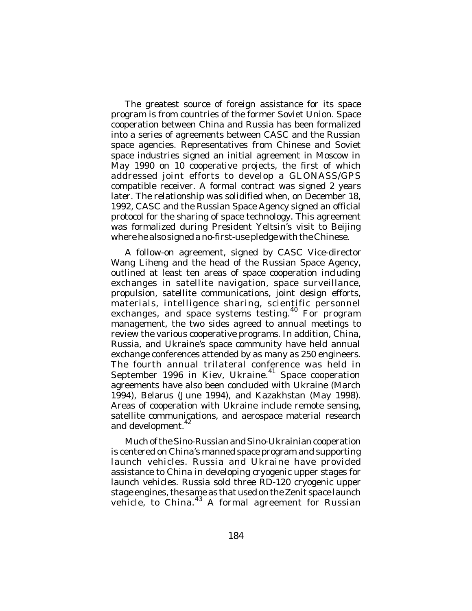The greatest source of foreign assistance for its space program is from countries of the former Soviet Union. Space cooperation between China and Russia has been formalized into a series of agreements between CASC and the Russian space agencies. Representatives from Chinese and Soviet space industries signed an initial agreement in Moscow in May 1990 on 10 cooperative projects, the first of which addressed joint efforts to develop a GLONASS/GPS compatible receiver. A formal contract was signed 2 years later. The relationship was solidified when, on December 18, 1992, CASC and the Russian Space Agency signed an official protocol for the sharing of space technology. This agreement was formalized during President Yeltsin's visit to Beijing where he also signed a no-first-use pledge with the Chinese.

A follow-on agreement, signed by CASC Vice-director Wang Liheng and the head of the Russian Space Agency, outlined at least ten areas of space cooperation including exchanges in satellite navigation, space surveillance, propulsion, satellite communications, joint design efforts, materials, intelligence sharing, scientific personnel exchanges, and space systems testing.<sup>40</sup> For program management, the two sides agreed to annual meetings to review the various cooperative programs. In addition, China, Russia, and Ukraine's space community have held annual exchange conferences attended by as many as 250 engineers. The fourth annual trilateral conference was held in September 1996 in Kiev, Ukraine.<sup>41</sup> Space cooperation agreements have also been concluded with Ukraine (March 1994), Belarus (June 1994), and Kazakhstan (May 1998). Areas of cooperation with Ukraine include remote sensing, satellite communications, and aerospace material research and development.<sup>42</sup>

Much of the Sino-Russian and Sino-Ukrainian cooperation is centered on China's manned space program and supporting launch vehicles. Russia and Ukraine have provided assistance to China in developing cryogenic upper stages for launch vehicles. Russia sold three RD-120 cryogenic upper stage engines, the same as that used on the Zenit space launch vehicle, to China.<sup>43</sup> A formal agreement for Russian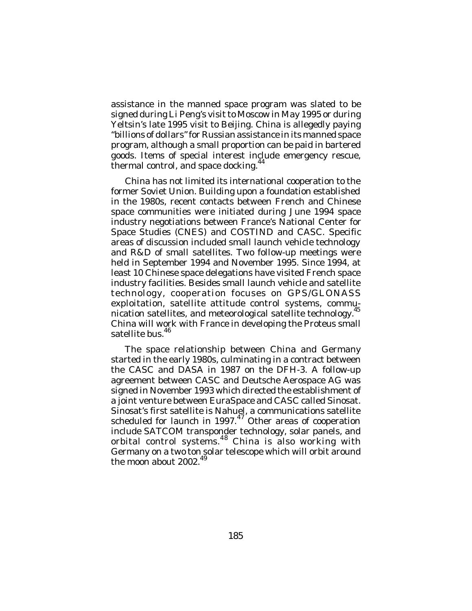assistance in the manned space program was slated to be signed during Li Peng's visit to Moscow in May 1995 or during Yeltsin's late 1995 visit to Beijing. China is allegedly paying "billions of dollars" for Russian assistance in its manned space program, although a small proportion can be paid in bartered goods. Items of special interest include emergency rescue, thermal control, and space docking.<sup>44</sup>

China has not limited its international cooperation to the former Soviet Union. Building upon a foundation established in the 1980s, recent contacts between French and Chinese space communities were initiated during June 1994 space industry negotiations between France's National Center for Space Studies (CNES) and COSTIND and CASC. Specific areas of discussion included small launch vehicle technology and R&D of small satellites. Two follow-up meetings were held in September 1994 and November 1995. Since 1994, at least 10 Chinese space delegations have visited French space industry facilities. Besides small launch vehicle and satellite technology, cooperation focuses on GPS/GLONASS exploitation, satellite attitude control systems, communication satellites, and meteorological satellite technology.<sup>4</sup> China will work with France in developing the Proteus small satellite bus. 46

The space relationship between China and Germany started in the early 1980s, culminating in a contract between the CASC and DASA in 1987 on the DFH-3. A follow-up agreement between CASC and Deutsche Aerospace AG was signed in November 1993 which directed the establishment of a joint venture between EuraSpace and CASC called Sinosat. Sinosat's first satellite is Nahuel, a communications satellite scheduled for launch in 1997.<sup>47</sup> Other areas of cooperation include SATCOM transponder technology, solar panels, and orbital control systems. <sup>48</sup> China is also working with Germany on a two ton solar telescope which will orbit around the moon about 2002.<sup>49</sup>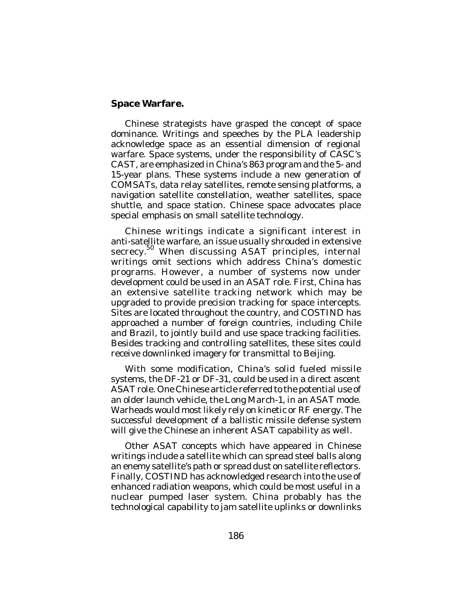### **Space Warfare.**

Chinese strategists have grasped the concept of space dominance. Writings and speeches by the PLA leadership acknowledge space as an essential dimension of regional warfare. Space systems, under the responsibility of CASC's CAST, are emphasized in China's 863 program and the 5- and 15-year plans. These systems include a new generation of COMSATs, data relay satellites, remote sensing platforms, a navigation satellite constellation, weather satellites, space shuttle, and space station. Chinese space advocates place special emphasis on small satellite technology.

Chinese writings indicate a significant interest in anti-satellite warfare, an issue usually shrouded in extensive secrecy.<sup>50</sup> When discussing ASAT principles, internal writings omit sections which address China's domestic programs. However, a number of systems now under development could be used in an ASAT role. First, China has an extensive satellite tracking network which may be upgraded to provide precision tracking for space intercepts. Sites are located throughout the country, and COSTIND has approached a number of foreign countries, including Chile and Brazil, to jointly build and use space tracking facilities. Besides tracking and controlling satellites, these sites could receive downlinked imagery for transmittal to Beijing.

With some modification, China's solid fueled missile systems, the DF-21 or DF-31, could be used in a direct ascent ASAT role. One Chinese article referred to the potential use of an older launch vehicle, the *Long March-1*, in an ASAT mode. Warheads would most likely rely on kinetic or RF energy. The successful development of a ballistic missile defense system will give the Chinese an inherent ASAT capability as well.

Other ASAT concepts which have appeared in Chinese writings include a satellite which can spread steel balls along an enemy satellite's path or spread dust on satellite reflectors. Finally, COSTIND has acknowledged research into the use of enhanced radiation weapons, which could be most useful in a nuclear pumped laser system. China probably has the technological capability to jam satellite uplinks or downlinks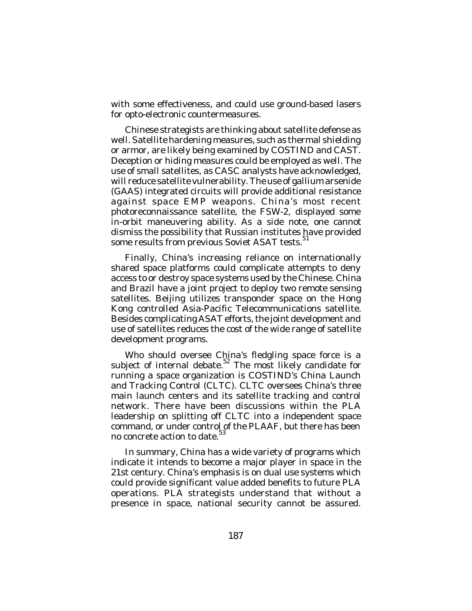with some effectiveness, and could use ground-based lasers for opto-electronic countermeasures.

Chinese strategists are thinking about satellite defense as well. Satellite hardening measures, such as thermal shielding or armor, are likely being examined by COSTIND and CAST. Deception or hiding measures could be employed as well. The use of small satellites, as CASC analysts have acknowledged, will reduce satellite vulnerability. The use of gallium arsenide (GAAS) integrated circuits will provide additional resistance against space EMP weapons. China's most recent photoreconnaissance satellite, the FSW-2, displayed some in-orbit maneuvering ability. As a side note, one cannot dismiss the possibility that Russian institutes have provided some results from previous Soviet ASAT tests.<sup>51</sup>

Finally, China's increasing reliance on internationally shared space platforms could complicate attempts to deny access to or destroy space systems used by the Chinese. China and Brazil have a joint project to deploy two remote sensing satellites. Beijing utilizes transponder space on the Hong Kong controlled Asia-Pacific Telecommunications satellite. Besides complicating ASAT efforts, the joint development and use of satellites reduces the cost of the wide range of satellite development programs.

Who should oversee China's fledgling space force is a subject of internal debate.<sup>52</sup> The most likely candidate for running a space organization is COSTIND's China Launch and Tracking Control (CLTC). CLTC oversees China's three main launch centers and its satellite tracking and control network. There have been discussions within the PLA leadership on splitting off CLTC into a independent space command, or under control of the PLAAF, but there has been no concrete action to date. 53

In summary, China has a wide variety of programs which indicate it intends to become a major player in space in the 21st century. China's emphasis is on dual use systems which could provide significant value added benefits to future PLA operations. PLA strategists understand that without a presence in space, national security cannot be assured.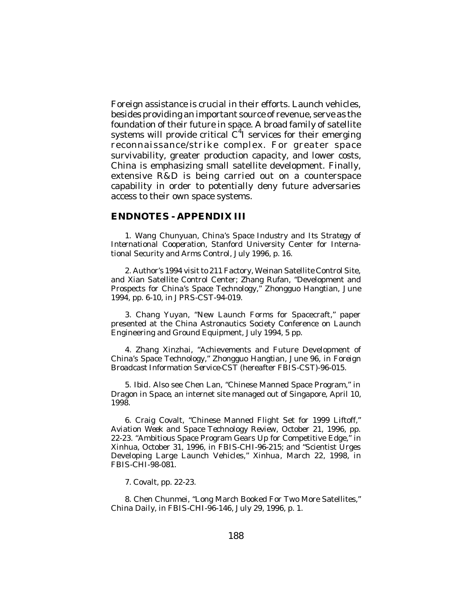Foreign assistance is crucial in their efforts. Launch vehicles, besides providing an important source of revenue, serve as the foundation of their future in space. A broad family of satellite systems will provide critical  $C^4$ I services for their emerging reconnaissance/strike complex. For greater space survivability, greater production capacity, and lower costs, China is emphasizing small satellite development. Finally, extensive R&D is being carried out on a counterspace capability in order to potentially deny future adversaries access to their own space systems.

#### **ENDNOTES - APPENDIX III**

1. Wang Chunyuan, *China's Space Industry and Its Strategy of International Cooperation*, Stanford University Center for International Security and Arms Control, July 1996, p. 16.

2. Author's 1994 visit to 211 Factory, Weinan Satellite Control Site, and Xian Satellite Control Center; Zhang Rufan, "Development and Prospects for China's Space Technology," *Zhongguo Hangtian*, June 1994, pp. 6-10, in *JPRS-CST*-94-019.

3. Chang Yuyan, "New Launch Forms for Spacecraft," paper presented at the China Astronautics Society Conference on Launch Engineering and Ground Equipment, July 1994, 5 pp.

4. Zhang Xinzhai, "Achievements and Future Development of China's Space Technology," *Zhongguo Hangtian*, June 96, in *Foreign Broadcast Information Service-CST* (hereafter *FBIS-CST*)-96-015.

5. *Ibid*. Also see Chen Lan, "Chinese Manned Space Program," in *Dragon in Space*, an internet site managed out of Singapore, April 10, 1998.

6. Craig Covalt, "Chinese Manned Flight Set for 1999 Liftoff," *Aviation Week and Space Technology Review*, October 21, 1996, pp. 22-23. "Ambitious Space Program Gears Up for Competitive Edge," in *Xinhua*, October 31, 1996, in *FBIS-CHI*-96-215; and "Scientist Urges Developing Large Launch Vehicles," *Xinhua*, March 22, 1998, in *FBIS-CHI*-98-081.

7. Covalt, pp. 22-23.

8. Chen Chunmei, "Long March Booked For Two More Satellites," *China Daily*, in *FBIS-CHI*-96-146, July 29, 1996, p. 1.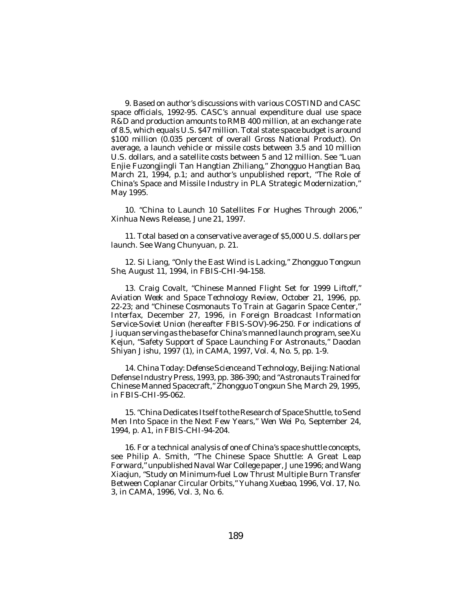9. Based on author's discussions with various COSTIND and CASC space officials, 1992-95. CASC's annual expenditure dual use space R&D and production amounts to RMB 400 million, at an exchange rate of 8.5, which equals U.S. \$47 million. Total state space budget is around \$100 million (0.035 percent of overall Gross National Product). On average, a launch vehicle or missile costs between 3.5 and 10 million U.S. dollars, and a satellite costs between 5 and 12 million. See "Luan Enjie Fuzongjingli Tan Hangtian Zhiliang," *Zhongguo Hangtian Bao*, March 21, 1994, p.1; and author's unpublished report, "The Role of China's Space and Missile Industry in PLA Strategic Modernization," May 1995.

10. "China to Launch 10 Satellites For Hughes Through 2006," *Xinhua* News Release, June 21, 1997.

11. Total based on a conservative average of \$5,000 U.S. dollars per launch. See Wang Chunyuan, p. 21.

12. Si Liang, "Only the East Wind is Lacking," *Zhongguo Tongxun She*, August 11, 1994, in *FBIS-CHI*-94-158.

13. Craig Covalt, "Chinese Manned Flight Set for 1999 Liftoff," *Aviation Week and Space Technology Review*, October 21, 1996, pp. 22-23; and "Chinese Cosmonauts To Train at Gagarin Space Center," *Interfax*, December 27, 1996, in *Foreign Broadcast Information Service-Soviet Union* (hereafter *FBIS-SOV*)-96-250. For indications of Jiuquan serving as the base for China's manned launch program, see Xu Kejun, "Safety Support of Space Launching For Astronauts," *Daodan Shiyan Jishu*, 1997 (1), in *CAMA*, 1997, Vol. 4, No. 5, pp. 1-9.

14. *China Today: Defense Science and Technology*, Beijing: National Defense Industry Press, 1993, pp. 386-390; and "Astronauts Trained for Chinese Manned Spacecraft," *Zhongguo Tongxun She*, March 29, 1995, in *FBIS-CHI*-95-062.

15. "China Dedicates Itself to the Research of Space Shuttle, to Send Men Into Space in the Next Few Years," *Wen Wei Po*, September 24, 1994, p. A1, in *FBIS-CHI*-94-204.

16. For a technical analysis of one of China's space shuttle concepts, see Philip A. Smith, "The Chinese Space Shuttle: A Great Leap Forward," unpublished Naval War College paper, June 1996; and Wang Xiaojun, "Study on Minimum-fuel Low Thrust Multiple Burn Transfer Between Coplanar Circular Orbits," *Yuhang Xuebao*, 1996, Vol. 17, No. 3, in *CAMA*, 1996, Vol. 3, No. 6.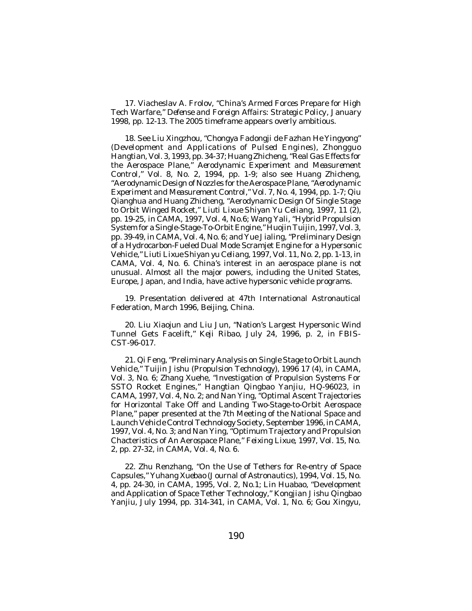17. Viacheslav A. Frolov, "China's Armed Forces Prepare for High Tech Warfare," *Defense and Foreign Affairs: Strategic Policy*, January 1998, pp. 12-13. The 2005 timeframe appears overly ambitious.

18. See Liu Xingzhou, "*Chongya Fadongji de Fazhan He Yingyong" (Development and Applications of Pulsed Engines), Zhongguo Hangtian*, Vol. 3, 1993, pp. 34-37; Huang Zhicheng, "Real Gas Effects for the Aerospace Plane," *Aerodynamic Experiment and Measurement Control*," Vol. 8, No. 2, 1994, pp. 1-9; also see Huang Zhicheng, "Aerodynamic Design of Nozzles for the Aerospace Plane, "*Aerodynamic Experiment and Measurement Control*," Vol. 7, No. 4, 1994, pp. 1-7; Qiu Qianghua and Huang Zhicheng, "Aerodynamic Design Of Single Stage to Orbit Winged Rocket," *Liuti Lixue Shiyan Yu Celiang*, 1997, 11 (2), pp. 19-25, in *CAMA*, 1997, Vol. 4, No.6; Wang Yali, "Hybrid Propulsion System for a Single-Stage-To-Orbit Engine," *Huojin Tuijin*, 1997, Vol. 3, pp. 39-49, in *CAMA*, Vol. 4, No. 6; and Yue Jialing, "Preliminary Design of a Hydrocarbon-Fueled Dual Mode Scramjet Engine for a Hypersonic Vehicle," *Liuti Lixue Shiyan yu Celiang*, 1997, Vol. 11, No. 2, pp. 1-13, in *CAMA*, Vol. 4, No. 6. China's interest in an aerospace plane is not unusual. Almost all the major powers, including the United States, Europe, Japan, and India, have active hypersonic vehicle programs.

19. Presentation delivered at 47th International Astronautical Federation, March 1996, Beijing, China.

20. Liu Xiaojun and Liu Jun, "Nation's Largest Hypersonic Wind Tunnel Gets Facelift," *Keji Ribao*, July 24, 1996, p. 2, in *FBIS-CST*-96-017.

21. Qi Feng, "Preliminary Analysis on Single Stage to Orbit Launch Vehicle," *Tuijin Jishu* (*Propulsion Technology*), 1996 17 (4), in *CAMA*, Vol. 3, No. 6; Zhang Xuehe, "Investigation of Propulsion Systems For SSTO Rocket Engines," *Hangtian Qingbao Yanjiu*, HQ-96023, in *CAMA*, 1997, Vol. 4, No. 2; and Nan Ying, "Optimal Ascent Trajectories for Horizontal Take Off and Landing Two-Stage-to-Orbit Aerospace Plane," paper presented at the 7th Meeting of the National Space and Launch Vehicle Control Technology Society, September 1996, in *CAMA*, 1997, Vol. 4, No. 3; and Nan Ying, "Optimum Trajectory and Propulsion Chacteristics of An Aerospace Plane," *Feixing Lixue*, 1997, Vol. 15, No. 2, pp. 27-32, in *CAMA*, Vol. 4, No. 6.

22. Zhu Renzhang, "On the Use of Tethers for Re-entry of Space Capsules," *Yuhang Xuebao* (*Journal of Astronautics*), 1994, Vol. 15, No. 4, pp. 24-30, in *CAMA*, 1995, Vol. 2, No.1; Lin Huabao, "Development and Application of Space Tether Technology," *Kongjian Jishu Qingbao Yanjiu*, July 1994, pp. 314-341, in *CAMA*, Vol. 1, No. 6; Gou Xingyu,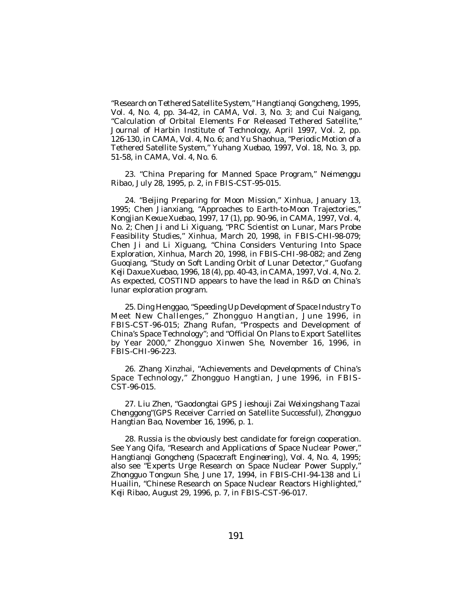"Research on Tethered Satellite System," *Hangtianqi Gongcheng*, 1995, Vol. 4, No. 4, pp. 34-42, in *CAMA*, Vol. 3, No. 3; and Cui Naigang, "Calculation of Orbital Elements For Released Tethered Satellite," *Journal of Harbin Institute of Technology*, April 1997, Vol. 2, pp. 126-130, in *CAMA*, Vol. 4, No. 6; and Yu Shaohua, "Periodic Motion of a Tethered Satellite System," *Yuhang Xuebao*, 1997, Vol. 18, No. 3, pp. 51-58, in *CAMA*, Vol. 4, No. 6.

23. "China Preparing for Manned Space Program," *Neimenggu Ribao*, July 28, 1995, p. 2, in *FBIS-CST*-95-015.

24. "Beijing Preparing for Moon Mission," *Xinhua*, January 13, 1995; Chen Jianxiang, "Approaches to Earth-to-Moon Trajectories," *Kongjian Kexue Xuebao,* 1997, 17 (1), pp. 90-96, in *CAMA*, 1997, Vol. 4, No. 2; Chen Ji and Li Xiguang, "PRC Scientist on Lunar, Mars Probe Feasibility Studies," *Xinhua*, March 20, 1998, in *FBIS-CHI*-98-079; Chen Ji and Li Xiguang, "China Considers Venturing Into Space Exploration, *Xinhua*, March 20, 1998, in *FBIS-CHI*-98-082; and Zeng Guoqiang, "Study on Soft Landing Orbit of Lunar Detector," *Guofang Keji Daxue Xuebao*, 1996, 18 (4), pp. 40-43, in *CAMA*, 1997, Vol. 4, No. 2. As expected, COSTIND appears to have the lead in R&D on China's lunar exploration program.

25. Ding Henggao, "Speeding Up Development of Space Industry To Meet New Challenges," *Zhongguo Hangtian*, June 1996, in *FBIS-CST*-96-015; Zhang Rufan, "Prospects and Development of China's Space Technology"; and "Official On Plans to Export Satellites by Year 2000," *Zhongguo Xinwen She*, November 16, 1996, in *FBIS-CHI*-96-223.

26. Zhang Xinzhai, "Achievements and Developments of China's Space Technology," *Zhongguo Hangtian*, June 1996, in *FBIS-CST*-96-015.

27. Liu Zhen, "*Gaodongtai GPS Jieshouji Zai Weixingshang Tazai Chenggong*"(GPS Receiver Carried on Satellite Successful), *Zhongguo Hangtian Bao*, November 16, 1996, p. 1.

28. Russia is the obviously best candidate for foreign cooperation. See Yang Qifa, "Research and Applications of Space Nuclear Power," *Hangtianqi Gongcheng* (*Spacecraft Engineering*), Vol. 4, No. 4, 1995; also see "Experts Urge Research on Space Nuclear Power Supply," *Zhongguo Tongxun She*, June 17, 1994, in *FBIS-CHI*-94-138 and Li Huailin, "Chinese Research on Space Nuclear Reactors Highlighted," *Keji Ribao*, August 29, 1996, p. 7, in *FBIS-CST*-96-017.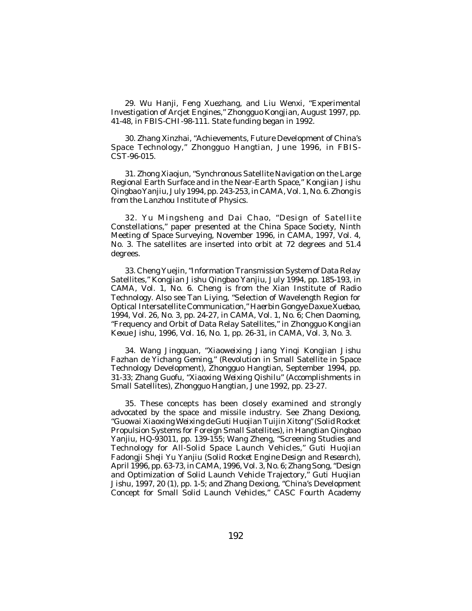29. Wu Hanji, Feng Xuezhang, and Liu Wenxi, "Experimental Investigation of Arcjet Engines," *Zhongguo Kongjian*, August 1997, pp. 41-48, in *FBIS-CHI*-98-111. State funding began in 1992.

30. Zhang Xinzhai, "Achievements, Future Development of China's Space Technology," *Zhongguo Hangtian*, June 1996, in *FBIS-CST*-96-015.

31. Zhong Xiaojun, "Synchronous Satellite Navigation on the Large Regional Earth Surface and in the Near-Earth Space," *Kongjian Jishu Qingbao Yanjiu*, July 1994, pp. 243-253, in *CAMA*, Vol. 1, No. 6. Zhong is from the Lanzhou Institute of Physics.

32. Yu Mingsheng and Dai Chao, "Design of Satellite Constellations," paper presented at the China Space Society, Ninth Meeting of Space Surveying, November 1996, in *CAMA*, 1997, Vol. 4, No. 3. The satellites are inserted into orbit at 72 degrees and 51.4 degrees.

33. Cheng Yuejin, "Information Transmission System of Data Relay Satellites," *Kongjian Jishu Qingbao Yanjiu*, July 1994, pp. 185-193, in *CAMA*, Vol. 1, No. 6. Cheng is from the Xian Institute of Radio Technology. Also see Tan Liying, "Selection of Wavelength Region for Optical Intersatellite Communication," *Haerbin Gongye Daxue Xuebao*, 1994, Vol. 26, No. 3, pp. 24-27, in *CAMA*, Vol. 1, No. 6; Chen Daoming, "Frequency and Orbit of Data Relay Satellites," in *Zhongguo Kongjian Kexue Jishu*, 1996, Vol. 16, No. 1, pp. 26-31, in *CAMA*, Vol. 3, No. 3.

34. Wang Jingquan, "*Xiaoweixing Jiang Yinqi Kongjian Jishu Fazhan de Yichang Geming*," (Revolution in Small Satellite in Space Technology Development), *Zhongguo Hangtian*, September 1994, pp. 31-33; Zhang Guofu, "*Xiaoxing Weixing Qishilu*" (Accomplishments in Small Satellites), *Zhongguo Hangtian*, June 1992, pp. 23-27.

35. These concepts has been closely examined and strongly advocated by the space and missile industry. See Zhang Dexiong, "*Guowai Xiaoxing Weixing de Guti Huojian Tuijin Xitong*" (Solid Rocket Propulsion Systems for Foreign Small Satellites), in *Hangtian Qingbao Yanjiu*, HQ-93011, pp. 139-155; Wang Zheng, "Screening Studies and Technology for All-Solid Space Launch Vehicles," *Guti Huojian Fadongji Sheji Yu Yanjiu* (*Solid Rocket Engine Design and Research*), April 1996, pp. 63-73, in *CAMA*, 1996, Vol. 3, No. 6; Zhang Song, "Design and Optimization of Solid Launch Vehicle Trajectory," *Guti Huojian Jishu*, 1997, 20 (1), pp. 1-5; and Zhang Dexiong, "China's Development Concept for Small Solid Launch Vehicles," CASC Fourth Academy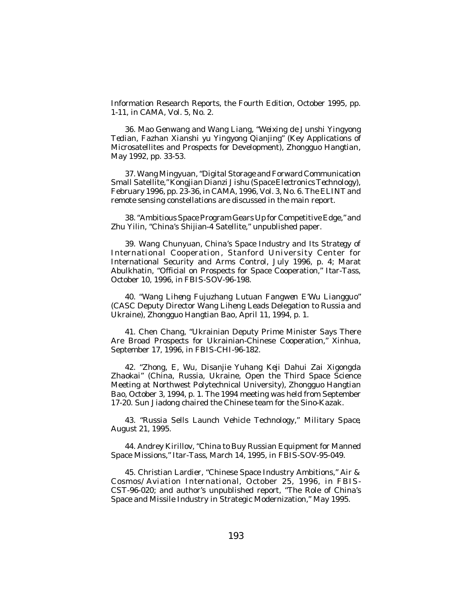Information Research Reports, the Fourth Edition, October 1995, pp. 1-11, in *CAMA*, Vol. 5, No. 2.

36. Mao Genwang and Wang Liang, "*Weixing de Junshi Yingyong Tedian, Fazhan Xianshi yu Yingyong Qianjing*" (Key Applications of Microsatellites and Prospects for Development), *Zhongguo Hangtian*, May 1992, pp. 33-53.

37. Wang Mingyuan, "Digital Storage and Forward Communication Small Satellite," *Kongjian Dianzi Jishu* (*Space Electronics Technology*), February 1996, pp. 23-36, in *CAMA*, 1996, Vol. 3, No. 6. The ELINT and remote sensing constellations are discussed in the main report.

38. "Ambitious Space Program Gears Up for Competitive Edge," and Zhu Yilin, "China's Shijian-4 Satellite," unpublished paper.

39. Wang Chunyuan, *China's Space Industry and Its Strategy of* International Cooperation, Stanford University Center for International Security and Arms Control, July 1996, p. 4; Marat Abulkhatin, "Official on Prospects for Space Cooperation," *Itar-Tass*, October 10, 1996, in *FBIS-SOV*-96-198.

40. "*Wang Liheng Fujuzhang Lutuan Fangwen E'Wu Lianggu*o" (CASC Deputy Director Wang Liheng Leads Delegation to Russia and Ukraine), *Zhongguo Hangtian Bao*, April 11, 1994, p. 1.

41. Chen Chang, "Ukrainian Deputy Prime Minister Says There Are Broad Prospects for Ukrainian-Chinese Cooperation," *Xinhua*, September 17, 1996, in *FBIS-CHI*-96-182.

42. "*Zhong, E, Wu, Disanjie Yuhang Keji Dahui Zai Xigongda Zhaokai*" (China, Russia, Ukraine, Open the Third Space Science Meeting at Northwest Polytechnical University), *Zhongguo Hangtian Bao*, October 3, 1994, p. 1. The 1994 meeting was held from September 17-20. Sun Jiadong chaired the Chinese team for the Sino-Kazak.

43. "Russia Sells Launch Vehicle Technology," *Military Space*, August 21, 1995.

44. Andrey Kirillov, "China to Buy Russian Equipment for Manned Space Missions," *Itar-Tass*, March 14, 1995, in *FBIS-SOV*-95-049.

45. Christian Lardier, "Chinese Space Industry Ambitions," *Air & Cosmos/Aviation International*, October 25, 1996, in *FBIS-CST*-96-020; and author's unpublished report, "The Role of China's Space and Missile Industry in Strategic Modernization," May 1995.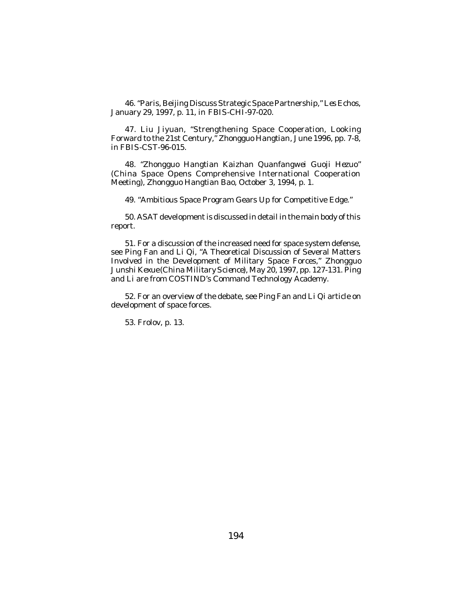46. "Paris, Beijing Discuss Strategic Space Partnership," *Les Echos*, January 29, 1997, p. 11, in *FBIS-CHI*-97-020.

47. Liu Jiyuan, "Strengthening Space Cooperation, Looking Forward to the 21st Century," *Zhongguo Hangtian*, June 1996, pp. 7-8, in *FBIS-CST*-96-015.

48. "*Zhongguo Hangtian Kaizhan Quanfangwei Guoji Hezuo*" (China Space Opens Comprehensive International Cooperation Meeting), *Zhongguo Hangtian Bao*, October 3, 1994, p. 1.

49. "Ambitious Space Program Gears Up for Competitive Edge."

50. ASAT development is discussed in detail in the main body of this report.

51. For a discussion of the increased need for space system defense, see Ping Fan and Li Qi, "A Theoretical Discussion of Several Matters Involved in the Development of Military Space Forces," *Zhongguo Junshi Kexue* (*China Military Science*), May 20, 1997, pp. 127-131. Ping and Li are from COSTIND's Command Technology Academy.

52. For an overview of the debate, see Ping Fan and Li Qi article on development of space forces.

53. Frolov, p. 13.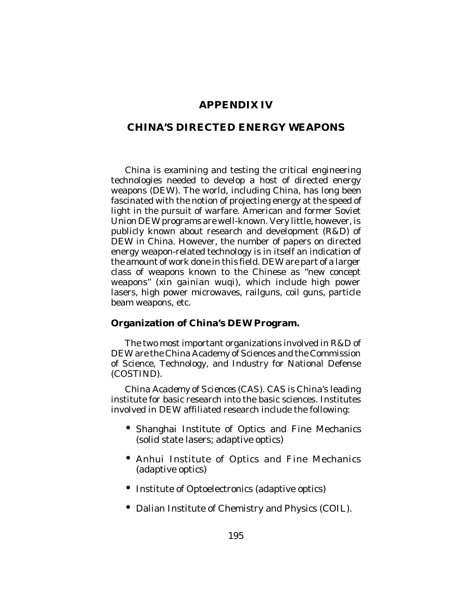## **APPENDIX IV**

## **CHINA'S DIRECTED ENERGY WEAPONS**

China is examining and testing the critical engineering technologies needed to develop a host of directed energy weapons (DEW). The world, including China, has long been fascinated with the notion of projecting energy at the speed of light in the pursuit of warfare. American and former Soviet Union DEW programs are well-known. Very little, however, is publicly known about research and development (R&D) of DEW in China. However, the number of papers on directed energy weapon-related technology is in itself an indication of the amount of work done in this field. DEW are part of a larger class of weapons known to the Chinese as "new concept weapons" (*xin gainian wuqi*), which include high power lasers, high power microwaves, railguns, coil guns, particle beam weapons, etc.

### **Organization of China's DEW Program.**

The two most important organizations involved in R&D of DEW are the China Academy of Sciences and the Commission of Science, Technology, and Industry for National Defense (COSTIND).

*China Academy of Sciences (CAS).* CAS is China's leading institute for basic research into the basic sciences. Institutes involved in DEW affiliated research include the following:

- Shanghai Institute of Optics and Fine Mechanics (solid state lasers; adaptive optics)
- Anhui Institute of Optics and Fine Mechanics (adaptive optics)
- Institute of Optoelectronics (adaptive optics)
- Dalian Institute of Chemistry and Physics (COIL).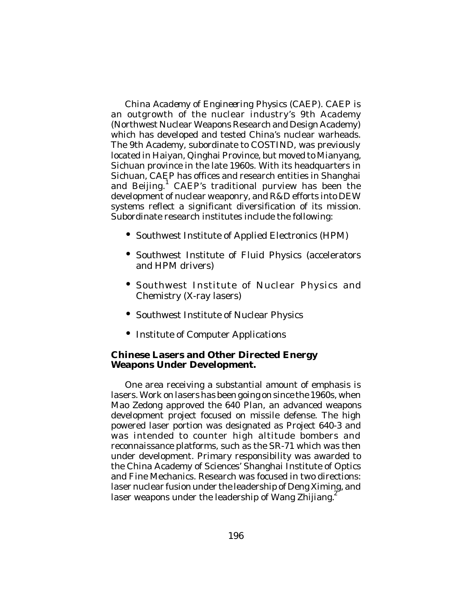*China Academy of Engineering Physics (CAEP).* CAEP is an outgrowth of the nuclear industry's 9th Academy (Northwest Nuclear Weapons Research and Design Academy) which has developed and tested China's nuclear warheads. The 9th Academy, subordinate to COSTIND, was previously located in Haiyan, Qinghai Province, but moved to Mianyang, Sichuan province in the late 1960s. With its headquarters in Sichuan, CAEP has offices and research entities in Shanghai and Beijing.<sup>1</sup> CAEP's traditional purview has been the development of nuclear weaponry, and R&D efforts into DEW systems reflect a significant diversification of its mission. Subordinate research institutes include the following:

- Southwest Institute of Applied Electronics (HPM)
- Southwest Institute of Fluid Physics (accelerators and HPM drivers)
- Southwest Institute of Nuclear Physics and Chemistry (X-ray lasers)
- Southwest Institute of Nuclear Physics
- Institute of Computer Applications

### **Chinese Lasers and Other Directed Energy Weapons Under Development.**

One area receiving a substantial amount of emphasis is lasers. Work on lasers has been going on since the 1960s, when Mao Zedong approved the 640 Plan, an advanced weapons development project focused on missile defense. The high powered laser portion was designated as Project 640-3 and was intended to counter high altitude bombers and reconnaissance platforms, such as the SR-71 which was then under development. Primary responsibility was awarded to the China Academy of Sciences' Shanghai Institute of Optics and Fine Mechanics. Research was focused in two directions: laser nuclear fusion under the leadership of Deng Ximing, and laser weapons under the leadership of Wang Zhijiang.<sup>2</sup>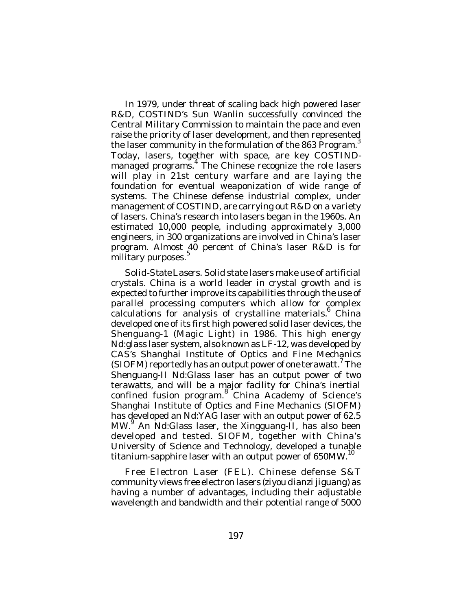In 1979, under threat of scaling back high powered laser R&D, COSTIND's Sun Wanlin successfully convinced the Central Military Commission to maintain the pace and even raise the priority of laser development, and then represented the laser community in the formulation of the 863 Program.<sup>3</sup> Today, lasers, together with space, are key COSTINDmanaged programs. 4 The Chinese recognize the role lasers will play in 21st century warfare and are laying the foundation for eventual weaponization of wide range of systems. The Chinese defense industrial complex, under management of COSTIND, are carrying out R&D on a variety of lasers. China's research into lasers began in the 1960s. An estimated 10,000 people, including approximately 3,000 engineers, in 300 organizations are involved in China's laser program. Almost 40 percent of China's laser R&D is for military purposes.<sup>5</sup>

*Solid-State Lasers.* Solid state lasers make use of artificial crystals. China is a world leader in crystal growth and is expected to further improve its capabilities through the use of parallel processing computers which allow for complex calculations for analysis of crystalline materials.<sup>6</sup> China developed one of its first high powered solid laser devices, the Shenguang-1 (Magic Light) in 1986. This high energy Nd:glass laser system, also known as LF-12, was developed by CAS's Shanghai Institute of Optics and Fine Mechanics (SIOFM) reportedly has an output power of one terawatt.<sup>7</sup> The Shenguang-II Nd:Glass laser has an output power of two terawatts, and will be a major facility for China's inertial confined fusion program.<sup>8</sup> China Academy of Science's Shanghai Institute of Optics and Fine Mechanics (SIOFM) has developed an Nd:YAG laser with an output power of 62.5 MW.<sup>9</sup> An Nd:Glass laser, the Xingguang-II, has also been developed and tested. SIOFM, together with China's University of Science and Technology, developed a tunable titanium-sapphire laser with an output power of 650MW.<sup>10</sup>

*Free Electron Laser (FEL).* Chinese defense S&T community views free electron lasers (*ziyou dianzi jiguang*) as having a number of advantages, including their adjustable wavelength and bandwidth and their potential range of 5000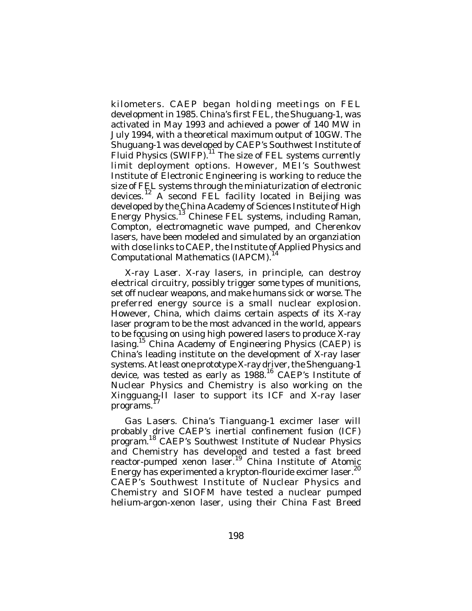kilometers. CAEP began holding meetings on FEL development in 1985. China's first FEL, the Shuguang-1, was activated in May 1993 and achieved a power of 140 MW in July 1994, with a theoretical maximum output of 10GW. The Shuguang-1 was developed by CAEP's Southwest Institute of Fluid Physics (SWIFP). <sup>11</sup> The size of FEL systems currently limit deployment options. However, MEI's Southwest Institute of Electronic Engineering is working to reduce the size of FEL systems through the miniaturization of electronic devices.<sup>12</sup> A second FEL facility located in Beijing was developed by the China Academy of Sciences Institute of High Energy Physics.<sup>13</sup> Chinese FEL systems, including Raman, Compton, electromagnetic wave pumped, and Cherenkov lasers, have been modeled and simulated by an organziation with close links to CAEP, the Institute of Applied Physics and Computational Mathematics (IAPCM). 14

*X-ray Laser.* X-ray lasers, in principle, can destroy electrical circuitry, possibly trigger some types of munitions, set off nuclear weapons, and make humans sick or worse. The preferred energy source is a small nuclear explosion. However, China, which claims certain aspects of its X-ray laser program to be the most advanced in the world, appears to be focusing on using high powered lasers to produce X-ray lasing.<sup>15</sup> China Academy of Engineering Physics (CAEP) is China's leading institute on the development of X-ray laser systems. At least one prototype X-ray driver, the Shenguang-1 device, was tested as early as 1988.<sup>16</sup> CAEP's Institute of Nuclear Physics and Chemistry is also working on the Xingguang-II laser to support its ICF and X-ray laser programs. 17

*Gas Lasers*. China's Tianguang-1 excimer laser will probably drive CAEP's inertial confinement fusion (ICF) program. <sup>18</sup> CAEP's Southwest Institute of Nuclear Physics and Chemistry has developed and tested a fast breed reactor-pumped xenon laser.<sup>19</sup> China Institute of Atomic Energy has experimented a krypton-flouride excimer laser.<sup>20</sup> CAEP's Southwest Institute of Nuclear Physics and Chemistry and SIOFM have tested a nuclear pumped helium-argon-xenon laser, using their China Fast Breed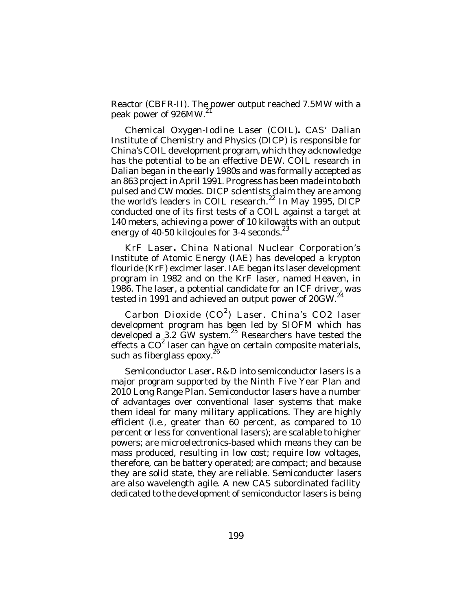Reactor (CBFR-II). The power output reached 7.5MW with a peak power of 926MW.

*Chemical Oxygen-Iodine Laser (COIL)***.** CAS' Dalian Institute of Chemistry and Physics (DICP) is responsible for China's COIL development program, which they acknowledge has the potential to be an effective DEW. COIL research in Dalian began in the early 1980s and was formally accepted as an 863 project in April 1991. Progress has been made into both pulsed and CW modes. DICP scientists claim they are among the world's leaders in COIL research. $22$  In May 1995, DICP conducted one of its first tests of a COIL against a target at **140 meters, achieving a power of 10 kilowatts with an output** energy of 40-50 kilojoules for 3-4 seconds. $^{23}$ 

*KrF Laser***.** China National Nuclear Corporation's Institute of Atomic Energy (IAE) has developed a krypton flouride (KrF) excimer laser. IAE began its laser development program in 1982 and on the KrF laser, named Heaven, in 1986. The laser, a potential candidate for an ICF driver, was tested in 1991 and achieved an output power of 20GW.<sup>24</sup>

*Carbon Dioxide (CO 2 ) Laser*. China's CO2 laser development program has been led by SIOFM which has developed a 3.2 GW system. 25 Researchers have tested the effects a CO<sup>2</sup> laser can have on certain composite materials, such as fiberglass epoxy. $2^{6}$ 

*Semiconductor Laser***.** R&D into semiconductor lasers is a major program supported by the Ninth Five Year Plan and 2010 Long Range Plan. Semiconductor lasers have a number of advantages over conventional laser systems that make them ideal for many military applications. They are highly efficient (i.e., greater than 60 percent, as compared to 10 percent or less for conventional lasers); are scalable to higher powers; are microelectronics-based which means they can be mass produced, resulting in low cost; require low voltages, therefore, can be battery operated; are compact; and because they are solid state, they are reliable. Semiconducter lasers are also wavelength agile. A new CAS subordinated facility dedicated to the development of semiconductor lasers is being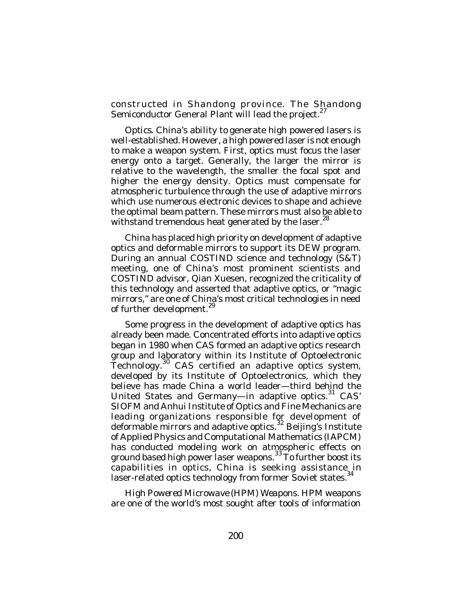constructed in Shandong province. The Shandong Semiconductor General Plant will lead the project.<sup>27</sup>

*Optics*. China's ability to generate high powered lasers is well-established. However, a high powered laser is not enough to make a weapon system. First, optics must focus the laser energy onto a target. Generally, the larger the mirror is relative to the wavelength, the smaller the focal spot and higher the energy density. Optics must compensate for atmospheric turbulence through the use of adaptive mirrors which use numerous electronic devices to shape and achieve the optimal beam pattern. These mirrors must also be able to withstand tremendous heat generated by the laser.<sup>28</sup>

China has placed high priority on development of adaptive optics and deformable mirrors to support its DEW program. During an annual COSTIND science and technology (S&T) meeting, one of China's most prominent scientists and COSTIND advisor, Qian Xuesen, recognized the criticality of this technology and asserted that adaptive optics, or "magic mirrors," are one of China's most critical technologies in need of further development.<sup>29</sup>

Some progress in the development of adaptive optics has already been made. Concentrated efforts into adaptive optics began in 1980 when CAS formed an adaptive optics research group and laboratory within its Institute of Optoelectronic Jechnology.<sup>30</sup> CAS certified an adaptive optics system, developed by its Institute of Optoelectronics, which they believe has made China a world leader—third behind the United States and Germany-in adaptive optics.<sup>31</sup> CAS' SIOFM and Anhui Institute of Optics and Fine Mechanics are leading organizations responsible for development of deformable mirrors and adaptive optics.<sup>32</sup> Beijing's Institute of Applied Physics and Computational Mathematics (IAPCM) has conducted modeling work on atmospheric effects on ground based high power laser weapons.<sup>33</sup> To further boost its capabilities in optics, China is seeking assistance in laser-related optics technology from former Soviet states.<sup>34</sup>

*High Powered Microwave (HPM) Weapons*. HPM weapons are one of the world's most sought after tools of information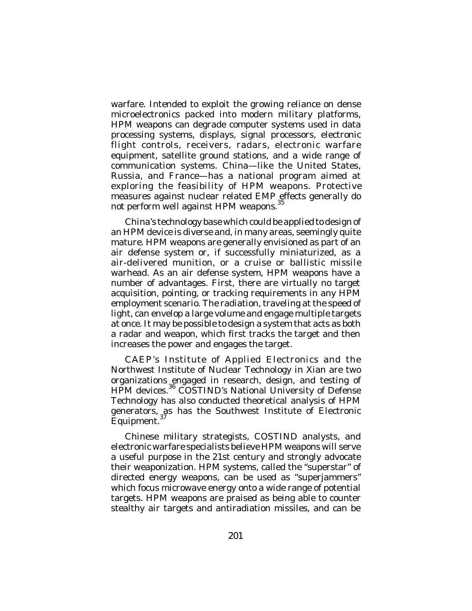warfare. Intended to exploit the growing reliance on dense microelectronics packed into modern military platforms, HPM weapons can degrade computer systems used in data processing systems, displays, signal processors, electronic flight controls, receivers, radars, electronic warfare equipment, satellite ground stations, and a wide range of communication systems. China—like the United States, Russia, and France—has a national program aimed at exploring the feasibility of HPM weapons. Protective measures against nuclear related EMP effects generally do not perform well against HPM weapons.<sup>35</sup>

China's technology base which could be applied to design of an HPM device is diverse and, in many areas, seemingly quite mature. HPM weapons are generally envisioned as part of an air defense system or, if successfully miniaturized, as a air-delivered munition, or a cruise or ballistic missile warhead. As an air defense system, HPM weapons have a number of advantages. First, there are virtually no target acquisition, pointing, or tracking requirements in any HPM employment scenario. The radiation, traveling at the speed of light, can envelop a large volume and engage multiple targets at once. It may be possible to design a system that acts as both a radar and weapon, which first tracks the target and then increases the power and engages the target.

CAEP's Institute of Applied Electronics and the Northwest Institute of Nuclear Technology in Xian are two organizations engaged in research, design, and testing of HPM devices.<sup>36</sup> COSTIND's National University of Defense Technology has also conducted theoretical analysis of HPM generators, as has the Southwest Institute of Electronic<br>Equipment.<sup>37</sup> Equipment.

Chinese military strategists, COSTIND analysts, and electronic warfare specialists believe HPM weapons will serve a useful purpose in the 21st century and strongly advocate their weaponization. HPM systems, called the "superstar" of directed energy weapons, can be used as "superjammers" which focus microwave energy onto a wide range of potential targets. HPM weapons are praised as being able to counter stealthy air targets and antiradiation missiles, and can be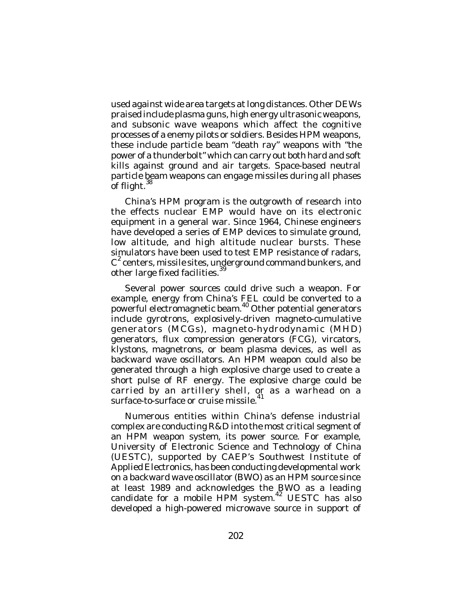used against wide area targets at long distances. Other DEWs praised include plasma guns, high energy ultrasonic weapons, and subsonic wave weapons which affect the cognitive processes of a enemy pilots or soldiers. Besides HPM weapons, these include particle beam "death ray" weapons with "the power of a thunderbolt" which can carry out both hard and soft kills against ground and air targets. Space-based neutral particle beam weapons can engage missiles during all phases<br>of flight <sup>38</sup> of flight.

China's HPM program is the outgrowth of research into the effects nuclear EMP would have on its electronic equipment in a general war. Since 1964, Chinese engineers have developed a series of EMP devices to simulate ground, low altitude, and high altitude nuclear bursts. These simulators have been used to test EMP resistance of radars,  $\texttt{C}^2$  centers, missile sites, underground command bunkers, and other large fixed facilities.<sup>39</sup>

Several power sources could drive such a weapon. For example, energy from China's FEL could be converted to a powerful electromagnetic beam. 40 Other potential generators include gyrotrons, explosively-driven magneto-cumulative generators (MCGs), magneto-hydrodynamic (MHD) generators, flux compression generators (FCG), vircators, klystons, magnetrons, or beam plasma devices, as well as backward wave oscillators. An HPM weapon could also be generated through a high explosive charge used to create a short pulse of RF energy. The explosive charge could be carried by an artillery shell, or as a warhead on a surface-to-surface or cruise missile. 41

Numerous entities within China's defense industrial complex are conducting R&D into the most critical segment of an HPM weapon system, its power source. For example, University of Electronic Science and Technology of China (UESTC), supported by CAEP's Southwest Institute of Applied Electronics, has been conducting developmental work on a backward wave oscillator (BWO) as an HPM source since at least 1989 and acknowledges the BWO as a leading candidate for a mobile HPM system.<sup>42</sup> UESTC has also developed a high-powered microwave source in support of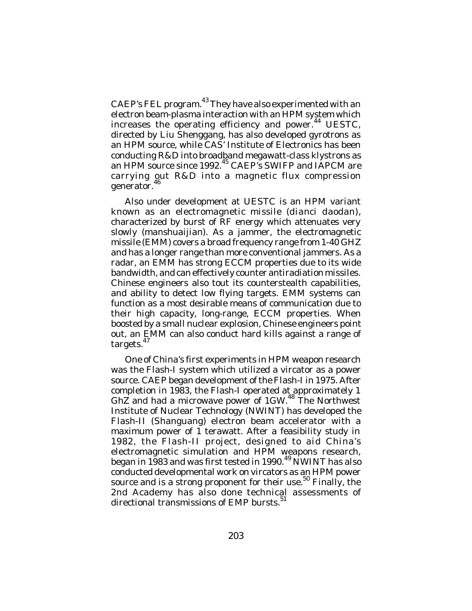CAEP's FEL program.<sup>43</sup> They have also experimented with an electron beam-plasma interaction with an HPM system which increases the operating efficiency and power.<sup>44</sup> UESTC, directed by Liu Shenggang, has also developed gyrotrons as an HPM source, while CAS' Institute of Electronics has been conducting R&D into broadband megawatt-class klystrons as an HPM source since 1992.<sup>45</sup> CAEP's SWIFP and IAPCM are carrying out R&D into a magnetic flux compression generator.<sup>46</sup>

Also under development at UESTC is an HPM variant known as an electromagnetic missile (*dianci daodan*), characterized by burst of RF energy which attenuates very slowly (*manshuaijian*). As a jammer, the electromagnetic missile (EMM) covers a broad frequency range from 1-40 GHZ and has a longer range than more conventional jammers. As a radar, an EMM has strong ECCM properties due to its wide bandwidth, and can effectively counter antiradiation missiles. Chinese engineers also tout its counterstealth capabilities, and ability to detect low flying targets. EMM systems can function as a most desirable means of communication due to their high capacity, long-range, ECCM properties. When boosted by a small nuclear explosion, Chinese engineers point out, an EMM can also conduct hard kills against a range of targets.<sup>47</sup>

One of China's first experiments in HPM weapon research was the Flash-I system which utilized a vircator as a power source. CAEP began development of the Flash-I in 1975. After completion in 1983, the Flash-I operated at approximately 1 GhZ and had a microwave power of 1GW.<sup>48</sup> The Northwest Institute of Nuclear Technology (NWINT) has developed the Flash-II (Shanguang) electron beam accelerator with a maximum power of 1 terawatt. After a feasibility study in 1982, the Flash-II project, designed to aid China's electromagnetic simulation and HPM weapons research, began in 1983 and was first tested in 1990. $^{49}$  NWINT has also conducted developmental work on vircators as an HPM power source and is a strong proponent for their use.<sup>50</sup> Finally, the 2nd Academy has also done technical assessments of directional transmissions of EMP bursts.<sup>51</sup>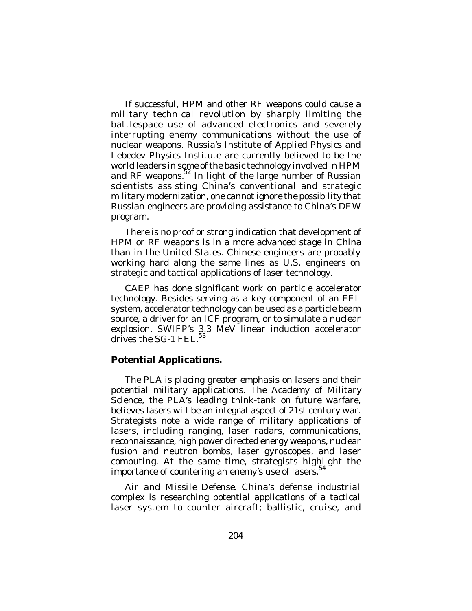If successful, HPM and other RF weapons could cause a military technical revolution by sharply limiting the battlespace use of advanced electronics and severely interrupting enemy communications without the use of nuclear weapons. Russia's Institute of Applied Physics and Lebedev Physics Institute are currently believed to be the world leaders in some of the basic technology involved in HPM and RF weapons.<sup>52</sup> In light of the large number of Russian scientists assisting China's conventional and strategic military modernization, one cannot ignore the possibility that Russian engineers are providing assistance to China's DEW program.

There is no proof or strong indication that development of HPM or RF weapons is in a more advanced stage in China than in the United States. Chinese engineers are probably working hard along the same lines as U.S. engineers on strategic and tactical applications of laser technology.

CAEP has done significant work on particle accelerator technology. Besides serving as a key component of an FEL system, accelerator technology can be used as a particle beam source, a driver for an ICF program, or to simulate a nuclear explosion. SWIFP's 3.3 MeV linear induction accelerator drives the SG-1 FEL.<sup>53</sup>

### **Potential Applications.**

The PLA is placing greater emphasis on lasers and their potential military applications. The Academy of Military Science, the PLA's leading think-tank on future warfare, believes lasers will be an integral aspect of 21st century war. Strategists note a wide range of military applications of lasers, including ranging, laser radars, communications, reconnaissance, high power directed energy weapons, nuclear fusion and neutron bombs, laser gyroscopes, and laser computing. At the same time, strategists highlight the importance of countering an enemy's use of lasers.<sup>54</sup>

*Air and Missile Defense*. China's defense industrial complex is researching potential applications of a tactical laser system to counter aircraft; ballistic, cruise, and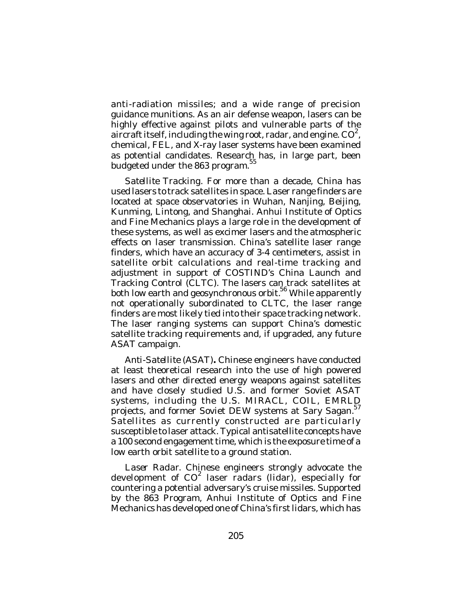anti-radiation missiles; and a wide range of precision guidance munitions. As an air defense weapon, lasers can be highly effective against pilots and vulnerable parts of the aircraft itself, including the wing root, radar, and engine.  $CO^2$ , chemical, FEL, and X-ray laser systems have been examined as potential candidates. Research has, in large part, been budgeted under the 863 program. 55

*Satellite Tracking*. For more than a decade, China has used lasers to track satellites in space. Laser range finders are located at space observatories in Wuhan, Nanjing, Beijing, Kunming, Lintong, and Shanghai. Anhui Institute of Optics and Fine Mechanics plays a large role in the development of these systems, as well as excimer lasers and the atmospheric effects on laser transmission. China's satellite laser range finders, which have an accuracy of 3-4 centimeters, assist in satellite orbit calculations and real-time tracking and adjustment in support of COSTIND's China Launch and Tracking Control (CLTC). The lasers can track satellites at both low earth and geosynchronous orbit.<sup>56</sup> While apparently not operationally subordinated to CLTC, the laser range finders are most likely tied into their space tracking network. The laser ranging systems can support China's domestic satellite tracking requirements and, if upgraded, any future ASAT campaign.

*Anti-Satellite (ASAT)***.** Chinese engineers have conducted at least theoretical research into the use of high powered lasers and other directed energy weapons against satellites and have closely studied U.S. and former Soviet ASAT systems, including the U.S. MIRACL, COIL, EMRLD projects, and former Soviet DEW systems at Sary Sagan.<sup>57</sup> Satellites as currently constructed are particularly susceptible to laser attack. Typical antisatellite concepts have a 100 second engagement time, which is the exposure time of a low earth orbit satellite to a ground station.

*Laser Radar*. Chinese engineers strongly advocate the development of  $CO^2$  laser radars (lidar), especially for countering a potential adversary's cruise missiles. Supported by the 863 Program, Anhui Institute of Optics and Fine Mechanics has developed one of China's first lidars, which has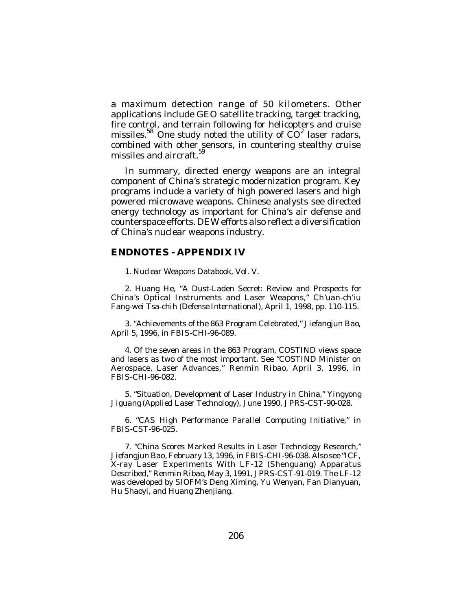a maximum detection range of 50 kilometers. Other applications include GEO satellite tracking, target tracking, fire control, and terrain following for helicopters and cruise missiles.<sup>58</sup> One study noted the utility of  $CO^2$  laser radars, combined with other sensors, in countering stealthy cruise missiles and aircraft. 59

In summary, directed energy weapons are an integral component of China's strategic modernization program. Key programs include a variety of high powered lasers and high powered microwave weapons. Chinese analysts see directed energy technology as important for China's air defense and counterspace efforts. DEW efforts also reflect a diversification of China's nuclear weapons industry.

#### **ENDNOTES - APPENDIX IV**

1. *Nuclear Weapons Databook*, Vol. V.

2. Huang He, "A Dust-Laden Secret: Review and Prospects for China's Optical Instruments and Laser Weapons," *Ch'uan-ch'iu Fang-wei Tsa-chih* (*Defense International*), April 1, 1998, pp. 110-115.

3. "Achievements of the 863 Program Celebrated," *Jiefangjun Bao*, April 5, 1996, in *FBIS-CHI*-96-089.

4. Of the seven areas in the 863 Program, COSTIND views space and lasers as two of the most important. See "COSTIND Minister on Aerospace, Laser Advances," *Renmin Ribao*, April 3, 1996, in *FBIS-CHI*-96-082.

5. "Situation, Development of Laser Industry in China," *Yingyong Jiguang* (*Applied Laser Technology*), June 1990, *JPRS-CST*-90-028.

6. "CAS High Performance Parallel Computing Initiative," in *FBIS-CST*-96-025.

7. "China Scores Marked Results in Laser Technology Research," *Jiefangjun Bao*, February 13, 1996, in *FBIS-CHI*-96-038. Also see "ICF, X-ray Laser Experiments With LF-12 (Shenguang) Apparatus Described," *Renmin Ribao*, May 3, 1991, *JPRS-CST*-91-019. The LF-12 was developed by SIOFM's Deng Ximing, Yu Wenyan, Fan Dianyuan, Hu Shaoyi, and Huang Zhenjiang.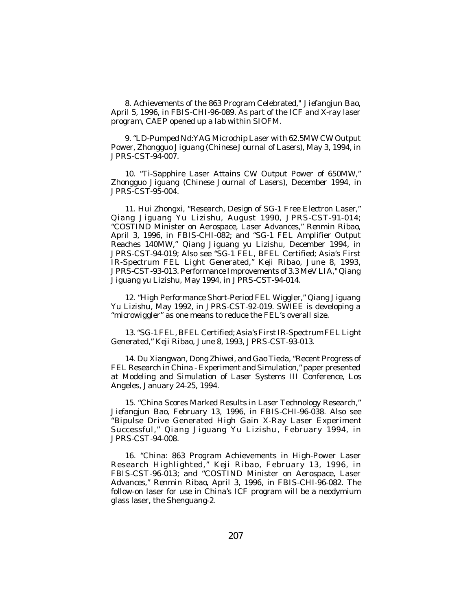8. Achievements of the 863 Program Celebrated," *Jiefangjun Bao*, April 5, 1996, in *FBIS-CHI*-96-089. As part of the ICF and X-ray laser program, CAEP opened up a lab within SIOFM.

9. "LD-Pumped Nd:YAG Microchip Laser with 62.5MW CW Output Power*, Zhongguo Jiguang* (*Chinese Journal of Lasers*), May 3, 1994, in *JPRS-CST*-94-007.

10. "Ti-Sapphire Laser Attains CW Output Power of 650MW," *Zhongguo Jiguang* (*Chinese Journal of Lasers*), December 1994, in *JPRS-CST*-95-004.

11. Hui Zhongxi, "Research, Design of SG-1 Free Electron Laser," *Qiang Jiguang Yu Lizishu*, August 1990, *JPRS-CST*-91-014; "COSTIND Minister on Aerospace, Laser Advances," *Renmin Ribao*, April 3, 1996, in *FBIS-CHI*-082; and "SG-1 FEL Amplifier Output Reaches 140MW," *Qiang Jiguang yu Lizishu*, December 1994, in *JPRS-CST*-94-019; Also see "SG-1 FEL, BFEL Certified; Asia's First IR-Spectrum FEL Light Generated," *Keji Ribao*, June 8, 1993, *JPRS-CST*-93-013. Performance Improvements of 3.3 MeV LIA," *Qiang Jiguang yu Lizishu,* May 1994, in *JPRS-CST*-94-014.

12. "High Performance Short-Period FEL Wiggler," *Qiang Jiguang Yu Lizishu*, May 1992, in *JPRS-CST*-92-019. SWIEE is developing a "microwiggler" as one means to reduce the FEL's overall size.

13. "SG-1 FEL, BFEL Certified; Asia's First IR-Spectrum FEL Light Generated," *Keji Ribao*, June 8, 1993, *JPRS-CST*-93-013.

14. Du Xiangwan, Dong Zhiwei, and Gao Tieda, "Recent Progress of FEL Research in China - Experiment and Simulation," paper presented at Modeling and Simulation of Laser Systems III Conference, Los Angeles, January 24-25, 1994.

15. "China Scores Marked Results in Laser Technology Research," *Jiefangjun Bao*, February 13, 1996, in *FBIS-CHI*-96-038. Also see "Bipulse Drive Generated High Gain X-Ray Laser Experiment Successful," *Qiang Jiguang Yu Lizishu*, February 1994, in *JPRS-CST*-94-008.

16. "China: 863 Program Achievements in High-Power Laser Research Highlighted," *Keji Ribao*, February 13, 1996, in *FBIS-CST*-96-013; and "COSTIND Minister on Aerospace, Laser Advances," *Renmin Ribao*, April 3, 1996, in *FBIS-CHI*-96-082. The follow-on laser for use in China's ICF program will be a neodymium glass laser, the Shenguang-2.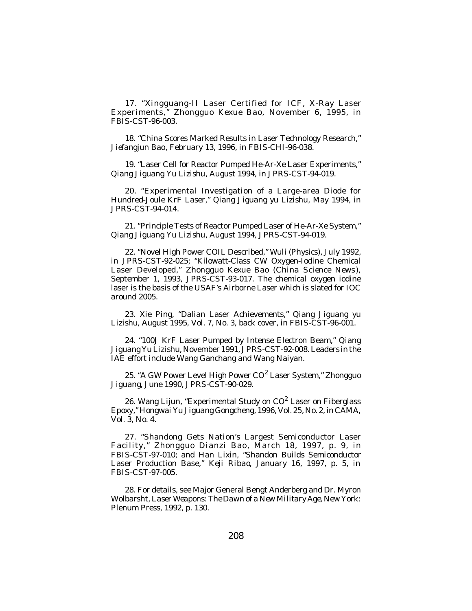17. "Xingguang-II Laser Certified for ICF, X-Ray Laser Experiments," *Zhongguo Kexue Bao*, November 6, 1995, in *FBIS-CST*-96-003.

18. "China Scores Marked Results in Laser Technology Research," *Jiefangjun Bao*, February 13, 1996, in *FBIS-CHI*-96-038.

19. "Laser Cell for Reactor Pumped He-Ar-Xe Laser Experiments," *Qiang Jiguang Yu Lizishu*, August 1994, in *JPRS-CST*-94-019.

20. "Experimental Investigation of a Large-area Diode for Hundred-Joule KrF Laser," *Qiang Jiguang yu Lizishu*, May 1994, in *JPRS-CST*-94-014.

21. "Principle Tests of Reactor Pumped Laser of He-Ar-Xe System," *Qiang Jiguang Yu Lizishu*, August 1994, *JPRS-CST*-94-019.

22. "Novel High Power COIL Described," *Wuli (Physics),* July 1992, in *JPRS-CST*-92-025; "Kilowatt-Class CW Oxygen-Iodine Chemical Laser Developed," *Zhongguo Kexue Bao* (*China Science News* ), September 1, 1993, *JPRS-CST*-93-017. The chemical oxygen iodine laser is the basis of the USAF's Airborne Laser which is slated for IOC around 2005.

23. Xie Ping, "Dalian Laser Achievements," *Qiang Jiguang yu Lizishu*, August 1995, Vol. 7, No. 3, back cover, in *FBIS-CST*-96-001.

24. "100J KrF Laser Pumped by Intense Electron Beam," *Qiang Jiguang Yu Lizishu*, November 1991, *JPRS-CST*-92-008. Leaders in the IAE effort include Wang Ganchang and Wang Naiyan.

25. "A GW Power Level High Power CO 2 Laser System," *Zhongguo Jiguang*, June 1990, *JPRS-CST*-90-029.

26. Wang Lijun, "Experimental Study on CO<sup>2</sup> Laser on Fiberglass Epoxy," *Hongwai Yu Jiguang Gongcheng*, 1996, Vol. 25, No. 2, in *CAMA*, Vol. 3, No. 4.

27. "Shandong Gets Nation's Largest Semiconductor Laser Facility," *Zhongguo Dianzi Bao* , March 18, 1997, p. 9, in *FBIS-CST*-97-010; and Han Lixin, "Shandon Builds Semiconductor Laser Production Base," *Keji Ribao*, January 16, 1997, p. 5, in *FBIS-CST*-97-005.

28. For details, see Major General Bengt Anderberg and Dr. Myron Wolbarsht, *Laser Weapons: The Dawn of a New Military Age*, New York: Plenum Press, 1992, p. 130.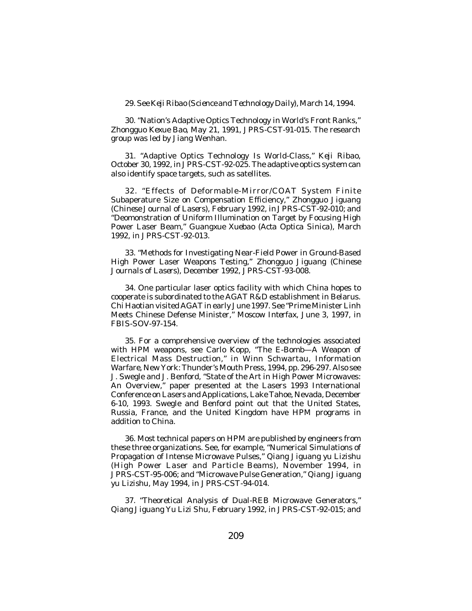29. See *Keji Ribao* (*Science and Technology Daily*), March 14, 1994.

30. "Nation's Adaptive Optics Technology in World's Front Ranks," *Zhongguo Kexue Bao*, May 21, 1991, *JPRS-CST*-91-015. The research group was led by Jiang Wenhan.

31. "Adaptive Optics Technology Is World-Class," *Keji Ribao*, October 30, 1992, in *JPRS-CST*-92-025. The adaptive optics system can also identify space targets, such as satellites.

32. "Effects of Deformable-Mirror/COAT System Finite Subaperature Size on Compensation Efficiency," *Zhongguo Jiguang (Chinese Journal of Lasers),* February 1992, in *JPRS-CST*-92-010; and "Deomonstration of Uniform Illumination on Target by Focusing High Power Laser Beam," *Guangxue Xuebao (Acta Optica Sinica),* March 1992, in *JPRS-CST*-92-013.

33. "Methods for Investigating Near-Field Power in Ground-Based High Power Laser Weapons Testing," *Zhongguo Jiguang* (*Chinese Journals of Lasers*), December 1992, *JPRS-CST*-93-008.

34. One particular laser optics facility with which China hopes to cooperate is subordinated to the AGAT R&D establishment in Belarus. Chi Haotian visited AGAT in early June 1997. See "Prime Minister Linh Meets Chinese Defense Minister," *Moscow Interfax*, June 3, 1997, in *FBIS-SOV*-97-154.

35. For a comprehensive overview of the technologies associated with HPM weapons, see Carlo Kopp, "The E-Bomb—A Weapon of Electrical Mass Destruction," in Winn Schwartau, *Information Warfare*, New York: Thunder's Mouth Press, 1994, pp. 296-297. Also see J. Swegle and J. Benford, "State of the Art in High Power Microwaves: An Overview," paper presented at the Lasers 1993 International Conference on Lasers and Applications, Lake Tahoe, Nevada, December 6-10, 1993. Swegle and Benford point out that the United States, Russia, France, and the United Kingdom have HPM programs in addition to China.

36. Most technical papers on HPM are published by engineers from these three organizations. See, for example, "Numerical Simulations of Propagation of Intense Microwave Pulses," *Qiang Jiguang yu Lizishu* (*High Power Laser and Particle Beams*), November 1994, in *JPRS-CST*-95-006; and "Microwave Pulse Generation," *Qiang Jiguang yu Lizishu*, May 1994, in *JPRS-CST*-94-014.

37. "Theoretical Analysis of Dual-REB Microwave Generators," *Qiang Jiguang Yu Lizi Shu*, February 1992, in *JPRS-CST*-92-015; and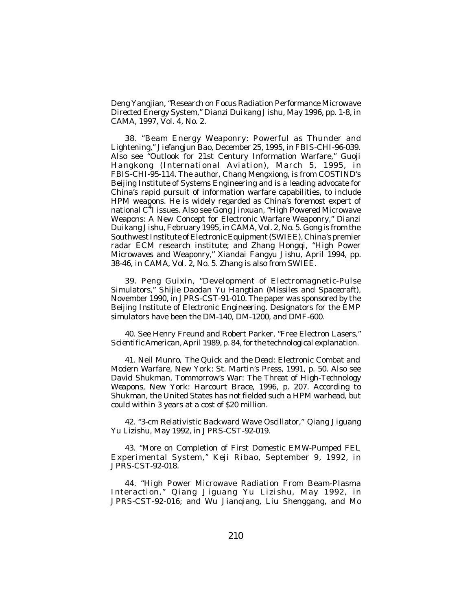Deng Yangjian, "Research on Focus Radiation Performance Microwave Directed Energy System," *Dianzi Duikang Jishu*, May 1996, pp. 1-8, in *CAMA*, 1997, Vol. 4, No. 2.

38. "Beam Energy Weaponry: Powerful as Thunder and Lightening," *Jiefangjun Bao*, December 25, 1995, in *FBIS-CHI*-96-039. Also see "Outlook for 21st Century Information Warfare," *Guoji Hangkong* (*International Aviation*), March 5, 1995, in *FBIS-CHI*-95-114. The author, Chang Mengxiong, is from COSTIND's Beijing Institute of Systems Engineering and is a leading advocate for China's rapid pursuit of information warfare capabilities, to include HPM weapons. He is widely regarded as China's foremost expert of national C<sup>4</sup>I issues. Also see Gong Jinxuan, "High Powered Microwave Weapons: A New Concept for Electronic Warfare Weaponry," *Dianzi Duikang Jish*u, February 1995, in *CAMA*, Vol. 2, No. 5. Gong is from the Southwest Institute of Electronic Equipment (SWIEE), China's premier radar ECM research institute; and Zhang Hongqi, "High Power Microwaves and Weaponry," *Xiandai Fangyu Jishu*, April 1994, pp. 38-46, in *CAMA*, Vol. 2, No. 5. Zhang is also from SWIEE.

39. Peng Guixin, "Development of Electromagnetic-Pulse Simulators," *Shijie Daodan Yu Hangtian* (*Missiles and Spacecraft*), November 1990, in *JPRS-CST*-91-010. The paper was sponsored by the Beijing Institute of Electronic Engineering. Designators for the EMP simulators have been the DM-140, DM-1200, and DMF-600.

40. See Henry Freund and Robert Parker, "Free Electron Lasers," *Scientific American*, April 1989, p. 84, for the technological explanation.

41. Neil Munro, *The Quick and the Dead: Electronic Combat and Modern Warfare*, New York: St. Martin's Press, 1991, p. 50. Also see David Shukman, *Tommorrow's War: The Threat of High-Technology Weapons*, New York: Harcourt Brace, 1996, p. 207. According to Shukman, the United States has not fielded such a HPM warhead, but could within 3 years at a cost of \$20 million.

42. "3-cm Relativistic Backward Wave Oscillator," *Qiang Jiguang Yu Lizishu*, May 1992, in *JPRS-CST*-92-019.

43. "More on Completion of First Domestic EMW-Pumped FEL Experimental System," *Keji Ribao*, September 9, 1992, in *JPRS-CST*-92-018.

44. "High Power Microwave Radiation From Beam-Plasma Interaction," *Qiang Jiguang Yu Lizishu*, May 1992, in *JPRS-CST*-92-016; and Wu Jianqiang, Liu Shenggang, and Mo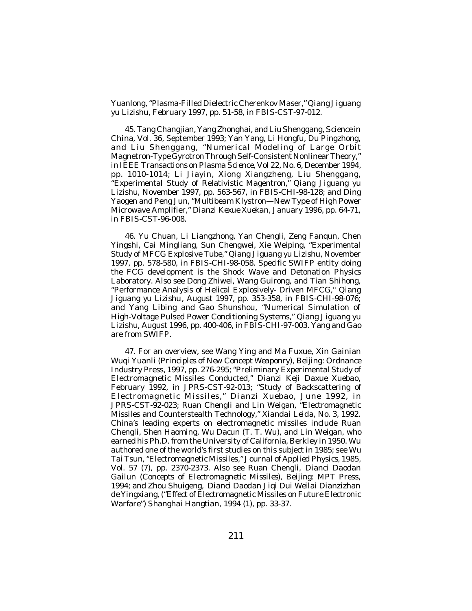Yuanlong, "Plasma-Filled Dielectric Cherenkov Maser," *Qiang Jiguang yu Lizishu*, February 1997, pp. 51-58, in *FBIS-CST*-97-012.

45. Tang Changjian, Yang Zhonghai, and Liu Shenggang, *Science in China*, Vol. 36, September 1993; Yan Yang, Li Hongfu, Du Pingzhong, and Liu Shenggang, "Numerical Modeling of Large Orbit Magnetron-Type Gyrotron Through Self-Consistent Nonlinear Theory," in *IEEE Transactions on Plasma Science*, Vol 22, No. 6, December 1994, pp. 1010-1014; Li Jiayin, Xiong Xiangzheng, Liu Shenggang, "Experimental Study of Relativistic Magentron," *Qiang Jiguang yu Lizishu*, November 1997, pp. 563-567, in *FBIS-CHI*-98-128; and Ding Yaogen and Peng Jun, "Multibeam Klystron—New Type of High Power Microwave Amplifier," *Dianzi Kexue Xuekan*, January 1996, pp. 64-71, in *FBIS-CST*-96-008.

46. Yu Chuan, Li Liangzhong, Yan Chengli, Zeng Fanqun, Chen Yingshi, Cai Mingliang, Sun Chengwei, Xie Weiping, "Experimental Study of MFCG Explosive Tube," *Qiang Jiguang yu Lizishu*, November 1997, pp. 578-580, in *FBIS-CHI*-98-058. Specific SWIFP entity doing the FCG development is the Shock Wave and Detonation Physics Laboratory. Also see Dong Zhiwei, Wang Guirong, and Tian Shihong, "Performance Analysis of Helical Explosively- Driven MFCG," *Qiang Jiguang yu Lizishu*, August 1997, pp. 353-358, in *FBIS-CHI*-98-076; and Yang Libing and Gao Shunshou, "Numerical Simulation of High-Voltage Pulsed Power Conditioning Systems," *Qiang Jiguang yu Lizishu*, August 1996, pp. 400-406, in *FBIS-CHI*-97-003. Yang and Gao are from SWIFP.

47. For an overview, see Wang Ying and Ma Fuxue, *Xin Gainian Wuqi Yuanli (Principles of New Concept Weaponry*), Beijing: Ordnance Industry Press, 1997, pp. 276-295; "Preliminary Experimental Study of Electromagnetic Missiles Conducted," *Dianzi Keji Daxue Xuebao*, February 1992, in *JPRS-CST*-92-013; "Study of Backscattering of Electromagnetic Missiles," *Dianzi Xuebao*, June 1992, in *JPRS-CST*-92-023; Ruan Chengli and Lin Weigan, "Electromagnetic Missiles and Counterstealth Technology," *Xiandai Leida*, No. 3, 1992. China's leading experts on electromagnetic missiles include Ruan Chengli, Shen Haoming, Wu Dacun (T. T. Wu), and Lin Weigan, who earned his Ph.D. from the University of California, Berkley in 1950. Wu authored one of the world's first studies on this subject in 1985; see Wu Tai Tsun, "Electromagnetic Missiles," *Journal of Applied Physics*, 1985, Vol. 57 (7), pp. 2370-2373. Also see Ruan Chengli, *Dianci Daodan Gailun* (*Concepts of Electromagnetic Missiles*), Beijing: MPT Press, 1994; and Zhou Shuigeng, *Dianci Daodan Jiqi Dui Weilai Dianzizhan de Yingxiang*, ("Effect of Electromagnetic Missiles on Future Electronic Warfare") *Shanghai Hangtian*, 1994 (1), pp. 33-37.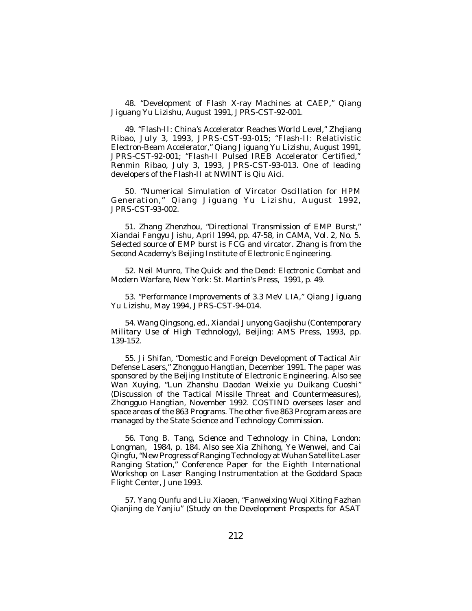48. "Development of Flash X-ray Machines at CAEP," *Qiang Jiguang Yu Lizishu*, August 1991, *JPRS-CST*-92-001.

49. "Flash-II: China's Accelerator Reaches World Level," *Zhejiang Ribao*, July 3, 1993, *JPRS-CST*-93-015; "Flash-II: Relativistic Electron-Beam Accelerator," *Qiang Jiguang Yu Lizishu*, August 1991, *JPRS-CST*-92-001; "Flash-II Pulsed IREB Accelerator Certified," *Renmin Ribao*, July 3, 1993, *JPRS-CST*-93-013. One of leading developers of the Flash-II at NWINT is Qiu Aici.

50. "Numerical Simulation of Vircator Oscillation for HPM Generation*," Qiang Jiguang Yu Lizishu*, August 1992, *JPRS-CST*-93-002.

51. Zhang Zhenzhou, "Directional Transmission of EMP Burst," *Xiandai Fangyu Jishu*, April 1994, pp. 47-58, in *CAMA*, Vol. 2, No. 5. Selected source of EMP burst is FCG and vircator. Zhang is from the Second Academy's Beijing Institute of Electronic Engineering.

52. Neil Munro, *The Quick and the Dead: Electronic Combat and Modern Warfare*, New York: St. Martin's Press, 1991, p. 49.

53. "Performance Improvements of 3.3 MeV LIA," *Qiang Jiguang Yu Lizishu*, May 1994, *JPRS-CST*-94-014.

54. Wang Qingsong, ed., *Xiandai Junyong Gaojishu* (*Contemporary Military Use of High Technology*), Beijing: AMS Press, 1993, pp. 139-152.

55. Ji Shifan, "Domestic and Foreign Development of Tactical Air Defense Lasers," *Zhongguo Hangtian*, December 1991. The paper was sponsored by the Beijing Institute of Electronic Engineering. Also see Wan Xuying, "Lun Zhanshu Daodan Weixie yu Duikang Cuoshi" (Discussion of the Tactical Missile Threat and Countermeasures), *Zhongguo Hangtian*, November 1992. COSTIND oversees laser and space areas of the 863 Programs. The other five 863 Program areas are managed by the State Science and Technology Commission.

56. Tong B. Tang, *Science and Technology in China*, London: Longman, 1984, p. 184. Also see Xia Zhihong, Ye Wenwei, and Cai Qingfu, "New Progress of Ranging Technology at Wuhan Satellite Laser Ranging Station," Conference Paper for the Eighth International Workshop on Laser Ranging Instrumentation at the Goddard Space Flight Center, June 1993.

57. Yang Qunfu and Liu Xiaoen, "Fanweixing Wuqi Xiting Fazhan Qianjing de Yanjiu" (Study on the Development Prospects for ASAT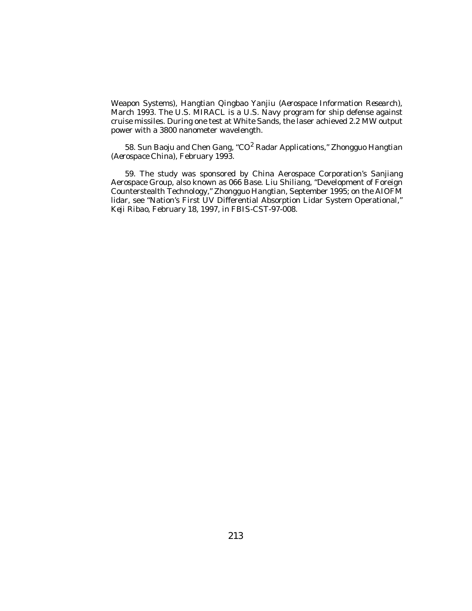Weapon Systems), *Hangtian Qingbao Yanjiu* (*Aerospace Information Research*), March 1993. The U.S. MIRACL is a U.S. Navy program for ship defense against cruise missiles. During one test at White Sands, the laser achieved 2.2 MW output power with a 3800 nanometer wavelength.

58. Sun Baoju and Chen Gang, "CO 2 Radar Applications," *Zhongguo Hangtian* (*Aerospace China*), February 1993.

59. The study was sponsored by China Aerospace Corporation's Sanjiang Aerospace Group, also known as 066 Base. Liu Shiliang, "Development of Foreign Counterstealth Technology," *Zhongguo Hangtian*, September 1995; on the AIOFM lidar, see "Nation's First UV Differential Absorption Lidar System Operational," *Keji Ribao*, February 18, 1997, in *FBIS-CST*-97-008.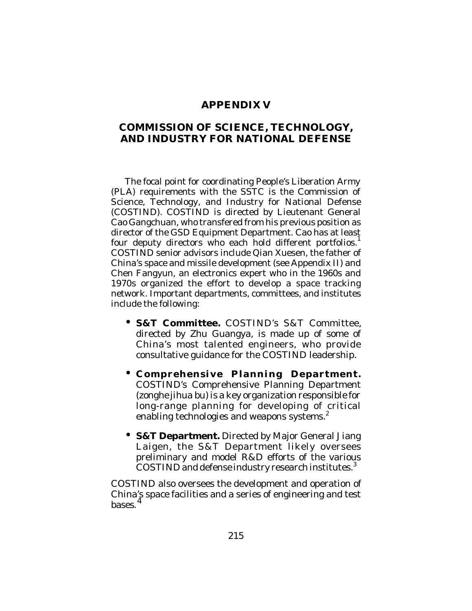# **APPENDIX V**

# **COMMISSION OF SCIENCE, TECHNOLOGY, AND INDUSTRY FOR NATIONAL DEFENSE**

The focal point for coordinating People's Liberation Army (PLA) requirements with the SSTC is the Commission of Science, Technology, and Industry for National Defense (COSTIND). COSTIND is directed by Lieutenant General Cao Gangchuan, who transfered from his previous position as director of the GSD Equipment Department. Cao has at least four deputy directors who each hold different portfolios.<sup>1</sup> COSTIND senior advisors include Qian Xuesen, the father of China's space and missile development (see Appendix II) and Chen Fangyun, an electronics expert who in the 1960s and 1970s organized the effort to develop a space tracking network. Important departments, committees, and institutes include the following:

- **S&T Committee.** COSTIND's S&T Committee, directed by Zhu Guangya, is made up of some of China's most talented engineers, who provide consultative guidance for the COSTIND leadership.
- **Comprehensive Planning Department.** COSTIND's Comprehensive Planning Department (*zonghe jihua bu*) is a key organization responsible for long-range planning for developing of critical enabling technologies and weapons systems.<sup>2</sup>
- **S&T Department.** Directed by Major General Jiang Laigen, the S&T Department likely oversees preliminary and model R&D efforts of the various COSTIND and defense industry research institutes. $3$

COSTIND also oversees the development and operation of China's space facilities and a series of engineering and test bases.<sup>4</sup>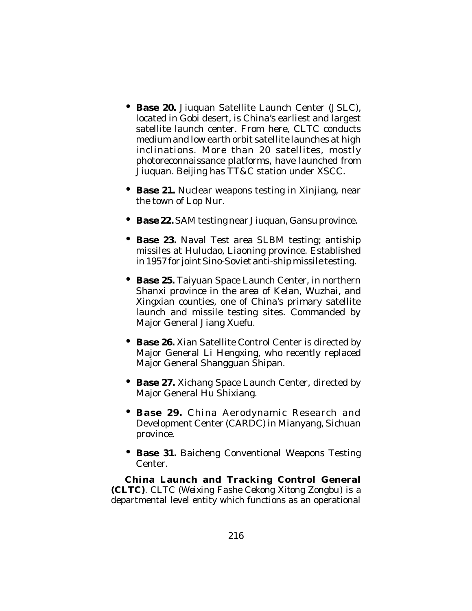- **Base 20.** Jiuquan Satellite Launch Center (JSLC), located in Gobi desert, is China's earliest and largest satellite launch center. From here, CLTC conducts medium and low earth orbit satellite launches at high inclinations. More than 20 satellites, mostly photoreconnaissance platforms, have launched from Jiuquan. Beijing has TT&C station under XSCC.
- **Base 21.** Nuclear weapons testing in Xinjiang, near the town of Lop Nur.
- **Base 22.** SAM testing near Jiuquan, Gansu province.
- **Base 23.** Naval Test area SLBM testing; antiship missiles at Huludao, Liaoning province. Established in 1957 for joint Sino-Soviet anti-ship missile testing.
- **Base 25.** Taiyuan Space Launch Center, in northern Shanxi province in the area of Kelan, Wuzhai, and Xingxian counties, one of China's primary satellite launch and missile testing sites. Commanded by Major General Jiang Xuefu.
- **Base 26.** Xian Satellite Control Center is directed by Major General Li Hengxing, who recently replaced Major General Shangguan Shipan.
- **Base 27.** Xichang Space Launch Center, directed by Major General Hu Shixiang.
- **Base 29.** China Aerodynamic Research and Development Center (CARDC) in Mianyang, Sichuan province.
- **Base 31.** Baicheng Conventional Weapons Testing **Center**

**China Launch and Tracking Control General (CLTC)**. CLTC (*Weixing Fashe Cekong Xitong Zongbu*) is a departmental level entity which functions as an operational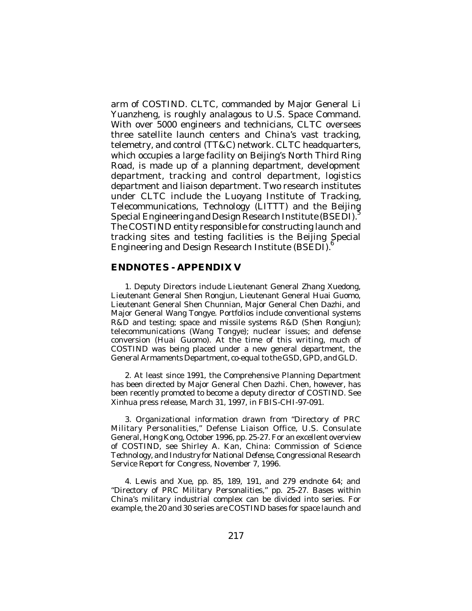arm of COSTIND. CLTC, commanded by Major General Li Yuanzheng, is roughly analagous to U.S. Space Command. With over 5000 engineers and technicians, CLTC oversees three satellite launch centers and China's vast tracking, telemetry, and control (TT&C) network. CLTC headquarters, which occupies a large facility on Beijing's North Third Ring Road, is made up of a planning department, development department, tracking and control department, logistics department and liaison department. Two research institutes under CLTC include the Luoyang Institute of Tracking, Telecommunications, Technology (LITTT) and the Beijing Special Engineering and Design Research Institute (BSEDI).<sup>5</sup> The COSTIND entity responsible for constructing launch and tracking sites and testing facilities is the Beijing Special Engineering and Design Research Institute (BSEDI).

### **ENDNOTES - APPENDIX V**

1. Deputy Directors include Lieutenant General Zhang Xuedong, Lieutenant General Shen Rongjun, Lieutenant General Huai Guomo, Lieutenant General Shen Chunnian, Major General Chen Dazhi, and Major General Wang Tongye. Portfolios include conventional systems R&D and testing; space and missile systems R&D (*Shen Rongjun*); telecommunications (*Wang Tongye*); nuclear issues; and defense conversion (*Huai Guomo*). At the time of this writing, much of COSTIND was being placed under a new general department, the General Armaments Department, co-equal to the GSD, GPD, and GLD.

2. At least since 1991, the Comprehensive Planning Department has been directed by Major General Chen Dazhi. Chen, however, has been recently promoted to become a deputy director of COSTIND. See Xinhua press release, March 31, 1997, in *FBIS-CHI*-97-091.

3. Organizational information drawn from "Directory of PRC Military Personalities," Defense Liaison Office, U.S. Consulate General, Hong Kong, October 1996, pp. 25-27. For an excellent overview of COSTIND, see Shirley A. Kan*, China: Commission of Science Technology, and Industry for National Defense*, Congressional Research Service Report for Congress, November 7, 1996.

4. Lewis and Xue, pp. 85, 189, 191, and 279 endnote 64; and "Directory of PRC Military Personalities," pp. 25-27. Bases within China's military industrial complex can be divided into series. For example, the 20 and 30 series are COSTIND bases for space launch and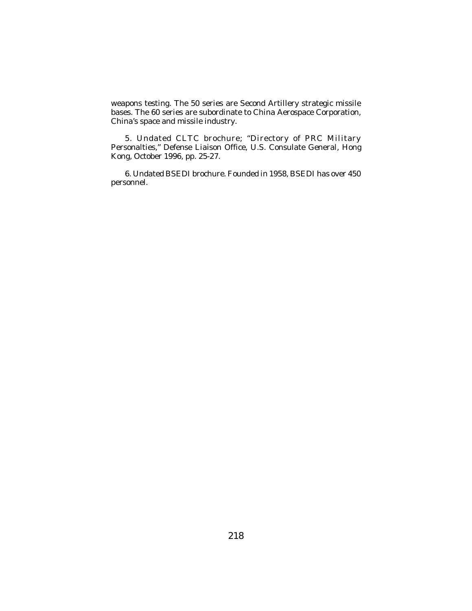weapons testing. The 50 series are Second Artillery strategic missile bases. The 60 series are subordinate to China Aerospace Corporation, China's space and missile industry.

5. Undated CLTC brochure; "Directory of PRC Military Personalties," Defense Liaison Office, U.S. Consulate General, Hong Kong, October 1996, pp. 25-27.

6. Undated BSEDI brochure. Founded in 1958, BSEDI has over 450 personnel.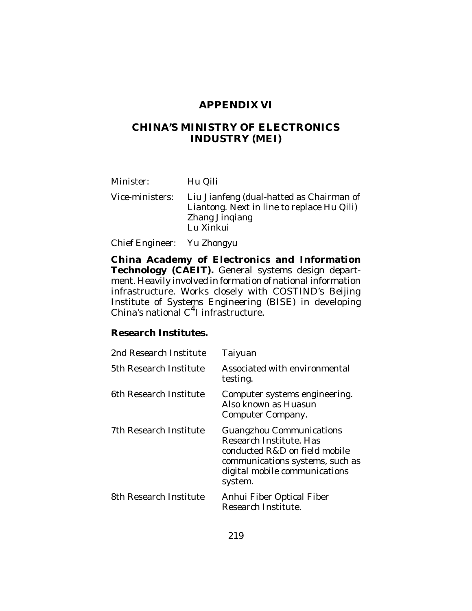# **APPENDIX VI**

# **CHINA'S MINISTRY OF ELECTRONICS INDUSTRY (MEI)**

Minister: Hu Qili

Vice-ministers: Liu Jianfeng (dual-hatted as Chairman of Liantong. Next in line to replace Hu Qili) Zhang Jinqiang Lu Xinkui

Chief Engineer: Yu Zhongyu

**China Academy of Electronics and Information Technology (CAEIT).** General systems design department. Heavily involved in formation of national information infrastructure. Works closely with COSTIND's Beijing Institute of Systems Engineering (BISE) in developing China's national C 4 I infrastructure.

#### **Research Institutes.**

| 2nd Research Institute | Taiyuan                                                                                                                                                                    |
|------------------------|----------------------------------------------------------------------------------------------------------------------------------------------------------------------------|
| 5th Research Institute | Associated with environmental<br>testing.                                                                                                                                  |
| 6th Research Institute | Computer systems engineering.<br>Also known as Huasun<br>Computer Company.                                                                                                 |
| 7th Research Institute | <b>Guangzhou Communications</b><br>Research Institute. Has<br>conducted R&D on field mobile<br>communications systems, such as<br>digital mobile communications<br>system. |
| 8th Research Institute | Anhui Fiber Optical Fiber<br>Research Institute.                                                                                                                           |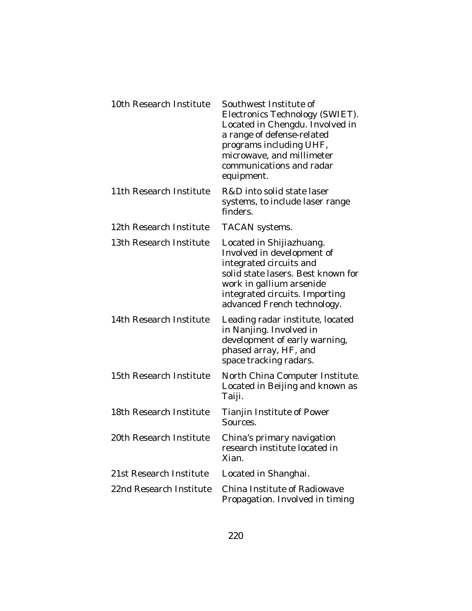| 10th Research Institute | Southwest Institute of<br>Electronics Technology (SWIET).<br>Located in Chengdu. Involved in<br>a range of defense-related<br>programs including UHF,<br>microwave, and millimeter<br>communications and radar<br>equipment. |
|-------------------------|------------------------------------------------------------------------------------------------------------------------------------------------------------------------------------------------------------------------------|
| 11th Research Institute | R&D into solid state laser<br>systems, to include laser range<br>finders.                                                                                                                                                    |
| 12th Research Institute | TACAN systems.                                                                                                                                                                                                               |
| 13th Research Institute | Located in Shijiazhuang.<br>Involved in development of<br>integrated circuits and<br>solid state lasers. Best known for<br>work in gallium arsenide<br>integrated circuits. Importing<br>advanced French technology.         |
| 14th Research Institute | Leading radar institute, located<br>in Nanjing. Involved in<br>development of early warning,<br>phased array, HF, and<br>space tracking radars.                                                                              |
| 15th Research Institute | North China Computer Institute.<br>Located in Beijing and known as<br>Taiji.                                                                                                                                                 |
| 18th Research Institute | Tianjin Institute of Power<br>Sources.                                                                                                                                                                                       |
| 20th Research Institute | China's primary navigation<br>research institute located in<br>Xian.                                                                                                                                                         |
| 21st Research Institute | Located in Shanghai.                                                                                                                                                                                                         |
| 22nd Research Institute | China Institute of Radiowave<br>Propagation. Involved in timing                                                                                                                                                              |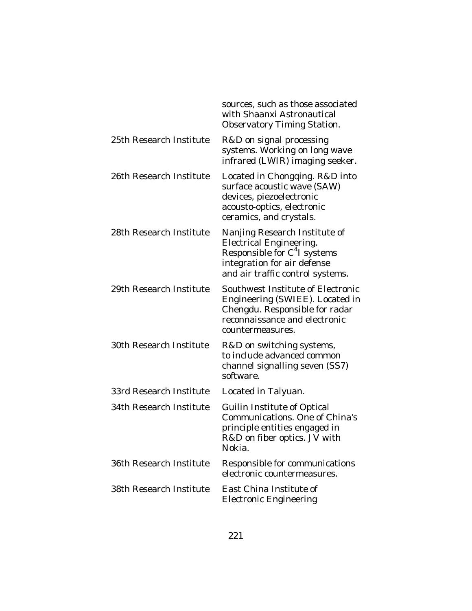|                         | sources, such as those associated<br>with Shaanxi Astronautical<br>Observatory Timing Station.                                                                                 |
|-------------------------|--------------------------------------------------------------------------------------------------------------------------------------------------------------------------------|
| 25th Research Institute | R&D on signal processing<br>systems. Working on long wave<br>infrared (LWIR) imaging seeker.                                                                                   |
| 26th Research Institute | Located in Chongqing. R&D into<br>surface acoustic wave (SAW)<br>devices, piezoelectronic<br>acousto-optics, electronic<br>ceramics, and crystals.                             |
| 28th Research Institute | Nanjing Research Institute of<br><b>Electrical Engineering.</b><br>Responsible for C <sup>4</sup> I systems<br>integration for air defense<br>and air traffic control systems. |
| 29th Research Institute | Southwest Institute of Electronic<br>Engineering (SWIEE). Located in<br>Chengdu. Responsible for radar<br>reconnaissance and electronic<br>countermeasures.                    |
| 30th Research Institute | R&D on switching systems,<br>to include advanced common<br>channel signalling seven (SS7)<br>software.                                                                         |
| 33rd Research Institute | Located in Taiyuan.                                                                                                                                                            |
| 34th Research Institute | <b>Guilin Institute of Optical</b><br>Communications. One of China's<br>principle entities engaged in<br>R&D on fiber optics. JV with<br>Nokia.                                |
| 36th Research Institute | Responsible for communications<br>electronic countermeasures.                                                                                                                  |
| 38th Research Institute | East China Institute of<br><b>Electronic Engineering</b>                                                                                                                       |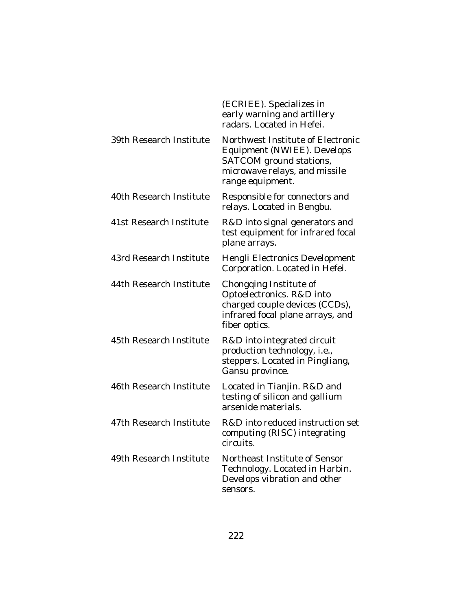|                         | (ECRIEE). Specializes in<br>early warning and artillery<br>radars. Located in Hefei.                                                             |
|-------------------------|--------------------------------------------------------------------------------------------------------------------------------------------------|
| 39th Research Institute | Northwest Institute of Electronic<br>Equipment (NWIEE). Develops<br>SATCOM ground stations,<br>microwave relays, and missile<br>range equipment. |
| 40th Research Institute | Responsible for connectors and<br>relays. Located in Bengbu.                                                                                     |
| 41st Research Institute | R&D into signal generators and<br>test equipment for infrared focal<br>plane arrays.                                                             |
| 43rd Research Institute | Hengli Electronics Development<br>Corporation. Located in Hefei.                                                                                 |
| 44th Research Institute | Chongqing Institute of<br>Optoelectronics. R&D into<br>charged couple devices (CCDs),<br>infrared focal plane arrays, and<br>fiber optics.       |
| 45th Research Institute | R&D into integrated circuit<br>production technology, i.e.,<br>steppers. Located in Pingliang,<br>Gansu province.                                |
| 46th Research Institute | Located in Tianjin. R&D and<br>testing of silicon and gallium<br>arsenide materials.                                                             |
| 47th Research Institute | R&D into reduced instruction set<br>computing (RISC) integrating<br>circuits.                                                                    |
| 49th Research Institute | Northeast Institute of Sensor<br>Technology. Located in Harbin.<br>Develops vibration and other<br>sensors.                                      |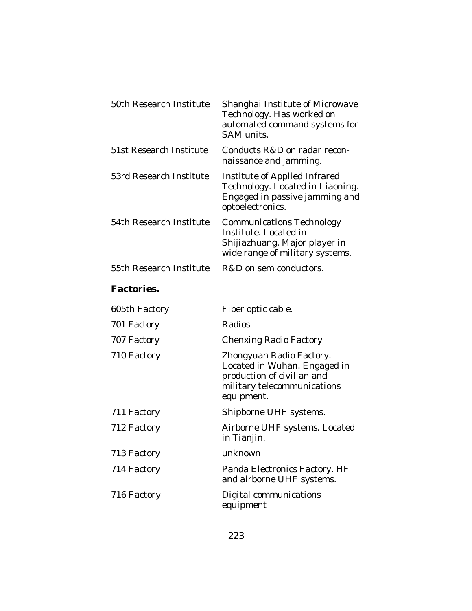| 50th Research Institute | Shanghai Institute of Microwave<br>Technology. Has worked on<br>automated command systems for<br>SAM units.                         |
|-------------------------|-------------------------------------------------------------------------------------------------------------------------------------|
| 51st Research Institute | Conducts R&D on radar recon-<br>naissance and jamming.                                                                              |
| 53rd Research Institute | Institute of Applied Infrared<br>Technology. Located in Liaoning.<br>Engaged in passive jamming and<br>optoelectronics.             |
| 54th Research Institute | <b>Communications Technology</b><br>Institute. Located in<br>Shijiazhuang. Major player in<br>wide range of military systems.       |
| 55th Research Institute | R&D on semiconductors.                                                                                                              |
| <b>Factories.</b>       |                                                                                                                                     |
| 605th Factory           | Fiber optic cable.                                                                                                                  |
| 701 Factory             | Radios                                                                                                                              |
| 707 Factory             | <b>Chenxing Radio Factory</b>                                                                                                       |
| 710 Factory             | Zhongyuan Radio Factory.<br>Located in Wuhan. Engaged in<br>production of civilian and<br>military telecommunications<br>equipment. |
| 711 Factory             | Shipborne UHF systems.                                                                                                              |
| 712 Factory             | Airborne UHF systems. Located<br>in Tianjin.                                                                                        |
| 713 Factory             | unknown                                                                                                                             |
| 714 Factory             | Panda Electronics Factory. HF<br>and airborne UHF systems.                                                                          |
| 716 Factory             | Digital communications<br>equipment                                                                                                 |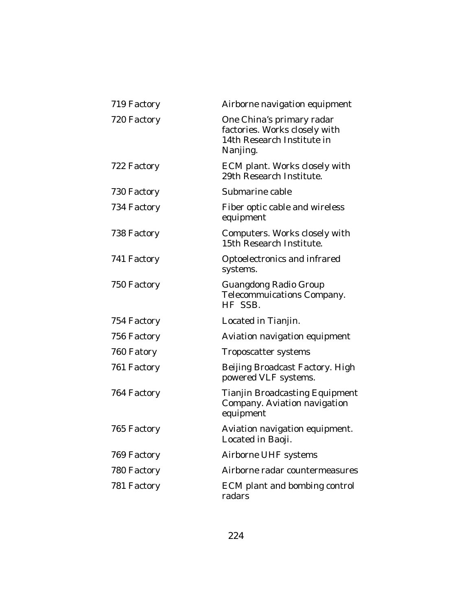| 719 Factory | Airborne navigation equipment                                                                        |
|-------------|------------------------------------------------------------------------------------------------------|
| 720 Factory | One China's primary radar<br>factories. Works closely with<br>14th Research Institute in<br>Nanjing. |
| 722 Factory | ECM plant. Works closely with<br>29th Research Institute.                                            |
| 730 Factory | Submarine cable                                                                                      |
| 734 Factory | Fiber optic cable and wireless<br>equipment                                                          |
| 738 Factory | Computers. Works closely with<br>15th Research Institute.                                            |
| 741 Factory | Optoelectronics and infrared<br>systems.                                                             |
| 750 Factory | <b>Guangdong Radio Group</b><br>Telecommuications Company.<br>HF SSB.                                |
| 754 Factory | Located in Tianjin.                                                                                  |
| 756 Factory | Aviation navigation equipment                                                                        |
| 760 Fatory  | Troposcatter systems                                                                                 |
| 761 Factory | Beijing Broadcast Factory. High<br>powered VLF systems.                                              |
| 764 Factory | <b>Tianjin Broadcasting Equipment</b><br>Company. Aviation navigation<br>equipment                   |
| 765 Factory | Aviation navigation equipment.<br>Located in Baoji.                                                  |
| 769 Factory | Airborne UHF systems                                                                                 |
| 780 Factory | Airborne radar countermeasures                                                                       |
| 781 Factory | ECM plant and bombing control<br>radars                                                              |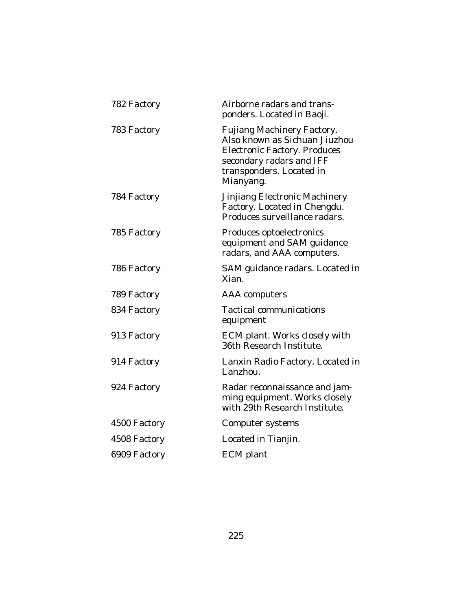| Airborne radars and trans-<br>ponders. Located in Baoji.                                                                                                                |
|-------------------------------------------------------------------------------------------------------------------------------------------------------------------------|
| Fujiang Machinery Factory.<br>Also known as Sichuan Jiuzhou<br><b>Electronic Factory. Produces</b><br>secondary radars and IFF<br>transponders. Located in<br>Mianyang. |
| Jinjiang Electronic Machinery<br>Factory. Located in Chengdu.<br>Produces surveillance radars.                                                                          |
| Produces optoelectronics<br>equipment and SAM guidance<br>radars, and AAA computers.                                                                                    |
| SAM guidance radars. Located in<br>Xian.                                                                                                                                |
| <b>AAA</b> computers                                                                                                                                                    |
| <b>Tactical communications</b><br>equipment                                                                                                                             |
| ECM plant. Works closely with<br>36th Research Institute.                                                                                                               |
| Lanxin Radio Factory. Located in<br>Lanzhou.                                                                                                                            |
| Radar reconnaissance and jam-<br>ming equipment. Works closely<br>with 29th Research Institute.                                                                         |
| Computer systems                                                                                                                                                        |
| Located in Tianjin.                                                                                                                                                     |
| <b>ECM</b> plant                                                                                                                                                        |
|                                                                                                                                                                         |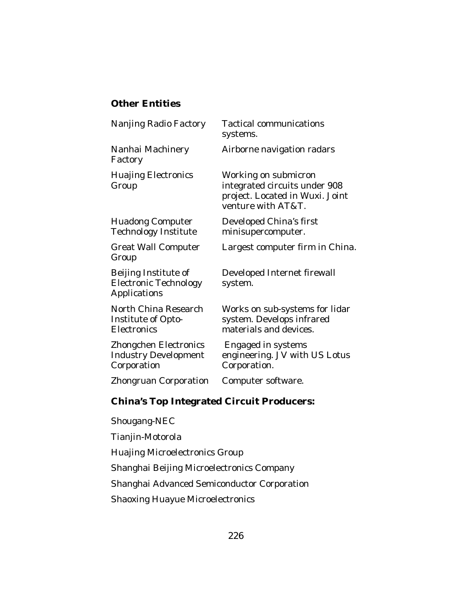## **Other Entities**

Factory

Technology Institute minisupercomputer.

Group

Electronic Technology system. Applications

Electronics materials and devices.

Zhongchen Electronics Engaged in systems Corporation Corporation.

Zhongruan Corporation Computer software.

Nanjing Radio Factory Tactical communications systems.

Nanhai Machinery Airborne navigation radars

Huajing Electronics Working on submicron Group integrated circuits under 908 project. Located in Wuxi. Joint venture with AT&T.

Huadong Computer Developed China's first

Great Wall Computer Largest computer firm in China.

Beijing Institute of Developed Internet firewall

North China Research Works on sub-systems for lidar Institute of Opto-<br>
system. Develops infrared

Industry Development engineering. JV with US Lotus

# **China's Top Integrated Circuit Producers:**

Shougang-NEC

Tianjin-Motorola

Huajing Microelectronics Group

Shanghai Beijing Microelectronics Company

Shanghai Advanced Semiconductor Corporation

Shaoxing Huayue Microelectronics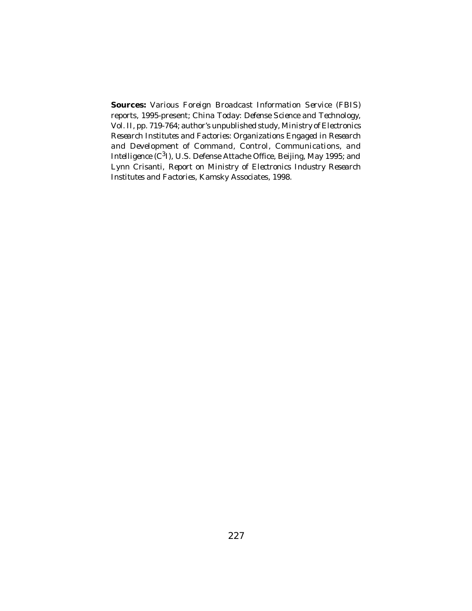**Sources:** Various *Foreign Broadcast Information Servic*e (*FBIS*) reports, 1995-present; *China Today: Defense Science and Technology*, Vol. II, pp. 719-764; author's unpublished study, *Ministry of Electronics Research Institutes and Factories: Organizations Engaged in Research and Development of Command, Control, Communications, and* Intelligence (C<sup>3</sup>I), U.S. Defense Attache Office, Beijing, May 1995; and Lynn Crisanti, *Report on Ministry of Electronics Industry Research Institutes and Factories*, Kamsky Associates, 1998.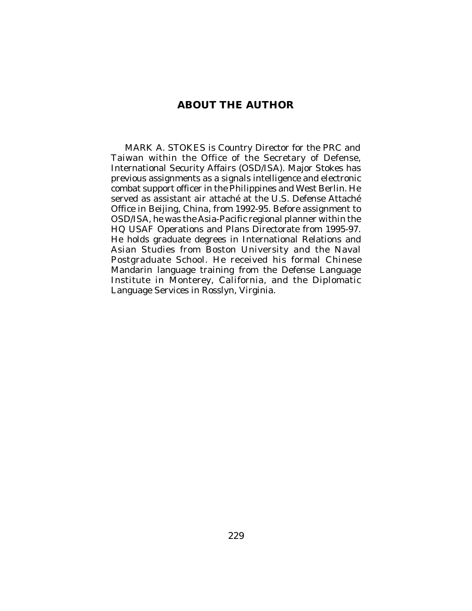## **ABOUT THE AUTHOR**

MARK A. STOKES is Country Director for the PRC and Taiwan within the Office of the Secretary of Defense, International Security Affairs (OSD/ISA). Major Stokes has previous assignments as a signals intelligence and electronic combat support officer in the Philippines and West Berlin. He served as assistant air attaché at the U.S. Defense Attaché Office in Beijing, China, from 1992-95. Before assignment to OSD/ISA, he was the Asia-Pacific regional planner within the HQ USAF Operations and Plans Directorate from 1995-97. He holds graduate degrees in International Relations and Asian Studies from Boston University and the Naval Postgraduate School. He received his formal Chinese Mandarin language training from the Defense Language Institute in Monterey, California, and the Diplomatic Language Services in Rosslyn, Virginia.